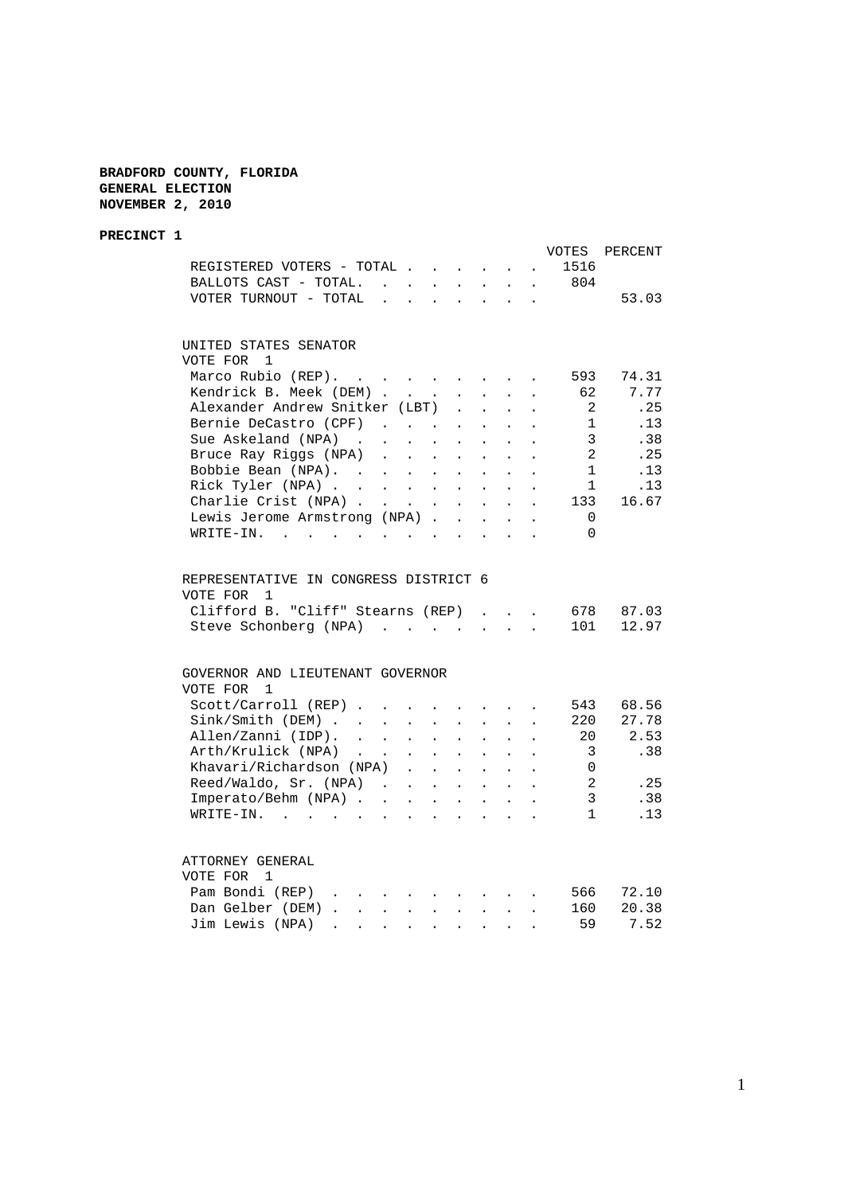**BRADFORD COUNTY, FLORIDA GENERAL ELECTION NOVEMBER 2, 2010**

### **PRECINCT 1** VOTES PERCENT REGISTERED VOTERS - TOTAL . . . . . . 1516 BALLOTS CAST - TOTAL. . . . . . . . 804 VOTER TURNOUT - TOTAL . . . . . . . . 53.03 UNITED STATES SENATOR VOTE FOR 1 Marco Rubio (REP). . . . . . . . . 593 74.31 Kendrick B. Meek (DEM) . . . . . . . 62 7.77 Alexander Andrew Snitker (LBT) . . . . 2 .25<br>Bernie DeCastro (CPF) . . . . . . . 1 .13 Bernie DeCastro (CPF) . . . . . . . 1 .13<br>Sue Askeland (NPA) . . . . . . . . 3 .38 Sue Askeland (NPA) . . . . . . . . . 3 .38<br>Bruce Ray Riggs (NPA) . . . . . . . 2 .25 Bruce Ray Riggs (NPA) . . . . . . . . 2 . 25<br>Bobbie Bean (NPA) . . . . . . . . . 1 . 13<br>Rick Tyler (NPA) . . . . . . . . . 1 . 13 Bobbie Bean (NPA). . . . . . . . . Rick Tyler (NPA) . . . . . . . . . 1 .13 Charlie Crist (NPA) . . . . . . . . 133 16.67 Lewis Jerome Armstrong (NPA) . . . . . 0 WRITE-IN. . . . . . . . . . . . 0 REPRESENTATIVE IN CONGRESS DISTRICT 6 VOTE FOR 1 Clifford B. "Cliff" Stearns (REP) . . . 678 87.03<br>Steve Schonberg (NPA) . . . . . . . 101 12.97 Steve Schonberg (NPA) . . . . . . . GOVERNOR AND LIEUTENANT GOVERNOR VOTE FOR 1 Scott/Carroll (REP) . . . . . . . . 543 68.56 Sink/Smith (DEM) . . . . . . . . . 220 27.78 Allen/Zanni (IDP). . . . . . . . . 20 2.53 Arth/Krulick (NPA) . . . . . . . . 3 .38 Khavari/Richardson (NPA) . . . . . . 0 Reed/Waldo, Sr. (NPA) . . . . . . . 2 . 25<br>Imperato/Behm (NPA) . . . . . . . . 3 .38 Imperato/Behm (NPA) . . . . . . . . 3 WRITE-IN. . . . . . . . . . . . . 1 .13 ATTORNEY GENERAL VOTE FOR 1 Pam Bondi (REP) . . . . . . . . . 566 72.10 Dan Gelber (DEM) . . . . . . . . . 160 20.38 Jim Lewis (NPA) . . . . . . . . . 59 7.52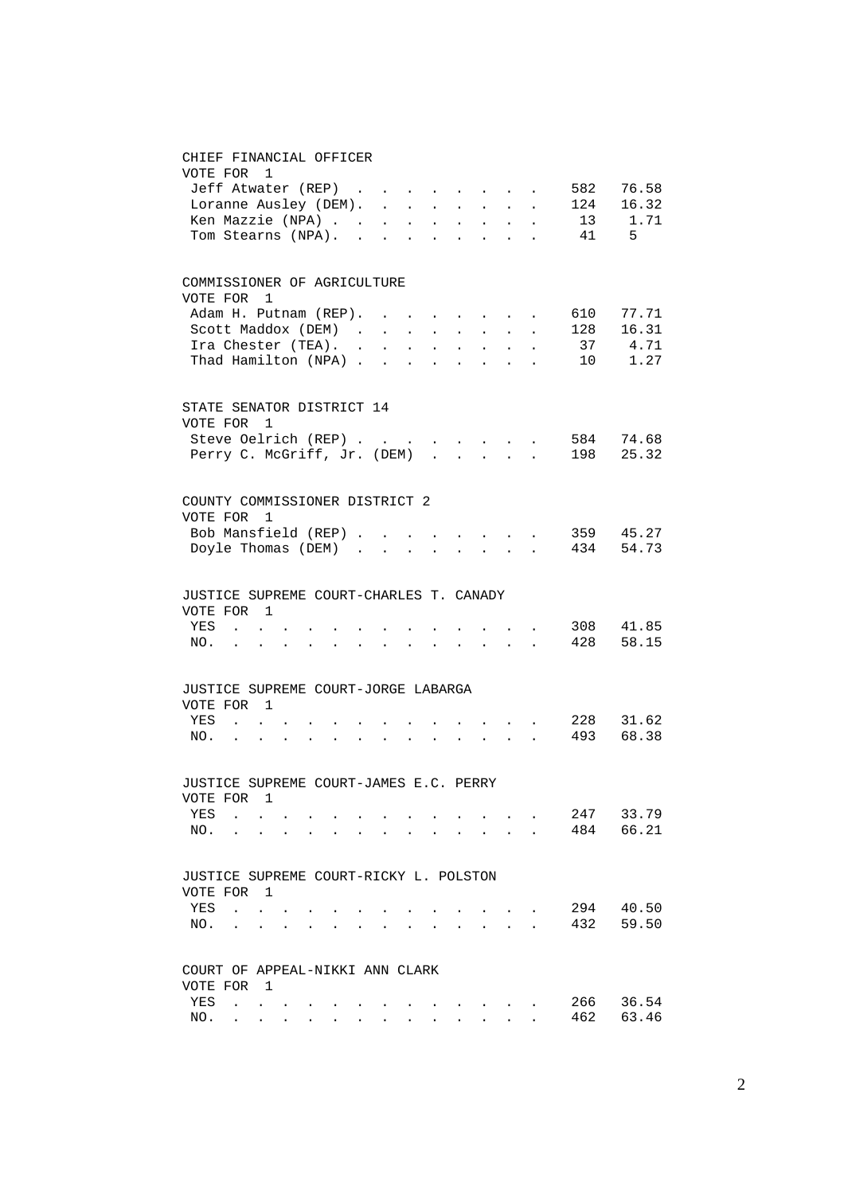### CHIEF FINANCIAL OFFICER

| VOTE FOR 1                                            |                                                                                                                                                                                                                               |  |                                                             |  |               |                      |                                                                          |                             |                                        |
|-------------------------------------------------------|-------------------------------------------------------------------------------------------------------------------------------------------------------------------------------------------------------------------------------|--|-------------------------------------------------------------|--|---------------|----------------------|--------------------------------------------------------------------------|-----------------------------|----------------------------------------|
| Jeff Atwater (REP)                                    |                                                                                                                                                                                                                               |  |                                                             |  | $\sim$ $\sim$ |                      |                                                                          | 582                         | 76.58                                  |
| Loranne Ausley (DEM).                                 |                                                                                                                                                                                                                               |  |                                                             |  | $\sim$ $-$    | $\sim$               | $\mathbf{L}$                                                             | 124                         | 16.32                                  |
| Ken Mazzie (NPA)                                      |                                                                                                                                                                                                                               |  |                                                             |  |               |                      | $\mathbf{r}$                                                             |                             | 13 1.71                                |
| Tom Stearns (NPA).                                    |                                                                                                                                                                                                                               |  |                                                             |  |               |                      |                                                                          | 41                          | -5                                     |
| COMMISSIONER OF AGRICULTURE                           |                                                                                                                                                                                                                               |  |                                                             |  |               |                      |                                                                          |                             |                                        |
| VOTE FOR                                              | $\overline{1}$                                                                                                                                                                                                                |  |                                                             |  |               |                      |                                                                          |                             |                                        |
| Adam H. Putnam (REP).<br>Scott Maddox (DEM)           |                                                                                                                                                                                                                               |  |                                                             |  |               |                      |                                                                          | 610<br>128                  | 77.71<br>16.31                         |
| Ira Chester (TEA).                                    |                                                                                                                                                                                                                               |  |                                                             |  |               |                      |                                                                          |                             | 37 4.71                                |
| Thad Hamilton (NPA)                                   |                                                                                                                                                                                                                               |  |                                                             |  |               |                      |                                                                          |                             | 10 1.27                                |
| STATE SENATOR DISTRICT 14                             |                                                                                                                                                                                                                               |  |                                                             |  |               |                      |                                                                          |                             |                                        |
| VOTE FOR                                              | $\mathbf{1}$                                                                                                                                                                                                                  |  |                                                             |  |               |                      |                                                                          |                             |                                        |
|                                                       |                                                                                                                                                                                                                               |  |                                                             |  |               |                      |                                                                          | Steve Oelrich (REP) 584     | 74.68                                  |
| Perry C. McGriff, Jr. (DEM)                           |                                                                                                                                                                                                                               |  |                                                             |  |               |                      |                                                                          | 198                         | 25.32                                  |
| COUNTY COMMISSIONER DISTRICT 2                        |                                                                                                                                                                                                                               |  |                                                             |  |               |                      |                                                                          |                             |                                        |
| VOTE FOR                                              | $\mathbf{1}$                                                                                                                                                                                                                  |  |                                                             |  |               |                      |                                                                          |                             |                                        |
| Bob Mansfield (REP)<br>Doyle Thomas (DEM)             |                                                                                                                                                                                                                               |  |                                                             |  |               |                      |                                                                          |                             | $\cdot$ 359 45.27<br>$\cdot$ 434 54.73 |
|                                                       |                                                                                                                                                                                                                               |  |                                                             |  |               |                      |                                                                          |                             |                                        |
| JUSTICE SUPREME COURT-CHARLES T. CANADY<br>VOTE FOR 1 |                                                                                                                                                                                                                               |  |                                                             |  |               |                      |                                                                          |                             |                                        |
| YES                                                   | <b>Carl Carl Carl</b>                                                                                                                                                                                                         |  |                                                             |  |               |                      | $\mathbf{r} = \mathbf{r} + \mathbf{r}$ , where $\mathbf{r} = \mathbf{r}$ |                             | 308 41.85                              |
| NO.                                                   | the contract of the contract of the contract of                                                                                                                                                                               |  | $\bullet$ .<br><br><br><br><br><br><br><br><br><br><br><br> |  |               |                      |                                                                          | $\cdot$ 428 58.15           |                                        |
| JUSTICE SUPREME COURT-JORGE LABARGA                   |                                                                                                                                                                                                                               |  |                                                             |  |               |                      |                                                                          |                             |                                        |
| VOTE FOR 1                                            |                                                                                                                                                                                                                               |  |                                                             |  |               |                      |                                                                          |                             |                                        |
| YES                                                   | <b>Contract Contract</b>                                                                                                                                                                                                      |  |                                                             |  |               |                      |                                                                          | $\cdot$ $\cdot$ $\cdot$ 228 | 31.62                                  |
| NO.                                                   | . The contract of the contract of the contract of the contract of the contract of the contract of the contract of the contract of the contract of the contract of the contract of the contract of the contract of the contrac |  |                                                             |  |               |                      |                                                                          | 493                         | 68.38                                  |
| JUSTICE SUPREME COURT-JAMES E.C. PERRY                |                                                                                                                                                                                                                               |  |                                                             |  |               |                      |                                                                          |                             |                                        |
| VOTE FOR 1                                            |                                                                                                                                                                                                                               |  |                                                             |  |               |                      |                                                                          |                             |                                        |
| YES                                                   |                                                                                                                                                                                                                               |  |                                                             |  |               |                      |                                                                          | 247                         | 33.79                                  |
| NO.                                                   |                                                                                                                                                                                                                               |  |                                                             |  |               | $\bullet$            |                                                                          | 484                         | 66.21                                  |
| JUSTICE SUPREME COURT-RICKY L. POLSTON                |                                                                                                                                                                                                                               |  |                                                             |  |               |                      |                                                                          |                             |                                        |
| VOTE FOR                                              | $\overline{1}$                                                                                                                                                                                                                |  |                                                             |  |               |                      |                                                                          |                             |                                        |
| YES<br>$\ddot{\phantom{a}}$                           | $\ddot{\phantom{a}}$                                                                                                                                                                                                          |  |                                                             |  |               |                      |                                                                          | 294<br>432                  | 40.50<br>59.50                         |
| NO.<br>$\ddot{\phantom{0}}$                           | $\bullet$                                                                                                                                                                                                                     |  |                                                             |  |               | $\ddot{\phantom{0}}$ |                                                                          |                             |                                        |
| COURT OF APPEAL-NIKKI ANN CLARK                       |                                                                                                                                                                                                                               |  |                                                             |  |               |                      |                                                                          |                             |                                        |
| VOTE FOR<br>YES<br>$\ddot{\phantom{a}}$               | - 1                                                                                                                                                                                                                           |  |                                                             |  |               |                      |                                                                          | 266                         | 36.54                                  |
| NO.<br>$\bullet$                                      |                                                                                                                                                                                                                               |  |                                                             |  |               |                      |                                                                          | 462                         | 63.46                                  |
|                                                       |                                                                                                                                                                                                                               |  |                                                             |  |               |                      |                                                                          |                             |                                        |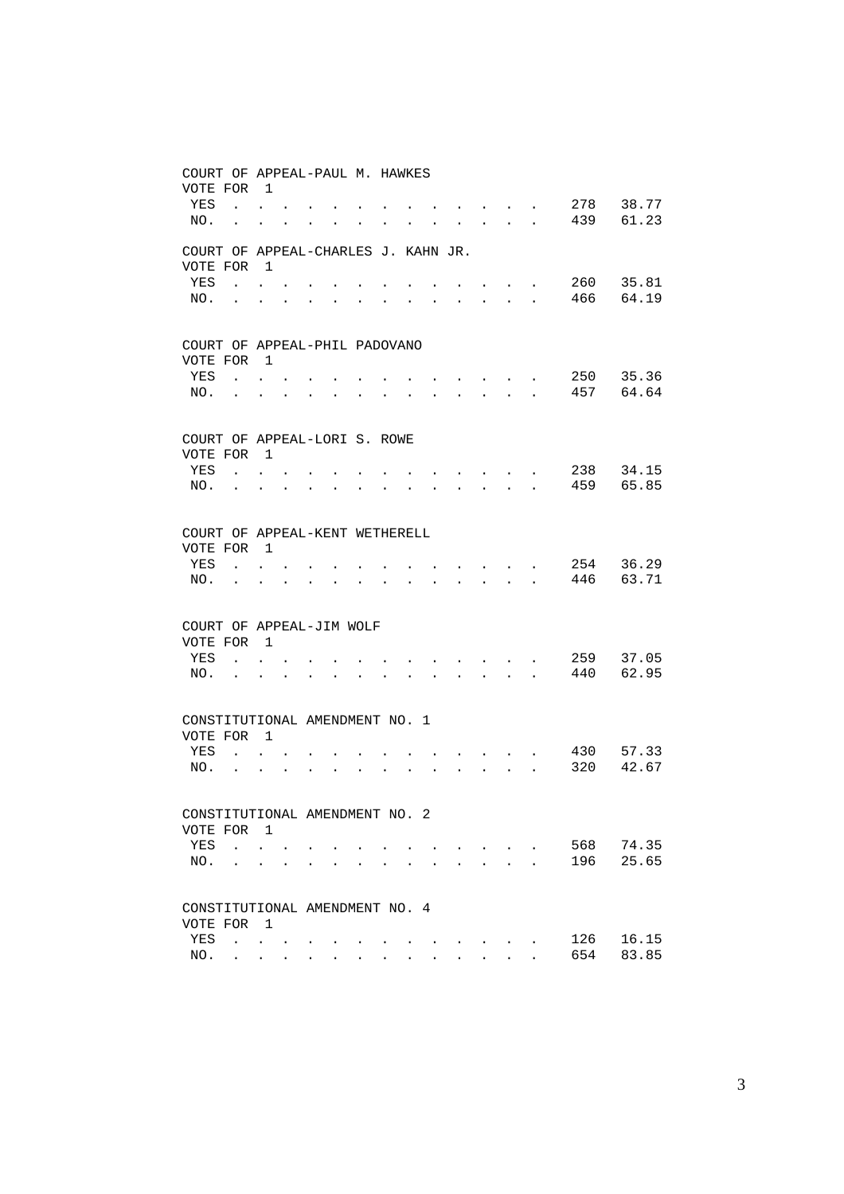| COURT OF APPEAL-PAUL M. HAWKES<br>VOTE FOR 1 |                                                           |                                                                                       |                |              |        |                      |  |                                                                 |                      |              |                      |            |                |
|----------------------------------------------|-----------------------------------------------------------|---------------------------------------------------------------------------------------|----------------|--------------|--------|----------------------|--|-----------------------------------------------------------------|----------------------|--------------|----------------------|------------|----------------|
| YES                                          | $\mathbf{r}$ , $\mathbf{r}$ , $\mathbf{r}$ , $\mathbf{r}$ |                                                                                       |                |              |        |                      |  | and the state of the state of the                               |                      |              | $\sim$               | 278        | 38.77          |
| NO.                                          |                                                           | $\mathbf{L} = \mathbf{L}$                                                             |                | $\mathbf{L}$ | $\sim$ | $\ddot{\phantom{a}}$ |  | $\mathbf{r}$ and $\mathbf{r}$ and $\mathbf{r}$ and $\mathbf{r}$ |                      |              |                      | 439        | 61.23          |
| COURT OF APPEAL-CHARLES J. KAHN JR.          |                                                           |                                                                                       |                |              |        |                      |  |                                                                 |                      |              |                      |            |                |
| VOTE FOR 1                                   |                                                           |                                                                                       |                |              |        |                      |  |                                                                 |                      |              |                      |            |                |
| YES                                          | <b>Contract</b>                                           |                                                                                       |                |              |        |                      |  |                                                                 |                      |              |                      | 260<br>466 | 35.81<br>64.19 |
| NO.                                          | $\sim$                                                    | $\ddot{\phantom{a}}$                                                                  | $\overline{a}$ |              |        |                      |  |                                                                 | $\mathbf{L}$         | $\mathbf{r}$ | $\overline{a}$       |            |                |
| COURT OF APPEAL-PHIL PADOVANO                |                                                           |                                                                                       |                |              |        |                      |  |                                                                 |                      |              |                      |            |                |
| VOTE FOR 1                                   |                                                           |                                                                                       |                |              |        |                      |  |                                                                 |                      |              |                      |            |                |
| YES                                          | $\sim$                                                    |                                                                                       |                |              |        |                      |  |                                                                 |                      |              |                      | 250        | 35.36          |
| NO.                                          |                                                           |                                                                                       |                |              |        |                      |  |                                                                 | $\mathbf{r}$         | $\mathbf{r}$ | $\ddot{\phantom{a}}$ | 457        | 64.64          |
| COURT OF APPEAL-LORI S. ROWE                 |                                                           |                                                                                       |                |              |        |                      |  |                                                                 |                      |              |                      |            |                |
| VOTE FOR 1                                   |                                                           |                                                                                       |                |              |        |                      |  |                                                                 |                      |              |                      |            |                |
| YES                                          | $\sim$                                                    |                                                                                       |                |              |        |                      |  |                                                                 |                      |              |                      | 238        | 34.15          |
| NO.                                          |                                                           |                                                                                       |                |              |        |                      |  |                                                                 | $\sim$               | $\mathbf{r}$ |                      | 459        | 65.85          |
| COURT OF APPEAL-KENT WETHERELL               |                                                           |                                                                                       |                |              |        |                      |  |                                                                 |                      |              |                      |            |                |
| VOTE FOR 1                                   |                                                           |                                                                                       |                |              |        |                      |  |                                                                 |                      |              |                      |            |                |
| YES                                          | $\sim$                                                    |                                                                                       |                |              |        |                      |  |                                                                 |                      |              |                      | 254<br>446 | 36.29<br>63.71 |
| NO.                                          |                                                           |                                                                                       |                |              |        |                      |  |                                                                 | $\ddot{\phantom{0}}$ | $\mathbf{r}$ |                      |            |                |
| COURT OF APPEAL-JIM WOLF                     |                                                           |                                                                                       |                |              |        |                      |  |                                                                 |                      |              |                      |            |                |
| VOTE FOR 1                                   |                                                           |                                                                                       |                |              |        |                      |  |                                                                 |                      |              |                      |            |                |
| YES<br>NO.                                   |                                                           |                                                                                       |                |              |        |                      |  |                                                                 | $\mathbf{r}$         | $\sim$       |                      | 259<br>440 | 37.05<br>62.95 |
|                                              |                                                           |                                                                                       |                |              |        |                      |  |                                                                 |                      |              |                      |            |                |
| CONSTITUTIONAL AMENDMENT NO. 1               |                                                           |                                                                                       |                |              |        |                      |  |                                                                 |                      |              |                      |            |                |
| VOTE FOR 1                                   |                                                           |                                                                                       |                |              |        |                      |  |                                                                 |                      |              |                      |            |                |
| YES                                          | $\mathbf{r}$                                              |                                                                                       |                |              |        |                      |  |                                                                 |                      |              |                      | 430<br>320 | 57.33<br>42.67 |
| NO.                                          |                                                           | $\ddot{\phantom{a}}$                                                                  |                |              |        |                      |  |                                                                 |                      |              | $\ddot{\phantom{a}}$ |            |                |
| CONSTITUTIONAL AMENDMENT NO. 2               |                                                           |                                                                                       |                |              |        |                      |  |                                                                 |                      |              |                      |            |                |
| VOTE FOR 1                                   |                                                           |                                                                                       |                |              |        |                      |  |                                                                 |                      |              |                      |            |                |
| YES                                          | $\mathcal{L}^{\text{max}}$                                |                                                                                       |                |              |        |                      |  |                                                                 |                      |              |                      | 568        | 74.35          |
| NO.                                          |                                                           | $\ddot{\phantom{a}}$                                                                  |                |              |        |                      |  |                                                                 |                      |              |                      | 196        | 25.65          |
| CONSTITUTIONAL AMENDMENT NO. 4               |                                                           |                                                                                       |                |              |        |                      |  |                                                                 |                      |              |                      |            |                |
| VOTE FOR                                     |                                                           | $\overline{1}$                                                                        |                |              |        |                      |  |                                                                 |                      |              |                      |            |                |
| YES                                          |                                                           | $\mathbf{u}^{\prime}=\mathbf{u}^{\prime}+\mathbf{u}^{\prime}$ , $\mathbf{u}^{\prime}$ |                |              |        |                      |  |                                                                 |                      |              |                      | 126        | 16.15          |
| NO.                                          |                                                           |                                                                                       |                |              |        |                      |  |                                                                 |                      |              |                      | 654        | 83.85          |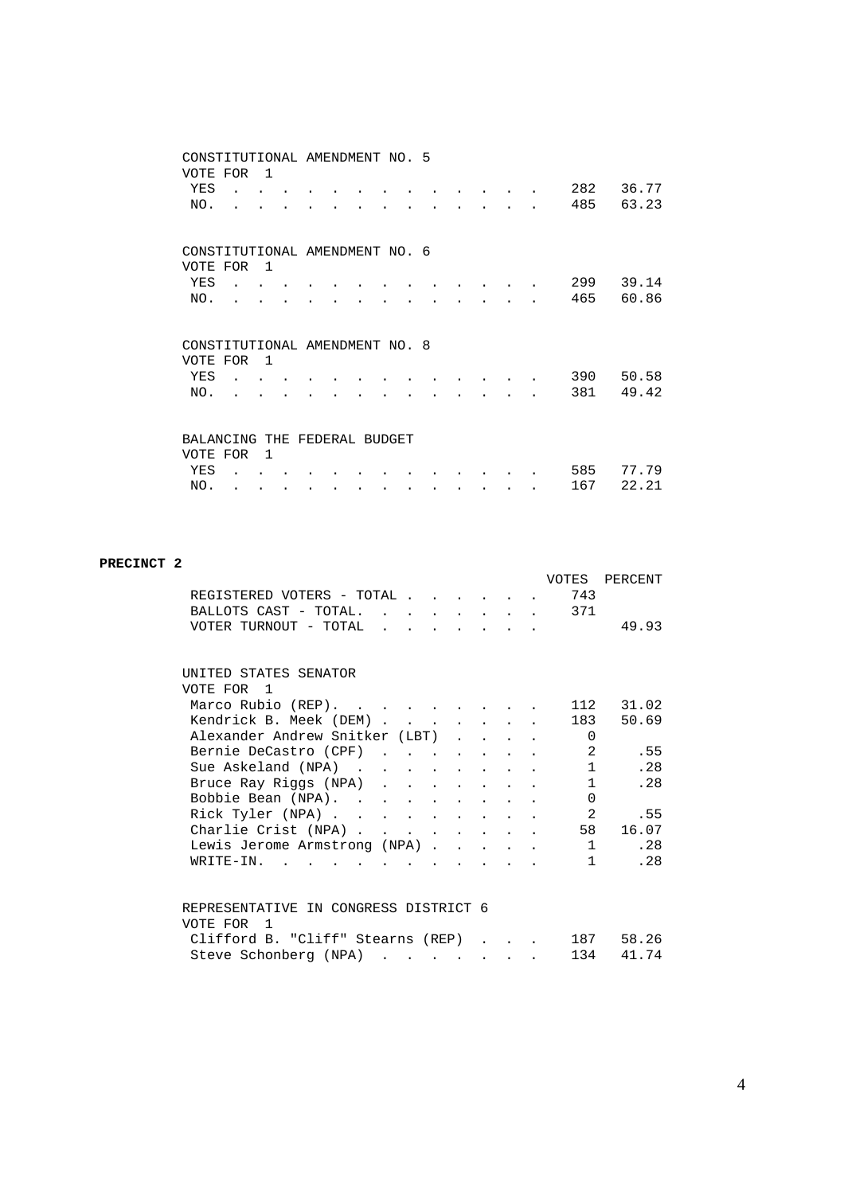|                                | CONSTITUTIONAL AMENDMENT NO. 5 |                |  |  |  |  |  |     |       |
|--------------------------------|--------------------------------|----------------|--|--|--|--|--|-----|-------|
| VOTE FOR                       |                                | -1             |  |  |  |  |  |     |       |
| YES                            |                                |                |  |  |  |  |  | 282 | 36.77 |
| NO.                            |                                |                |  |  |  |  |  | 485 | 63.23 |
|                                |                                |                |  |  |  |  |  |     |       |
| CONSTITUTIONAL AMENDMENT NO. 6 |                                |                |  |  |  |  |  |     |       |
| VOTE FOR                       |                                | $\overline{1}$ |  |  |  |  |  |     |       |
| YES                            |                                |                |  |  |  |  |  | 299 | 39.14 |
| NO.                            |                                |                |  |  |  |  |  | 465 | 60.86 |
|                                |                                |                |  |  |  |  |  |     |       |
|                                |                                |                |  |  |  |  |  |     |       |
|                                |                                |                |  |  |  |  |  |     |       |
| CONSTITUTIONAL AMENDMENT NO. 8 |                                |                |  |  |  |  |  |     |       |
| VOTE FOR                       |                                | $\overline{1}$ |  |  |  |  |  |     |       |
| YES                            |                                |                |  |  |  |  |  | 390 | 50.58 |
| NO.                            |                                |                |  |  |  |  |  | 381 | 49.42 |
|                                |                                |                |  |  |  |  |  |     |       |
|                                |                                |                |  |  |  |  |  |     |       |
| BALANCING THE FEDERAL BUDGET   |                                |                |  |  |  |  |  |     |       |
| VOTE FOR                       |                                | $\mathbf{1}$   |  |  |  |  |  |     |       |
| YES                            |                                |                |  |  |  |  |  | 585 | 77.79 |
| NO.                            |                                |                |  |  |  |  |  | 167 | 22.21 |

#### **PRECINCT 2**

|                                       |  |               |                                                           |              |  | VOTES        | PERCENT |
|---------------------------------------|--|---------------|-----------------------------------------------------------|--------------|--|--------------|---------|
| REGISTERED VOTERS - TOTAL.            |  | $\sim$ $\sim$ | the contract of the contract of the contract of           |              |  | 743          |         |
| BALLOTS CAST - TOTAL.                 |  | $\sim$        |                                                           |              |  | 371          |         |
| VOTER TURNOUT - TOTAL                 |  |               | $\mathbf{r}$ , $\mathbf{r}$ , $\mathbf{r}$ , $\mathbf{r}$ |              |  |              | 49.93   |
|                                       |  |               |                                                           |              |  |              |         |
| UNITED STATES SENATOR                 |  |               |                                                           |              |  |              |         |
| VOTE FOR 1                            |  |               |                                                           |              |  |              |         |
|                                       |  |               |                                                           |              |  |              |         |
| Marco Rubio (REP).                    |  |               |                                                           |              |  | 112          | 31.02   |
| Kendrick B. Meek (DEM)                |  |               |                                                           |              |  | 183          | 50.69   |
| Alexander Andrew Snitker (LBT)        |  |               |                                                           |              |  | 0            |         |
| Bernie DeCastro (CPF)                 |  |               |                                                           |              |  | 2            | .55     |
| Sue Askeland (NPA)                    |  |               |                                                           |              |  | $\mathbf{1}$ | .28     |
| Bruce Ray Riggs (NPA)                 |  |               |                                                           |              |  | $\mathbf{1}$ | . 28    |
| Bobbie Bean (NPA).                    |  |               |                                                           |              |  | $\Omega$     |         |
| Rick Tyler (NPA)                      |  |               |                                                           |              |  | 2            | .55     |
| Charlie Crist (NPA)                   |  |               |                                                           |              |  | 58           | 16.07   |
| Lewis Jerome Armstrong (NPA)          |  |               |                                                           |              |  | $\mathbf{1}$ | .28     |
| $W\text{RITE}-\text{IN}$ , , , , ,    |  |               | $\sim$ $\sim$ $\sim$ $\sim$ $\sim$                        |              |  | $\mathbf{1}$ | .28     |
|                                       |  |               |                                                           |              |  |              |         |
|                                       |  |               |                                                           |              |  |              |         |
| REPRESENTATIVE IN CONGRESS DISTRICT 6 |  |               |                                                           |              |  |              |         |
| VOTE FOR 1                            |  |               |                                                           |              |  |              |         |
| Clifford B. "Cliff" Stearns (REP)     |  |               |                                                           | $\mathbf{L}$ |  | 187          | 58.26   |
| Steve Schonberg (NPA)                 |  |               |                                                           |              |  | 134          | 41.74   |
|                                       |  |               |                                                           |              |  |              |         |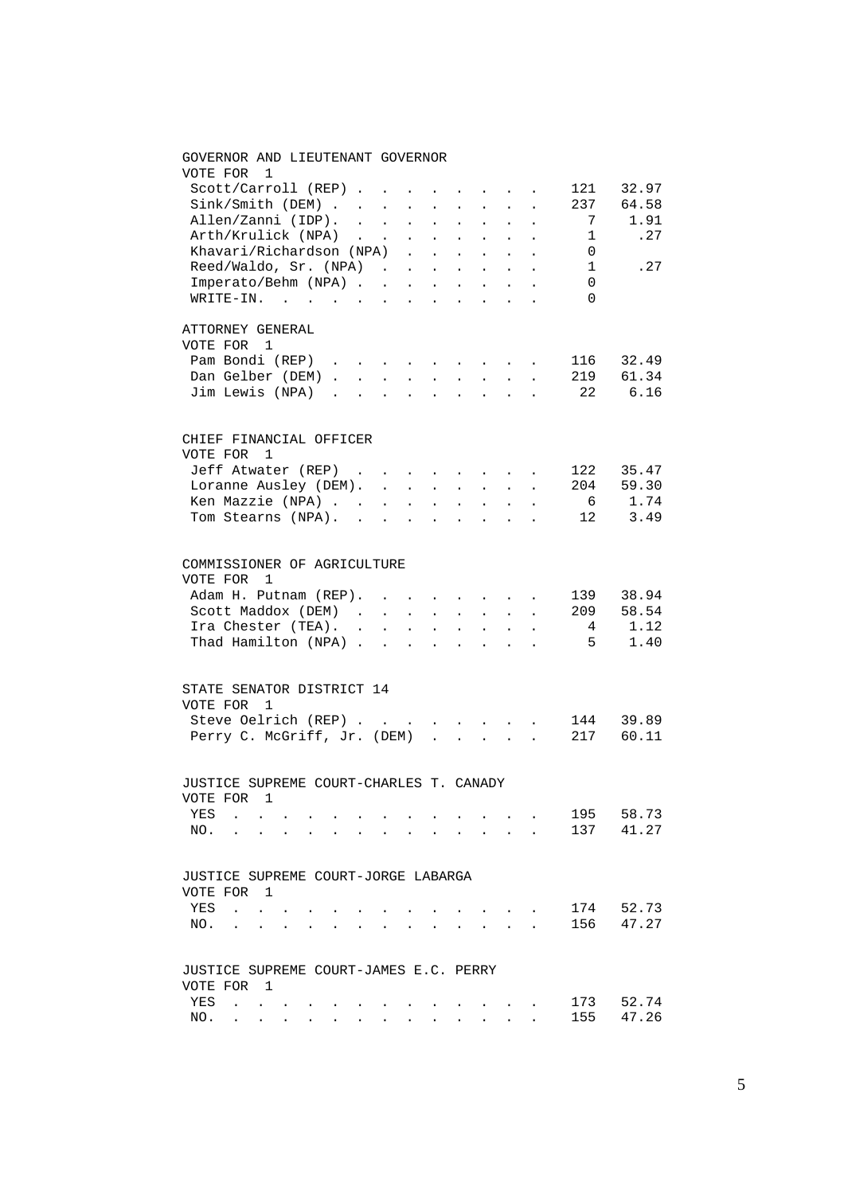| GOVERNOR AND LIEUTENANT GOVERNOR<br>VOTE FOR<br>1                                                                                                                                                                            |        |                                                                                         |                        |                      |                                                                                           |                 |                      |                |       |
|------------------------------------------------------------------------------------------------------------------------------------------------------------------------------------------------------------------------------|--------|-----------------------------------------------------------------------------------------|------------------------|----------------------|-------------------------------------------------------------------------------------------|-----------------|----------------------|----------------|-------|
| Scott/Carroll (REP)                                                                                                                                                                                                          |        | $\sim 100$                                                                              |                        |                      | $\mathbf{r} = \mathbf{r} + \mathbf{r} + \mathbf{r} + \mathbf{r} + \mathbf{r}$             |                 |                      | 121            | 32.97 |
| Sink / Smith (DEM)                                                                                                                                                                                                           |        |                                                                                         |                        |                      |                                                                                           |                 |                      | 237            | 64.58 |
|                                                                                                                                                                                                                              |        |                                                                                         |                        |                      |                                                                                           |                 |                      | $\overline{7}$ | 1.91  |
| Allen/Zanni (IDP).                                                                                                                                                                                                           |        |                                                                                         |                        |                      |                                                                                           | $\sim$          |                      | $\mathbf 1$    | .27   |
| $\begin{tabular}{lllllllll} \multicolumn{2}{c}{Arth/Krulick (NPA)} & . & . & . & . \\ \multicolumn{2}{c}{Khavari/Richardson (NPA)} & . & . & . \\ \multicolumn{2}{c}{Khavari/Richardson (NPA)} & . & . & . \\ \end{tabular}$ |        |                                                                                         |                        |                      | $\sim$                                                                                    |                 |                      | $\overline{0}$ |       |
| Reed/Waldo, Sr. (NPA)                                                                                                                                                                                                        |        |                                                                                         |                        |                      | $\mathbf{r}$ , $\mathbf{r}$                                                               |                 | $\ddot{\phantom{a}}$ | $\overline{1}$ |       |
|                                                                                                                                                                                                                              |        |                                                                                         |                        |                      |                                                                                           |                 |                      | $\Omega$       | . 27  |
| Imperato/Behm (NPA)                                                                                                                                                                                                          |        |                                                                                         |                        |                      |                                                                                           |                 |                      |                |       |
| WRITE-IN.                                                                                                                                                                                                                    |        |                                                                                         |                        |                      |                                                                                           |                 |                      | $\Omega$       |       |
| ATTORNEY GENERAL                                                                                                                                                                                                             |        |                                                                                         |                        |                      |                                                                                           |                 |                      |                |       |
| VOTE FOR 1                                                                                                                                                                                                                   |        |                                                                                         |                        |                      |                                                                                           |                 |                      |                |       |
| Pam Bondi (REP) 116                                                                                                                                                                                                          |        |                                                                                         |                        |                      |                                                                                           |                 |                      |                | 32.49 |
| Dan Gelber (DEM) 219                                                                                                                                                                                                         |        |                                                                                         |                        |                      |                                                                                           |                 |                      |                | 61.34 |
| Jim Lewis (NPA)                                                                                                                                                                                                              |        |                                                                                         |                        |                      |                                                                                           |                 |                      | 22             | 6.16  |
| CHIEF FINANCIAL OFFICER                                                                                                                                                                                                      |        |                                                                                         |                        |                      |                                                                                           |                 |                      |                |       |
| VOTE FOR<br>$\overline{1}$                                                                                                                                                                                                   |        |                                                                                         |                        |                      |                                                                                           |                 |                      |                |       |
| Jeff Atwater (REP)                                                                                                                                                                                                           |        |                                                                                         |                        |                      |                                                                                           |                 |                      | 122            | 35.47 |
| Loranne Ausley (DEM).                                                                                                                                                                                                        |        |                                                                                         |                        |                      |                                                                                           |                 |                      | 204            | 59.30 |
|                                                                                                                                                                                                                              |        |                                                                                         |                        |                      |                                                                                           |                 |                      | 6              | 1.74  |
| Ken Mazzie (NPA)<br>Tom Stearns (NPA).                                                                                                                                                                                       |        |                                                                                         |                        |                      |                                                                                           |                 |                      | 12             | 3.49  |
|                                                                                                                                                                                                                              |        |                                                                                         | $\Delta \sim 10^{-11}$ | $\mathbf{L}$         | $\sim$                                                                                    | $\sim 10^{-11}$ | $\ddot{\phantom{a}}$ |                |       |
| COMMISSIONER OF AGRICULTURE                                                                                                                                                                                                  |        |                                                                                         |                        |                      |                                                                                           |                 |                      |                |       |
| VOTE FOR<br>-1                                                                                                                                                                                                               |        |                                                                                         |                        |                      |                                                                                           |                 |                      |                |       |
| Adam H. Putnam (REP).                                                                                                                                                                                                        |        |                                                                                         |                        |                      |                                                                                           |                 |                      | 139            | 38.94 |
| Scott Maddox (DEM).                                                                                                                                                                                                          |        | $\mathcal{A}^{\mathcal{A}}$ , $\mathcal{A}^{\mathcal{A}}$ , $\mathcal{A}^{\mathcal{A}}$ |                        |                      | $\mathbf{r} = \mathbf{r} \times \mathbf{r}$ , $\mathbf{r} = \mathbf{r} \times \mathbf{r}$ |                 | $\sim$               | 209            | 58.54 |
| Ira Chester (TEA). .                                                                                                                                                                                                         | $\sim$ | $\sim 10^{-11}$                                                                         | $\sim$                 | $\ddot{\phantom{0}}$ | $\ddot{\phantom{0}}$                                                                      | $\sim$ $\sim$   |                      | $\overline{4}$ | 1.12  |
| Thad Hamilton $(NPA)$                                                                                                                                                                                                        |        |                                                                                         |                        |                      |                                                                                           |                 | $\sim$               | 5 <sup>5</sup> | 1.40  |
| STATE SENATOR DISTRICT 14                                                                                                                                                                                                    |        |                                                                                         |                        |                      |                                                                                           |                 |                      |                |       |
| VOTE FOR 1                                                                                                                                                                                                                   |        |                                                                                         |                        |                      |                                                                                           |                 |                      |                |       |
| Steve Oelrich (REP)                                                                                                                                                                                                          |        |                                                                                         |                        |                      |                                                                                           |                 |                      | 144            | 39.89 |
| Perry C. McGriff, Jr. (DEM)                                                                                                                                                                                                  |        |                                                                                         |                        |                      |                                                                                           |                 |                      | 217            | 60.11 |
|                                                                                                                                                                                                                              |        |                                                                                         |                        |                      |                                                                                           |                 |                      |                |       |
| JUSTICE SUPREME COURT-CHARLES T. CANADY                                                                                                                                                                                      |        |                                                                                         |                        |                      |                                                                                           |                 |                      |                |       |
| VOTE FOR<br>-1                                                                                                                                                                                                               |        |                                                                                         |                        |                      |                                                                                           |                 |                      |                |       |
| YES<br>$\ddot{\phantom{a}}$                                                                                                                                                                                                  |        |                                                                                         |                        |                      |                                                                                           |                 |                      | 195            | 58.73 |
| NO.                                                                                                                                                                                                                          |        |                                                                                         |                        |                      |                                                                                           |                 |                      | 137            | 41.27 |
| JUSTICE SUPREME COURT-JORGE LABARGA                                                                                                                                                                                          |        |                                                                                         |                        |                      |                                                                                           |                 |                      |                |       |
| VOTE FOR<br>$\overline{1}$                                                                                                                                                                                                   |        |                                                                                         |                        |                      |                                                                                           |                 |                      |                |       |
| YES                                                                                                                                                                                                                          |        |                                                                                         |                        |                      |                                                                                           |                 |                      | 174            | 52.73 |
| $\ddot{\phantom{a}}$                                                                                                                                                                                                         |        |                                                                                         |                        |                      |                                                                                           |                 |                      |                |       |
| NO.                                                                                                                                                                                                                          |        |                                                                                         |                        |                      |                                                                                           |                 |                      | 156            | 47.27 |
| JUSTICE SUPREME COURT-JAMES E.C. PERRY                                                                                                                                                                                       |        |                                                                                         |                        |                      |                                                                                           |                 |                      |                |       |
| VOTE FOR 1                                                                                                                                                                                                                   |        |                                                                                         |                        |                      |                                                                                           |                 |                      |                |       |
| YES<br>$\mathbf{r}$<br>$\ddot{\phantom{0}}$                                                                                                                                                                                  |        |                                                                                         |                        |                      |                                                                                           |                 |                      | 173            | 52.74 |
| NO.<br><b>Service Control</b>                                                                                                                                                                                                |        |                                                                                         |                        |                      |                                                                                           |                 |                      | 155            | 47.26 |

# 5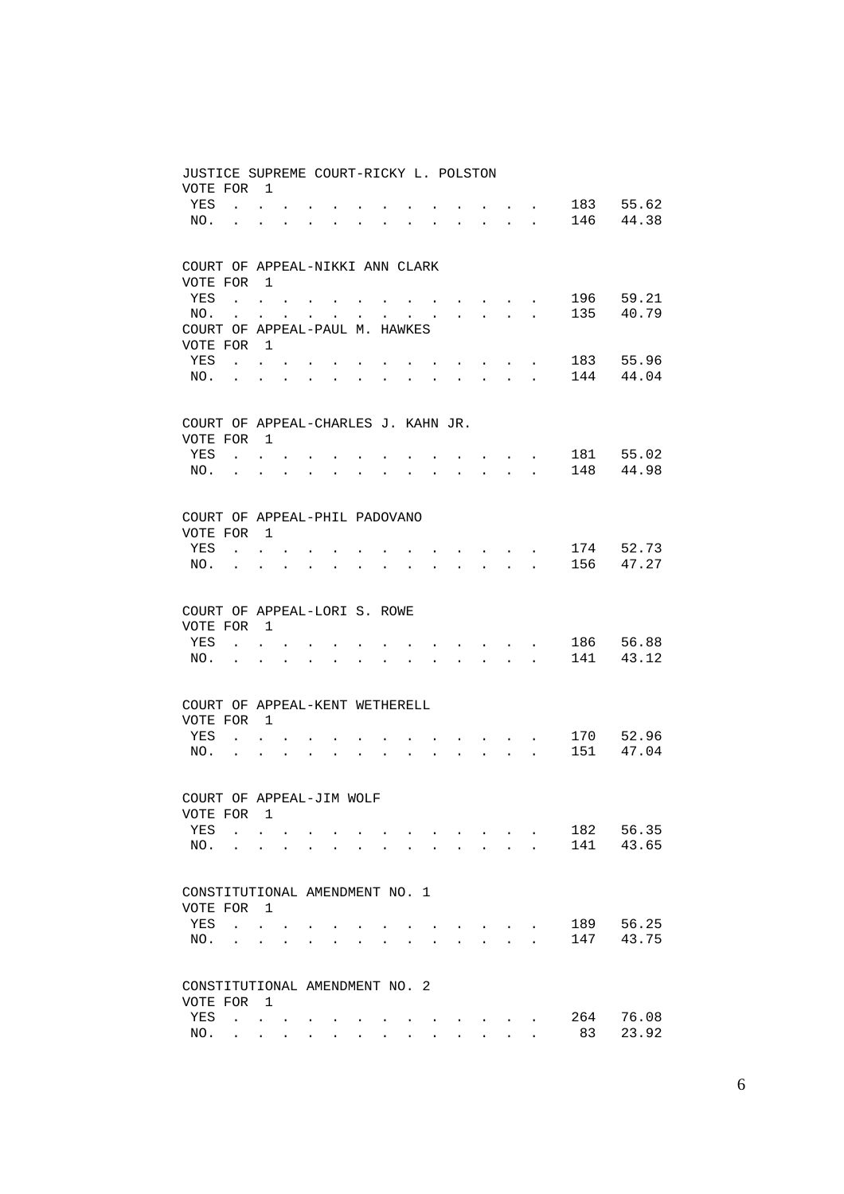| JUSTICE SUPREME COURT-RICKY L. POLSTON<br>VOTE FOR |                                     | $\overline{1}$                                            |                                      |                                                             |                      |                      |                      |              |              |                                                                  |                                                                  |                                                           |                                                                                               |     |           |
|----------------------------------------------------|-------------------------------------|-----------------------------------------------------------|--------------------------------------|-------------------------------------------------------------|----------------------|----------------------|----------------------|--------------|--------------|------------------------------------------------------------------|------------------------------------------------------------------|-----------------------------------------------------------|-----------------------------------------------------------------------------------------------|-----|-----------|
| YES                                                |                                     |                                                           |                                      |                                                             |                      |                      |                      |              |              |                                                                  |                                                                  |                                                           |                                                                                               | 183 | 55.62     |
| NO.                                                |                                     | $\mathbf{z} = \mathbf{z} + \mathbf{z}$ . The $\mathbf{z}$ |                                      |                                                             |                      |                      |                      |              |              |                                                                  |                                                                  | $\sim 10^{-1}$ and $\sim 10^{-1}$                         |                                                                                               | 146 | 44.38     |
|                                                    | $\mathbf{a}$ and $\mathbf{a}$       |                                                           | $\bullet$ . In the case of $\bullet$ | $\bullet$ .<br><br><br><br><br><br><br><br><br><br><br><br> | $\bullet$            | $\ddot{\phantom{0}}$ | $\bullet$            | $\bullet$    | $\sim$       |                                                                  | $\mathbf{r} = \mathbf{r} + \mathbf{r} + \mathbf{r} + \mathbf{r}$ |                                                           |                                                                                               |     |           |
| COURT OF APPEAL-NIKKI ANN CLARK                    |                                     |                                                           |                                      |                                                             |                      |                      |                      |              |              |                                                                  |                                                                  |                                                           |                                                                                               |     |           |
| VOTE FOR                                           |                                     | $\overline{1}$                                            |                                      |                                                             |                      |                      |                      |              |              |                                                                  |                                                                  |                                                           |                                                                                               |     |           |
| YES                                                | the contract of the contract of the |                                                           |                                      |                                                             |                      |                      |                      |              |              | $\mathbf{r} = \mathbf{r} + \mathbf{r} + \mathbf{r} + \mathbf{r}$ |                                                                  |                                                           | $\mathbf{r} = \mathbf{r} \cdot \mathbf{r}$ , where $\mathbf{r} = \mathbf{r} \cdot \mathbf{r}$ | 196 | 59.21     |
| NO.                                                | $\ddot{\phantom{0}}$                |                                                           | $\mathbf{L} = \mathbf{L} \mathbf{L}$ | $\ddot{\phantom{0}}$                                        |                      | $\sim 100$           |                      |              |              | $\mathbf{z} = \mathbf{z} + \mathbf{z}$ .                         |                                                                  | $\mathbf{z} = \mathbf{z} + \mathbf{z}$ . The $\mathbf{z}$ |                                                                                               | 135 | 40.79     |
| COURT OF APPEAL-PAUL M. HAWKES                     |                                     |                                                           |                                      |                                                             |                      |                      |                      |              |              |                                                                  |                                                                  |                                                           |                                                                                               |     |           |
| VOTE FOR                                           |                                     | $\overline{1}$                                            |                                      |                                                             |                      |                      |                      |              |              |                                                                  |                                                                  |                                                           |                                                                                               |     |           |
| YES                                                | $\sim$ 100 $\sim$                   |                                                           |                                      |                                                             |                      |                      |                      |              |              |                                                                  | $\sim$                                                           | $\sim$ $-$                                                |                                                                                               | 183 | 55.96     |
| NO.                                                | $\ddot{\phantom{a}}$                | $\ddot{\phantom{a}}$                                      | $\ddot{\phantom{a}}$                 |                                                             | $\ddot{\phantom{a}}$ | $\ddot{\phantom{a}}$ | $\ddot{\phantom{a}}$ | $\mathbf{L}$ | $\sim$       | $\ddot{\phantom{a}}$                                             | $\mathbf{L}$                                                     | <b>College</b>                                            | $\mathbf{r}$                                                                                  | 144 | 44.04     |
| COURT OF APPEAL-CHARLES J. KAHN JR.                |                                     |                                                           |                                      |                                                             |                      |                      |                      |              |              |                                                                  |                                                                  |                                                           |                                                                                               |     |           |
| VOTE FOR 1                                         |                                     |                                                           |                                      |                                                             |                      |                      |                      |              |              |                                                                  |                                                                  |                                                           |                                                                                               |     |           |
| YES                                                | $\sim$                              |                                                           |                                      |                                                             |                      |                      |                      |              |              |                                                                  |                                                                  |                                                           |                                                                                               | 181 | 55.02     |
| NO.                                                | $\ddot{\phantom{0}}$                | $\ddot{\phantom{a}}$                                      | $\mathbf{r}$                         |                                                             | $\overline{a}$       |                      |                      |              | $\mathbf{r}$ | $\overline{a}$                                                   | $\mathbf{r}$                                                     | $\sim$<br>$\sim$                                          | $\bullet$<br>$\ddot{\phantom{a}}$                                                             | 148 | 44.98     |
|                                                    |                                     |                                                           |                                      |                                                             |                      |                      |                      |              |              |                                                                  |                                                                  |                                                           |                                                                                               |     |           |
| COURT OF APPEAL-PHIL PADOVANO                      |                                     |                                                           |                                      |                                                             |                      |                      |                      |              |              |                                                                  |                                                                  |                                                           |                                                                                               |     |           |
| VOTE FOR                                           |                                     | $\overline{1}$                                            |                                      |                                                             |                      |                      |                      |              |              |                                                                  |                                                                  |                                                           |                                                                                               |     |           |
| <b>YES</b>                                         | $\sim$ $\sim$                       |                                                           |                                      |                                                             |                      |                      |                      |              |              |                                                                  | $\sim$                                                           | $\sim$ $-$                                                | $\sim$                                                                                        | 174 | 52.73     |
| NO.                                                | $\ddot{\phantom{a}}$                | $\ddot{\phantom{a}}$                                      | $\ddot{\phantom{a}}$                 | $\ddot{\phantom{a}}$                                        | $\ddot{\phantom{a}}$ | $\ddot{\phantom{a}}$ | $\mathbf{L}$         | $\sim$       | $\mathbf{r}$ | $\ddot{\phantom{a}}$                                             |                                                                  | $\mathbf{L}^{\text{max}}$                                 | $\sim$                                                                                        | 156 | 47.27     |
|                                                    |                                     |                                                           |                                      |                                                             |                      |                      |                      |              |              |                                                                  |                                                                  |                                                           |                                                                                               |     |           |
| COURT OF APPEAL-LORI S. ROWE                       |                                     |                                                           |                                      |                                                             |                      |                      |                      |              |              |                                                                  |                                                                  |                                                           |                                                                                               |     |           |
| VOTE FOR 1                                         |                                     |                                                           |                                      |                                                             |                      |                      |                      |              |              |                                                                  |                                                                  |                                                           |                                                                                               |     |           |
| YES                                                | $\sim$                              |                                                           |                                      |                                                             |                      |                      |                      |              |              |                                                                  | $\sim$ $-$                                                       | $\sim$ $-$                                                | $\bullet$                                                                                     | 186 | 56.88     |
| NO.                                                | $\mathbf{r}$                        | $\ddot{\phantom{a}}$                                      |                                      |                                                             |                      |                      |                      |              |              | $\sim$                                                           | $\sim$                                                           | $\sim$                                                    | $\mathbf{r}$                                                                                  | 141 | 43.12     |
|                                                    |                                     |                                                           |                                      |                                                             |                      |                      |                      |              |              |                                                                  |                                                                  |                                                           |                                                                                               |     |           |
| COURT OF APPEAL-KENT WETHERELL                     |                                     |                                                           |                                      |                                                             |                      |                      |                      |              |              |                                                                  |                                                                  |                                                           |                                                                                               |     |           |
| VOTE FOR                                           |                                     | $\overline{1}$                                            |                                      |                                                             |                      |                      |                      |              |              |                                                                  |                                                                  |                                                           |                                                                                               |     |           |
| YES                                                | $\ddot{\phantom{a}}$                |                                                           |                                      |                                                             |                      |                      |                      |              |              |                                                                  |                                                                  | $\bullet$ , and $\bullet$ , and $\bullet$                 |                                                                                               |     | 170 52.96 |
| NO.                                                | $\ddot{\phantom{a}}$                | $\ddot{\phantom{a}}$                                      | $\ddot{\phantom{a}}$                 |                                                             |                      | $\ddot{\phantom{a}}$ | $\ddot{\phantom{a}}$ |              | $\sim$       | $\sim$                                                           |                                                                  |                                                           | $\mathbb{R}^n$ . The $\mathbb{R}^n$                                                           | 151 | 47.04     |
| COURT OF APPEAL-JIM WOLF                           |                                     |                                                           |                                      |                                                             |                      |                      |                      |              |              |                                                                  |                                                                  |                                                           |                                                                                               |     |           |
| VOTE FOR                                           |                                     | 1                                                         |                                      |                                                             |                      |                      |                      |              |              |                                                                  |                                                                  |                                                           |                                                                                               |     |           |
| YES                                                | $\ddot{\phantom{a}}$                |                                                           |                                      |                                                             |                      |                      |                      |              |              |                                                                  |                                                                  |                                                           |                                                                                               | 182 | 56.35     |
| NO.                                                |                                     |                                                           |                                      |                                                             |                      |                      |                      |              |              |                                                                  |                                                                  | $\overline{a}$                                            |                                                                                               | 141 | 43.65     |
|                                                    |                                     |                                                           |                                      |                                                             |                      |                      |                      |              |              |                                                                  |                                                                  |                                                           |                                                                                               |     |           |
| CONSTITUTIONAL AMENDMENT NO. 1                     |                                     |                                                           |                                      |                                                             |                      |                      |                      |              |              |                                                                  |                                                                  |                                                           |                                                                                               |     |           |
| VOTE FOR                                           |                                     | $\mathbf{1}$                                              |                                      |                                                             |                      |                      |                      |              |              |                                                                  |                                                                  |                                                           |                                                                                               |     |           |
| YES                                                | $\ddot{\phantom{a}}$                |                                                           |                                      |                                                             |                      |                      |                      |              |              |                                                                  |                                                                  |                                                           |                                                                                               | 189 | 56.25     |
| NO.                                                |                                     |                                                           |                                      |                                                             |                      |                      |                      |              |              |                                                                  |                                                                  |                                                           |                                                                                               | 147 | 43.75     |
| CONSTITUTIONAL AMENDMENT NO. 2                     |                                     |                                                           |                                      |                                                             |                      |                      |                      |              |              |                                                                  |                                                                  |                                                           |                                                                                               |     |           |
| VOTE FOR                                           |                                     | $\overline{1}$                                            |                                      |                                                             |                      |                      |                      |              |              |                                                                  |                                                                  |                                                           |                                                                                               |     |           |
| YES                                                | $\ddot{\phantom{a}}$                | $\overline{a}$                                            |                                      |                                                             |                      |                      |                      |              |              |                                                                  |                                                                  |                                                           |                                                                                               | 264 | 76.08     |
| NO.                                                |                                     |                                                           |                                      |                                                             |                      |                      |                      |              |              |                                                                  |                                                                  |                                                           |                                                                                               | 83  | 23.92     |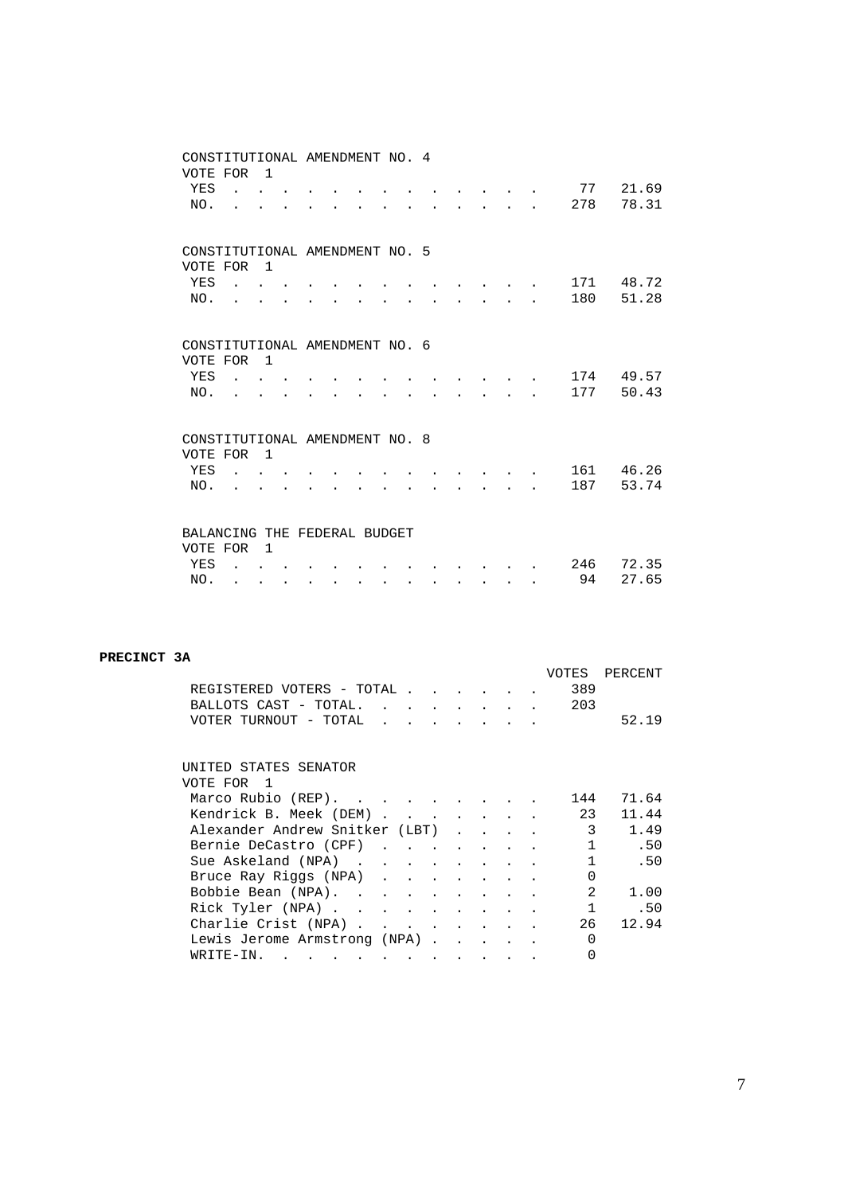| CONSTITUTIONAL AMENDMENT NO. 4<br>VOTE FOR |                                                                                                                                                                                                                                                                                                                                                                                                                                                             | $\overline{1}$            |                      |  |           |           |           |                                                                                           |                                            |  |     |           |
|--------------------------------------------|-------------------------------------------------------------------------------------------------------------------------------------------------------------------------------------------------------------------------------------------------------------------------------------------------------------------------------------------------------------------------------------------------------------------------------------------------------------|---------------------------|----------------------|--|-----------|-----------|-----------|-------------------------------------------------------------------------------------------|--------------------------------------------|--|-----|-----------|
| YES                                        | $\mathbf{r}$ , $\mathbf{r}$ , $\mathbf{r}$                                                                                                                                                                                                                                                                                                                                                                                                                  |                           |                      |  |           |           |           |                                                                                           |                                            |  | 77  | 21.69     |
| NO.                                        |                                                                                                                                                                                                                                                                                                                                                                                                                                                             |                           |                      |  |           |           |           |                                                                                           | $\mathbf{r} = \mathbf{r} - \mathbf{r}$     |  | 278 | 78.31     |
|                                            |                                                                                                                                                                                                                                                                                                                                                                                                                                                             |                           |                      |  |           |           |           |                                                                                           |                                            |  |     |           |
| CONSTITUTIONAL AMENDMENT NO. 5             |                                                                                                                                                                                                                                                                                                                                                                                                                                                             |                           |                      |  |           |           |           |                                                                                           |                                            |  |     |           |
| VOTE FOR                                   |                                                                                                                                                                                                                                                                                                                                                                                                                                                             | $\overline{1}$            |                      |  |           |           |           |                                                                                           |                                            |  |     |           |
| YES                                        | $\mathcal{L}(\mathcal{L}(\mathcal{L}(\mathcal{L}(\mathcal{L}(\mathcal{L}(\mathcal{L}(\mathcal{L}(\mathcal{L}(\mathcal{L}(\mathcal{L}(\mathcal{L}(\mathcal{L}(\mathcal{L}(\mathcal{L}(\mathcal{L}(\mathcal{L}(\mathcal{L}(\mathcal{L}(\mathcal{L}(\mathcal{L}(\mathcal{L}(\mathcal{L}(\mathcal{L}(\mathcal{L}(\mathcal{L}(\mathcal{L}(\mathcal{L}(\mathcal{L}(\mathcal{L}(\mathcal{L}(\mathcal{L}(\mathcal{L}(\mathcal{L}(\mathcal{L}(\mathcal{L}(\mathcal{$ |                           |                      |  |           |           |           |                                                                                           |                                            |  | 171 | 48.72     |
| NO.                                        |                                                                                                                                                                                                                                                                                                                                                                                                                                                             | 2.1211                    |                      |  |           |           |           | $\mathbf{r} = \mathbf{r} \cdot \mathbf{r}$ and $\mathbf{r} = \mathbf{r} \cdot \mathbf{r}$ |                                            |  | 180 | 51.28     |
|                                            |                                                                                                                                                                                                                                                                                                                                                                                                                                                             |                           |                      |  |           |           |           |                                                                                           |                                            |  |     |           |
| CONSTITUTIONAL AMENDMENT NO. 6             |                                                                                                                                                                                                                                                                                                                                                                                                                                                             |                           |                      |  |           |           |           |                                                                                           |                                            |  |     |           |
| VOTE FOR                                   |                                                                                                                                                                                                                                                                                                                                                                                                                                                             | $\overline{1}$            |                      |  |           |           |           |                                                                                           |                                            |  |     |           |
| YES                                        | $\mathcal{L}$ and $\mathcal{L}$ and $\mathcal{L}$                                                                                                                                                                                                                                                                                                                                                                                                           |                           |                      |  |           |           |           |                                                                                           |                                            |  |     | 174 49.57 |
| NO.                                        | $\mathcal{L}^{\text{max}}$                                                                                                                                                                                                                                                                                                                                                                                                                                  |                           |                      |  |           |           |           |                                                                                           | and the state of the                       |  | 177 | 50.43     |
|                                            |                                                                                                                                                                                                                                                                                                                                                                                                                                                             |                           |                      |  |           |           |           |                                                                                           |                                            |  |     |           |
| CONSTITUTIONAL AMENDMENT NO. 8             |                                                                                                                                                                                                                                                                                                                                                                                                                                                             |                           |                      |  |           |           |           |                                                                                           |                                            |  |     |           |
| VOTE FOR                                   |                                                                                                                                                                                                                                                                                                                                                                                                                                                             | $\overline{1}$            |                      |  |           |           |           |                                                                                           |                                            |  |     |           |
| YES                                        | $\sim$ $\sim$ $\sim$ $\sim$                                                                                                                                                                                                                                                                                                                                                                                                                                 |                           |                      |  |           |           |           |                                                                                           |                                            |  |     | 161 46.26 |
| NO.                                        |                                                                                                                                                                                                                                                                                                                                                                                                                                                             | $\mathbf{r} = \mathbf{r}$ |                      |  |           |           |           |                                                                                           | $\mathbf{r} = \mathbf{r} \cdot \mathbf{r}$ |  | 187 | 53.74     |
|                                            |                                                                                                                                                                                                                                                                                                                                                                                                                                                             |                           |                      |  |           |           |           |                                                                                           |                                            |  |     |           |
| BALANCING THE FEDERAL BUDGET               |                                                                                                                                                                                                                                                                                                                                                                                                                                                             |                           |                      |  |           |           |           |                                                                                           |                                            |  |     |           |
| VOTE FOR                                   |                                                                                                                                                                                                                                                                                                                                                                                                                                                             | $\overline{1}$            |                      |  |           |           |           |                                                                                           |                                            |  |     |           |
| YES                                        |                                                                                                                                                                                                                                                                                                                                                                                                                                                             |                           |                      |  |           |           |           |                                                                                           |                                            |  | 246 | 72.35     |
| NO.                                        | $\ddot{\phantom{a}}$                                                                                                                                                                                                                                                                                                                                                                                                                                        | $\bullet$                 | $\ddot{\phantom{0}}$ |  | $\bullet$ | $\bullet$ | $\bullet$ | $\bullet$                                                                                 | $\bullet$                                  |  | 94  | 27.65     |

#### **PRECINCT 3A**

|                                |  |                                 |                                    |                                  |                   |  | VOTES        | PERCENT |
|--------------------------------|--|---------------------------------|------------------------------------|----------------------------------|-------------------|--|--------------|---------|
| REGISTERED VOTERS - TOTAL .    |  |                                 |                                    |                                  |                   |  | 389          |         |
| BALLOTS CAST - TOTAL.          |  |                                 | $\sim$ $\sim$ $\sim$ $\sim$ $\sim$ | $\bullet$ . The set of $\bullet$ | $\sim$ 100 $\sim$ |  | 203          |         |
| VOTER TURNOUT - TOTAL          |  | <b>Contract Contract Street</b> |                                    |                                  |                   |  |              | 52.19   |
|                                |  |                                 |                                    |                                  |                   |  |              |         |
| UNITED STATES SENATOR          |  |                                 |                                    |                                  |                   |  |              |         |
| VOTE FOR 1                     |  |                                 |                                    |                                  |                   |  |              |         |
|                                |  |                                 |                                    |                                  |                   |  |              |         |
| Marco Rubio (REP).             |  |                                 |                                    |                                  |                   |  | 144          | 71.64   |
| Kendrick B. Meek (DEM)         |  |                                 |                                    |                                  |                   |  | 23           | 11.44   |
| Alexander Andrew Snitker (LBT) |  |                                 |                                    | $\mathbf{L}^{\text{max}}$        |                   |  | 3            | 1.49    |
| Bernie DeCastro (CPF)          |  |                                 |                                    |                                  |                   |  | $\mathbf{1}$ | .50     |
| Sue Askeland (NPA)             |  |                                 |                                    |                                  |                   |  | $\mathbf{1}$ | .50     |
| Bruce Ray Riggs (NPA)          |  |                                 |                                    | $\sim$ 100 $\sim$                |                   |  | $\Omega$     |         |
| Bobbie Bean (NPA)              |  |                                 |                                    |                                  |                   |  | 2            | 1.00    |
| Rick Tyler (NPA)               |  |                                 |                                    |                                  |                   |  | $\mathbf{1}$ | .50     |
| Charlie Crist (NPA)            |  |                                 |                                    |                                  |                   |  | 26           | 12.94   |
| Lewis Jerome Armstrong (NPA).  |  |                                 |                                    |                                  |                   |  | <sup>0</sup> |         |
| WRITE-IN.                      |  |                                 |                                    |                                  |                   |  | $\Omega$     |         |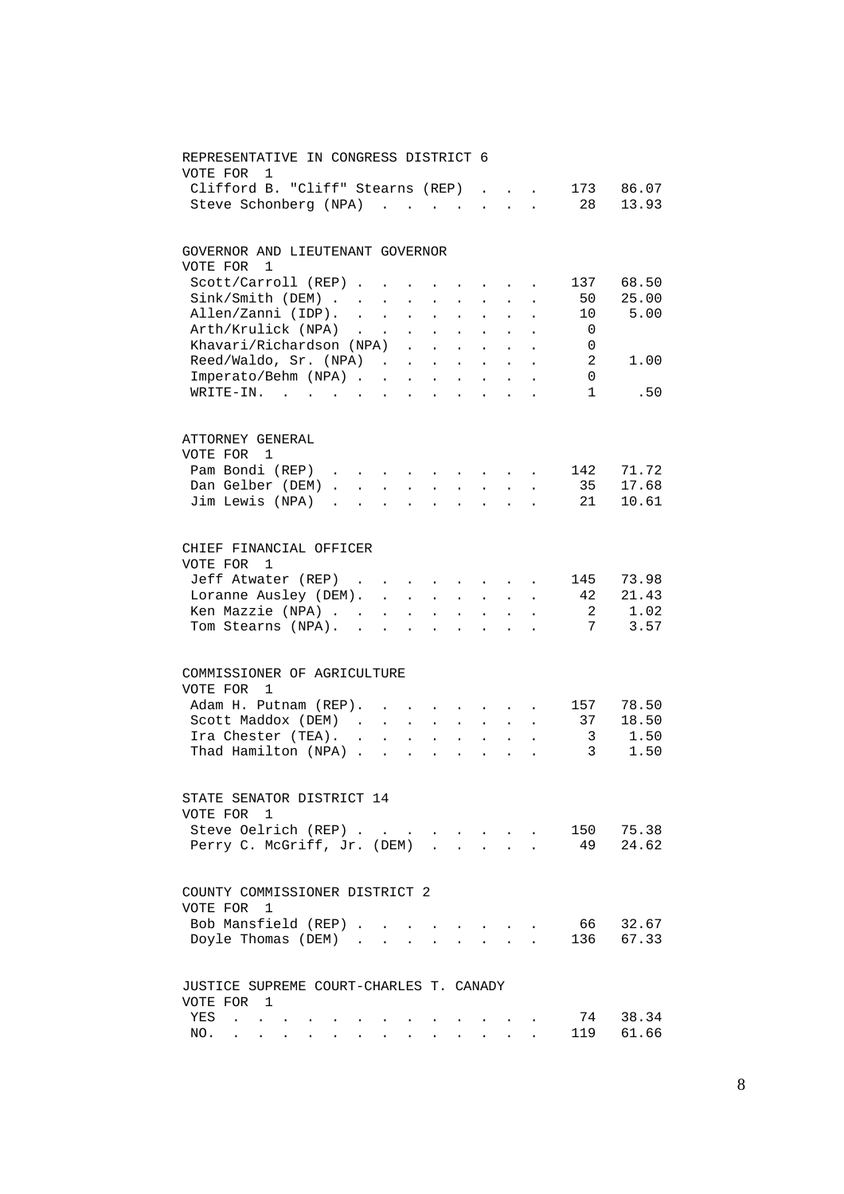| REPRESENTATIVE IN CONGRESS DISTRICT 6<br>VOTE FOR<br>1             |               |                            |                               |                                                             |                            |                                                                                      |                                                           |                                                                    |                          |           |
|--------------------------------------------------------------------|---------------|----------------------------|-------------------------------|-------------------------------------------------------------|----------------------------|--------------------------------------------------------------------------------------|-----------------------------------------------------------|--------------------------------------------------------------------|--------------------------|-----------|
| Clifford B. "Cliff" Stearns (REP)                                  |               |                            |                               |                                                             |                            |                                                                                      |                                                           | $\mathbf{r}$ $\mathbf{r}$                                          | 173                      | 86.07     |
| Steve Schonberg (NPA)                                              |               |                            |                               |                                                             |                            |                                                                                      | $\mathbf{L} = \mathbf{L} \mathbf{L}$                      | $\ddot{\phantom{a}}$                                               | 28                       | 13.93     |
|                                                                    |               |                            |                               |                                                             |                            |                                                                                      |                                                           |                                                                    |                          |           |
| GOVERNOR AND LIEUTENANT GOVERNOR                                   |               |                            |                               |                                                             |                            |                                                                                      |                                                           |                                                                    |                          |           |
| VOTE FOR<br>$\overline{1}$                                         |               |                            |                               |                                                             |                            |                                                                                      |                                                           |                                                                    |                          |           |
| Scott/Carroll (REP)                                                |               |                            | $\mathbf{A}^{\text{max}}$     | $\bullet$ .<br><br><br><br><br><br><br><br><br><br><br><br> |                            |                                                                                      | $\bullet$ . In the case of the $\sim$                     |                                                                    | 137                      | 68.50     |
| Sink / Smith (DEM)                                                 |               |                            | $\mathcal{L}^{\text{max}}$    | $\mathbf{L}^{\text{max}}$                                   | $\mathbf{z} = \mathbf{z}$  | $\mathbf{L}^{\text{max}}$                                                            |                                                           |                                                                    | 50                       | 25.00     |
| Allen/Zanni (IDP).                                                 | $\sim$ $\sim$ | $\sim 10^{-11}$            |                               | $\mathcal{L}^{\text{max}}$ , $\mathcal{L}^{\text{max}}$     | $\mathcal{L}^{\text{max}}$ | $\ddot{\phantom{0}}$                                                                 |                                                           |                                                                    | 10                       | 5.00      |
| Arth/Krulick (NPA).                                                |               |                            |                               |                                                             | $\ddot{\phantom{a}}$       | $\mathcal{L}^{\pm}$                                                                  |                                                           |                                                                    | $\overline{\phantom{0}}$ |           |
| Arth/Krulick (NPA)<br>Khavari/Richardson (NPA)                     |               |                            |                               |                                                             | $\sim$ $\sim$              | $\ddot{\phantom{a}}$                                                                 | $\sim$                                                    |                                                                    | $\overline{0}$           |           |
| Reed/Waldo, Sr. (NPA)                                              |               |                            |                               |                                                             |                            |                                                                                      |                                                           |                                                                    | $\overline{2}$           | 1.00      |
| Imperato/Behm (NPA)                                                |               |                            |                               |                                                             |                            |                                                                                      |                                                           |                                                                    | 0                        |           |
| WRITE-IN.                                                          |               |                            |                               |                                                             |                            |                                                                                      |                                                           |                                                                    | $\mathbf{1}$             | .50       |
|                                                                    |               |                            |                               |                                                             |                            |                                                                                      |                                                           |                                                                    |                          |           |
| ATTORNEY GENERAL                                                   |               |                            |                               |                                                             |                            |                                                                                      |                                                           |                                                                    |                          |           |
| VOTE FOR 1                                                         |               |                            |                               |                                                             |                            |                                                                                      |                                                           |                                                                    |                          |           |
| Pam Bondi (REP)                                                    |               |                            |                               |                                                             |                            |                                                                                      |                                                           | $\mathbf{z} = \left\{ \mathbf{z}_1, \ldots, \mathbf{z}_n \right\}$ | 142                      | 71.72     |
| Dan Gelber (DEM).                                                  |               | <b>Carl Carl Corp.</b>     |                               | $\mathbf{A}^{(1)}$ and $\mathbf{A}^{(2)}$ and               | $\mathbf{L}^{\text{max}}$  |                                                                                      | $\mathbf{z} = \mathbf{z} + \mathbf{z}$ . The $\mathbf{z}$ |                                                                    | 35                       | 17.68     |
| Jim Lewis (NPA)                                                    |               |                            | $\mathbf{a}$ and $\mathbf{a}$ | $\mathbf{L}^{\text{max}}$                                   |                            | $\mathbf{L} = \mathbf{L} \mathbf{L} + \mathbf{L} \mathbf{L} + \mathbf{L} \mathbf{L}$ |                                                           |                                                                    | 21                       | 10.61     |
|                                                                    |               |                            |                               |                                                             |                            |                                                                                      |                                                           |                                                                    |                          |           |
| CHIEF FINANCIAL OFFICER                                            |               |                            |                               |                                                             |                            |                                                                                      |                                                           |                                                                    |                          |           |
| VOTE FOR<br>1                                                      |               |                            |                               |                                                             |                            |                                                                                      |                                                           |                                                                    |                          |           |
| Jeff Atwater (REP)                                                 |               |                            |                               |                                                             |                            | and the state of the                                                                 |                                                           |                                                                    | 145                      | 73.98     |
| Loranne Ausley (DEM).                                              |               |                            |                               |                                                             |                            |                                                                                      |                                                           |                                                                    | -42                      | 21.43     |
| Ken Mazzie (NPA)                                                   |               | $\mathcal{L}^{\text{max}}$ |                               | $\mathbf{r} = \mathbf{r} \cdot \mathbf{r}$                  | $\mathcal{L}^{\text{max}}$ | $\sim$                                                                               |                                                           |                                                                    | 2                        | 1.02      |
| Tom Stearns (NPA).                                                 | $\sim$        | $\sim$                     |                               | $\sim$                                                      | $\sim$                     | $\ddot{\phantom{a}}$                                                                 | $\ddot{\phantom{a}}$                                      |                                                                    | 7                        | 3.57      |
|                                                                    |               |                            |                               |                                                             |                            |                                                                                      |                                                           |                                                                    |                          |           |
| COMMISSIONER OF AGRICULTURE                                        |               |                            |                               |                                                             |                            |                                                                                      |                                                           |                                                                    |                          |           |
| VOTE FOR 1                                                         |               |                            |                               |                                                             |                            |                                                                                      |                                                           |                                                                    |                          |           |
| Adam H. Putnam (REP). .                                            |               |                            |                               |                                                             |                            |                                                                                      |                                                           |                                                                    | 157                      | 78.50     |
| Scott Maddox (DEM).                                                |               | $\mathcal{L}^{\text{max}}$ | $\mathbf{L}$                  | $\sim$                                                      | $\ddot{\phantom{a}}$       | $\ddot{\phantom{a}}$                                                                 | $\sim$                                                    |                                                                    | 37                       | 18.50     |
| Ira Chester (TEA).                                                 |               |                            |                               |                                                             |                            |                                                                                      | $\sim$                                                    |                                                                    | $\overline{3}$           | 1.50      |
| Thad Hamilton (NPA)                                                |               |                            |                               |                                                             |                            |                                                                                      | $\sim$ $\sim$                                             |                                                                    | $\overline{3}$           | 1.50      |
| STATE SENATOR DISTRICT 14                                          |               |                            |                               |                                                             |                            |                                                                                      |                                                           |                                                                    |                          |           |
| VOTE FOR 1                                                         |               |                            |                               |                                                             |                            |                                                                                      |                                                           |                                                                    |                          |           |
| Steve Oelrich (REP) 150 75.38                                      |               |                            |                               |                                                             |                            |                                                                                      |                                                           |                                                                    |                          |           |
|                                                                    |               |                            |                               |                                                             |                            |                                                                                      |                                                           | $\mathcal{L}^{\text{max}}$                                         |                          | 49 24.62  |
| Perry C. McGriff, Jr. (DEM)                                        |               |                            |                               |                                                             |                            |                                                                                      |                                                           |                                                                    |                          |           |
| COUNTY COMMISSIONER DISTRICT 2                                     |               |                            |                               |                                                             |                            |                                                                                      |                                                           |                                                                    |                          |           |
| VOTE FOR 1                                                         |               |                            |                               |                                                             |                            |                                                                                      |                                                           |                                                                    |                          |           |
| Bob Mansfield (REP).                                               |               |                            |                               |                                                             |                            |                                                                                      |                                                           |                                                                    |                          | 66 32.67  |
| Doyle Thomas (DEM)                                                 |               |                            |                               |                                                             |                            |                                                                                      |                                                           | <b>Contract Contract Contract</b>                                  |                          | 136 67.33 |
|                                                                    |               |                            |                               |                                                             |                            |                                                                                      |                                                           |                                                                    |                          |           |
| JUSTICE SUPREME COURT-CHARLES T. CANADY                            |               |                            |                               |                                                             |                            |                                                                                      |                                                           |                                                                    |                          |           |
| VOTE FOR 1                                                         |               |                            |                               |                                                             |                            |                                                                                      |                                                           |                                                                    |                          |           |
| YES<br>$\mathcal{L}^{\text{max}}$ , and $\mathcal{L}^{\text{max}}$ |               |                            |                               |                                                             |                            |                                                                                      |                                                           |                                                                    |                          | 74 38.34  |
| NO.                                                                |               |                            |                               |                                                             |                            |                                                                                      |                                                           |                                                                    | 119                      | 61.66     |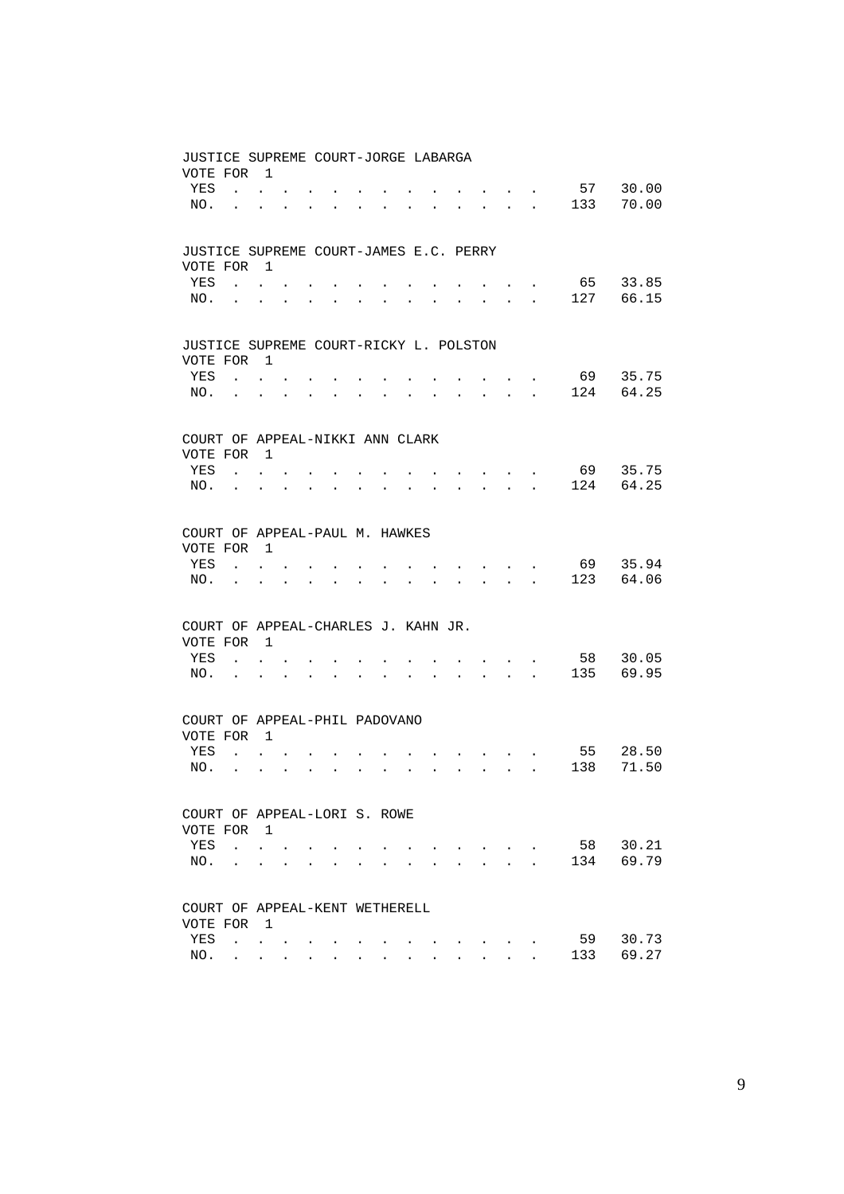| JUSTICE SUPREME COURT-JORGE LABARGA    |                            |                                      |                      |                      |                                                                 |                      |                      |                      |                      |                      |                                                                          |                             |           |     |       |
|----------------------------------------|----------------------------|--------------------------------------|----------------------|----------------------|-----------------------------------------------------------------|----------------------|----------------------|----------------------|----------------------|----------------------|--------------------------------------------------------------------------|-----------------------------|-----------|-----|-------|
| VOTE FOR                               |                            | $\overline{1}$                       |                      |                      |                                                                 |                      |                      |                      |                      |                      |                                                                          |                             |           |     |       |
| YES                                    |                            | $\mathbf{L} = \mathbf{L} \mathbf{L}$ |                      |                      |                                                                 |                      |                      |                      |                      |                      |                                                                          |                             |           | 57  | 30.00 |
| NO.                                    | $\ddot{\phantom{a}}$       |                                      |                      |                      | $\bullet$ .<br><br><br><br><br><br><br><br><br><br><br><br><br> | $\ddot{\phantom{a}}$ | $\bullet$            | $\ddot{\phantom{0}}$ |                      |                      | and a strong strong strong                                               |                             |           | 133 | 70.00 |
|                                        |                            |                                      |                      |                      |                                                                 |                      |                      |                      |                      |                      |                                                                          |                             |           |     |       |
|                                        |                            |                                      |                      |                      |                                                                 |                      |                      |                      |                      |                      |                                                                          |                             |           |     |       |
| JUSTICE SUPREME COURT-JAMES E.C. PERRY |                            |                                      |                      |                      |                                                                 |                      |                      |                      |                      |                      |                                                                          |                             |           |     |       |
| VOTE FOR 1                             |                            |                                      |                      |                      |                                                                 |                      |                      |                      |                      |                      |                                                                          |                             |           |     |       |
| YES                                    |                            | $\mathbf{L}$ and $\mathbf{L}$        |                      |                      |                                                                 |                      |                      |                      |                      |                      |                                                                          |                             |           | 65  | 33.85 |
| NO.                                    | <b>Contract Contract</b>   | $\ddot{\phantom{0}}$                 | $\bullet$            |                      |                                                                 |                      | $\bullet$            |                      |                      |                      | $\bullet$                                                                | $\sim$                      | $\bullet$ | 127 | 66.15 |
|                                        |                            |                                      |                      |                      |                                                                 |                      |                      |                      |                      |                      |                                                                          |                             |           |     |       |
|                                        |                            |                                      |                      |                      |                                                                 |                      |                      |                      |                      |                      |                                                                          |                             |           |     |       |
| JUSTICE SUPREME COURT-RICKY L. POLSTON |                            |                                      |                      |                      |                                                                 |                      |                      |                      |                      |                      |                                                                          |                             |           |     |       |
| VOTE FOR                               |                            | $\overline{\phantom{0}}$             |                      |                      |                                                                 |                      |                      |                      |                      |                      |                                                                          |                             |           |     |       |
| YES                                    |                            | $\mathbf{L} = \mathbf{L}$            |                      |                      |                                                                 |                      |                      |                      |                      |                      |                                                                          |                             |           | 69  | 35.75 |
| NO.                                    |                            |                                      |                      |                      | $\mathbf{L} = \mathbf{0}$                                       |                      |                      |                      |                      |                      | $\cdot$ $\cdot$ $\cdot$ $\cdot$ $\cdot$ $\cdot$                          |                             |           | 124 | 64.25 |
|                                        |                            |                                      |                      |                      |                                                                 |                      |                      |                      |                      |                      |                                                                          |                             |           |     |       |
|                                        |                            |                                      |                      |                      |                                                                 |                      |                      |                      |                      |                      |                                                                          |                             |           |     |       |
| COURT OF APPEAL-NIKKI ANN CLARK        |                            |                                      |                      |                      |                                                                 |                      |                      |                      |                      |                      |                                                                          |                             |           |     |       |
| VOTE FOR                               |                            | $\overline{1}$                       |                      |                      |                                                                 |                      |                      |                      |                      |                      |                                                                          |                             |           |     |       |
| YES                                    | $\mathcal{L}^{\text{max}}$ |                                      |                      |                      |                                                                 |                      |                      |                      |                      |                      | $\cdot$                                                                  |                             |           | 69  | 35.75 |
| NO.                                    | $\sim$ $-$                 | $\ddot{\phantom{0}}$                 | $\ddot{\phantom{0}}$ | $\ddot{\phantom{a}}$ | $\bullet$                                                       | $\ddot{\phantom{0}}$ |                      |                      |                      |                      | <b>Contract Contract</b>                                                 |                             | $\sim$    | 124 | 64.25 |
|                                        |                            |                                      |                      |                      |                                                                 |                      |                      |                      |                      |                      |                                                                          |                             |           |     |       |
|                                        |                            |                                      |                      |                      |                                                                 |                      |                      |                      |                      |                      |                                                                          |                             |           |     |       |
| COURT OF APPEAL-PAUL M. HAWKES         |                            |                                      |                      |                      |                                                                 |                      |                      |                      |                      |                      |                                                                          |                             |           |     |       |
| VOTE FOR                               |                            | $\overline{1}$                       |                      |                      |                                                                 |                      |                      |                      |                      |                      |                                                                          |                             |           |     |       |
| YES                                    | $\mathbf{L}$               | $\mathbf{L}$                         |                      |                      |                                                                 |                      |                      |                      |                      |                      | and the contract of the contract of                                      |                             |           | 69  | 35.94 |
| NO.                                    |                            |                                      |                      |                      | <b>Contract Contract Street</b>                                 | $\ddot{\phantom{a}}$ | $\ddot{\phantom{a}}$ | $\ddot{\phantom{a}}$ | $\ddot{\phantom{a}}$ |                      | $\mathbf{r}$ , $\mathbf{r}$ , $\mathbf{r}$ , $\mathbf{r}$ , $\mathbf{r}$ |                             |           | 123 | 64.06 |
|                                        |                            |                                      |                      |                      |                                                                 |                      |                      |                      |                      |                      |                                                                          |                             |           |     |       |
|                                        |                            |                                      |                      |                      |                                                                 |                      |                      |                      |                      |                      |                                                                          |                             |           |     |       |
| COURT OF APPEAL-CHARLES J. KAHN JR.    |                            |                                      |                      |                      |                                                                 |                      |                      |                      |                      |                      |                                                                          |                             |           |     |       |
| VOTE FOR 1                             |                            |                                      |                      |                      |                                                                 |                      |                      |                      |                      |                      |                                                                          |                             |           |     |       |
| YES                                    | $\mathbf{L}$               | $\mathbf{L}$                         |                      |                      |                                                                 |                      |                      |                      |                      |                      |                                                                          | $\ddot{\phantom{0}}$        |           | 58  | 30.05 |
| NO.                                    | $\sim$                     | $\ddot{\phantom{0}}$                 |                      | $\ddot{\phantom{a}}$ | $\ddot{\phantom{a}}$                                            |                      |                      |                      |                      | $\ddot{\phantom{0}}$ | $\sim$ $\sim$ $\sim$                                                     |                             | $\sim$    | 135 | 69.95 |
|                                        |                            |                                      |                      |                      |                                                                 |                      |                      |                      |                      |                      |                                                                          |                             |           |     |       |
|                                        |                            |                                      |                      |                      |                                                                 |                      |                      |                      |                      |                      |                                                                          |                             |           |     |       |
| COURT OF APPEAL-PHIL PADOVANO          |                            |                                      |                      |                      |                                                                 |                      |                      |                      |                      |                      |                                                                          |                             |           |     |       |
| VOTE FOR                               |                            | $\overline{1}$                       |                      |                      |                                                                 |                      |                      |                      |                      |                      |                                                                          |                             |           |     |       |
| YES                                    | $\mathbf{L}$               | $\mathbf{r}$                         |                      |                      |                                                                 |                      |                      |                      |                      |                      |                                                                          |                             |           | 55  | 28.50 |
| NO.                                    |                            |                                      |                      |                      | $\cdot$ $\cdot$ $\cdot$                                         | $\ddot{\phantom{a}}$ | $\ddot{\phantom{a}}$ | $\ddot{\phantom{a}}$ | $\ddot{\phantom{0}}$ | $\ddot{\phantom{0}}$ |                                                                          | $\mathbf{L} = \mathbf{L}$   |           | 138 | 71.50 |
|                                        |                            |                                      |                      |                      |                                                                 |                      |                      |                      |                      |                      |                                                                          |                             |           |     |       |
|                                        |                            |                                      |                      |                      |                                                                 |                      |                      |                      |                      |                      |                                                                          |                             |           |     |       |
| COURT OF APPEAL-LORI S. ROWE           |                            |                                      |                      |                      |                                                                 |                      |                      |                      |                      |                      |                                                                          |                             |           |     |       |
| VOTE FOR 1                             |                            |                                      |                      |                      |                                                                 |                      |                      |                      |                      |                      |                                                                          |                             |           |     |       |
| YES                                    | $\mathbf{L}$               | $\ddot{\phantom{0}}$                 |                      |                      |                                                                 |                      |                      |                      |                      |                      | $\sim$ $\sim$ $\sim$ $\sim$                                              |                             |           | 58  | 30.21 |
| NO.                                    |                            | $\sim$                               |                      |                      |                                                                 |                      |                      |                      |                      |                      |                                                                          | $\sim$ $\sim$ $\sim$ $\sim$ |           | 134 | 69.79 |
|                                        |                            |                                      |                      |                      |                                                                 |                      |                      |                      |                      |                      |                                                                          |                             |           |     |       |
|                                        |                            |                                      |                      |                      |                                                                 |                      |                      |                      |                      |                      |                                                                          |                             |           |     |       |
| COURT OF APPEAL-KENT WETHERELL         |                            |                                      |                      |                      |                                                                 |                      |                      |                      |                      |                      |                                                                          |                             |           |     |       |
| VOTE FOR 1                             |                            |                                      |                      |                      |                                                                 |                      |                      |                      |                      |                      |                                                                          |                             |           |     |       |
| YES                                    |                            | $\mathbf{r}$ , $\mathbf{r}$          |                      |                      |                                                                 |                      |                      |                      |                      |                      |                                                                          |                             |           | 59  | 30.73 |
| NO.                                    | $\mathbf{L}$               | $\sim 10^{-11}$                      |                      |                      |                                                                 |                      |                      |                      |                      |                      |                                                                          |                             |           | 133 | 69.27 |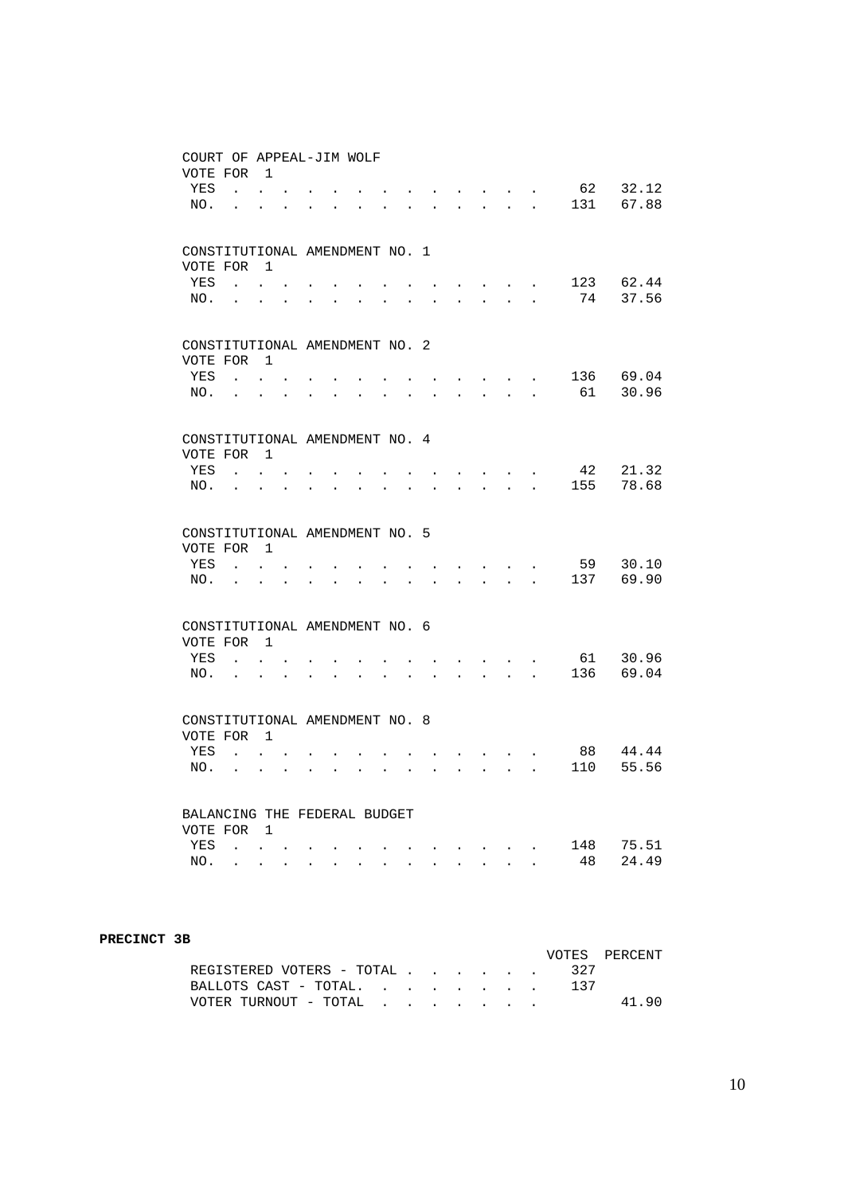| COURT OF APPEAL-JIM WOLF<br>VOTE FOR       |                          | $\overline{1}$                               |                      |                      |                      |                      |                      |                      |                      |                      |                      |                      |                                          |           |                |
|--------------------------------------------|--------------------------|----------------------------------------------|----------------------|----------------------|----------------------|----------------------|----------------------|----------------------|----------------------|----------------------|----------------------|----------------------|------------------------------------------|-----------|----------------|
| YES<br>NO.                                 | $\mathbf{r}$<br>$\sim$   |                                              |                      |                      |                      |                      |                      |                      |                      |                      |                      | $\ddot{\phantom{a}}$ | $\ddot{\phantom{a}}$                     | 62<br>131 | 32.12<br>67.88 |
|                                            |                          |                                              |                      |                      |                      |                      |                      |                      |                      |                      |                      |                      |                                          |           |                |
| CONSTITUTIONAL AMENDMENT NO. 1<br>VOTE FOR |                          | $\overline{1}$                               |                      |                      |                      |                      |                      |                      |                      |                      |                      |                      |                                          |           |                |
| YES                                        | $\sim$                   |                                              |                      |                      |                      |                      |                      |                      |                      |                      |                      |                      |                                          | 123       | 62.44          |
| NO.                                        | <b>Contract Contract</b> |                                              | $\ddot{\phantom{0}}$ | $\ddot{\phantom{a}}$ | $\ddot{\phantom{0}}$ | $\ddot{\phantom{0}}$ | $\ddot{\phantom{0}}$ | $\ddot{\phantom{a}}$ | $\ddot{\phantom{0}}$ | $\mathbf{L}$         | $\ddot{\phantom{0}}$ | $\ddot{\phantom{a}}$ | $\ddot{\phantom{a}}$                     | 74        | 37.56          |
| CONSTITUTIONAL AMENDMENT NO. 2<br>VOTE FOR |                          | 1                                            |                      |                      |                      |                      |                      |                      |                      |                      |                      |                      |                                          |           |                |
| YES<br>NO.                                 | $\sim$<br>$\sim$         | $\ddot{\phantom{a}}$<br>$\ddot{\phantom{a}}$ |                      |                      |                      |                      |                      |                      |                      |                      |                      |                      | $\blacksquare$ .<br>$\ddot{\phantom{0}}$ | 136<br>61 | 69.04<br>30.96 |
|                                            |                          |                                              |                      |                      |                      |                      |                      |                      |                      |                      |                      |                      |                                          |           |                |
| CONSTITUTIONAL AMENDMENT NO. 4<br>VOTE FOR |                          | $\mathbf{1}$                                 |                      |                      |                      |                      |                      |                      |                      |                      |                      |                      |                                          |           |                |
| <b>YES</b>                                 |                          |                                              |                      |                      |                      |                      |                      |                      |                      |                      |                      |                      |                                          | 42        | 21.32          |
| NO.                                        |                          | $\ddot{\phantom{a}}$                         | $\ddot{\phantom{a}}$ |                      |                      |                      |                      |                      |                      |                      |                      | $\mathbb{R}^2$       | $\ddot{\phantom{a}}$                     | 155       | 78.68          |
| CONSTITUTIONAL AMENDMENT NO. 5             |                          | $\overline{1}$                               |                      |                      |                      |                      |                      |                      |                      |                      |                      |                      |                                          |           |                |
| VOTE FOR<br>YES                            | $\ddot{\phantom{a}}$     |                                              |                      |                      |                      |                      |                      |                      |                      |                      |                      |                      |                                          | 59        | 30.10          |
| NO.                                        | $\ddot{\phantom{0}}$     | $\ddot{\phantom{0}}$                         |                      |                      |                      |                      |                      |                      | $\ddot{\phantom{a}}$ | $\ddot{\phantom{a}}$ | $\ddot{\phantom{0}}$ | $\ddot{\phantom{a}}$ | $\ddot{\phantom{a}}$                     | 137       | 69.90          |
| CONSTITUTIONAL AMENDMENT NO. 6             |                          |                                              |                      |                      |                      |                      |                      |                      |                      |                      |                      |                      |                                          |           |                |
| VOTE FOR 1<br>YES                          | $\mathbf{r}$             |                                              |                      |                      |                      |                      |                      |                      |                      |                      |                      |                      |                                          | 61        | 30.96          |
| NO.                                        | $\ddot{\phantom{a}}$     | $\ddot{\phantom{0}}$                         | $\ddot{\phantom{0}}$ |                      | $\ddot{\phantom{0}}$ | $\ddot{\phantom{0}}$ |                      |                      |                      |                      | $\ddot{\phantom{0}}$ | $\bullet$            | $\ddot{\phantom{0}}$                     | 136       | 69.04          |
| CONSTITUTIONAL AMENDMENT NO. 8<br>VOTE FOR |                          | $\overline{1}$                               |                      |                      |                      |                      |                      |                      |                      |                      |                      |                      |                                          |           |                |
| YES                                        | $\ddot{\phantom{0}}$     | $\ddot{\phantom{0}}$                         |                      |                      |                      |                      |                      |                      |                      |                      |                      |                      |                                          | 88        | 44.44          |
| NO.                                        |                          |                                              |                      |                      |                      |                      |                      |                      |                      |                      |                      |                      |                                          | 110       | 55.56          |
| BALANCING THE FEDERAL BUDGET               |                          |                                              |                      |                      |                      |                      |                      |                      |                      |                      |                      |                      |                                          |           |                |
| VOTE FOR<br>YES                            | $\ddot{\phantom{a}}$     | $\overline{1}$                               |                      |                      |                      |                      |                      |                      |                      |                      |                      | $\ddot{\phantom{a}}$ | $\ddot{\phantom{a}}$                     | 148       | 75.51          |
| NO.                                        | $\ddot{\phantom{a}}$     | $\ddot{\phantom{0}}$                         | $\ddot{\phantom{a}}$ | $\ddot{\phantom{a}}$ | $\ddot{\phantom{a}}$ | $\ddot{\phantom{a}}$ | $\sim$               | $\ddot{\phantom{a}}$ | $\ddot{\phantom{a}}$ | $\sim$               | $\sim$               | $\ddot{\phantom{a}}$ |                                          | 48        | 24.49          |

#### **PRECINCT 3B**

|                               |  |  |  | VOTES PERCENT |
|-------------------------------|--|--|--|---------------|
| REGISTERED VOTERS - TOTAL 327 |  |  |  |               |
| BALLOTS CAST - TOTAL          |  |  |  |               |
| VOTER TURNOUT - TOTAL         |  |  |  | 41.90         |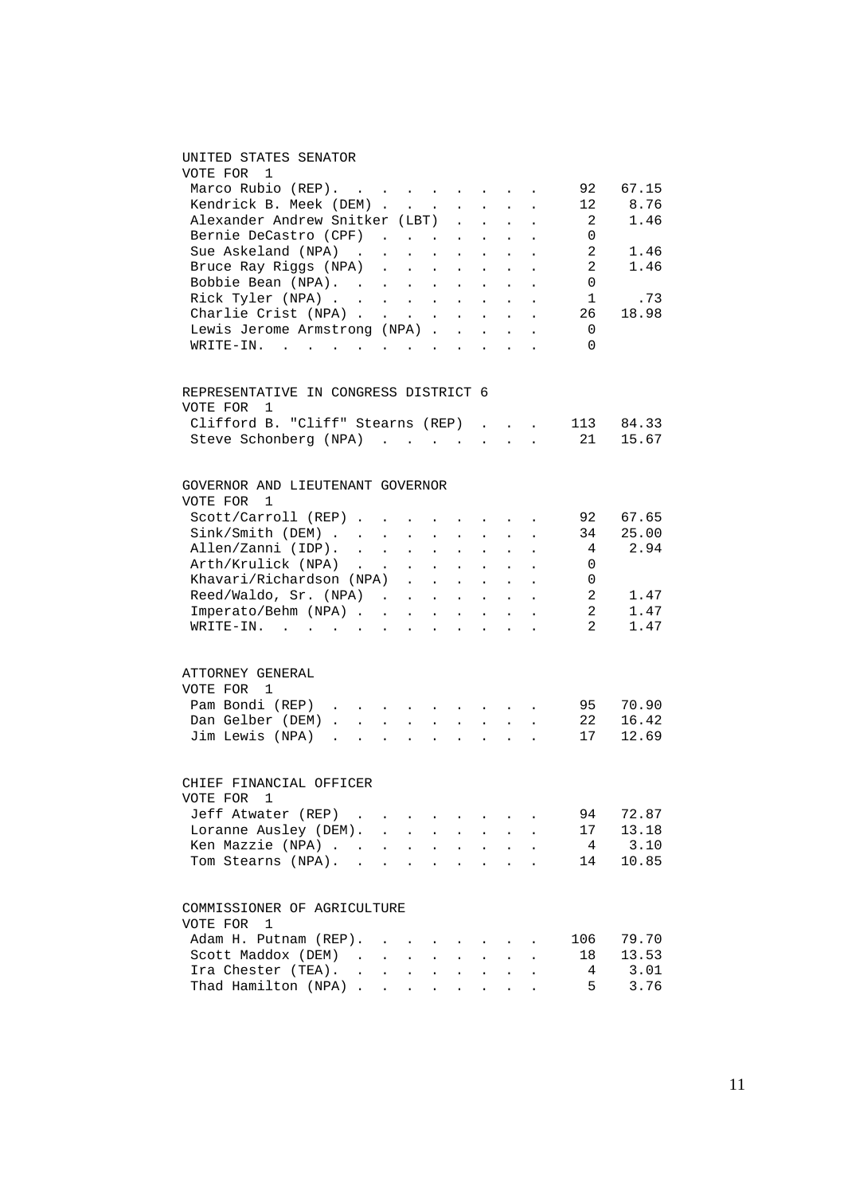#### UNITED STATES SENATOR

| VOTE FOR<br>1                                          |                      |                            |                                                                               |                           |                            |                           |                                                                  |                      |                |       |
|--------------------------------------------------------|----------------------|----------------------------|-------------------------------------------------------------------------------|---------------------------|----------------------------|---------------------------|------------------------------------------------------------------|----------------------|----------------|-------|
| Marco Rubio (REP).                                     |                      |                            |                                                                               |                           |                            |                           |                                                                  |                      | 92             | 67.15 |
| Kendrick B. Meek (DEM)                                 |                      |                            |                                                                               |                           |                            |                           |                                                                  |                      | 12             | 8.76  |
| Alexander Andrew Snitker (LBT)                         |                      |                            |                                                                               |                           |                            |                           |                                                                  |                      | 2              | 1.46  |
| Bernie DeCastro (CPF)                                  |                      |                            |                                                                               |                           |                            |                           |                                                                  |                      | 0              |       |
| Sue Askeland (NPA).                                    |                      | $\sim$                     | $\sim$                                                                        | $\sim 10^{-11}$           | $\sim 10^{-11}$            | $\sim$                    | $\ddot{\phantom{0}}$                                             |                      | $\overline{2}$ | 1.46  |
| Bruce Ray Riggs (NPA)                                  |                      |                            |                                                                               |                           |                            |                           | $\sim$                                                           | $\ddot{\phantom{a}}$ | $\overline{2}$ | 1.46  |
| Bobbie Bean (NPA).                                     |                      |                            |                                                                               |                           |                            |                           |                                                                  |                      | 0              |       |
| Rick Tyler (NPA)                                       |                      |                            |                                                                               |                           |                            |                           |                                                                  |                      | 1              | .73   |
| Charlie Crist (NPA)                                    |                      |                            |                                                                               |                           |                            |                           |                                                                  |                      | 26             | 18.98 |
| Lewis Jerome Armstrong (NPA)                           |                      |                            |                                                                               |                           |                            |                           |                                                                  |                      | 0              |       |
| WRITE-IN.                                              |                      |                            |                                                                               |                           |                            |                           |                                                                  |                      | $\Omega$       |       |
| REPRESENTATIVE IN CONGRESS DISTRICT 6<br>VOTE FOR<br>1 |                      |                            |                                                                               |                           |                            |                           |                                                                  |                      |                |       |
| Clifford B. "Cliff" Stearns (REP)                      |                      |                            |                                                                               |                           |                            |                           | $\mathbf{1}$ $\mathbf{1}$ $\mathbf{1}$ $\mathbf{1}$ $\mathbf{1}$ |                      | 113            | 84.33 |
| Steve Schonberg (NPA)                                  |                      |                            |                                                                               |                           |                            | $\sim$                    | $\ddot{\phantom{a}}$                                             | $\ddot{\phantom{a}}$ | 21             | 15.67 |
| GOVERNOR AND LIEUTENANT GOVERNOR                       |                      |                            |                                                                               |                           |                            |                           |                                                                  |                      |                |       |
| VOTE FOR<br>1                                          |                      |                            |                                                                               |                           |                            |                           |                                                                  |                      |                |       |
| Scott/Carroll (REP)                                    |                      |                            |                                                                               |                           |                            |                           | the contract of the contract                                     |                      | 92             | 67.65 |
|                                                        |                      |                            | $\epsilon = \epsilon$ .                                                       |                           | $\mathcal{L}^{\text{max}}$ | $\sim$                    | $\sim$                                                           |                      | 34             | 25.00 |
| Sink/Smith (DEM)<br>Allen/Zanni (IDP).                 |                      |                            | $\ddot{\phantom{0}}$                                                          | $\sim$ $\sim$             | $\sim$                     | $\ddot{\phantom{0}}$      | $\sim$                                                           |                      | $\overline{4}$ | 2.94  |
| Arth/Krulick (NPA)                                     |                      |                            |                                                                               |                           |                            |                           |                                                                  |                      | 0              |       |
| Khavari/Richardson (NPA)                               |                      |                            |                                                                               |                           |                            |                           |                                                                  |                      | 0              |       |
| Reed/Waldo, Sr. (NPA)                                  |                      |                            |                                                                               |                           |                            |                           |                                                                  |                      | $\overline{2}$ | 1.47  |
| Imperato/Behm (NPA)                                    |                      |                            |                                                                               |                           |                            |                           |                                                                  |                      | 2              | 1.47  |
| WRITE-IN. .<br>$\sim$                                  | $\ddot{\phantom{a}}$ |                            | $\mathbf{r} = \mathbf{r} + \mathbf{r} + \mathbf{r} + \mathbf{r} + \mathbf{r}$ |                           |                            |                           | $\sim$                                                           |                      | $\overline{a}$ | 1.47  |
| ATTORNEY GENERAL                                       |                      |                            |                                                                               |                           |                            |                           |                                                                  |                      |                |       |
| VOTE FOR 1                                             |                      |                            |                                                                               |                           |                            |                           |                                                                  |                      |                |       |
| Pam Bondi (REP) $\ldots$ $\ldots$ $\ldots$ $\ldots$    |                      |                            |                                                                               |                           |                            |                           |                                                                  |                      | 95             | 70.90 |
| Dan Gelber (DEM).                                      | $\Delta \sim 10$     | $\mathcal{L}^{\text{max}}$ | $\epsilon = \epsilon$ .                                                       |                           | $\mathcal{L}^{(1)}$        | $\mathbf{L}^{\text{max}}$ | $\sim$                                                           |                      | 22             | 16.42 |
| Jim Lewis (NPA) .                                      | $\sim 10^{-11}$      | $\mathbf{r}$               | $\mathbf{r}$                                                                  | $\sim$                    | $\mathbf{L}^{\text{max}}$  | $\mathbf{r}$              | $\ddot{\phantom{0}}$                                             |                      | 17             | 12.69 |
| CHIEF FINANCIAL OFFICER                                |                      |                            |                                                                               |                           |                            |                           |                                                                  |                      |                |       |
| VOTE FOR<br>1                                          |                      |                            |                                                                               |                           |                            |                           |                                                                  |                      |                |       |
| Jeff Atwater (REP) .                                   |                      | $\sim 10^{-11}$            |                                                                               |                           |                            |                           |                                                                  |                      | 94             | 72.87 |
| Loranne Ausley (DEM). .                                |                      |                            | $\ddot{\phantom{0}}$                                                          | $\Box$                    |                            |                           |                                                                  |                      | 17             | 13.18 |
| Ken Mazzie (NPA)                                       |                      | $\sim$                     | $\ddot{\phantom{0}}$                                                          | $\mathbf{r}$              | $\ddot{\phantom{a}}$       | $\ddot{\phantom{a}}$      | $\sim$                                                           |                      | $\overline{4}$ | 3.10  |
| Tom Stearns (NPA).                                     |                      |                            | $\sim$                                                                        |                           | $\sim$ $\sim$              |                           | $\mathbf{L} = \mathbf{L}$                                        |                      | 14             | 10.85 |
| COMMISSIONER OF AGRICULTURE                            |                      |                            |                                                                               |                           |                            |                           |                                                                  |                      |                |       |
| VOTE FOR<br>$\overline{1}$                             |                      |                            |                                                                               |                           |                            |                           |                                                                  |                      |                |       |
| Adam H. Putnam (REP).                                  |                      | $\sim$ $\sim$ $\sim$       |                                                                               |                           |                            |                           |                                                                  |                      | 106            | 79.70 |
| Scott Maddox (DEM)                                     |                      |                            |                                                                               |                           |                            | $\ddot{\phantom{a}}$      |                                                                  |                      | 18             | 13.53 |
| Ira Chester (TEA). .                                   |                      | $\mathbf{L}^{\text{max}}$  | $\bullet$ .<br><br><br><br><br><br><br><br><br><br><br><br>                   | $\mathbf{L}^{\text{max}}$ | $\ddot{\phantom{a}}$       | $\ddot{\phantom{0}}$      | $\ddot{\phantom{0}}$                                             |                      | 4              | 3.01  |
| Thad Hamilton (NPA)                                    |                      |                            | $\bullet$ .<br><br><br><br><br><br><br><br><br><br><br><br>                   |                           |                            |                           |                                                                  |                      | 5              | 3.76  |
|                                                        |                      |                            |                                                                               |                           |                            |                           |                                                                  |                      |                |       |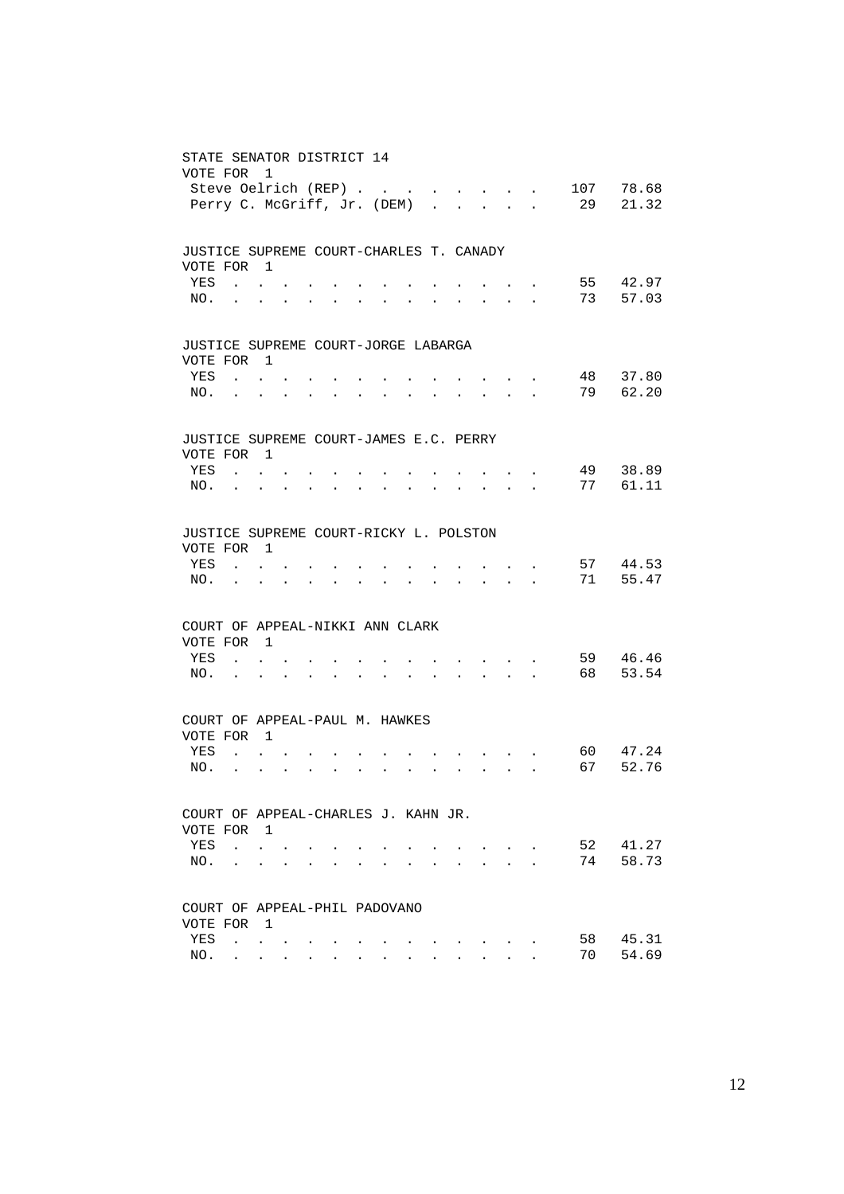| STATE SENATOR DISTRICT 14<br>VOTE FOR   | Steve Oelrich (REP)<br>Perry C. McGriff, Jr. (DEM)        | 1                                                             |                         |                      |                                                             |           |                      |                                                                 |                      |                      | $\ddot{\phantom{a}}$                                                                      |                                                       | and the state of the state of                             | 107<br>29 | 78.68<br>21.32             |
|-----------------------------------------|-----------------------------------------------------------|---------------------------------------------------------------|-------------------------|----------------------|-------------------------------------------------------------|-----------|----------------------|-----------------------------------------------------------------|----------------------|----------------------|-------------------------------------------------------------------------------------------|-------------------------------------------------------|-----------------------------------------------------------|-----------|----------------------------|
| JUSTICE SUPREME COURT-CHARLES T. CANADY |                                                           |                                                               |                         |                      |                                                             |           |                      |                                                                 |                      |                      |                                                                                           |                                                       |                                                           |           |                            |
| VOTE FOR 1<br>YES                       | $\mathbf{r}$ , $\mathbf{r}$ , $\mathbf{r}$                |                                                               |                         |                      |                                                             |           |                      |                                                                 |                      |                      |                                                                                           |                                                       |                                                           |           | 55 42.97                   |
| NO.                                     | and the contract of the                                   |                                                               |                         | $\bullet$            | $\bullet$                                                   | $\bullet$ |                      |                                                                 |                      |                      | $\bullet$                                                                                 |                                                       | <b>Contract Contract</b>                                  |           | 73<br>57.03                |
| JUSTICE SUPREME COURT-JORGE LABARGA     |                                                           |                                                               |                         |                      |                                                             |           |                      |                                                                 |                      |                      |                                                                                           |                                                       |                                                           |           |                            |
| VOTE FOR 1                              |                                                           |                                                               |                         |                      |                                                             |           |                      |                                                                 |                      |                      |                                                                                           |                                                       |                                                           |           |                            |
| YES                                     | $\mathbf{r}$ , $\mathbf{r}$ , $\mathbf{r}$                |                                                               |                         |                      |                                                             |           |                      |                                                                 |                      |                      |                                                                                           |                                                       |                                                           |           | 48<br>37.80<br>79<br>62.20 |
| NO.                                     | $\bullet$                                                 | $\ddot{\phantom{0}}$                                          |                         |                      | $\bullet$ .<br><br><br><br><br><br><br><br><br><br><br><br> | $\bullet$ | $\bullet$            |                                                                 | $\bullet$            |                      | the contract of the contract of the                                                       |                                                       |                                                           |           |                            |
| JUSTICE SUPREME COURT-JAMES E.C. PERRY  |                                                           |                                                               |                         |                      |                                                             |           |                      |                                                                 |                      |                      |                                                                                           |                                                       |                                                           |           |                            |
| VOTE FOR 1<br>YES                       | $\mathbf{r}$ , $\mathbf{r}$ , $\mathbf{r}$                |                                                               |                         |                      |                                                             |           |                      |                                                                 |                      |                      |                                                                                           |                                                       | $\cdot$ $\cdot$                                           |           | 49<br>38.89                |
| NO.                                     | <b>Contract Contract Contract</b>                         |                                                               | $\sim 100$              | $\bullet$            | $\bullet$                                                   | $\bullet$ | $\ddot{\phantom{0}}$ |                                                                 |                      |                      | $\ddot{\phantom{0}}$                                                                      |                                                       | $\mathcal{L}(\mathbf{z})$ , and $\mathcal{L}(\mathbf{z})$ |           | 77<br>61.11                |
|                                         |                                                           |                                                               |                         |                      |                                                             |           |                      |                                                                 |                      |                      |                                                                                           |                                                       |                                                           |           |                            |
| JUSTICE SUPREME COURT-RICKY L. POLSTON  |                                                           |                                                               |                         |                      |                                                             |           |                      |                                                                 |                      |                      |                                                                                           |                                                       |                                                           |           |                            |
| VOTE FOR 1                              |                                                           |                                                               |                         |                      |                                                             |           |                      |                                                                 |                      |                      |                                                                                           |                                                       |                                                           |           |                            |
| YES                                     |                                                           | $\mathbf{L}$ and $\mathbf{L}$                                 |                         |                      |                                                             |           |                      |                                                                 |                      |                      |                                                                                           |                                                       |                                                           |           | 57 44.53<br>55.47          |
| NO.                                     | <b>Contractor</b>                                         | $\bullet$                                                     | $\bullet$               | $\bullet$            | $\bullet$ .<br><br><br><br><br><br><br><br><br><br><br><br> | $\bullet$ | $\ddot{\phantom{0}}$ |                                                                 | $\bullet$            |                      | $\mathbf{r} = \mathbf{r} + \mathbf{r} + \mathbf{r} + \mathbf{r}$                          |                                                       |                                                           |           | 71                         |
| COURT OF APPEAL-NIKKI ANN CLARK         |                                                           |                                                               |                         |                      |                                                             |           |                      |                                                                 |                      |                      |                                                                                           |                                                       |                                                           |           |                            |
| VOTE FOR 1                              |                                                           |                                                               |                         |                      |                                                             |           |                      |                                                                 |                      |                      |                                                                                           |                                                       |                                                           |           |                            |
| YES                                     | $\mathbf{r}$ , $\mathbf{r}$ , $\mathbf{r}$ , $\mathbf{r}$ |                                                               |                         |                      |                                                             |           |                      |                                                                 |                      |                      |                                                                                           | $\mathbf{r} = \mathbf{r} + \mathbf{r} + \mathbf{r}$ . |                                                           |           | 59<br>46.46                |
| NO.                                     | $\sim 100$ km s $^{-1}$                                   | $\bullet$                                                     | $\bullet$               | $\bullet$            | $\bullet$                                                   | $\bullet$ |                      |                                                                 | $\bullet$            | $\bullet$ .          | $\mathcal{L}(\mathbf{r})$ , and $\mathcal{L}(\mathbf{r})$ , and $\mathcal{L}(\mathbf{r})$ |                                                       |                                                           |           | 53.54<br>68 —              |
| COURT OF APPEAL-PAUL M. HAWKES          |                                                           |                                                               |                         |                      |                                                             |           |                      |                                                                 |                      |                      |                                                                                           |                                                       |                                                           |           |                            |
| VOTE FOR 1                              |                                                           |                                                               |                         |                      |                                                             |           |                      |                                                                 |                      |                      |                                                                                           |                                                       |                                                           |           |                            |
| YES                                     |                                                           | $\mathbf{r}$ , $\mathbf{r}$                                   |                         |                      |                                                             |           |                      |                                                                 |                      |                      | <b>Contract Contract</b>                                                                  |                                                       |                                                           |           | 60 —<br>47.24              |
| NO.                                     | $\sim$                                                    | $\bullet$                                                     | $\bullet$               | $\ddot{\phantom{a}}$ | $\sim$ $\sim$                                               | $\bullet$ | $\bullet$            | $\bullet$ .<br><br><br><br><br><br><br><br><br><br><br><br><br> |                      |                      |                                                                                           |                                                       |                                                           | 67        | 52.76                      |
| COURT OF APPEAL-CHARLES J. KAHN JR.     |                                                           |                                                               |                         |                      |                                                             |           |                      |                                                                 |                      |                      |                                                                                           |                                                       |                                                           |           |                            |
| VOTE FOR                                |                                                           | $\blacksquare$                                                |                         |                      |                                                             |           |                      |                                                                 |                      |                      |                                                                                           |                                                       |                                                           |           |                            |
| YES                                     |                                                           | $\mathbf{L} = \mathbf{L} \mathbf{L}$                          | $\ddot{\phantom{a}}$    |                      |                                                             |           |                      |                                                                 |                      |                      |                                                                                           | <b>Contract Contract Contract</b>                     |                                                           | 52        | 41.27                      |
| NO.                                     |                                                           |                                                               | $\cdot$ $\cdot$ $\cdot$ | $\ddot{\phantom{a}}$ |                                                             |           |                      |                                                                 | $\ddot{\phantom{a}}$ | $\ddot{\phantom{0}}$ | $\ddot{\phantom{a}}$                                                                      | $\sim$ $\sim$ $\sim$                                  |                                                           | 74        | 58.73                      |
| COURT OF APPEAL-PHIL PADOVANO           |                                                           |                                                               |                         |                      |                                                             |           |                      |                                                                 |                      |                      |                                                                                           |                                                       |                                                           |           |                            |
| VOTE FOR                                |                                                           | $\overline{1}$                                                |                         |                      |                                                             |           |                      |                                                                 |                      |                      |                                                                                           |                                                       |                                                           |           |                            |
| YES                                     |                                                           | $\mathcal{L}^{\text{max}}$ , where $\mathcal{L}^{\text{max}}$ | $\bullet$               |                      |                                                             |           |                      |                                                                 |                      |                      |                                                                                           |                                                       |                                                           | 58        | 45.31                      |
| NO.                                     |                                                           | $\mathbf{r} = \mathbf{r} \cdot \mathbf{r}$                    |                         |                      |                                                             |           |                      |                                                                 |                      |                      |                                                                                           |                                                       |                                                           | 70        | 54.69                      |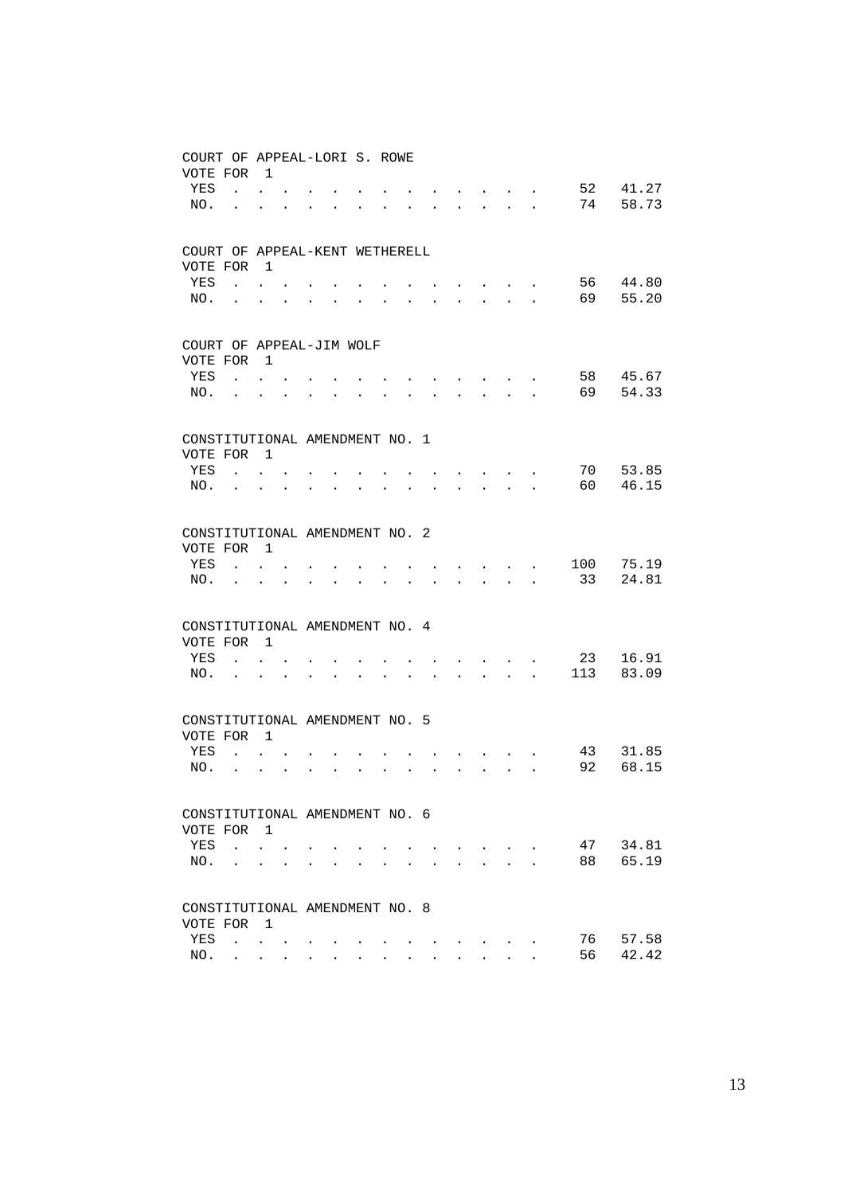| COURT OF APPEAL-LORI S. ROWE<br>VOTE FOR |                             | $\overline{1}$          |                      |                      |                      |                      |                      |                      |                      |                                                             |                                                       |                                                           |                      |     |       |
|------------------------------------------|-----------------------------|-------------------------|----------------------|----------------------|----------------------|----------------------|----------------------|----------------------|----------------------|-------------------------------------------------------------|-------------------------------------------------------|-----------------------------------------------------------|----------------------|-----|-------|
| YES                                      | $\ddot{\phantom{a}}$        |                         |                      |                      |                      |                      |                      |                      |                      |                                                             |                                                       |                                                           |                      | 52  | 41.27 |
| NO.                                      |                             | $\ddot{\phantom{0}}$    |                      |                      |                      |                      |                      |                      |                      |                                                             |                                                       | $\cdot$ $\cdot$ $\cdot$ $\cdot$                           |                      | 74  | 58.73 |
|                                          | $\ddot{\phantom{a}}$        |                         |                      | $\ddot{\phantom{0}}$ | $\bullet$            | $\bullet$            |                      | $\ddot{\phantom{a}}$ | $\sim$               | $\bullet$ .<br><br><br><br><br><br><br><br><br><br><br><br> |                                                       | $\mathbf{z} = \mathbf{z} + \mathbf{z} + \mathbf{z}$ .     |                      |     |       |
| COURT OF APPEAL-KENT WETHERELL           |                             |                         |                      |                      |                      |                      |                      |                      |                      |                                                             |                                                       |                                                           |                      |     |       |
| VOTE FOR                                 |                             | $\overline{1}$          |                      |                      |                      |                      |                      |                      |                      |                                                             |                                                       |                                                           |                      |     |       |
| YES                                      | $\mathbf{L}$                |                         |                      |                      |                      |                      |                      |                      |                      |                                                             |                                                       |                                                           |                      | 56  | 44.80 |
| NO.                                      | $\bullet$                   | $\ddot{\phantom{0}}$    |                      |                      |                      |                      |                      | $\ddot{\phantom{0}}$ | $\ddot{\phantom{0}}$ | $\ddotsc$                                                   |                                                       | <b>All Card Control</b>                                   | $\ddot{\phantom{a}}$ | 69  | 55.20 |
| COURT OF APPEAL-JIM WOLF                 |                             |                         |                      |                      |                      |                      |                      |                      |                      |                                                             |                                                       |                                                           |                      |     |       |
| VOTE FOR                                 |                             | $\overline{1}$          |                      |                      |                      |                      |                      |                      |                      |                                                             |                                                       |                                                           |                      |     |       |
| YES                                      |                             | $\cdot$ $\cdot$ $\cdot$ |                      |                      |                      |                      |                      |                      |                      |                                                             | and the state of the state of                         |                                                           |                      | 58  | 45.67 |
| NO.                                      |                             |                         |                      |                      | $\ddot{\phantom{a}}$ |                      |                      |                      | <b>Contractor</b>    | $\ddot{\phantom{0}}$                                        |                                                       | $\mathbf{r} = \mathbf{r} + \mathbf{r}$ . The $\mathbf{r}$ |                      | 69  | 54.33 |
| CONSTITUTIONAL AMENDMENT NO. 1           |                             |                         |                      |                      |                      |                      |                      |                      |                      |                                                             |                                                       |                                                           |                      |     |       |
| VOTE FOR                                 |                             | $\overline{1}$          |                      |                      |                      |                      |                      |                      |                      |                                                             |                                                       |                                                           |                      |     |       |
| YES                                      |                             | $\mathbf{r}$            |                      |                      |                      |                      |                      |                      |                      |                                                             | and the state of the state of the                     |                                                           |                      | 70  | 53.85 |
| NO.                                      | $\ddot{\phantom{a}}$        | $\ddot{\phantom{0}}$    | $\ddot{\phantom{a}}$ | $\ddot{\phantom{a}}$ |                      | $\ddot{\phantom{a}}$ |                      |                      |                      | $\ddot{\phantom{0}}$                                        |                                                       | <b>All Cards</b>                                          | $\ddot{\phantom{a}}$ | 60  | 46.15 |
|                                          |                             |                         |                      |                      |                      |                      |                      |                      |                      |                                                             |                                                       |                                                           |                      |     |       |
| CONSTITUTIONAL AMENDMENT NO. 2           |                             |                         |                      |                      |                      |                      |                      |                      |                      |                                                             |                                                       |                                                           |                      |     |       |
| VOTE FOR                                 |                             | $\overline{1}$          |                      |                      |                      |                      |                      |                      |                      |                                                             |                                                       |                                                           |                      |     |       |
| YES                                      | $\mathbf{L}$                | $\mathbf{r}$            |                      |                      |                      |                      |                      |                      |                      |                                                             | $\sim$ $\sim$ $\sim$ $\sim$                           |                                                           |                      | 100 | 75.19 |
| NO.                                      |                             |                         |                      | $\ddot{\phantom{0}}$ | $\ddot{\phantom{a}}$ | $\ddot{\phantom{a}}$ | $\ddot{\phantom{0}}$ |                      | $\ddot{\phantom{0}}$ |                                                             | $\cdot$ $\cdot$ $\cdot$ $\cdot$ $\cdot$               |                                                           |                      | 33  | 24.81 |
| CONSTITUTIONAL AMENDMENT NO. 4           |                             |                         |                      |                      |                      |                      |                      |                      |                      |                                                             |                                                       |                                                           |                      |     |       |
| VOTE FOR                                 |                             | $\overline{1}$          |                      |                      |                      |                      |                      |                      |                      |                                                             |                                                       |                                                           |                      |     |       |
| YES                                      | $\mathbf{r}$                | $\mathbf{L}$            |                      |                      |                      |                      |                      |                      |                      |                                                             | and the contract of the                               |                                                           |                      | 23  | 16.91 |
| NO.                                      |                             |                         |                      | $\ddot{\phantom{0}}$ |                      |                      |                      |                      | $\ddot{\phantom{a}}$ |                                                             | $\mathbf{r} = \mathbf{r}$ , $\mathbf{r} = \mathbf{r}$ |                                                           |                      | 113 | 83.09 |
|                                          |                             |                         |                      |                      |                      |                      |                      |                      |                      |                                                             |                                                       |                                                           |                      |     |       |
| CONSTITUTIONAL AMENDMENT NO. 5           |                             |                         |                      |                      |                      |                      |                      |                      |                      |                                                             |                                                       |                                                           |                      |     |       |
| VOTE FOR                                 |                             | $\overline{1}$          |                      |                      |                      |                      |                      |                      |                      |                                                             |                                                       |                                                           |                      |     |       |
| YES                                      | $\mathbf{L}$                | $\ddot{\phantom{0}}$    |                      |                      |                      |                      |                      |                      |                      |                                                             |                                                       | $\sim$ $\sim$                                             |                      | 43  | 31.85 |
| NO.                                      |                             | $\ddot{\phantom{0}}$    | $\ddot{\phantom{a}}$ | $\ddot{\phantom{a}}$ | $\ddot{\phantom{a}}$ | $\ddot{\phantom{0}}$ |                      | $\ddot{\phantom{0}}$ | $\ddot{\phantom{a}}$ |                                                             |                                                       | $\mathbf{L} = \mathbf{L}$                                 |                      | 92  | 68.15 |
| CONSTITUTIONAL AMENDMENT NO. 6           |                             |                         |                      |                      |                      |                      |                      |                      |                      |                                                             |                                                       |                                                           |                      |     |       |
| VOTE FOR 1                               |                             |                         |                      |                      |                      |                      |                      |                      |                      |                                                             |                                                       |                                                           |                      |     |       |
| YES                                      |                             | $\cdot$ $\cdot$ $\cdot$ |                      |                      |                      |                      |                      |                      |                      |                                                             |                                                       |                                                           |                      | 47  | 34.81 |
| NO.                                      |                             | $\ddot{\phantom{a}}$    |                      |                      |                      |                      |                      |                      |                      |                                                             |                                                       | $\mathbf{r}$                                              | $\mathbf{r}$         | 88  | 65.19 |
| CONSTITUTIONAL AMENDMENT NO. 8           |                             |                         |                      |                      |                      |                      |                      |                      |                      |                                                             |                                                       |                                                           |                      |     |       |
| VOTE FOR                                 |                             | $\overline{1}$          |                      |                      |                      |                      |                      |                      |                      |                                                             |                                                       |                                                           |                      |     |       |
| YES                                      | $\mathbf{r}$ , $\mathbf{r}$ |                         |                      |                      |                      |                      |                      |                      |                      |                                                             |                                                       |                                                           |                      | 76  | 57.58 |
| NO.                                      | $\ddot{\phantom{0}}$        | $\sim$ $\sim$           | $\sim$               |                      |                      |                      |                      |                      |                      |                                                             |                                                       |                                                           |                      | 56  | 42.42 |
|                                          |                             |                         |                      |                      |                      |                      |                      |                      |                      |                                                             |                                                       |                                                           |                      |     |       |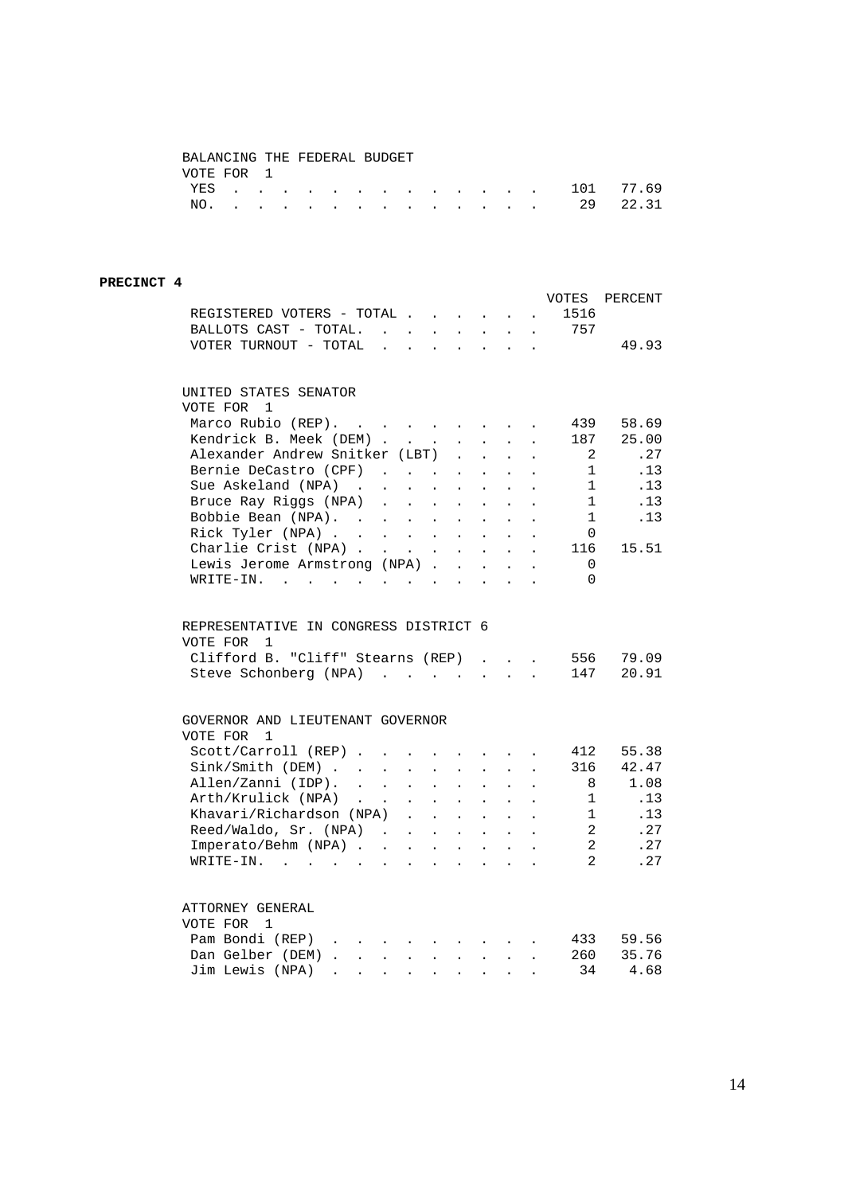## BALANCING THE FEDERAL BUDGET VOTE FOR 1

|  |  |  |  |  |  |  | YES 101 77.69 |  |
|--|--|--|--|--|--|--|---------------|--|
|  |  |  |  |  |  |  | NO. 29 22.31  |  |

### **PRECINCT 4**

| REGISTERED VOTERS - TOTAL<br>BALLOTS CAST - TOTAL. 757                                                               |                      |                                                                                                                                      |                                                                    |                            |                            | $\mathbf{z} = \mathbf{z} + \mathbf{z}$                             | $\mathcal{L}^{\mathcal{L}}$ | VOTES<br>1516  | PERCENT        |
|----------------------------------------------------------------------------------------------------------------------|----------------------|--------------------------------------------------------------------------------------------------------------------------------------|--------------------------------------------------------------------|----------------------------|----------------------------|--------------------------------------------------------------------|-----------------------------|----------------|----------------|
| VOTER TURNOUT - TOTAL $\ldots$                                                                                       |                      |                                                                                                                                      |                                                                    |                            |                            |                                                                    |                             |                | 49.93          |
| UNITED STATES SENATOR                                                                                                |                      |                                                                                                                                      |                                                                    |                            |                            |                                                                    |                             |                |                |
| VOTE FOR<br>$\mathbf{1}$                                                                                             |                      |                                                                                                                                      |                                                                    |                            |                            |                                                                    |                             |                |                |
| Marco Rubio (REP).                                                                                                   |                      |                                                                                                                                      |                                                                    |                            |                            |                                                                    |                             | 439            | 58.69          |
| Kendrick B. Meek (DEM)                                                                                               |                      |                                                                                                                                      |                                                                    | $\mathcal{L}^{\text{max}}$ |                            | $\mathbf{L} = \mathbf{L}$                                          | $\ddot{\phantom{a}}$        | 187            | 25.00          |
| Alexander Andrew Snitker (LBT) .                                                                                     |                      |                                                                                                                                      |                                                                    |                            | $\mathcal{L}^{\text{max}}$ | $\sim$                                                             |                             | -2             | .27            |
| Bernie DeCastro (CPF)                                                                                                |                      |                                                                                                                                      |                                                                    | $\ddot{\phantom{a}}$       | $\ddot{\phantom{0}}$       | $\ddot{\phantom{0}}$                                               |                             | $\mathbf{1}$   | .13            |
| Sue Askeland (NPA)<br>$\mathbf{r}$ , $\mathbf{r}$ , $\mathbf{r}$ , $\mathbf{r}$ , $\mathbf{r}$                       |                      |                                                                                                                                      |                                                                    |                            | $\ddot{\phantom{0}}$       | $\ddot{\phantom{0}}$                                               | $\ddot{\phantom{a}}$        | $\mathbf{1}$   | .13            |
| Bruce Ray Riggs (NPA).                                                                                               |                      |                                                                                                                                      | $\mathbf{r} = \mathbf{r} + \mathbf{r}$ , $\mathbf{r} = \mathbf{r}$ |                            | $\mathcal{L}^{\text{max}}$ | $\ddot{\phantom{0}}$                                               | $\ddot{\phantom{0}}$        | $\overline{1}$ | .13            |
| Bobbie Bean (NPA). .                                                                                                 |                      | $\mathcal{A}^{\mathcal{A}}$ , $\mathcal{A}^{\mathcal{A}}$ , $\mathcal{A}^{\mathcal{A}}$                                              | $\mathbf{L}^{\text{max}}$                                          | $\mathcal{L}^{\text{max}}$ | $\ddot{\phantom{0}}$       |                                                                    |                             | 1              | .13            |
| Rick Tyler (NPA)                                                                                                     |                      | $\mathcal{L}^{\text{max}}$ , and $\mathcal{L}^{\text{max}}$                                                                          |                                                                    |                            | $\mathbf{r}$               | $\mathbf{r}$                                                       |                             | $\Omega$       |                |
| Charlie Crist (NPA)                                                                                                  |                      |                                                                                                                                      | $\mathbf{u} = \mathbf{u} \mathbf{u} + \mathbf{u} \mathbf{u}$       |                            | $\mathcal{L}^{\text{max}}$ | $\sim$ $-$                                                         | $\ddot{\phantom{a}}$        | 116            | 15.51          |
| Lewis Jerome Armstrong (NPA) .                                                                                       |                      |                                                                                                                                      |                                                                    | $\sim$                     | $\ddot{\phantom{0}}$       | $\sim$                                                             |                             | $\Omega$       |                |
| WRITE-IN.                                                                                                            |                      |                                                                                                                                      |                                                                    | $\sim$ $\sim$              | $\sim$                     | $\sim$                                                             |                             | $\Omega$       |                |
| REPRESENTATIVE IN CONGRESS DISTRICT 6<br>VOTE FOR<br>1<br>Clifford B. "Cliff" Stearns (REP)<br>Steve Schonberg (NPA) |                      |                                                                                                                                      |                                                                    |                            | $\mathbf{r}$<br>$\sim$     | $\sim$<br>$\sim$                                                   | $\mathbf{r}$                | 556<br>147     | 79.09<br>20.91 |
| GOVERNOR AND LIEUTENANT GOVERNOR<br>VOTE FOR<br>$\mathbf{1}$                                                         |                      |                                                                                                                                      |                                                                    |                            |                            |                                                                    |                             |                |                |
| Scott/Carroll (REP)                                                                                                  |                      | $\ddot{\phantom{0}}$                                                                                                                 | $\mathbf{L}^{\text{max}}$                                          | $\sim$ $-$                 |                            | $\mathbf{r} = \left\{ \mathbf{r}_1, \ldots, \mathbf{r}_n \right\}$ |                             | 412            | 55.38          |
|                                                                                                                      |                      | $\mathbb{Z}^{\mathbb{Z}^{\times}}$                                                                                                   | $\mathcal{L}^{\pm}$                                                | $\ddot{\phantom{0}}$       | $\ddot{\phantom{0}}$       | $\ddot{\phantom{0}}$                                               | $\ddot{\phantom{a}}$        | 316            | 42.47          |
| Sink/Smith (DEM)<br>Allen/Zanni (IDP).                                                                               |                      |                                                                                                                                      | $\mathbf{L} = \mathbf{L}$                                          | $\sim$                     | $\ddot{\phantom{a}}$       |                                                                    |                             | 8              | 1.08           |
| Arth/Krulick (NPA)<br>$\mathcal{L}(\mathcal{A})$ and $\mathcal{A}(\mathcal{A})$                                      |                      |                                                                                                                                      | $\mathbf{z} = \mathbf{z} + \mathbf{z}$ , where $\mathbf{z}$        |                            | $\mathcal{L}^{\pm}$        | $\sim$ $-$                                                         | $\Box$                      | $\overline{1}$ | .13            |
| Khavari/Richardson (NPA)                                                                                             |                      |                                                                                                                                      |                                                                    | $\sim$ 100 $\pm$           | $\ddot{\phantom{0}}$       | $\sim$                                                             |                             | 1              | .13            |
| Reed/Waldo, Sr. (NPA)                                                                                                |                      |                                                                                                                                      |                                                                    | $\sim$                     | $\mathbf{r}$               | $\sim$                                                             |                             | 2              | .27            |
| Imperato/Behm (NPA)                                                                                                  |                      |                                                                                                                                      |                                                                    |                            |                            |                                                                    | $\sim$                      | 2              | .27            |
| $WRITE-IN.$ .<br>$\mathcal{A}^{\mathcal{A}}$ , and $\mathcal{A}^{\mathcal{A}}$ , and $\mathcal{A}^{\mathcal{A}}$     |                      | $\ddot{\phantom{0}}$                                                                                                                 | $\ddot{\phantom{a}}$                                               | $\ddot{\phantom{a}}$       | $\ddot{\phantom{a}}$       | $\ddot{\phantom{a}}$                                               |                             | 2              | .27            |
| ATTORNEY GENERAL<br>VOTE FOR 1                                                                                       |                      |                                                                                                                                      |                                                                    |                            |                            |                                                                    |                             |                |                |
| Pam Bondi (REP)                                                                                                      |                      |                                                                                                                                      |                                                                    |                            |                            |                                                                    |                             | 433            | 59.56          |
| Dan Gelber (DEM)<br>$\mathbf{L}$                                                                                     |                      | $\mathbf{r} = \mathbf{r} + \mathbf{r}$ , where $\mathbf{r} = \mathbf{r} + \mathbf{r}$ , where $\mathbf{r} = \mathbf{r} + \mathbf{r}$ |                                                                    |                            |                            |                                                                    |                             | 260            | 35.76          |
| Jim Lewis (NPA)                                                                                                      | $\ddot{\phantom{0}}$ | $\bullet$                                                                                                                            | $\bullet$                                                          | $\bullet$                  |                            |                                                                    |                             | 34             | 4.68           |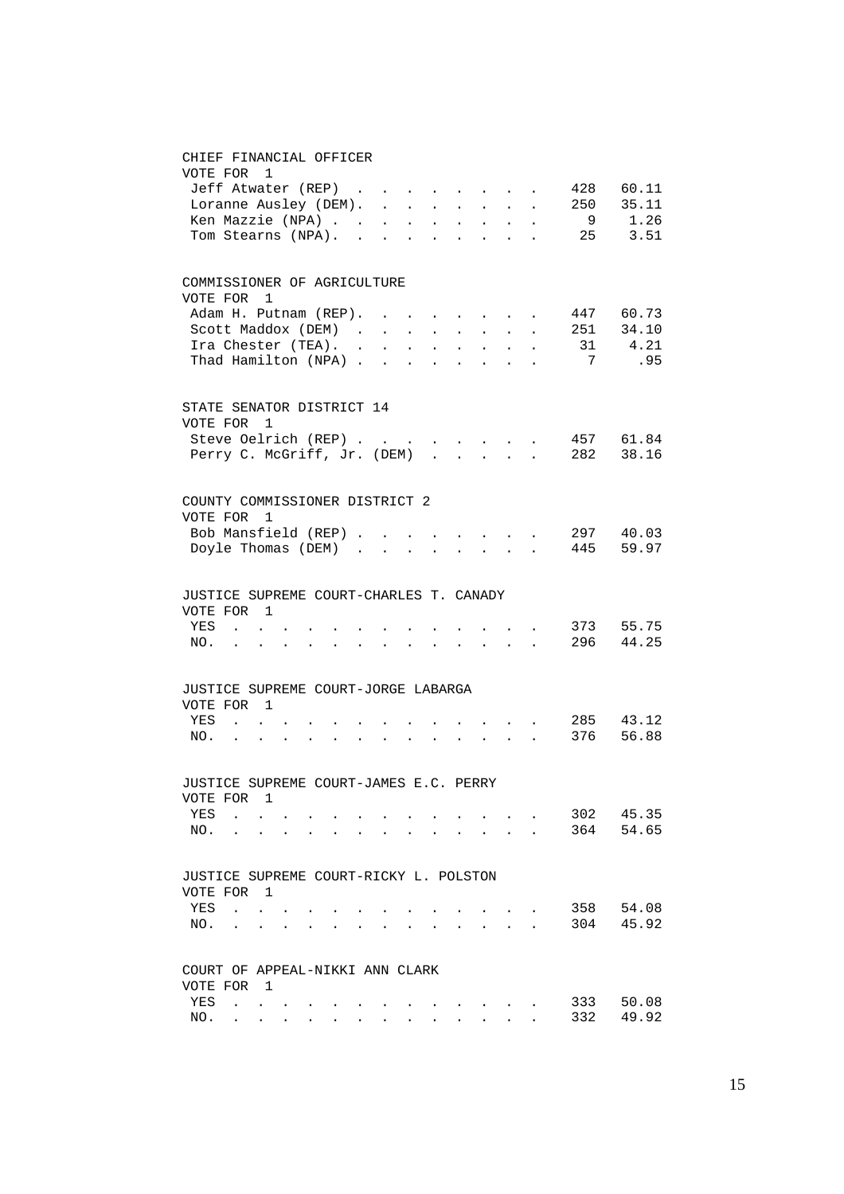#### CHIEF FINANCIAL OFFICER

| VOTE FOR 1                                         |                             |     |  |  |            |                            |                            |                             |                            |                                                                                               |                                 |           |
|----------------------------------------------------|-----------------------------|-----|--|--|------------|----------------------------|----------------------------|-----------------------------|----------------------------|-----------------------------------------------------------------------------------------------|---------------------------------|-----------|
|                                                    | Jeff Atwater (REP)          |     |  |  |            |                            |                            |                             |                            |                                                                                               | 428                             | 60.11     |
|                                                    |                             |     |  |  |            |                            |                            |                             |                            |                                                                                               | Loranne Ausley (DEM). 250 35.11 |           |
|                                                    | Ken Mazzie (NPA)            |     |  |  |            |                            |                            |                             |                            |                                                                                               |                                 | 9 1.26    |
|                                                    | Tom Stearns (NPA).          |     |  |  |            | $\sim$ $\sim$              |                            |                             |                            | $\mathbf{r} = \mathbf{r} \cdot \mathbf{r}$ , where $\mathbf{r} = \mathbf{r} \cdot \mathbf{r}$ |                                 | 25 3.51   |
| COMMISSIONER OF AGRICULTURE                        |                             |     |  |  |            |                            |                            |                             |                            |                                                                                               |                                 |           |
| VOTE FOR                                           |                             | 1   |  |  |            |                            |                            |                             |                            |                                                                                               |                                 |           |
|                                                    | Adam H. Putnam (REP).       |     |  |  |            |                            |                            |                             |                            |                                                                                               |                                 | 447 60.73 |
|                                                    | Scott Maddox (DEM)          |     |  |  |            | $\mathbf{L}^{\text{max}}$  |                            |                             |                            |                                                                                               | 251                             | 34.10     |
|                                                    | Ira Chester (TEA). .        |     |  |  | $\sim$ $-$ | $\mathcal{L}^{\text{max}}$ | $\mathcal{L}^{\text{max}}$ | $\mathcal{L}_{\mathcal{A}}$ | $\mathcal{L}^{\text{max}}$ |                                                                                               | 31                              | 4.21      |
| In the Substract (TEA).<br>Thad Hamilton (NPA)     |                             |     |  |  |            | $\sim$                     | $\sim$                     | $\sim$                      | $\sim$                     | $\mathbf{r}$                                                                                  | $7\overline{ }$                 | .95       |
| STATE SENATOR DISTRICT 14                          |                             |     |  |  |            |                            |                            |                             |                            |                                                                                               |                                 |           |
| VOTE FOR 1                                         |                             |     |  |  |            |                            |                            |                             |                            |                                                                                               |                                 |           |
|                                                    | Steve Oelrich (REP)         |     |  |  |            |                            |                            |                             |                            |                                                                                               |                                 | 457 61.84 |
|                                                    | Perry C. McGriff, Jr. (DEM) |     |  |  |            |                            |                            | $\sim$                      | $\sim$                     | $\mathbf{A}$                                                                                  |                                 | 282 38.16 |
|                                                    |                             |     |  |  |            |                            |                            |                             |                            |                                                                                               |                                 |           |
| COUNTY COMMISSIONER DISTRICT 2<br>VOTE FOR 1       |                             |     |  |  |            |                            |                            |                             |                            |                                                                                               |                                 |           |
|                                                    | Bob Mansfield (REP)         |     |  |  | $\sim$     |                            | $\ddot{\phantom{0}}$       |                             |                            | <b>Contract Contract</b>                                                                      |                                 | 297 40.03 |
|                                                    | Doyle Thomas (DEM)          |     |  |  |            |                            | $\mathbf{L}$               |                             |                            | $\mathbf{r}$ , $\mathbf{r}$ , $\mathbf{r}$                                                    |                                 | 445 59.97 |
|                                                    |                             |     |  |  |            |                            |                            |                             |                            |                                                                                               |                                 |           |
| JUSTICE SUPREME COURT-CHARLES T. CANADY            |                             |     |  |  |            |                            |                            |                             |                            |                                                                                               |                                 |           |
| VOTE FOR 1                                         |                             |     |  |  |            |                            |                            |                             |                            |                                                                                               |                                 |           |
| YES                                                | <b>Contract</b>             |     |  |  |            |                            |                            |                             |                            |                                                                                               |                                 | 373 55.75 |
| NO.                                                | $\ddot{\phantom{a}}$        |     |  |  |            |                            |                            |                             | $\sim$                     | $\mathbf{r}$                                                                                  |                                 | 296 44.25 |
| JUSTICE SUPREME COURT-JORGE LABARGA                |                             |     |  |  |            |                            |                            |                             |                            |                                                                                               |                                 |           |
| VOTE FOR 1                                         |                             |     |  |  |            |                            |                            |                             |                            |                                                                                               |                                 |           |
| YES                                                | $\sim$ 100 $\sim$           |     |  |  |            |                            |                            |                             |                            |                                                                                               |                                 | 285 43.12 |
| NO.                                                | $\sim$                      |     |  |  |            |                            |                            |                             |                            | $\mathbf{r} = \mathbf{r} \times \mathbf{r}$ .                                                 | 376                             | 56.88     |
|                                                    |                             |     |  |  |            |                            |                            |                             |                            |                                                                                               |                                 |           |
| JUSTICE SUPREME COURT-JAMES E.C. PERRY<br>VOTE FOR |                             | 1   |  |  |            |                            |                            |                             |                            |                                                                                               |                                 |           |
| YES                                                |                             |     |  |  |            |                            |                            |                             |                            |                                                                                               | 302                             | 45.35     |
| NO.                                                |                             |     |  |  |            |                            |                            |                             |                            |                                                                                               | 364                             | 54.65     |
|                                                    |                             |     |  |  |            |                            |                            |                             |                            |                                                                                               |                                 |           |
| JUSTICE SUPREME COURT-RICKY L. POLSTON             |                             |     |  |  |            |                            |                            |                             |                            |                                                                                               |                                 |           |
| VOTE FOR                                           |                             | - 1 |  |  |            |                            |                            |                             |                            |                                                                                               |                                 |           |
| YES                                                | $\ddot{\phantom{a}}$        |     |  |  |            |                            |                            |                             |                            |                                                                                               | 358                             | 54.08     |
| NO.                                                |                             |     |  |  |            |                            |                            |                             |                            |                                                                                               | 304                             | 45.92     |
| COURT OF APPEAL-NIKKI ANN CLARK                    |                             |     |  |  |            |                            |                            |                             |                            |                                                                                               |                                 |           |
| VOTE FOR 1                                         |                             |     |  |  |            |                            |                            |                             |                            |                                                                                               |                                 |           |
| YES                                                | $\ddot{\phantom{0}}$        |     |  |  |            |                            |                            |                             |                            |                                                                                               | 333                             | 50.08     |
| NO.                                                |                             |     |  |  |            |                            |                            |                             |                            |                                                                                               | 332                             | 49.92     |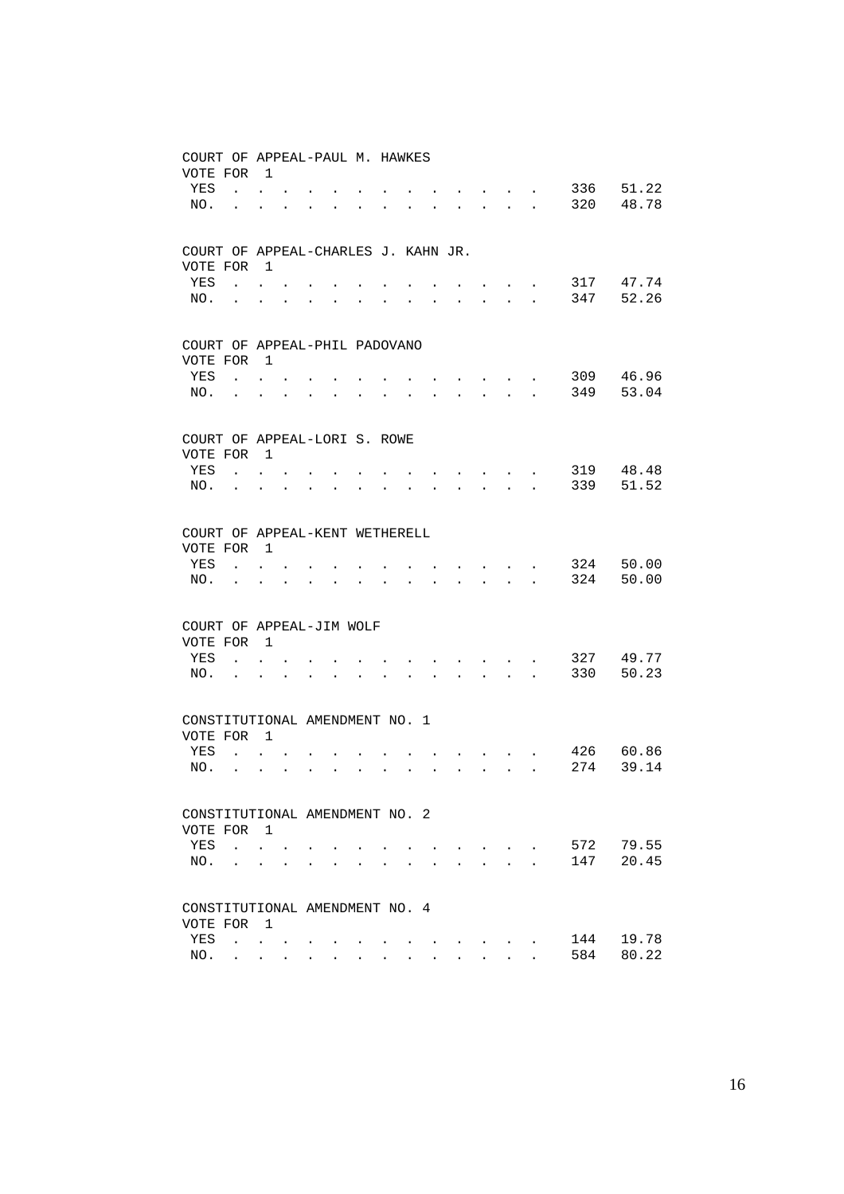| COURT OF APPEAL-PAUL M. HAWKES<br>VOTE FOR |                                                             | $\overline{1}$                                            |                      |                      |                           |                      |                      |                      |                                                             |                                                                                                 |                              |                                                                                            |                      |     |       |
|--------------------------------------------|-------------------------------------------------------------|-----------------------------------------------------------|----------------------|----------------------|---------------------------|----------------------|----------------------|----------------------|-------------------------------------------------------------|-------------------------------------------------------------------------------------------------|------------------------------|--------------------------------------------------------------------------------------------|----------------------|-----|-------|
| YES                                        |                                                             | $\mathbf{L}$ and $\mathbf{L}$                             |                      |                      |                           |                      |                      |                      |                                                             |                                                                                                 |                              |                                                                                            |                      | 336 | 51.22 |
| NO.                                        | $\ddot{\phantom{a}}$                                        | $\ddot{\phantom{0}}$                                      | $\ddot{\phantom{a}}$ | $\bullet$            | <b>Contract Contract</b>  | $\bullet$            | $\ddot{\phantom{0}}$ | $\bullet$            | $\bullet$                                                   | $\mathbf{r}$ , and $\mathbf{r}$ , and $\mathbf{r}$                                              |                              |                                                                                            |                      | 320 | 48.78 |
|                                            |                                                             |                                                           |                      |                      |                           |                      |                      |                      |                                                             |                                                                                                 |                              |                                                                                            |                      |     |       |
| COURT OF APPEAL-CHARLES J. KAHN JR.        |                                                             |                                                           |                      |                      |                           |                      |                      |                      |                                                             |                                                                                                 |                              |                                                                                            |                      |     |       |
| VOTE FOR                                   |                                                             | $\overline{\phantom{0}}$                                  |                      |                      |                           |                      |                      |                      |                                                             |                                                                                                 |                              |                                                                                            |                      |     |       |
| YES                                        |                                                             | $\mathbf{L} = \mathbf{L}$                                 |                      |                      |                           |                      |                      |                      |                                                             |                                                                                                 |                              |                                                                                            |                      | 317 | 47.74 |
| NO.                                        | $\bullet$ .<br><br><br><br><br><br><br><br><br><br><br><br> | $\ddot{\phantom{0}}$                                      | $\bullet$            | $\bullet$            | $\bullet$                 |                      |                      |                      | $\bullet$                                                   | $\ddotsc$                                                                                       |                              | <b>All Cards</b>                                                                           | $\ddot{\phantom{a}}$ | 347 | 52.26 |
| COURT OF APPEAL-PHIL PADOVANO              |                                                             |                                                           |                      |                      |                           |                      |                      |                      |                                                             |                                                                                                 |                              |                                                                                            |                      |     |       |
| VOTE FOR                                   |                                                             | $\overline{1}$                                            |                      |                      |                           |                      |                      |                      |                                                             |                                                                                                 |                              |                                                                                            |                      |     |       |
| YES                                        |                                                             | $\mathbf{L} = \mathbf{L}$                                 |                      |                      |                           |                      |                      |                      |                                                             |                                                                                                 | and the contract of the con- |                                                                                            |                      | 309 | 46.96 |
| NO.                                        |                                                             |                                                           |                      | $\bullet$            | <b>Contract Contract</b>  | $\bullet$            | $\ddot{\phantom{a}}$ | $\bullet$            | $\bullet$ .<br><br><br><br><br><br><br><br><br><br><br><br> |                                                                                                 |                              |                                                                                            |                      | 349 | 53.04 |
| COURT OF APPEAL-LORI S. ROWE               |                                                             |                                                           |                      |                      |                           |                      |                      |                      |                                                             |                                                                                                 |                              |                                                                                            |                      |     |       |
| VOTE FOR                                   |                                                             | $\overline{1}$                                            |                      |                      |                           |                      |                      |                      |                                                             |                                                                                                 |                              |                                                                                            |                      |     |       |
| YES                                        |                                                             | $\mathbf{L} = \mathbf{L}$                                 |                      |                      |                           |                      |                      |                      |                                                             |                                                                                                 |                              | $\cdot$                                                                                    |                      | 319 | 48.48 |
| NO.                                        | $\bullet$ .                                                 | $\ddot{\phantom{0}}$                                      | $\bullet$            | $\bullet$            | $\bullet$                 |                      |                      |                      |                                                             |                                                                                                 |                              | <b>Contract Contract Contract</b>                                                          | $\ddot{\phantom{a}}$ | 339 | 51.52 |
| COURT OF APPEAL-KENT WETHERELL             |                                                             |                                                           |                      |                      |                           |                      |                      |                      |                                                             |                                                                                                 |                              |                                                                                            |                      |     |       |
| VOTE FOR                                   |                                                             | $\overline{1}$                                            |                      |                      |                           |                      |                      |                      |                                                             |                                                                                                 |                              |                                                                                            |                      |     |       |
| YES                                        |                                                             | $\mathbf{L} = \mathbf{L}$                                 |                      |                      |                           |                      |                      |                      |                                                             | $\mathbf{r}$ , $\mathbf{r}$ , $\mathbf{r}$ , $\mathbf{r}$                                       |                              |                                                                                            |                      | 324 | 50.00 |
| NO.                                        |                                                             |                                                           |                      |                      | $\mathbf{L} = \mathbf{L}$ | $\ddot{\phantom{a}}$ | $\ddot{\phantom{a}}$ | $\ddot{\phantom{0}}$ |                                                             | $\mathbf{r} = \mathbf{r} \times \mathbf{r}$ , where $\mathbf{r} = \mathbf{r} \times \mathbf{r}$ |                              |                                                                                            |                      | 324 | 50.00 |
| COURT OF APPEAL-JIM WOLF                   |                                                             |                                                           |                      |                      |                           |                      |                      |                      |                                                             |                                                                                                 |                              |                                                                                            |                      |     |       |
| VOTE FOR 1                                 |                                                             |                                                           |                      |                      |                           |                      |                      |                      |                                                             |                                                                                                 |                              |                                                                                            |                      |     |       |
| YES                                        |                                                             | $\mathbf{r} = \mathbf{r}$                                 |                      |                      |                           |                      |                      |                      |                                                             | the contract of the contract of                                                                 |                              |                                                                                            |                      | 327 | 49.77 |
| NO.                                        | $\ddot{\phantom{0}}$                                        | $\ddot{\phantom{0}}$                                      | $\ddot{\phantom{a}}$ | $\ddot{\phantom{0}}$ | $\ddot{\phantom{a}}$      |                      |                      |                      | $\ddot{\phantom{0}}$                                        | $\mathbf{r}$ , $\mathbf{r}$ , $\mathbf{r}$ , $\mathbf{r}$ , $\mathbf{r}$                        |                              |                                                                                            | $\ddot{\phantom{a}}$ | 330 | 50.23 |
| CONSTITUTIONAL AMENDMENT NO. 1             |                                                             |                                                           |                      |                      |                           |                      |                      |                      |                                                             |                                                                                                 |                              |                                                                                            |                      |     |       |
| VOTE FOR                                   |                                                             | $\overline{1}$                                            |                      |                      |                           |                      |                      |                      |                                                             |                                                                                                 |                              |                                                                                            |                      |     |       |
| YES                                        | $\mathbf{r}$ , $\mathbf{r}$                                 |                                                           |                      |                      |                           |                      |                      |                      |                                                             |                                                                                                 |                              |                                                                                            |                      | 426 | 60.86 |
| NO.                                        |                                                             | $\mathbf{L}^{\text{max}}$ , and $\mathbf{L}^{\text{max}}$ | $\mathbf{r}$         |                      | <b>All Cards</b>          | $\ddot{\phantom{a}}$ | $\ddot{\phantom{a}}$ |                      | $\ddot{\phantom{0}}$                                        |                                                                                                 |                              | $\mathbf{1}$ $\mathbf{1}$ $\mathbf{1}$ $\mathbf{1}$ $\mathbf{1}$ $\mathbf{1}$ $\mathbf{1}$ |                      | 274 | 39.14 |
| CONSTITUTIONAL AMENDMENT NO. 2             |                                                             |                                                           |                      |                      |                           |                      |                      |                      |                                                             |                                                                                                 |                              |                                                                                            |                      |     |       |
| VOTE FOR 1                                 |                                                             |                                                           |                      |                      |                           |                      |                      |                      |                                                             |                                                                                                 |                              |                                                                                            |                      |     |       |
| YES                                        | $\mathbf{r}$ , $\mathbf{r}$                                 |                                                           |                      |                      |                           |                      |                      |                      |                                                             | <b><i>Command Command Command Command</i></b>                                                   |                              |                                                                                            |                      | 572 | 79.55 |
| NO.                                        |                                                             | <b>Contract Contract</b>                                  |                      |                      |                           |                      |                      |                      |                                                             | $\ddot{\phantom{a}}$                                                                            |                              | $\mathbf{L} = \mathbf{L} \mathbf{L}$                                                       |                      | 147 | 20.45 |
| CONSTITUTIONAL AMENDMENT NO. 4             |                                                             |                                                           |                      |                      |                           |                      |                      |                      |                                                             |                                                                                                 |                              |                                                                                            |                      |     |       |
| VOTE FOR                                   |                                                             | $\overline{1}$                                            |                      |                      |                           |                      |                      |                      |                                                             |                                                                                                 |                              |                                                                                            |                      |     |       |
| YES                                        | $\mathbf{r}$ , $\mathbf{r}$ , $\mathbf{r}$ , $\mathbf{r}$   |                                                           |                      |                      |                           |                      |                      |                      |                                                             |                                                                                                 |                              |                                                                                            |                      | 144 | 19.78 |
| NO.                                        |                                                             | <b>All All And</b>                                        |                      |                      |                           |                      |                      |                      |                                                             |                                                                                                 |                              |                                                                                            |                      | 584 | 80.22 |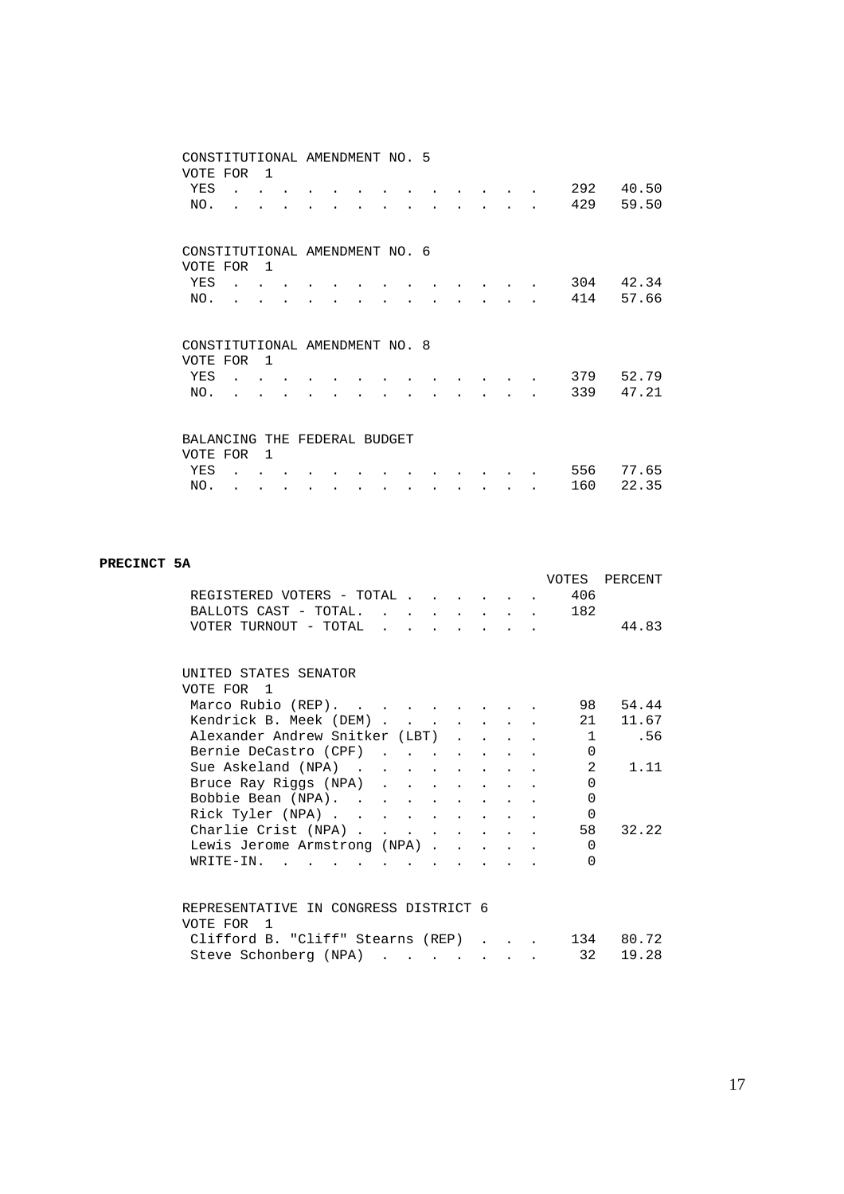| CONSTITUTIONAL AMENDMENT NO. 5 |                |  |  |  |  |  |            |                |
|--------------------------------|----------------|--|--|--|--|--|------------|----------------|
| VOTE FOR                       | $\overline{1}$ |  |  |  |  |  |            |                |
| YES                            |                |  |  |  |  |  | 292        | 40.50          |
| NO.                            |                |  |  |  |  |  | 429        | 59.50          |
|                                |                |  |  |  |  |  |            |                |
|                                |                |  |  |  |  |  |            |                |
| CONSTITUTIONAL AMENDMENT NO. 6 |                |  |  |  |  |  |            |                |
| VOTE FOR                       | $\overline{1}$ |  |  |  |  |  |            |                |
| YES                            |                |  |  |  |  |  | 304        | 42.34          |
| NO.                            |                |  |  |  |  |  | 414        | 57.66          |
|                                |                |  |  |  |  |  |            |                |
|                                |                |  |  |  |  |  |            |                |
|                                |                |  |  |  |  |  |            |                |
| CONSTITUTIONAL AMENDMENT NO. 8 |                |  |  |  |  |  |            |                |
| VOTE FOR                       | $\overline{1}$ |  |  |  |  |  |            |                |
| YES                            |                |  |  |  |  |  | 379        | 52.79          |
| NO.                            |                |  |  |  |  |  | 339        | 47.21          |
|                                |                |  |  |  |  |  |            |                |
|                                |                |  |  |  |  |  |            |                |
| BALANCING THE FEDERAL BUDGET   |                |  |  |  |  |  |            |                |
| VOTE FOR                       | $\mathbf{1}$   |  |  |  |  |  |            |                |
| YES<br>NO.                     |                |  |  |  |  |  | 556<br>160 | 77.65<br>22.35 |

#### **PRECINCT 5A**

|                                               |  |  |  |              | VOTES PERCENT |
|-----------------------------------------------|--|--|--|--------------|---------------|
| REGISTERED VOTERS - TOTAL                     |  |  |  | 406          |               |
| BALLOTS CAST - TOTAL. 182                     |  |  |  |              |               |
| VOTER TURNOUT - TOTAL                         |  |  |  |              | 44.83         |
|                                               |  |  |  |              |               |
|                                               |  |  |  |              |               |
| UNITED STATES SENATOR                         |  |  |  |              |               |
| VOTE FOR 1                                    |  |  |  |              |               |
| Marco Rubio (REP).                            |  |  |  | 98           | 54.44         |
| Kendrick B. Meek (DEM)                        |  |  |  | 21           | 11.67         |
| Alexander Andrew Snitker (LBT) 1              |  |  |  |              | .56           |
| Bernie DeCastro (CPF)                         |  |  |  | $\Omega$     |               |
| Sue Askeland (NPA)                            |  |  |  | 2            | 1.11          |
| Bruce Ray Riggs (NPA)                         |  |  |  | $\Omega$     |               |
| Bobbie Bean (NPA).                            |  |  |  | $\Omega$     |               |
| Rick Tyler (NPA)                              |  |  |  | $\Omega$     |               |
| Charlie Crist (NPA)                           |  |  |  | 58           | 32.22         |
| Lewis Jerome Armstrong (NPA)                  |  |  |  | $\Omega$     |               |
| WRITE-IN.                                     |  |  |  | <sup>0</sup> |               |
|                                               |  |  |  |              |               |
|                                               |  |  |  |              |               |
| REPRESENTATIVE IN CONGRESS DISTRICT 6         |  |  |  |              |               |
| VOTE FOR 1                                    |  |  |  |              |               |
| Clifford B. "Cliff" Stearns $(REP)$ 134 80.72 |  |  |  |              |               |
| Steve Schonberg (NPA)                         |  |  |  | 32           | 19.28         |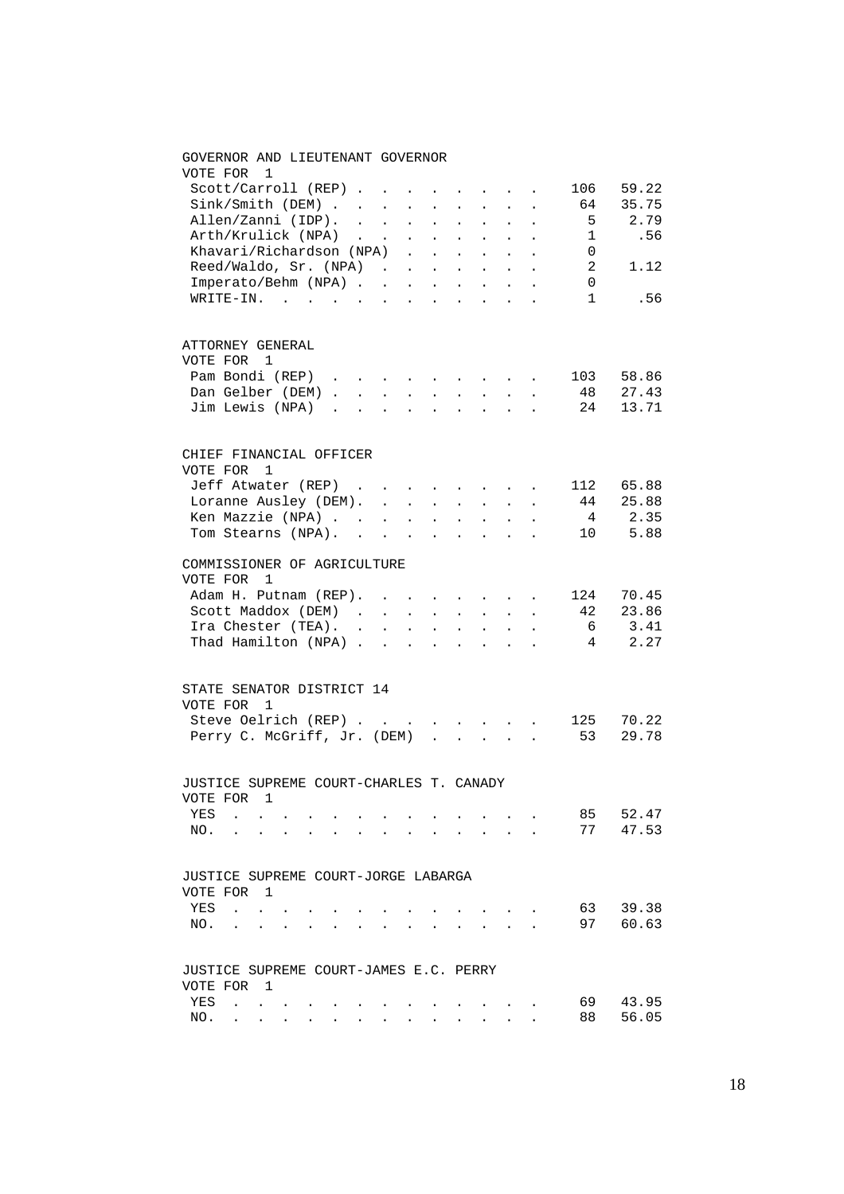## GOVERNOR AND LIEUTENANT GOVERNOR VOTE FOR 1 Scott/Carroll (REP) . . . . . . . . 106 59.22<br>Sink/Smith (DEM) . . . . . . . . . 64 35.75<br>Allen/Zanni (IDP) . . . . . . . . . 5 2.79  $Sink/Smith (DEM) . . . . . .$ <br>Allen/Zanni (IDP). . . . . Allen/Zanni (IDP). . . . . . . . . . 5 2.79 Arth/Krulick (NPA) . . . . . . . . 1 .56 Khavari/Richardson (NPA) . . . . . . 0 Reed/Waldo, Sr. (NPA) . . . . . . . 2 1.12 Imperato/Behm (NPA) . . . . . . . . 0 WRITE-IN. . . . . . . . . . . . . 1 .56 ATTORNEY GENERAL VOTE FOR 1 Pam Bondi (REP) . . . . . . . . . . 103 58.86<br>Dan Gelber (DEM) . . . . . . . . . . 48 27.43 Dan Gelber (DEM) . . . . . . . . . Jim Lewis (NPA) . . . . . . . . . 24 13.71 CHIEF FINANCIAL OFFICER VOTE FOR 1 Jeff Atwater (REP) . . . . . . . . 112 65.88<br>
Loranne Ausley (DEM). . . . . . . . 44 25.88<br>
Kon Missing (NTT) Loranne Ausley (DEM). . . . . . . . 44 25.88<br>
Ken Mazzie (NPA). . . . . . . . . 4 2.35<br>
Tom Stearns (NPA). . . . . . . . 10 5.88 Ken Mazzie (NPA) . . . . . . . . . 4 2.35 Tom Stearns (NPA). . . . . . . . . 10 5.88 COMMISSIONER OF AGRICULTURE VOTE FOR 1 Adam H. Putnam (REP). . . . . . . . 124 70.45<br>Scott Maddox (DEM) . . . . . . . . 42 23.86 Scott Maddox (DEM) . . . . . . . . 42 23.86<br>
Ira Chester (TEA) . . . . . . . . . 6 3.41<br>
Thad Hamilton (NPA) . . . . . . . 4 2.27 Ira Chester (TEA). . . . . . . . . .  $6 \qquad 3.41$ Thad Hamilton (NPA) . . . . . . . . 4  $2.27$ STATE SENATOR DISTRICT 14 VOTE FOR 1 Steve Oelrich (REP) . . . . . . . . 125 70.22 Perry C. McGriff, Jr. (DEM) . . . . . 53 29.78 JUSTICE SUPREME COURT-CHARLES T. CANADY VOTE FOR 1 YES . . . . . . . . . . . . 85 52.47 NO. . . . . . . . . . . . . . 77 47.53 JUSTICE SUPREME COURT-JORGE LABARGA VOTE FOR 1 YES . . . . . . . . . . . . . 63 39.38 NO. . . . . . . . . . . . . . 97 60.63 JUSTICE SUPREME COURT-JAMES E.C. PERRY VOTE FOR 1 YES . . . . . . . . . . . . . 69 43.95 NO. . . . . . . . . . . . . . 88 56.05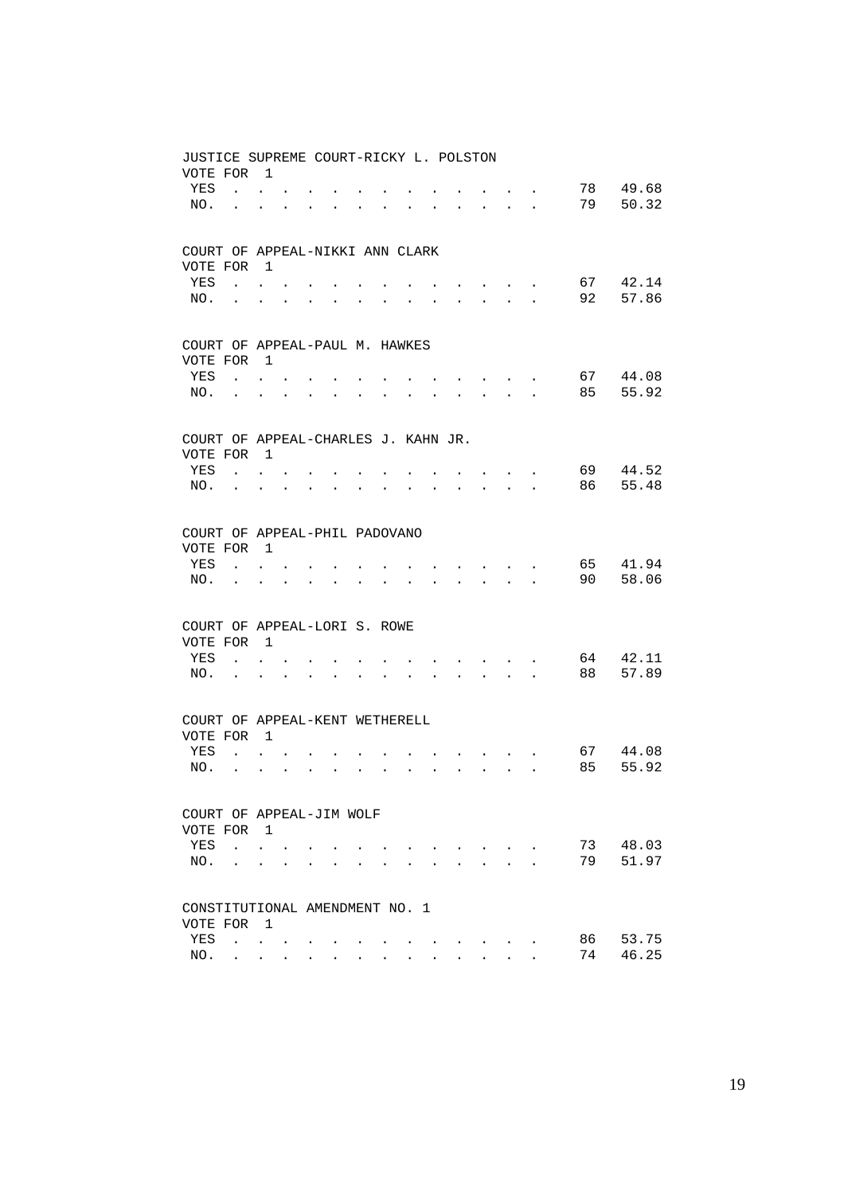| JUSTICE SUPREME COURT-RICKY L. POLSTON<br>VOTE FOR |                             | $\overline{1}$       |                      |                      |                      |                      |                      |              |                      |                      |                      |                                          |                      |          |                |
|----------------------------------------------------|-----------------------------|----------------------|----------------------|----------------------|----------------------|----------------------|----------------------|--------------|----------------------|----------------------|----------------------|------------------------------------------|----------------------|----------|----------------|
| YES                                                | $\mathbf{r}$ , $\mathbf{r}$ |                      |                      |                      |                      |                      |                      |              |                      |                      |                      |                                          |                      | 78       | 49.68          |
| NO.                                                |                             |                      |                      |                      |                      |                      |                      |              |                      | $\ddot{\phantom{a}}$ |                      | $\cdot$ $\cdot$ $\cdot$                  |                      | 79       | 50.32          |
| COURT OF APPEAL-NIKKI ANN CLARK<br>VOTE FOR 1      |                             |                      |                      |                      |                      |                      |                      |              |                      |                      |                      |                                          |                      |          |                |
| YES                                                | $\mathbf{r}$ , $\mathbf{r}$ |                      |                      |                      |                      |                      |                      |              |                      |                      |                      | $\mathbf{z} = \mathbf{z} + \mathbf{z}$ . |                      | 67       | 42.14          |
| NO.                                                |                             | $\ddot{\phantom{0}}$ |                      |                      |                      |                      |                      |              |                      |                      |                      | $\cdot$ $\cdot$ $\cdot$                  |                      | 92       | 57.86          |
|                                                    |                             |                      |                      |                      |                      |                      |                      |              |                      |                      |                      |                                          |                      |          |                |
| COURT OF APPEAL-PAUL M. HAWKES<br>VOTE FOR         |                             | $\overline{1}$       |                      |                      |                      |                      |                      |              |                      |                      |                      |                                          |                      |          |                |
| YES                                                | $\ddot{\phantom{0}}$        |                      |                      |                      |                      |                      |                      |              |                      |                      |                      | $\sim$                                   |                      | 67       | 44.08          |
| NO.                                                |                             |                      |                      |                      |                      |                      |                      |              |                      |                      |                      | $\mathbf{L}$ and $\mathbf{L}$            | $\ddot{\phantom{a}}$ | 85       | 55.92          |
| COURT OF APPEAL-CHARLES J. KAHN JR.                |                             |                      |                      |                      |                      |                      |                      |              |                      |                      |                      |                                          |                      |          |                |
| VOTE FOR 1                                         |                             |                      |                      |                      |                      |                      |                      |              |                      |                      |                      |                                          |                      |          |                |
| YES<br>NO.                                         | $\mathbf{r}$                |                      |                      |                      |                      |                      |                      |              |                      |                      |                      | $\sim$                                   |                      | 69<br>86 | 44.52<br>55.48 |
|                                                    | $\ddot{\phantom{a}}$        | $\ddot{\phantom{a}}$ |                      |                      |                      |                      |                      |              |                      |                      | $\ddot{\phantom{a}}$ |                                          |                      |          |                |
| COURT OF APPEAL-PHIL PADOVANO                      |                             |                      |                      |                      |                      |                      |                      |              |                      |                      |                      |                                          |                      |          |                |
| VOTE FOR                                           |                             | $\overline{1}$       |                      |                      |                      |                      |                      |              |                      |                      |                      |                                          |                      |          |                |
| YES                                                | $\mathbf{r}$                |                      |                      |                      |                      |                      |                      |              |                      |                      |                      | $\sim$                                   |                      | 65<br>90 | 41.94<br>58.06 |
| NO.                                                | $\ddot{\phantom{a}}$        | $\ddot{\phantom{a}}$ | $\mathbf{r}$         |                      |                      |                      | $\ddot{\phantom{a}}$ |              |                      | $\overline{a}$       | $\mathbf{r}$         | $\sim$                                   | $\ddot{\phantom{a}}$ |          |                |
| COURT OF APPEAL-LORI S. ROWE<br>VOTE FOR 1         |                             |                      |                      |                      |                      |                      |                      |              |                      |                      |                      |                                          |                      |          |                |
| YES                                                |                             |                      |                      |                      |                      |                      |                      |              |                      |                      |                      | $\bullet$                                |                      | 64       | 42.11          |
| NO.                                                | $\ddot{\phantom{a}}$        | $\ddot{\phantom{a}}$ | $\mathbf{r}$         |                      |                      |                      |                      |              |                      |                      | $\mathbf{L}$         | $\sim$                                   |                      | 88       | 57.89          |
|                                                    |                             |                      |                      |                      |                      |                      |                      |              |                      |                      |                      |                                          |                      |          |                |
| COURT OF APPEAL-KENT WETHERELL<br>VOTE FOR         |                             | $\overline{1}$       |                      |                      |                      |                      |                      |              |                      |                      |                      |                                          |                      |          |                |
| YES                                                | $\mathbf{r}$                |                      |                      |                      |                      |                      |                      |              |                      |                      |                      | $\sim$                                   | $\sim$               | 67       | 44.08          |
| NO.                                                | $\sim$                      | $\ddot{\phantom{0}}$ | $\ddot{\phantom{a}}$ | $\ddot{\phantom{0}}$ | $\ddot{\phantom{0}}$ | $\ddot{\phantom{a}}$ | $\ddot{\phantom{0}}$ | $\mathbf{L}$ | $\ddot{\phantom{a}}$ | $\sim$               | $\mathbf{L}$         | $\sim 10^{-11}$                          | $\ddot{\phantom{a}}$ | 85       | 55.92          |
| COURT OF APPEAL-JIM WOLF                           |                             |                      |                      |                      |                      |                      |                      |              |                      |                      |                      |                                          |                      |          |                |
| VOTE FOR                                           |                             | $\overline{1}$       |                      |                      |                      |                      |                      |              |                      |                      |                      |                                          |                      |          |                |
| YES                                                | $\mathbf{r}$                | $\ddot{\phantom{0}}$ |                      |                      |                      |                      |                      |              |                      |                      |                      | $\sim$ $\sim$                            |                      | 73       | 48.03          |
| NO.                                                |                             | $\ddot{\phantom{a}}$ |                      |                      |                      |                      |                      |              |                      |                      |                      | ÷.                                       |                      | 79       | 51.97          |
| CONSTITUTIONAL AMENDMENT NO. 1                     |                             |                      |                      |                      |                      |                      |                      |              |                      |                      |                      |                                          |                      |          |                |
| VOTE FOR                                           |                             | $\overline{1}$       |                      |                      |                      |                      |                      |              |                      |                      |                      |                                          |                      |          |                |
| YES                                                | $\mathbf{L}$                | $\ddot{\phantom{0}}$ |                      |                      |                      |                      |                      |              |                      |                      |                      |                                          |                      | 86       | 53.75          |
| NO.                                                | $\sim$                      | $\sim$               |                      |                      |                      |                      |                      |              |                      |                      |                      |                                          |                      | 74       | 46.25          |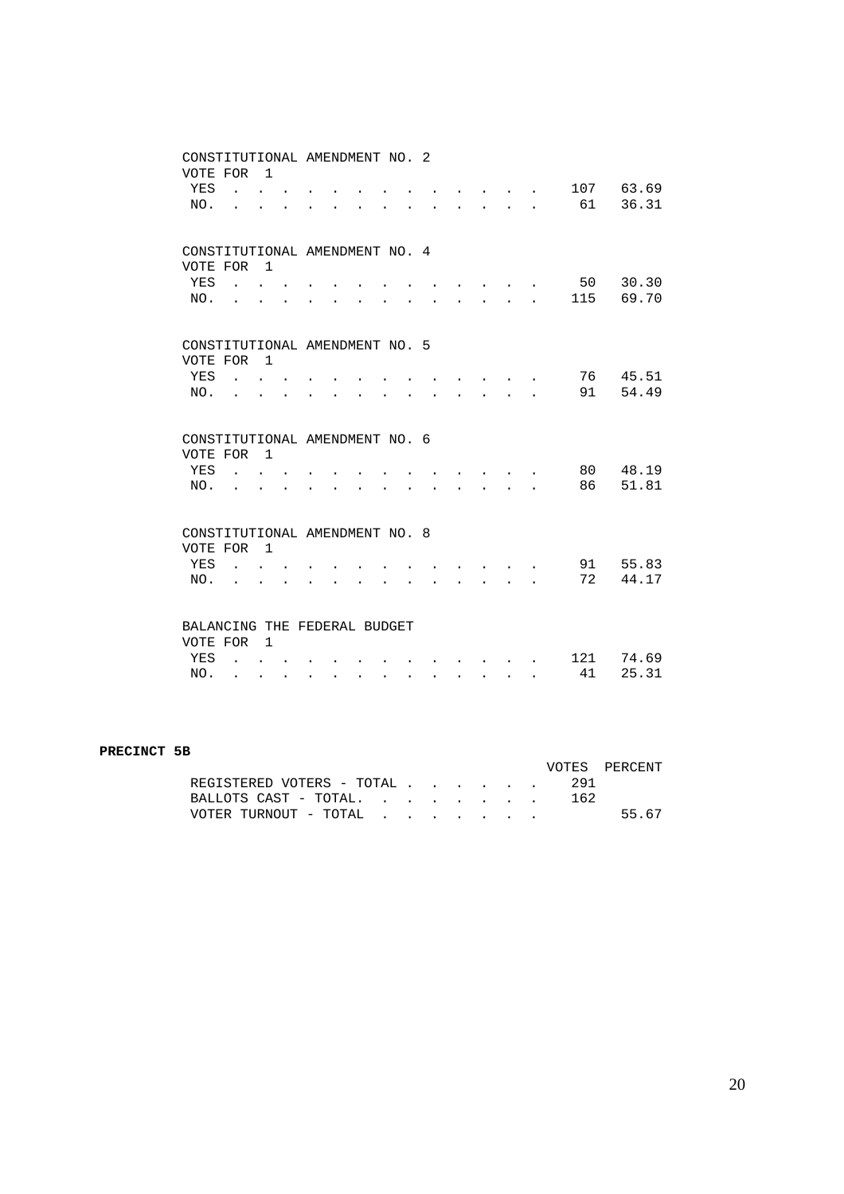|                                | CONSTITUTIONAL AMENDMENT NO. 2                            |                      |              |                      |                      |        |                      |                      |  |                                                                               |                             |           |                |
|--------------------------------|-----------------------------------------------------------|----------------------|--------------|----------------------|----------------------|--------|----------------------|----------------------|--|-------------------------------------------------------------------------------|-----------------------------|-----------|----------------|
| VOTE FOR                       |                                                           | $\overline{1}$       |              |                      |                      |        |                      |                      |  |                                                                               |                             |           |                |
| YES                            | <b>Contract Contract Contract</b>                         |                      |              |                      |                      |        |                      |                      |  | $\cdot$ $\cdot$ $\cdot$                                                       |                             |           | 107 63.69      |
| NO.                            |                                                           |                      |              |                      |                      |        |                      |                      |  | $\mathbf{L}$                                                                  | $\mathbf{r}$                | 61        | 36.31          |
|                                |                                                           |                      |              |                      |                      |        |                      |                      |  |                                                                               |                             |           |                |
| CONSTITUTIONAL AMENDMENT NO. 4 |                                                           |                      |              |                      |                      |        |                      |                      |  |                                                                               |                             |           |                |
| VOTE FOR                       |                                                           | $\overline{1}$       |              |                      |                      |        |                      |                      |  |                                                                               |                             |           |                |
| YES                            | $\mathbf{r}$ , $\mathbf{r}$ , $\mathbf{r}$ , $\mathbf{r}$ |                      |              |                      |                      |        |                      |                      |  |                                                                               |                             | 50        | 30.30          |
| NO.                            |                                                           |                      |              |                      |                      |        |                      |                      |  | $\mathbf{L}$                                                                  | $\mathbb{R}^{\mathbb{Z}^2}$ | 115       | 69.70          |
|                                |                                                           |                      |              |                      |                      |        |                      |                      |  |                                                                               |                             |           |                |
|                                |                                                           |                      |              |                      |                      |        |                      |                      |  |                                                                               |                             |           |                |
| CONSTITUTIONAL AMENDMENT NO. 5 |                                                           |                      |              |                      |                      |        |                      |                      |  |                                                                               |                             |           |                |
| VOTE FOR                       |                                                           | $\overline{1}$       |              |                      |                      |        |                      |                      |  |                                                                               |                             |           |                |
| YES                            |                                                           |                      |              |                      |                      |        |                      |                      |  |                                                                               |                             | 76        | 45.51          |
| NO.                            |                                                           |                      |              |                      |                      |        |                      |                      |  | $\mathbf{L}^{\text{max}}$                                                     |                             | 91        | 54.49          |
|                                |                                                           |                      |              |                      |                      |        |                      |                      |  |                                                                               |                             |           |                |
|                                |                                                           |                      |              |                      |                      |        |                      |                      |  |                                                                               |                             |           |                |
|                                |                                                           |                      |              |                      |                      |        |                      |                      |  |                                                                               |                             |           |                |
| CONSTITUTIONAL AMENDMENT NO. 6 |                                                           |                      |              |                      |                      |        |                      |                      |  |                                                                               |                             |           |                |
| VOTE FOR                       |                                                           | $\overline{1}$       |              |                      |                      |        |                      |                      |  |                                                                               |                             |           |                |
| YES                            | <b>College</b>                                            | $\mathbf{L}$         |              |                      |                      |        |                      |                      |  |                                                                               |                             | 80        | 48.19          |
| NO.                            |                                                           |                      |              |                      |                      |        |                      |                      |  |                                                                               |                             | 86        | 51.81          |
|                                |                                                           |                      |              |                      |                      |        |                      |                      |  |                                                                               |                             |           |                |
| CONSTITUTIONAL AMENDMENT NO. 8 |                                                           |                      |              |                      |                      |        |                      |                      |  |                                                                               |                             |           |                |
| VOTE FOR                       |                                                           | $\overline{1}$       |              |                      |                      |        |                      |                      |  |                                                                               |                             |           |                |
| YES                            |                                                           |                      |              |                      |                      |        |                      |                      |  |                                                                               |                             | 91        | 55.83          |
| NO.                            |                                                           |                      |              |                      |                      |        |                      |                      |  | $\ddot{\phantom{a}}$                                                          |                             | 72        | 44.17          |
|                                |                                                           |                      |              |                      |                      |        |                      |                      |  |                                                                               |                             |           |                |
|                                |                                                           |                      |              |                      |                      |        |                      |                      |  |                                                                               |                             |           |                |
| BALANCING THE FEDERAL BUDGET   |                                                           |                      |              |                      |                      |        |                      |                      |  |                                                                               |                             |           |                |
| VOTE FOR                       |                                                           | $\overline{1}$       |              |                      |                      |        |                      |                      |  |                                                                               |                             |           |                |
| YES<br>NO.                     | $\ddot{\phantom{a}}$                                      | $\ddot{\phantom{a}}$ | $\mathbf{L}$ | $\ddot{\phantom{0}}$ | $\ddot{\phantom{0}}$ | $\sim$ | $\ddot{\phantom{0}}$ | $\ddot{\phantom{0}}$ |  | $\mathbf{r} = \mathbf{r} + \mathbf{r} + \mathbf{r} + \mathbf{r} + \mathbf{r}$ |                             | 121<br>41 | 74.69<br>25.31 |

#### **PRECINCT 5B**

|                               |  |  |  | VOTES PERCENT |
|-------------------------------|--|--|--|---------------|
| REGISTERED VOTERS - TOTAL 291 |  |  |  |               |
|                               |  |  |  |               |
| VOTER TURNOUT - TOTAL         |  |  |  | 55.67         |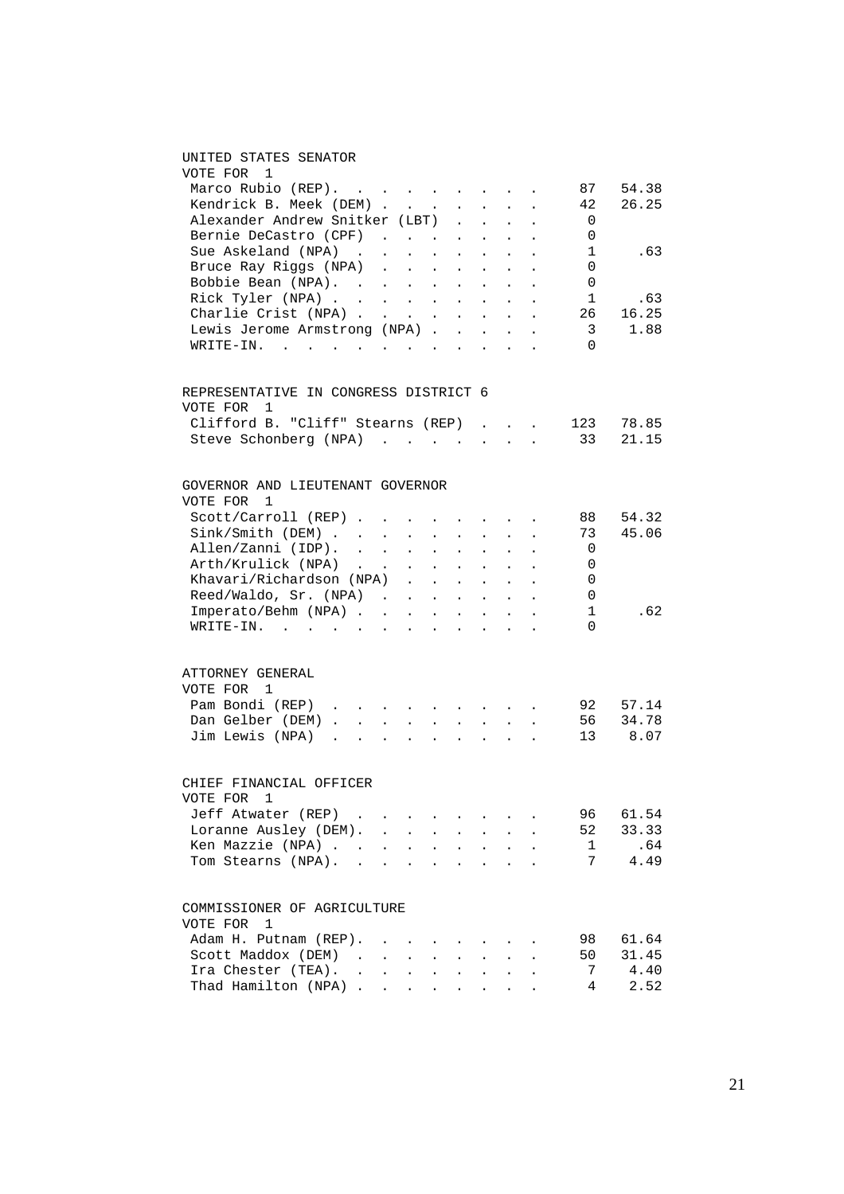### UNITED STATES SENATOR

| VOTE FOR 1                                                        |                         |                                                                                                                                                                                                                                                                                                                                                                                                                              |                             |                            |                                                           |                                                             |                                                                               |                          |                       |
|-------------------------------------------------------------------|-------------------------|------------------------------------------------------------------------------------------------------------------------------------------------------------------------------------------------------------------------------------------------------------------------------------------------------------------------------------------------------------------------------------------------------------------------------|-----------------------------|----------------------------|-----------------------------------------------------------|-------------------------------------------------------------|-------------------------------------------------------------------------------|--------------------------|-----------------------|
| Marco Rubio (REP).                                                |                         |                                                                                                                                                                                                                                                                                                                                                                                                                              |                             |                            |                                                           |                                                             |                                                                               | 87                       | 54.38                 |
| Kendrick B. Meek (DEM)                                            |                         |                                                                                                                                                                                                                                                                                                                                                                                                                              |                             |                            |                                                           |                                                             | $\sim$ $-$                                                                    | 42                       | 26.25                 |
| Alexander Andrew Snitker (LBT) .                                  |                         |                                                                                                                                                                                                                                                                                                                                                                                                                              |                             |                            | $\mathbf{A}^{\text{max}}$                                 | $\sim$ $-$                                                  |                                                                               | $\overline{0}$           |                       |
|                                                                   |                         |                                                                                                                                                                                                                                                                                                                                                                                                                              |                             |                            |                                                           |                                                             |                                                                               | 0                        |                       |
| Bernie DeCastro (CPF)<br>Sue Askeland (NPA)                       |                         |                                                                                                                                                                                                                                                                                                                                                                                                                              |                             |                            |                                                           |                                                             |                                                                               | $\overline{1}$           | .63                   |
| Bruce Ray Riggs (NPA)                                             |                         |                                                                                                                                                                                                                                                                                                                                                                                                                              |                             |                            |                                                           |                                                             |                                                                               |                          |                       |
|                                                                   |                         |                                                                                                                                                                                                                                                                                                                                                                                                                              |                             |                            |                                                           |                                                             |                                                                               | $\overline{0}$           |                       |
| Bobbie Bean (NPA).                                                |                         |                                                                                                                                                                                                                                                                                                                                                                                                                              |                             |                            |                                                           |                                                             |                                                                               | $\overline{0}$           |                       |
| Rick Tyler (NPA)                                                  |                         |                                                                                                                                                                                                                                                                                                                                                                                                                              |                             |                            |                                                           |                                                             |                                                                               | $\overline{1}$           | .63                   |
| Charlie Crist (NPA) $\cdots$ $\cdots$ $\cdots$                    |                         |                                                                                                                                                                                                                                                                                                                                                                                                                              |                             |                            |                                                           |                                                             |                                                                               | 26                       | 16.25                 |
| Lewis Jerome Armstrong (NPA)                                      |                         |                                                                                                                                                                                                                                                                                                                                                                                                                              |                             |                            | $\sim$                                                    | $\sim$                                                      |                                                                               | $\overline{3}$           | 1.88                  |
| WRITE-IN.                                                         |                         |                                                                                                                                                                                                                                                                                                                                                                                                                              |                             |                            |                                                           | $\sim$ $\sim$                                               |                                                                               | $\overline{0}$           |                       |
| REPRESENTATIVE IN CONGRESS DISTRICT 6                             |                         |                                                                                                                                                                                                                                                                                                                                                                                                                              |                             |                            |                                                           |                                                             |                                                                               |                          |                       |
| VOTE FOR 1                                                        |                         |                                                                                                                                                                                                                                                                                                                                                                                                                              |                             |                            |                                                           |                                                             |                                                                               |                          |                       |
| Clifford B. "Cliff" Stearns (REP) 123 78.85                       |                         |                                                                                                                                                                                                                                                                                                                                                                                                                              |                             |                            |                                                           |                                                             |                                                                               |                          |                       |
| Steve Schonberg (NPA)                                             |                         |                                                                                                                                                                                                                                                                                                                                                                                                                              |                             |                            |                                                           |                                                             |                                                                               | 33                       | 21.15                 |
|                                                                   |                         |                                                                                                                                                                                                                                                                                                                                                                                                                              |                             |                            |                                                           |                                                             |                                                                               |                          |                       |
| GOVERNOR AND LIEUTENANT GOVERNOR                                  |                         |                                                                                                                                                                                                                                                                                                                                                                                                                              |                             |                            |                                                           |                                                             |                                                                               |                          |                       |
| VOTE FOR 1                                                        |                         |                                                                                                                                                                                                                                                                                                                                                                                                                              |                             |                            |                                                           |                                                             |                                                                               |                          |                       |
| Scott/Carroll (REP)                                               |                         | $\sim$                                                                                                                                                                                                                                                                                                                                                                                                                       |                             |                            |                                                           |                                                             | $\mathbf{r} = \mathbf{r} + \mathbf{r} + \mathbf{r} + \mathbf{r} + \mathbf{r}$ | 88                       | 54.32                 |
| Sink/Smith (DEM)                                                  | $\sim 10^{-11}$         | $\sim$                                                                                                                                                                                                                                                                                                                                                                                                                       | $\mathcal{L}^{\mathcal{L}}$ | $\sim$ $-$                 | $\ddot{\phantom{0}}$                                      | $\sim$                                                      |                                                                               | 73                       | 45.06                 |
| Allen/Zanni (IDP).                                                |                         |                                                                                                                                                                                                                                                                                                                                                                                                                              |                             |                            |                                                           |                                                             |                                                                               | $\overline{0}$           |                       |
| Arth/Krulick (NPA)                                                |                         |                                                                                                                                                                                                                                                                                                                                                                                                                              |                             |                            |                                                           |                                                             |                                                                               | $\overline{0}$           |                       |
| Khavari/Richardson (NPA)                                          |                         |                                                                                                                                                                                                                                                                                                                                                                                                                              |                             |                            |                                                           |                                                             |                                                                               | $\overline{0}$           |                       |
| $\text{Reed/Waldo}, \text{Sr.} (\text{NPA})$                      |                         |                                                                                                                                                                                                                                                                                                                                                                                                                              |                             |                            |                                                           |                                                             |                                                                               | $\overline{\phantom{0}}$ |                       |
| $Imperato/Behm (NPA)$                                             |                         |                                                                                                                                                                                                                                                                                                                                                                                                                              |                             |                            |                                                           | $\mathcal{A}^{\mathcal{A}}$ and $\mathcal{A}^{\mathcal{A}}$ |                                                                               | $\overline{1}$           | .62                   |
| WRITE-IN.                                                         |                         | $\mathbf{r} = \mathbf{r} + \mathbf{r} + \mathbf{r} + \mathbf{r} + \mathbf{r}$                                                                                                                                                                                                                                                                                                                                                |                             |                            |                                                           | $\sim$                                                      | $\ddot{\phantom{a}}$                                                          | $\Omega$                 |                       |
|                                                                   |                         |                                                                                                                                                                                                                                                                                                                                                                                                                              |                             |                            |                                                           |                                                             |                                                                               |                          |                       |
| ATTORNEY GENERAL                                                  |                         |                                                                                                                                                                                                                                                                                                                                                                                                                              |                             |                            |                                                           |                                                             |                                                                               |                          |                       |
| VOTE FOR 1                                                        |                         |                                                                                                                                                                                                                                                                                                                                                                                                                              |                             |                            |                                                           |                                                             |                                                                               |                          |                       |
| Pam Bondi (REP)                                                   |                         |                                                                                                                                                                                                                                                                                                                                                                                                                              |                             |                            |                                                           |                                                             |                                                                               | 92                       | 57.14<br>$56$ $34.78$ |
| Dan Gelber (DEM)                                                  |                         | <b>Contract Contract</b>                                                                                                                                                                                                                                                                                                                                                                                                     |                             |                            | $\mathcal{L}^{\text{max}}$ and $\mathcal{L}^{\text{max}}$ | $\sim$ $-$                                                  |                                                                               |                          |                       |
| Jim Lewis (NPA) $\cdot \cdot \cdot \cdot \cdot \cdot \cdot \cdot$ |                         |                                                                                                                                                                                                                                                                                                                                                                                                                              |                             |                            |                                                           |                                                             |                                                                               |                          | 13 8.07               |
| CHIEF FINANCIAL OFFICER                                           |                         |                                                                                                                                                                                                                                                                                                                                                                                                                              |                             |                            |                                                           |                                                             |                                                                               |                          |                       |
| VOTE FOR 1                                                        |                         |                                                                                                                                                                                                                                                                                                                                                                                                                              |                             |                            |                                                           |                                                             |                                                                               |                          |                       |
| Jeff Atwater (REP)                                                |                         |                                                                                                                                                                                                                                                                                                                                                                                                                              |                             |                            |                                                           |                                                             |                                                                               | 96                       | 61.54                 |
| Loranne Ausley (DEM). .                                           |                         | $\mathbf{L}$                                                                                                                                                                                                                                                                                                                                                                                                                 | $\mathbf{r}$                | $\sim$                     | $\mathbf{r}$                                              | $\sim$                                                      | $\ddot{\phantom{0}}$                                                          | 52                       | 33.33                 |
| Ken Mazzie (NPA).                                                 |                         | $\mathbf{u} = \mathbf{u} + \mathbf{u} + \mathbf{u} + \mathbf{u} + \mathbf{u} + \mathbf{u} + \mathbf{u} + \mathbf{u} + \mathbf{u} + \mathbf{u} + \mathbf{u} + \mathbf{u} + \mathbf{u} + \mathbf{u} + \mathbf{u} + \mathbf{u} + \mathbf{u} + \mathbf{u} + \mathbf{u} + \mathbf{u} + \mathbf{u} + \mathbf{u} + \mathbf{u} + \mathbf{u} + \mathbf{u} + \mathbf{u} + \mathbf{u} + \mathbf{u} + \mathbf{u} + \mathbf{u} + \mathbf$ |                             |                            |                                                           |                                                             |                                                                               | $\mathbf{1}$             | .64                   |
| Tom Stearns (NPA). .                                              |                         | the contract of the contract of the contract of the contract of the contract of the contract of the contract of                                                                                                                                                                                                                                                                                                              |                             |                            |                                                           |                                                             |                                                                               | 7                        | 4.49                  |
|                                                                   |                         |                                                                                                                                                                                                                                                                                                                                                                                                                              |                             |                            |                                                           |                                                             |                                                                               |                          |                       |
| COMMISSIONER OF AGRICULTURE                                       |                         |                                                                                                                                                                                                                                                                                                                                                                                                                              |                             |                            |                                                           |                                                             |                                                                               |                          |                       |
| VOTE FOR<br>1                                                     |                         |                                                                                                                                                                                                                                                                                                                                                                                                                              |                             |                            |                                                           |                                                             |                                                                               |                          |                       |
| Adam H. Putnam (REP).                                             |                         |                                                                                                                                                                                                                                                                                                                                                                                                                              |                             |                            |                                                           |                                                             |                                                                               | 98                       | 61.64                 |
| Scott Maddox (DEM)<br>$\sim$ $\sim$                               | $\sim 100$ km s $^{-1}$ | $\mathcal{L}^{\text{max}}$                                                                                                                                                                                                                                                                                                                                                                                                   | $\mathcal{L}^{\text{max}}$  | $\mathcal{L}^{\text{max}}$ | $\ddot{\phantom{a}}$                                      | $\mathcal{L}^{\text{max}}$                                  |                                                                               | 50                       | 31.45                 |
| Ira Chester (TEA). .                                              | $\sim 10^{-11}$         | $\mathcal{L}^{\text{max}}$                                                                                                                                                                                                                                                                                                                                                                                                   | $\ddot{\phantom{0}}$        | $\ddot{\phantom{0}}$       | $\ddot{\phantom{0}}$                                      | $\ddot{\phantom{0}}$                                        |                                                                               | 7                        | 4.40                  |
| Thad Hamilton (NPA).                                              | $\ddot{\phantom{0}}$    |                                                                                                                                                                                                                                                                                                                                                                                                                              |                             |                            |                                                           |                                                             |                                                                               | 4                        | 2.52                  |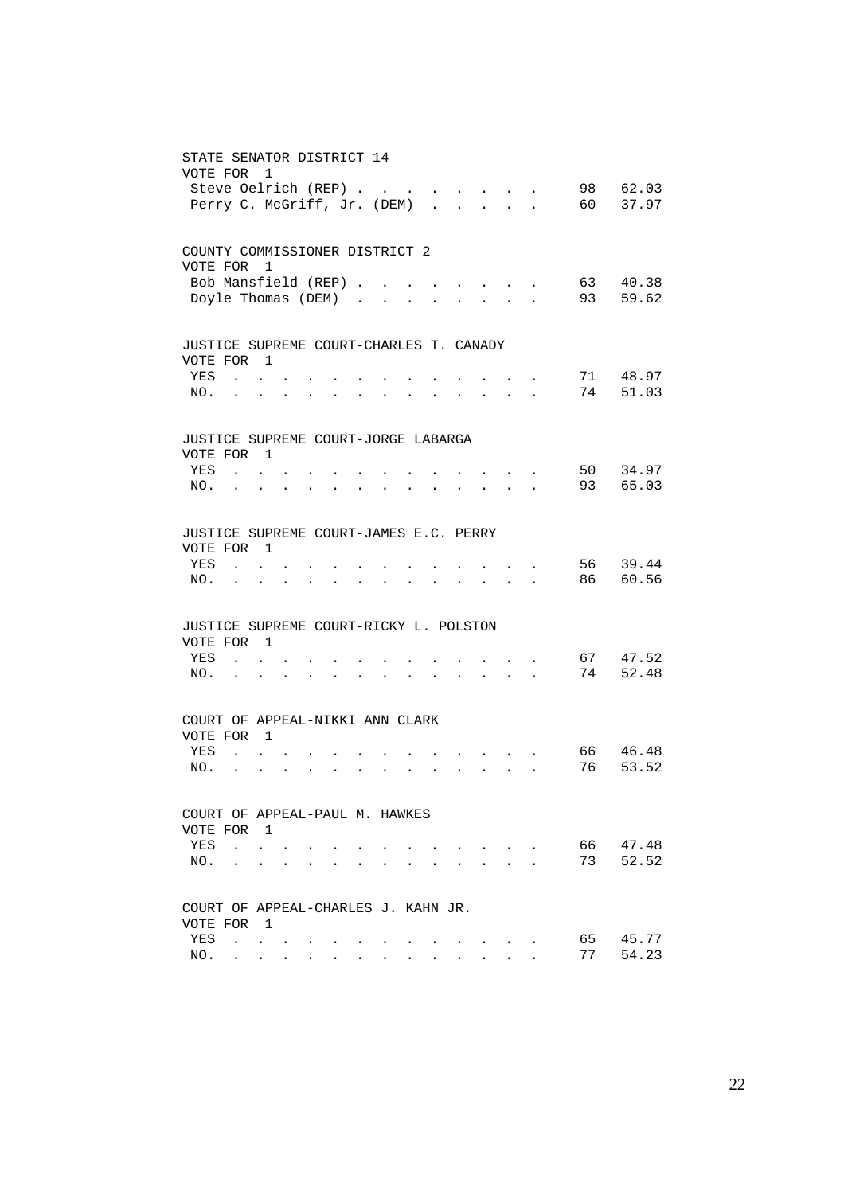| STATE SENATOR DISTRICT 14<br>VOTE FOR                              | Steve Oelrich (REP)<br>Perry C. McGriff, Jr. (DEM)                              | 1                                                  |                      |                      |                           |                      |                      |                      |                                                                                 |                           |                                                                                                                                     |                                                       |                                        | 98<br>60 — | 62.03<br>37.97    |
|--------------------------------------------------------------------|---------------------------------------------------------------------------------|----------------------------------------------------|----------------------|----------------------|---------------------------|----------------------|----------------------|----------------------|---------------------------------------------------------------------------------|---------------------------|-------------------------------------------------------------------------------------------------------------------------------------|-------------------------------------------------------|----------------------------------------|------------|-------------------|
| COUNTY COMMISSIONER DISTRICT 2<br>VOTE FOR 1                       | Bob Mansfield (REP)                                                             |                                                    |                      |                      |                           |                      |                      |                      |                                                                                 |                           |                                                                                                                                     |                                                       |                                        | 63         | 40.38             |
|                                                                    | Doyle Thomas (DEM)                                                              |                                                    |                      |                      |                           |                      |                      | $\ddot{\phantom{a}}$ | $\ddot{\phantom{0}}$                                                            | $\mathbf{a} = \mathbf{a}$ |                                                                                                                                     | $\mathbf{z} = \mathbf{z} + \mathbf{z} + \mathbf{z}$ . |                                        | 93         | 59.62             |
| JUSTICE SUPREME COURT-CHARLES T. CANADY<br>VOTE FOR 1              |                                                                                 |                                                    |                      |                      |                           |                      |                      |                      |                                                                                 |                           |                                                                                                                                     |                                                       |                                        |            |                   |
| YES<br>NO.                                                         | $\mathbf{r}$ , $\mathbf{r}$ , $\mathbf{r}$<br>$\ddot{\phantom{0}}$              | $\ddot{\phantom{0}}$                               | $\ddot{\phantom{0}}$ | $\ddot{\phantom{a}}$ | <b>Contract Contract</b>  | $\bullet$            | $\ddot{\phantom{a}}$ | $\ddotsc$            |                                                                                 |                           |                                                                                                                                     |                                                       |                                        | 71<br>74   | 48.97<br>51.03    |
| JUSTICE SUPREME COURT-JORGE LABARGA<br>VOTE FOR 1<br>YES           | <b>Contract Contract Contract</b>                                               |                                                    |                      |                      |                           |                      |                      |                      |                                                                                 |                           |                                                                                                                                     |                                                       |                                        | 50         | 34.97             |
| NO.                                                                | <b>Contract Contract Contract</b>                                               |                                                    |                      | $\ddot{\phantom{a}}$ | $\ddot{\phantom{a}}$      | $\bullet$            | $\bullet$            | $\ddot{\phantom{a}}$ | $\ddot{\phantom{a}}$                                                            | $\ddot{\phantom{a}}$      |                                                                                                                                     |                                                       | and a strategic state                  | 93         | 65.03             |
| JUSTICE SUPREME COURT-JAMES E.C. PERRY<br>VOTE FOR 1<br>YES<br>NO. | <b>Contract Contract Contract</b>                                               | $\mathbf{r} = \mathbf{r}$                          | $\sim$               |                      | $\mathbf{L} = \mathbf{L}$ | $\ddot{\phantom{a}}$ | $\ddot{\phantom{0}}$ | $\ddot{\phantom{a}}$ |                                                                                 |                           | $\mathbf{r}$ , and $\mathbf{r}$ , and $\mathbf{r}$<br>$\mathbf{r} = \mathbf{r} + \mathbf{r} + \mathbf{r} + \mathbf{r} + \mathbf{r}$ |                                                       |                                        | 56<br>86 — | 39.44<br>60.56    |
| JUSTICE SUPREME COURT-RICKY L. POLSTON<br>VOTE FOR 1               |                                                                                 |                                                    |                      |                      |                           |                      |                      |                      |                                                                                 |                           |                                                                                                                                     |                                                       |                                        |            |                   |
| YES<br>NO.                                                         | <b>Contract Contract</b><br>$\mathbf{r}$ . The set of $\mathbf{r}$              |                                                    | $\sim$ $\sim$        | $\ddot{\phantom{0}}$ | $\ddot{\phantom{1}}$      |                      | $\ddot{\phantom{0}}$ |                      |                                                                                 | $\ddot{\phantom{0}}$      | $\sim$ $\sim$                                                                                                                       |                                                       | $\mathbf{r}$ . The set of $\mathbf{r}$ | 74         | 67 47.52<br>52.48 |
| COURT OF APPEAL-NIKKI ANN CLARK<br>VOTE FOR 1                      |                                                                                 |                                                    |                      |                      |                           |                      |                      |                      |                                                                                 |                           |                                                                                                                                     |                                                       |                                        |            |                   |
| YES<br>NO.                                                         | <b>Contract Contract Contract</b><br>$\mathbf{r}$ , $\mathbf{r}$ , $\mathbf{r}$ |                                                    | $\sim$               | $\ddotsc$            |                           | $\ddot{\phantom{a}}$ | $\ddot{\phantom{a}}$ | $\ddot{\phantom{0}}$ |                                                                                 |                           | $\mathbf{r} = \mathbf{r} + \mathbf{r} + \mathbf{r} + \mathbf{r} + \mathbf{r}$                                                       |                                                       |                                        | 66<br>76   | 46.48<br>53.52    |
| COURT OF APPEAL-PAUL M. HAWKES<br>VOTE FOR 1                       |                                                                                 |                                                    |                      |                      |                           |                      |                      |                      |                                                                                 |                           |                                                                                                                                     |                                                       |                                        |            |                   |
| YES<br>NO.                                                         | $\mathbf{r}$ , $\mathbf{r}$ , $\mathbf{r}$                                      | <b>Contract Contract Contract Contract</b>         |                      |                      | $\sim$                    | $\ddot{\phantom{a}}$ |                      |                      | the contract of the contract of the contract of the contract of the contract of |                           | $\sim$ $\sim$ $\sim$ $\sim$ $\sim$                                                                                                  |                                                       |                                        | 66 —<br>73 | 47.48<br>52.52    |
| COURT OF APPEAL-CHARLES J. KAHN JR.                                |                                                                                 |                                                    |                      |                      |                           |                      |                      |                      |                                                                                 |                           |                                                                                                                                     |                                                       |                                        |            |                   |
| VOTE FOR 1<br>YES                                                  | and the state of the state of                                                   |                                                    |                      |                      |                           | $\bullet$            |                      |                      |                                                                                 |                           |                                                                                                                                     | $\mathbf{z} = \mathbf{z} + \mathbf{z}$ .              |                                        | 65 —       | 45.77             |
| NO.                                                                |                                                                                 | $\mathbf{r}$ , and $\mathbf{r}$ , and $\mathbf{r}$ |                      |                      | $\ddot{\phantom{1}}$      | $\ddot{\phantom{a}}$ |                      |                      |                                                                                 |                           |                                                                                                                                     |                                                       |                                        | 77         | 54.23             |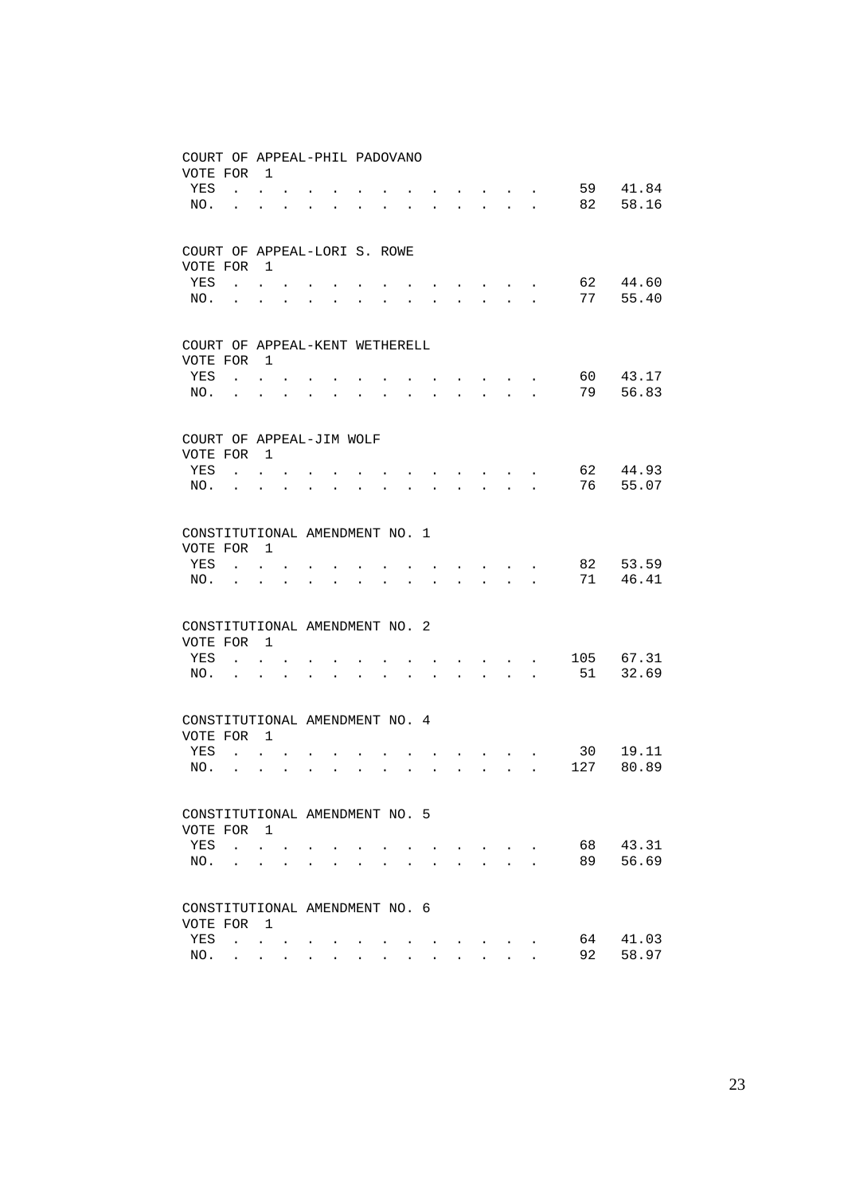| COURT OF APPEAL-PHIL PADOVANO  |                                                             |                               |                      |                      |                               |                      |                      |                                                                 |                                                             |                                                                 |                                                                                                                           |                                 |                      |      |       |
|--------------------------------|-------------------------------------------------------------|-------------------------------|----------------------|----------------------|-------------------------------|----------------------|----------------------|-----------------------------------------------------------------|-------------------------------------------------------------|-----------------------------------------------------------------|---------------------------------------------------------------------------------------------------------------------------|---------------------------------|----------------------|------|-------|
| VOTE FOR                       |                                                             | $\overline{1}$                |                      |                      |                               |                      |                      |                                                                 |                                                             |                                                                 |                                                                                                                           |                                 |                      |      |       |
| YES                            |                                                             | $\mathbf{L} = \mathbf{L}$     |                      |                      |                               |                      |                      |                                                                 |                                                             |                                                                 |                                                                                                                           |                                 |                      | 59   | 41.84 |
| NO.                            | $\ddot{\phantom{a}}$                                        | $\ddot{\phantom{0}}$          | $\ddot{\phantom{a}}$ | $\bullet$            | <b>Contract Contract</b>      | $\cdot$              | $\ddot{\phantom{a}}$ | $\bullet$                                                       |                                                             |                                                                 |                                                                                                                           |                                 |                      | 82   | 58.16 |
|                                |                                                             |                               |                      |                      |                               |                      |                      |                                                                 |                                                             |                                                                 |                                                                                                                           |                                 |                      |      |       |
| COURT OF APPEAL-LORI S. ROWE   |                                                             |                               |                      |                      |                               |                      |                      |                                                                 |                                                             |                                                                 |                                                                                                                           |                                 |                      |      |       |
|                                |                                                             |                               |                      |                      |                               |                      |                      |                                                                 |                                                             |                                                                 |                                                                                                                           |                                 |                      |      |       |
| VOTE FOR<br>YES                |                                                             | $\overline{\phantom{0}}$      |                      |                      |                               |                      |                      |                                                                 |                                                             |                                                                 |                                                                                                                           |                                 |                      | 62   | 44.60 |
| NO.                            |                                                             | $\mathbf{L} = \mathbf{L}$     |                      |                      |                               |                      |                      |                                                                 |                                                             |                                                                 | $\cdot$                                                                                                                   |                                 |                      | 77   | 55.40 |
|                                | $\bullet$ .<br><br><br><br><br><br><br><br><br><br><br><br> | $\ddot{\phantom{0}}$          | $\ddot{\phantom{0}}$ | $\bullet$            | $\bullet$                     |                      |                      |                                                                 | $\ddot{\phantom{0}}$                                        | $\ddotsc$                                                       |                                                                                                                           | <b>All Andre</b>                | $\bullet$            |      |       |
|                                |                                                             |                               |                      |                      |                               |                      |                      |                                                                 |                                                             |                                                                 |                                                                                                                           |                                 |                      |      |       |
| COURT OF APPEAL-KENT WETHERELL |                                                             |                               |                      |                      |                               |                      |                      |                                                                 |                                                             |                                                                 |                                                                                                                           |                                 |                      |      |       |
| VOTE FOR                       |                                                             | $\overline{1}$                |                      |                      |                               |                      |                      |                                                                 |                                                             |                                                                 |                                                                                                                           |                                 |                      |      |       |
| YES                            |                                                             | $\mathbf{L}$ and $\mathbf{L}$ |                      |                      |                               |                      |                      |                                                                 |                                                             |                                                                 |                                                                                                                           | $\mathbf{r}$ , and $\mathbf{r}$ |                      | 60 — | 43.17 |
| NO.                            |                                                             |                               |                      | $\ddot{\phantom{a}}$ | <b>Contract Contract</b>      | $\ddot{\phantom{a}}$ | $\ddot{\phantom{0}}$ | $\bullet$ .<br><br><br><br><br><br><br><br><br><br><br><br><br> | $\bullet$ .<br><br><br><br><br><br><br><br><br><br><br><br> |                                                                 | $\begin{array}{cccccccccccccc} \bullet & \bullet & \bullet & \bullet & \bullet & \bullet & \bullet & \bullet \end{array}$ |                                 |                      | 79   | 56.83 |
|                                |                                                             |                               |                      |                      |                               |                      |                      |                                                                 |                                                             |                                                                 |                                                                                                                           |                                 |                      |      |       |
| COURT OF APPEAL-JIM WOLF       |                                                             |                               |                      |                      |                               |                      |                      |                                                                 |                                                             |                                                                 |                                                                                                                           |                                 |                      |      |       |
| VOTE FOR                       |                                                             | $\overline{1}$                |                      |                      |                               |                      |                      |                                                                 |                                                             |                                                                 |                                                                                                                           |                                 |                      |      |       |
| YES                            |                                                             | $\mathbf{L} = \mathbf{L}$     |                      |                      |                               |                      |                      |                                                                 |                                                             |                                                                 | $\cdot$                                                                                                                   |                                 |                      | 62   | 44.93 |
| NO.                            | $\mathbf{L}$                                                | $\ddot{\phantom{0}}$          | $\ddot{\phantom{0}}$ | $\ddot{\phantom{a}}$ | $\ddot{\phantom{a}}$          | $\ddot{\phantom{a}}$ |                      |                                                                 |                                                             |                                                                 | <b>All Carl Carl Control</b>                                                                                              |                                 | $\ddot{\phantom{a}}$ | 76   | 55.07 |
|                                |                                                             |                               |                      |                      |                               |                      |                      |                                                                 |                                                             |                                                                 |                                                                                                                           |                                 |                      |      |       |
| CONSTITUTIONAL AMENDMENT NO. 1 |                                                             |                               |                      |                      |                               |                      |                      |                                                                 |                                                             |                                                                 |                                                                                                                           |                                 |                      |      |       |
| VOTE FOR                       |                                                             | $\overline{1}$                |                      |                      |                               |                      |                      |                                                                 |                                                             |                                                                 |                                                                                                                           |                                 |                      |      |       |
| YES                            |                                                             |                               |                      |                      |                               |                      |                      |                                                                 |                                                             |                                                                 |                                                                                                                           |                                 |                      | 82   | 53.59 |
|                                |                                                             | $\mathbf{L} = \mathbf{L}$     |                      |                      |                               |                      |                      |                                                                 |                                                             |                                                                 | and the state of the state of the                                                                                         |                                 |                      | 71   | 46.41 |
| NO.                            |                                                             |                               | $\ddot{\phantom{a}}$ |                      | $\mathbf{L} = \mathbf{L}$     | $\bullet$            | $\ddot{\phantom{a}}$ | $\ddot{\phantom{a}}$                                            |                                                             | $\mathbf{r}$ and $\mathbf{r}$ and $\mathbf{r}$ and $\mathbf{r}$ |                                                                                                                           |                                 |                      |      |       |
|                                |                                                             |                               |                      |                      |                               |                      |                      |                                                                 |                                                             |                                                                 |                                                                                                                           |                                 |                      |      |       |
| CONSTITUTIONAL AMENDMENT NO. 2 |                                                             |                               |                      |                      |                               |                      |                      |                                                                 |                                                             |                                                                 |                                                                                                                           |                                 |                      |      |       |
| VOTE FOR                       |                                                             | $\overline{1}$                |                      |                      |                               |                      |                      |                                                                 |                                                             |                                                                 |                                                                                                                           |                                 |                      |      |       |
| YES                            |                                                             | $\mathbf{r} = \mathbf{r}$     |                      |                      |                               |                      |                      |                                                                 |                                                             |                                                                 | $\mathbf{r}$ , $\mathbf{r}$ , $\mathbf{r}$ , $\mathbf{r}$ , $\mathbf{r}$                                                  |                                 |                      | 105  | 67.31 |
| NO.                            | $\ddot{\phantom{a}}$                                        | $\ddot{\phantom{0}}$          | $\ddot{\phantom{a}}$ | $\ddot{\phantom{a}}$ | $\ddot{\phantom{a}}$          |                      |                      |                                                                 |                                                             |                                                                 | $\mathbf{r}$ , $\mathbf{r}$ , $\mathbf{r}$                                                                                |                                 | $\ddot{\phantom{a}}$ | 51   | 32.69 |
|                                |                                                             |                               |                      |                      |                               |                      |                      |                                                                 |                                                             |                                                                 |                                                                                                                           |                                 |                      |      |       |
| CONSTITUTIONAL AMENDMENT NO. 4 |                                                             |                               |                      |                      |                               |                      |                      |                                                                 |                                                             |                                                                 |                                                                                                                           |                                 |                      |      |       |
| VOTE FOR                       |                                                             | $\overline{1}$                |                      |                      |                               |                      |                      |                                                                 |                                                             |                                                                 |                                                                                                                           |                                 |                      |      |       |
| YES                            | $\mathbf{r}$ , $\mathbf{r}$                                 |                               |                      |                      |                               |                      |                      |                                                                 |                                                             |                                                                 |                                                                                                                           |                                 |                      | 30   | 19.11 |
| NO.                            |                                                             | $\ddot{\phantom{a}}$          | $\ddot{\phantom{0}}$ |                      | $\mathbf{L}$ and $\mathbf{L}$ | $\ddot{\phantom{a}}$ | $\ddot{\phantom{a}}$ |                                                                 | $\ddot{\phantom{a}}$                                        | $\ddot{\phantom{a}}$                                            |                                                                                                                           | $\mathbf{L} = \mathbf{L}$       |                      | 127  | 80.89 |
|                                |                                                             |                               |                      |                      |                               |                      |                      |                                                                 |                                                             |                                                                 |                                                                                                                           |                                 |                      |      |       |
| CONSTITUTIONAL AMENDMENT NO. 5 |                                                             |                               |                      |                      |                               |                      |                      |                                                                 |                                                             |                                                                 |                                                                                                                           |                                 |                      |      |       |
| VOTE FOR 1                     |                                                             |                               |                      |                      |                               |                      |                      |                                                                 |                                                             |                                                                 |                                                                                                                           |                                 |                      |      |       |
| YES                            | $\sim$ $\sim$ $\sim$                                        |                               |                      |                      |                               |                      |                      |                                                                 |                                                             |                                                                 |                                                                                                                           |                                 |                      | 68 — | 43.31 |
|                                |                                                             |                               |                      |                      |                               |                      |                      |                                                                 |                                                             |                                                                 | $\sim$ $\sim$ $\sim$ $\sim$ $\sim$                                                                                        | <b>Contract Contract</b>        |                      | 89   | 56.69 |
| NO.                            |                                                             | <b>Contract Contract</b>      |                      |                      |                               |                      |                      |                                                                 |                                                             |                                                                 | $\ddot{\phantom{a}}$                                                                                                      |                                 | $\ddot{\phantom{a}}$ |      |       |
|                                |                                                             |                               |                      |                      |                               |                      |                      |                                                                 |                                                             |                                                                 |                                                                                                                           |                                 |                      |      |       |
| CONSTITUTIONAL AMENDMENT NO. 6 |                                                             |                               |                      |                      |                               |                      |                      |                                                                 |                                                             |                                                                 |                                                                                                                           |                                 |                      |      |       |
| VOTE FOR                       |                                                             | $\overline{1}$                |                      |                      |                               |                      |                      |                                                                 |                                                             |                                                                 |                                                                                                                           |                                 |                      |      |       |
| YES                            | <b>Contract Contract</b>                                    |                               |                      |                      |                               |                      |                      |                                                                 |                                                             |                                                                 |                                                                                                                           |                                 |                      | 64   | 41.03 |
| NO.                            |                                                             | <b>All All And</b>            |                      |                      |                               |                      |                      |                                                                 |                                                             |                                                                 |                                                                                                                           |                                 |                      | 92   | 58.97 |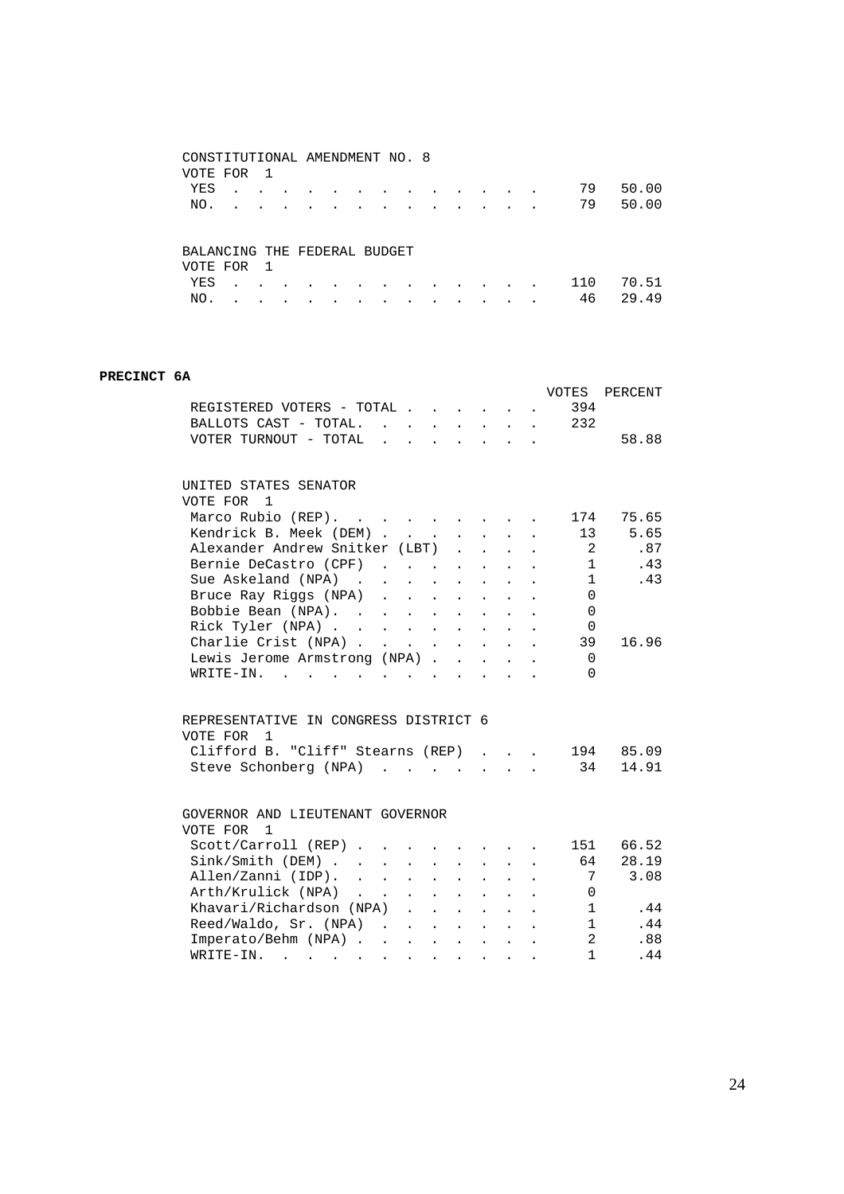| CONSTITUTIONAL AMENDMENT NO. 8 |           |              |           |   |  |           |           |           |           |     |       |
|--------------------------------|-----------|--------------|-----------|---|--|-----------|-----------|-----------|-----------|-----|-------|
| VOTE FOR                       |           | $\mathbf{1}$ |           |   |  |           |           |           |           |     |       |
| YES                            |           |              |           |   |  |           |           |           | $\bullet$ | 79  | 50.00 |
| NO.                            |           |              | $\bullet$ |   |  |           |           |           | $\bullet$ | 79  | 50.00 |
|                                |           |              |           |   |  |           |           |           |           |     |       |
|                                |           |              |           |   |  |           |           |           |           |     |       |
| BALANCING THE FEDERAL BUDGET   |           |              |           |   |  |           |           |           |           |     |       |
| VOTE FOR                       |           | - 1          |           |   |  |           |           |           |           |     |       |
| YES                            | $\bullet$ |              | ۰         | ۰ |  | $\bullet$ | $\bullet$ | $\bullet$ | $\bullet$ | 110 | 70.51 |
| NO.                            |           |              |           |   |  |           |           |           | $\bullet$ | 46  | 29.49 |

#### **PRECINCT 6A**

|                                                                                                                                                                                                               |                                                                            |                                                        |                      | VOTES        | PERCENT   |
|---------------------------------------------------------------------------------------------------------------------------------------------------------------------------------------------------------------|----------------------------------------------------------------------------|--------------------------------------------------------|----------------------|--------------|-----------|
| REGISTERED VOTERS - TOTAL                                                                                                                                                                                     |                                                                            |                                                        |                      | 394          |           |
| BALLOTS CAST - TOTAL. 232                                                                                                                                                                                     |                                                                            |                                                        |                      |              |           |
| $\mathbf{r} = \mathbf{r} \mathbf{r}$<br>VOTER TURNOUT - TOTAL                                                                                                                                                 | $\mathbf{r} = \mathbf{r} \times \mathbf{r} = \mathbf{r} \times \mathbf{r}$ |                                                        |                      |              | 58.88     |
|                                                                                                                                                                                                               |                                                                            |                                                        |                      |              |           |
| UNITED STATES SENATOR                                                                                                                                                                                         |                                                                            |                                                        |                      |              |           |
| VOTE FOR 1                                                                                                                                                                                                    |                                                                            |                                                        |                      |              |           |
| Marco Rubio (REP).                                                                                                                                                                                            |                                                                            |                                                        |                      | 174          | 75.65     |
| Kendrick B. Meek (DEM)<br>$\mathcal{L}^{\text{max}}$                                                                                                                                                          | $\mathbf{r}$ $\mathbf{r}$ $\mathbf{r}$ $\mathbf{r}$                        |                                                        |                      | 13           | 5.65      |
| Alexander Andrew Snitker (LBT)                                                                                                                                                                                |                                                                            | $\mathbf{L}$                                           |                      | 2            | .87       |
| Bernie DeCastro (CPF)                                                                                                                                                                                         |                                                                            |                                                        |                      | $\mathbf{1}$ | .43       |
| Sue Askeland (NPA)                                                                                                                                                                                            |                                                                            | $\mathbf{r}$                                           |                      | $\mathbf{1}$ | .43       |
| Bruce Ray Riggs (NPA)                                                                                                                                                                                         |                                                                            |                                                        |                      | $\Omega$     |           |
| Bobbie Bean (NPA).<br>Rick Tyler (NPA)                                                                                                                                                                        | $\sim 10^{-11}$                                                            | $\ddot{\phantom{a}}$                                   |                      | $\Omega$     |           |
|                                                                                                                                                                                                               | $\mathbf{L} = \mathbf{L}$                                                  |                                                        |                      | $\mathbf 0$  |           |
| Charlie Crist (NPA)                                                                                                                                                                                           |                                                                            |                                                        |                      | 39           | 16.96     |
| Lewis Jerome Armstrong (NPA)                                                                                                                                                                                  | $\sim 10^{-11}$                                                            | $\ddot{\phantom{a}}$                                   |                      | $\Omega$     |           |
| $W\text{RITE}-\text{IN}$ , , , , ,                                                                                                                                                                            | $\mathbf{r}$                                                               |                                                        |                      | 0            |           |
| REPRESENTATIVE IN CONGRESS DISTRICT 6                                                                                                                                                                         |                                                                            |                                                        |                      |              |           |
| VOTE FOR 1                                                                                                                                                                                                    |                                                                            |                                                        |                      |              |           |
| Clifford B. "Cliff" Stearns (REP)                                                                                                                                                                             |                                                                            |                                                        |                      |              | 194 85.09 |
| Steve Schonberg (NPA)                                                                                                                                                                                         |                                                                            |                                                        |                      | 34           | 14.91     |
| GOVERNOR AND LIEUTENANT GOVERNOR                                                                                                                                                                              |                                                                            |                                                        |                      |              |           |
| VOTE FOR 1                                                                                                                                                                                                    |                                                                            |                                                        |                      |              |           |
| Scott/Carroll (REP)                                                                                                                                                                                           |                                                                            |                                                        |                      | 151          | 66.52     |
|                                                                                                                                                                                                               | $\mathbf{z} = \mathbf{z} + \mathbf{z}$ , where $\mathbf{z} = \mathbf{z}$   |                                                        | $\ddot{\phantom{0}}$ | 64           | 28.19     |
| Sink/Smith (DEM)<br>Allen/Zanni (IDP).<br>$\ddot{\phantom{a}}$                                                                                                                                                | $\sim$ $\sim$                                                              |                                                        |                      | 7            | 3.08      |
| $\mathcal{L}^{\text{max}}$                                                                                                                                                                                    | $\sim$ $-$                                                                 |                                                        |                      |              |           |
| Arth/Krulick (NPA)<br>Khavari/Richardson (NPA)<br>$\mathcal{L}^{\pm}$                                                                                                                                         | $\mathcal{L}^{(1)}$                                                        |                                                        |                      | 0            |           |
| $\ddot{\phantom{0}}$                                                                                                                                                                                          |                                                                            | $\mathcal{L}^{\text{max}}(\mathcal{L}^{\text{max}})$ . |                      | 1            | .44       |
| Reed/Waldo, Sr. (NPA)                                                                                                                                                                                         | $\mathbf{r} = \mathbf{r} + \mathbf{r} + \mathbf{r}$                        |                                                        |                      | 1            | .44       |
| Imperato/Behm (NPA)                                                                                                                                                                                           |                                                                            |                                                        |                      | 2            | .88       |
| WRITE-IN.<br>$\mathbf{a} = \mathbf{a} \cdot \mathbf{a} + \mathbf{a} \cdot \mathbf{a} + \mathbf{a} \cdot \mathbf{a} + \mathbf{a} \cdot \mathbf{a} + \mathbf{a} \cdot \mathbf{a} + \mathbf{a} \cdot \mathbf{a}$ |                                                                            |                                                        |                      | $\mathbf{1}$ | .44       |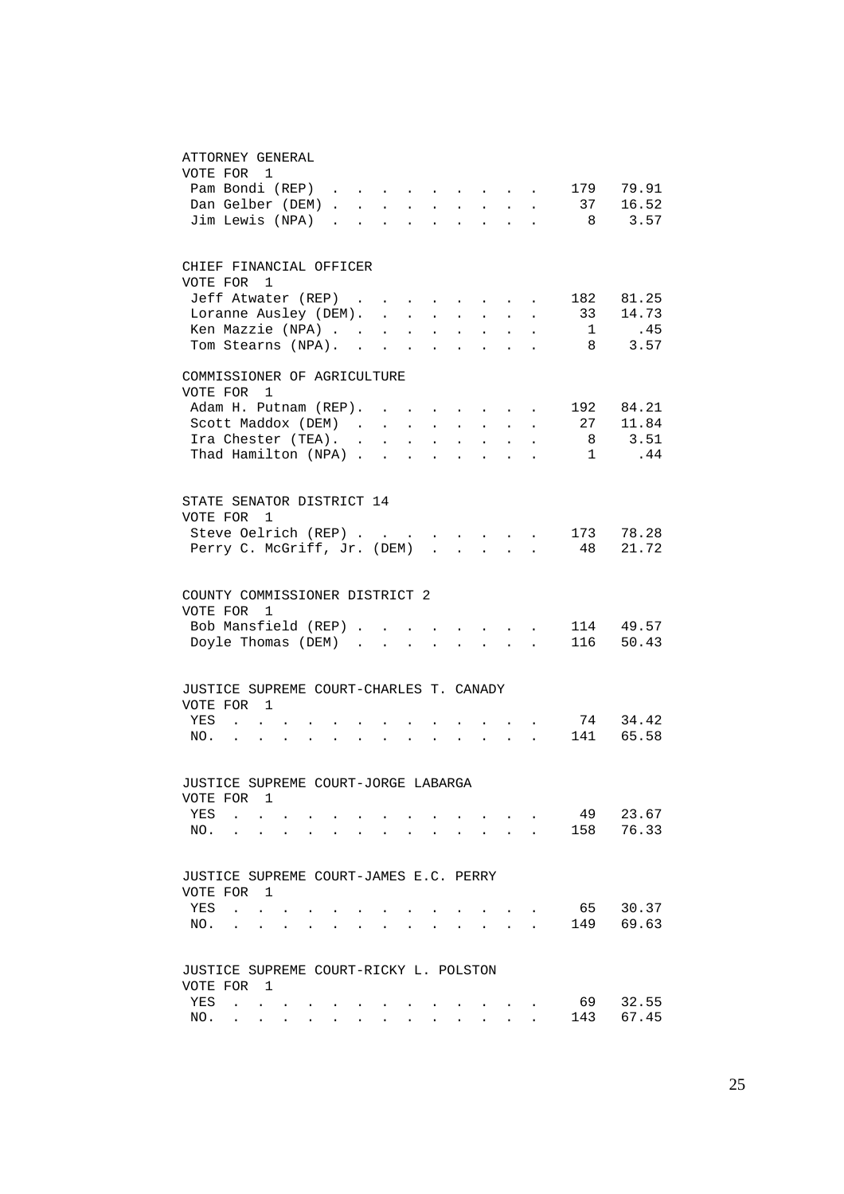#### ATTORNEY GENERAL

| VOTE FOR 1                              |                       |                |  |  |                           |            |                                                                                 |                            |                                                                                               |                           |                                                    |                     |           |
|-----------------------------------------|-----------------------|----------------|--|--|---------------------------|------------|---------------------------------------------------------------------------------|----------------------------|-----------------------------------------------------------------------------------------------|---------------------------|----------------------------------------------------|---------------------|-----------|
|                                         | Pam Bondi (REP)       |                |  |  |                           |            |                                                                                 |                            |                                                                                               |                           | $\mathbf{r}$ , and $\mathbf{r}$ , and $\mathbf{r}$ | 179                 | 79.91     |
|                                         |                       |                |  |  |                           |            |                                                                                 |                            |                                                                                               |                           |                                                    | Dan Gelber (DEM) 37 | 16.52     |
| Jim Lewis (NPA)                         |                       |                |  |  |                           |            |                                                                                 |                            |                                                                                               |                           |                                                    |                     | 8 3.57    |
| CHIEF FINANCIAL OFFICER                 |                       |                |  |  |                           |            |                                                                                 |                            |                                                                                               |                           |                                                    |                     |           |
| VOTE FOR                                |                       | $\overline{1}$ |  |  |                           |            |                                                                                 |                            |                                                                                               |                           |                                                    |                     |           |
|                                         | Jeff Atwater (REP)    |                |  |  |                           |            |                                                                                 |                            |                                                                                               |                           | and the state of the state of the                  | 182                 | 81.25     |
|                                         | Loranne Ausley (DEM). |                |  |  |                           |            |                                                                                 |                            | <b>All Carl Adams</b>                                                                         |                           | $\bullet$                                          | 33                  | 14.73     |
|                                         | Ken Mazzie (NPA)      |                |  |  |                           |            |                                                                                 |                            | $\sim 10^{-11}$                                                                               |                           |                                                    | 1                   | .45       |
| Tom Stearns (NPA).                      |                       |                |  |  |                           |            | $\mathbf{L}^{\text{max}}$                                                       | $\sim$                     | $\sim$                                                                                        |                           |                                                    | 8                   | 3.57      |
| COMMISSIONER OF AGRICULTURE             |                       |                |  |  |                           |            |                                                                                 |                            |                                                                                               |                           |                                                    |                     |           |
| VOTE FOR                                |                       | 1              |  |  |                           |            |                                                                                 |                            |                                                                                               |                           |                                                    |                     |           |
|                                         | Adam H. Putnam (REP). |                |  |  | $\cdot$ $\cdot$           |            |                                                                                 |                            | $\mathbf{r} = \mathbf{r} + \mathbf{r} + \mathbf{r} + \mathbf{r}$                              |                           | $\bullet$                                          | 192                 | 84.21     |
|                                         | Scott Maddox (DEM)    |                |  |  |                           |            |                                                                                 |                            | $\mathbf{a} = \mathbf{a} \times \mathbf{a}$ , and $\mathbf{a} = \mathbf{a} \times \mathbf{a}$ |                           |                                                    | 27                  | 11.84     |
|                                         | Ira Chester (TEA). .  |                |  |  | $\mathbf{L}^{\text{max}}$ | $\sim$ $-$ | $\mathcal{L}^{\text{max}}$                                                      | $\mathcal{L}^{\text{max}}$ | $\sim 10^{-11}$                                                                               | $\sim 100$                |                                                    | 8                   | 3.51      |
|                                         | Thad Hamilton (NPA)   |                |  |  |                           | $\sim$     | $\sim$                                                                          | $\mathbf{r}$               | $\sim$                                                                                        | $\sim$                    |                                                    | $\mathbf{1}$        | .44       |
| STATE SENATOR DISTRICT 14               |                       |                |  |  |                           |            |                                                                                 |                            |                                                                                               |                           |                                                    |                     |           |
| VOTE FOR 1                              |                       |                |  |  |                           |            |                                                                                 |                            |                                                                                               |                           |                                                    |                     |           |
| Perry C. McGriff, Jr. (DEM).            | Steve Oelrich (REP)   |                |  |  |                           |            | the contract of the contract of the contract of the contract of the contract of |                            |                                                                                               |                           |                                                    | 48                  | 173 78.28 |
|                                         |                       |                |  |  |                           |            |                                                                                 | $\sim$                     |                                                                                               | $\mathbf{L} = \mathbf{L}$ | $\mathbf{A}$                                       |                     | 21.72     |
| COUNTY COMMISSIONER DISTRICT 2          |                       |                |  |  |                           |            |                                                                                 |                            |                                                                                               |                           |                                                    |                     |           |
| VOTE FOR 1                              |                       |                |  |  |                           |            |                                                                                 |                            |                                                                                               |                           |                                                    |                     |           |
| Bob Mansfield (REP)                     |                       |                |  |  |                           |            |                                                                                 |                            |                                                                                               |                           |                                                    |                     | 114 49.57 |
| Doyle Thomas (DEM) .                    |                       |                |  |  | $\sim$                    |            |                                                                                 |                            | $\sim$                                                                                        | $\sim$                    | $\sim$ $\sim$                                      |                     | 116 50.43 |
|                                         |                       |                |  |  |                           |            |                                                                                 |                            |                                                                                               |                           |                                                    |                     |           |
| JUSTICE SUPREME COURT-CHARLES T. CANADY |                       |                |  |  |                           |            |                                                                                 |                            |                                                                                               |                           |                                                    |                     |           |
| VOTE FOR 1                              |                       |                |  |  |                           |            |                                                                                 |                            |                                                                                               |                           |                                                    |                     |           |
| YES                                     | $\sim$ 100 $\sim$     |                |  |  |                           |            |                                                                                 |                            |                                                                                               |                           |                                                    | 141                 | 74 34.42  |
| NO.                                     | $\sim$                | $\sim$         |  |  |                           |            |                                                                                 |                            |                                                                                               |                           | $\mathbf{r} = \mathbf{r} \times \mathbf{r}$ .      |                     | 65.58     |
| JUSTICE SUPREME COURT-JORGE LABARGA     |                       |                |  |  |                           |            |                                                                                 |                            |                                                                                               |                           |                                                    |                     |           |
| VOTE FOR                                |                       | 1              |  |  |                           |            |                                                                                 |                            |                                                                                               |                           |                                                    |                     |           |
| YES                                     |                       |                |  |  |                           |            |                                                                                 |                            |                                                                                               |                           |                                                    | 49                  | 23.67     |
| NO.                                     |                       |                |  |  |                           |            |                                                                                 |                            |                                                                                               |                           |                                                    | 158                 | 76.33     |
| JUSTICE SUPREME COURT-JAMES E.C. PERRY  |                       |                |  |  |                           |            |                                                                                 |                            |                                                                                               |                           |                                                    |                     |           |
| VOTE FOR                                |                       | 1              |  |  |                           |            |                                                                                 |                            |                                                                                               |                           |                                                    |                     |           |
| YES                                     | $\ddot{\phantom{a}}$  |                |  |  |                           |            |                                                                                 |                            |                                                                                               |                           |                                                    | 65                  | 30.37     |
| NO.                                     |                       |                |  |  |                           |            |                                                                                 |                            |                                                                                               |                           |                                                    | 149                 | 69.63     |
|                                         |                       |                |  |  |                           |            |                                                                                 |                            |                                                                                               |                           |                                                    |                     |           |
| JUSTICE SUPREME COURT-RICKY L. POLSTON  |                       |                |  |  |                           |            |                                                                                 |                            |                                                                                               |                           |                                                    |                     |           |
| VOTE FOR                                |                       | 1              |  |  |                           |            |                                                                                 |                            |                                                                                               |                           |                                                    |                     |           |
| YES                                     |                       |                |  |  |                           |            |                                                                                 |                            |                                                                                               |                           |                                                    | 69                  | 32.55     |
| NO.                                     |                       |                |  |  |                           |            |                                                                                 |                            |                                                                                               |                           |                                                    | 143                 | 67.45     |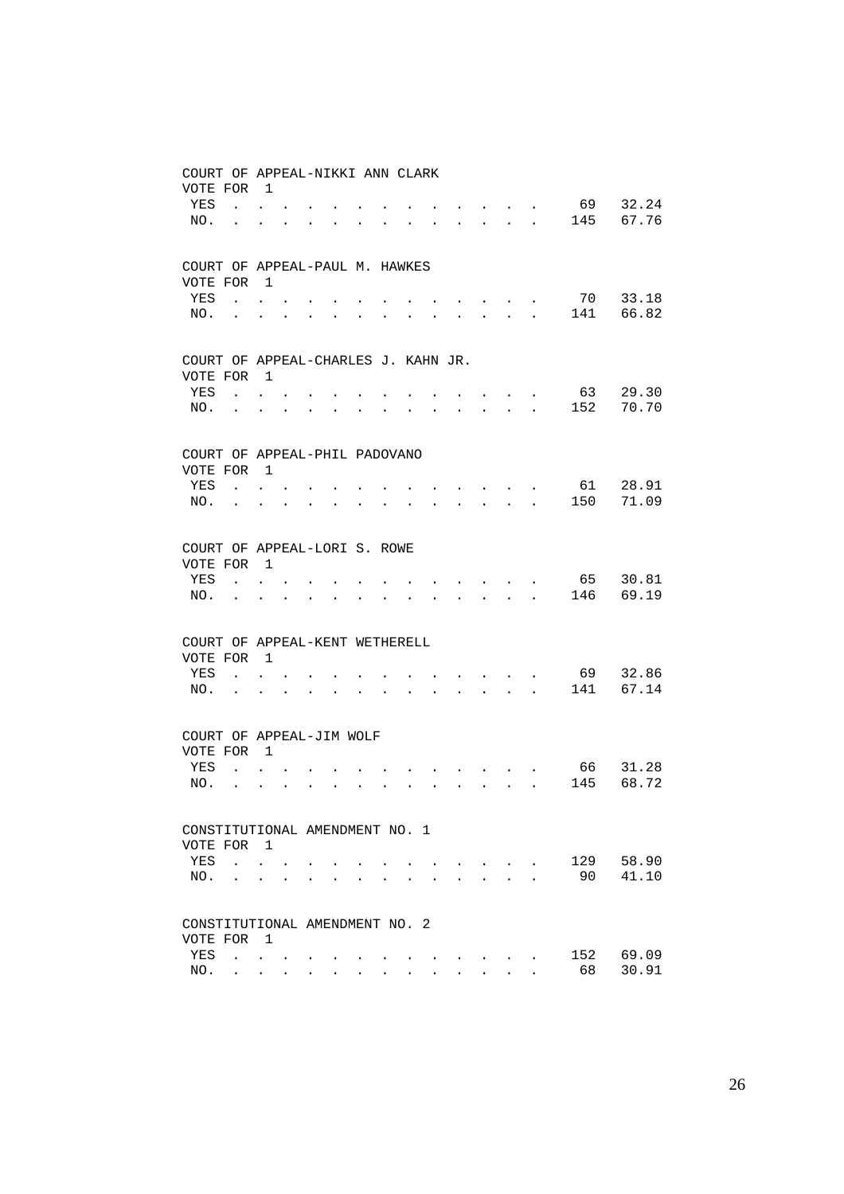| COURT OF APPEAL-NIKKI ANN CLARK     |                                                                                                                                                                                                                                                                                                                                                                                                                                                             |                                                                 |                                                             |                      |                                          |                                 |             |                                                             |                                                             |                      |                                                                                      |                                                              |                      |                                     |       |
|-------------------------------------|-------------------------------------------------------------------------------------------------------------------------------------------------------------------------------------------------------------------------------------------------------------------------------------------------------------------------------------------------------------------------------------------------------------------------------------------------------------|-----------------------------------------------------------------|-------------------------------------------------------------|----------------------|------------------------------------------|---------------------------------|-------------|-------------------------------------------------------------|-------------------------------------------------------------|----------------------|--------------------------------------------------------------------------------------|--------------------------------------------------------------|----------------------|-------------------------------------|-------|
| VOTE FOR                            |                                                                                                                                                                                                                                                                                                                                                                                                                                                             | $\mathbf{1}$                                                    |                                                             |                      |                                          |                                 |             |                                                             |                                                             |                      |                                                                                      |                                                              |                      |                                     |       |
| YES                                 |                                                                                                                                                                                                                                                                                                                                                                                                                                                             | $\mathbf{z} = \mathbf{z} + \mathbf{z}$ .                        |                                                             |                      |                                          |                                 |             |                                                             |                                                             |                      |                                                                                      | $\bullet$ . In the case of the $\bullet$                     |                      | 69                                  | 32.24 |
| NO.                                 | <b>Contract Contract</b>                                                                                                                                                                                                                                                                                                                                                                                                                                    | $\ddot{\phantom{a}}$                                            |                                                             |                      |                                          |                                 |             |                                                             |                                                             |                      |                                                                                      | $\mathbf{r} = \mathbf{r} + \mathbf{r}$ .                     |                      | 145                                 | 67.76 |
| COURT OF APPEAL-PAUL M. HAWKES      |                                                                                                                                                                                                                                                                                                                                                                                                                                                             |                                                                 |                                                             |                      |                                          |                                 |             |                                                             |                                                             |                      |                                                                                      |                                                              |                      |                                     |       |
| VOTE FOR                            |                                                                                                                                                                                                                                                                                                                                                                                                                                                             | $\overline{1}$                                                  |                                                             |                      |                                          |                                 |             |                                                             |                                                             |                      |                                                                                      |                                                              |                      |                                     |       |
| YES                                 | $\mathcal{L}(\mathcal{A})$ , and $\mathcal{L}(\mathcal{A})$                                                                                                                                                                                                                                                                                                                                                                                                 |                                                                 |                                                             |                      |                                          |                                 |             |                                                             |                                                             |                      | and the contract of the contract                                                     |                                                              |                      | 70                                  | 33.18 |
| NO.                                 | and the state of the state of                                                                                                                                                                                                                                                                                                                                                                                                                               |                                                                 |                                                             |                      |                                          |                                 |             |                                                             |                                                             |                      |                                                                                      | $\mathbf{r} = \mathbf{r} + \mathbf{r}$ .                     |                      | 141                                 | 66.82 |
| COURT OF APPEAL-CHARLES J. KAHN JR. |                                                                                                                                                                                                                                                                                                                                                                                                                                                             |                                                                 |                                                             |                      |                                          |                                 |             |                                                             |                                                             |                      |                                                                                      |                                                              |                      |                                     |       |
| VOTE FOR                            |                                                                                                                                                                                                                                                                                                                                                                                                                                                             | $\overline{1}$                                                  |                                                             |                      |                                          |                                 |             |                                                             |                                                             |                      |                                                                                      |                                                              |                      |                                     |       |
| YES                                 |                                                                                                                                                                                                                                                                                                                                                                                                                                                             | $\mathbf{z} = \mathbf{z} + \mathbf{z}$ .                        |                                                             |                      |                                          |                                 |             |                                                             |                                                             |                      |                                                                                      |                                                              | $\bullet$            | 63                                  | 29.30 |
| NO.                                 | <b>Contract Contract</b>                                                                                                                                                                                                                                                                                                                                                                                                                                    | $\ddot{\phantom{a}}$                                            | $\ddot{\phantom{0}}$                                        |                      | $\ddot{\phantom{0}}$                     | $\bullet$                       |             |                                                             |                                                             |                      |                                                                                      | $\mathbf{L} = \mathbf{L} \mathbf{L} + \mathbf{L} \mathbf{L}$ |                      | 152                                 | 70.70 |
| COURT OF APPEAL-PHIL PADOVANO       |                                                                                                                                                                                                                                                                                                                                                                                                                                                             |                                                                 |                                                             |                      |                                          |                                 |             |                                                             |                                                             |                      |                                                                                      |                                                              |                      |                                     |       |
| VOTE FOR 1                          |                                                                                                                                                                                                                                                                                                                                                                                                                                                             |                                                                 |                                                             |                      |                                          |                                 |             |                                                             |                                                             |                      |                                                                                      |                                                              |                      |                                     |       |
| YES                                 | <b>Contract Contract</b>                                                                                                                                                                                                                                                                                                                                                                                                                                    |                                                                 |                                                             |                      |                                          |                                 |             |                                                             |                                                             |                      | $\mathbf{r} = \mathbf{r} + \mathbf{r} + \mathbf{r} + \mathbf{r}$                     |                                                              |                      | 61                                  | 28.91 |
| NO.                                 | and a strong state of the state                                                                                                                                                                                                                                                                                                                                                                                                                             |                                                                 |                                                             | $\bullet$            | $\ddotsc$                                |                                 |             | $\ddot{\phantom{0}}$                                        |                                                             |                      | $\mathbf{L} = \mathbf{L} \mathbf{L} + \mathbf{L} \mathbf{L} + \mathbf{L} \mathbf{L}$ |                                                              |                      | 150                                 | 71.09 |
| COURT OF APPEAL-LORI S. ROWE        |                                                                                                                                                                                                                                                                                                                                                                                                                                                             |                                                                 |                                                             |                      |                                          |                                 |             |                                                             |                                                             |                      |                                                                                      |                                                              |                      |                                     |       |
| VOTE FOR                            |                                                                                                                                                                                                                                                                                                                                                                                                                                                             | $\overline{1}$                                                  |                                                             |                      |                                          |                                 |             |                                                             |                                                             |                      |                                                                                      |                                                              |                      |                                     |       |
| YES                                 |                                                                                                                                                                                                                                                                                                                                                                                                                                                             | $\mathbf{L} = \mathbf{L}$                                       |                                                             |                      |                                          |                                 |             |                                                             |                                                             |                      | $\sim$ $\sim$ $\sim$ $\sim$ $\sim$                                                   |                                                              |                      | 65                                  | 30.81 |
| NO.                                 | $\bullet$ .<br><br><br><br><br><br><br><br><br><br><br><br>                                                                                                                                                                                                                                                                                                                                                                                                 | $\ddotsc$                                                       | $\bullet$                                                   |                      | $\bullet$ . In the case of $\bullet$     | $\bullet$ .                     | $\bullet$   | $\ddot{\phantom{0}}$                                        | $\ddot{\phantom{0}}$                                        |                      |                                                                                      |                                                              |                      | $\cdot$ $\cdot$ $\cdot$ $\cdot$ 146 | 69.19 |
| COURT OF APPEAL-KENT WETHERELL      |                                                                                                                                                                                                                                                                                                                                                                                                                                                             |                                                                 |                                                             |                      |                                          |                                 |             |                                                             |                                                             |                      |                                                                                      |                                                              |                      |                                     |       |
| VOTE FOR 1                          |                                                                                                                                                                                                                                                                                                                                                                                                                                                             |                                                                 |                                                             |                      |                                          |                                 |             |                                                             |                                                             |                      |                                                                                      |                                                              |                      |                                     |       |
| YES                                 | $\mathcal{L}(\mathcal{L}(\mathcal{L}(\mathcal{L}(\mathcal{L}(\mathcal{L}(\mathcal{L}(\mathcal{L}(\mathcal{L}(\mathcal{L}(\mathcal{L}(\mathcal{L}(\mathcal{L}(\mathcal{L}(\mathcal{L}(\mathcal{L}(\mathcal{L}(\mathcal{L}(\mathcal{L}(\mathcal{L}(\mathcal{L}(\mathcal{L}(\mathcal{L}(\mathcal{L}(\mathcal{L}(\mathcal{L}(\mathcal{L}(\mathcal{L}(\mathcal{L}(\mathcal{L}(\mathcal{L}(\mathcal{L}(\mathcal{L}(\mathcal{L}(\mathcal{L}(\mathcal{L}(\mathcal{$ |                                                                 |                                                             |                      |                                          |                                 |             | $\bullet$ .<br><br><br><br><br><br><br><br><br><br><br><br> |                                                             |                      | $\cdot$ $\cdot$ $\cdot$ $\cdot$ $\cdot$                                              |                                                              |                      | 69                                  | 32.86 |
| NO.                                 | <b>Contractor</b>                                                                                                                                                                                                                                                                                                                                                                                                                                           | $\ddot{\phantom{0}}$                                            | $\bullet$                                                   |                      | $\bullet$ . The set of $\bullet$         | $\mathbf{L} = \mathbf{0}$       | $\bullet$ . |                                                             | the contract of the contract of the                         |                      |                                                                                      |                                                              |                      | 141                                 | 67.14 |
| COURT OF APPEAL-JIM WOLF            |                                                                                                                                                                                                                                                                                                                                                                                                                                                             |                                                                 |                                                             |                      |                                          |                                 |             |                                                             |                                                             |                      |                                                                                      |                                                              |                      |                                     |       |
| VOTE FOR                            |                                                                                                                                                                                                                                                                                                                                                                                                                                                             | $\overline{1}$                                                  |                                                             |                      |                                          |                                 |             |                                                             |                                                             |                      |                                                                                      |                                                              |                      |                                     |       |
| YES                                 | $\mathbf{L}$                                                                                                                                                                                                                                                                                                                                                                                                                                                | $\sim$                                                          |                                                             |                      |                                          |                                 |             |                                                             |                                                             |                      | $\mathbf{r}$ , $\mathbf{r}$ , $\mathbf{r}$ , $\mathbf{r}$                            |                                                              |                      | 66 —                                | 31.28 |
| NO.                                 | $\sim 100$ km s $^{-1}$                                                                                                                                                                                                                                                                                                                                                                                                                                     | $\ddot{\phantom{0}}$                                            | $\bullet$ .<br><br><br><br><br><br><br><br><br><br><br><br> |                      | $\mathbf{r} = \mathbf{r} + \mathbf{r}$ . | $\sim 100$                      | $\bullet$   | $\bullet$ .                                                 | $\bullet$ .<br><br><br><br><br><br><br><br><br><br><br><br> |                      | and a strong state of the state                                                      |                                                              |                      | 145                                 | 68.72 |
| CONSTITUTIONAL AMENDMENT NO. 1      |                                                                                                                                                                                                                                                                                                                                                                                                                                                             |                                                                 |                                                             |                      |                                          |                                 |             |                                                             |                                                             |                      |                                                                                      |                                                              |                      |                                     |       |
| VOTE FOR 1                          |                                                                                                                                                                                                                                                                                                                                                                                                                                                             |                                                                 |                                                             |                      |                                          |                                 |             |                                                             |                                                             |                      |                                                                                      |                                                              |                      |                                     |       |
| YES                                 |                                                                                                                                                                                                                                                                                                                                                                                                                                                             | $\mathbf{L} = \mathbf{L}$                                       |                                                             |                      |                                          |                                 |             |                                                             |                                                             |                      |                                                                                      | $\mathbf{r}$ , $\mathbf{r}$                                  |                      | 129                                 | 58.90 |
| NO.                                 |                                                                                                                                                                                                                                                                                                                                                                                                                                                             | $\bullet$ .<br><br><br><br><br><br><br><br><br><br><br><br><br> |                                                             | $\ddot{\phantom{0}}$ |                                          | <b>Contract Contract Street</b> | $\bullet$   |                                                             |                                                             | $\ddot{\phantom{0}}$ | $\sim$                                                                               | $\ddot{\phantom{a}}$                                         | $\ddot{\phantom{a}}$ | 90                                  | 41.10 |
| CONSTITUTIONAL AMENDMENT NO. 2      |                                                                                                                                                                                                                                                                                                                                                                                                                                                             |                                                                 |                                                             |                      |                                          |                                 |             |                                                             |                                                             |                      |                                                                                      |                                                              |                      |                                     |       |
| VOTE FOR                            |                                                                                                                                                                                                                                                                                                                                                                                                                                                             | $\overline{1}$                                                  |                                                             |                      |                                          |                                 |             |                                                             |                                                             |                      |                                                                                      |                                                              |                      |                                     |       |
| YES                                 |                                                                                                                                                                                                                                                                                                                                                                                                                                                             | $\mathbf{L} = \mathbf{L} \mathbf{L}$                            | $\bullet$ .<br><br><br><br><br><br><br><br><br><br><br><br> |                      |                                          |                                 |             |                                                             |                                                             |                      | the contract of the contract of the contract of the contract of the contract of      |                                                              |                      | 152                                 | 69.09 |
| NO.                                 |                                                                                                                                                                                                                                                                                                                                                                                                                                                             | $\mathbf{r} = \mathbf{r} + \mathbf{r}$                          |                                                             |                      | $\mathbf{z} = \mathbf{z} + \mathbf{z}$ . | $\bullet$                       | $\bullet$   |                                                             |                                                             | $\sim$               |                                                                                      | $\mathbf{L}^{\text{max}}$ , and $\mathbf{L}^{\text{max}}$    | $\ddot{\phantom{a}}$ | 68                                  | 30.91 |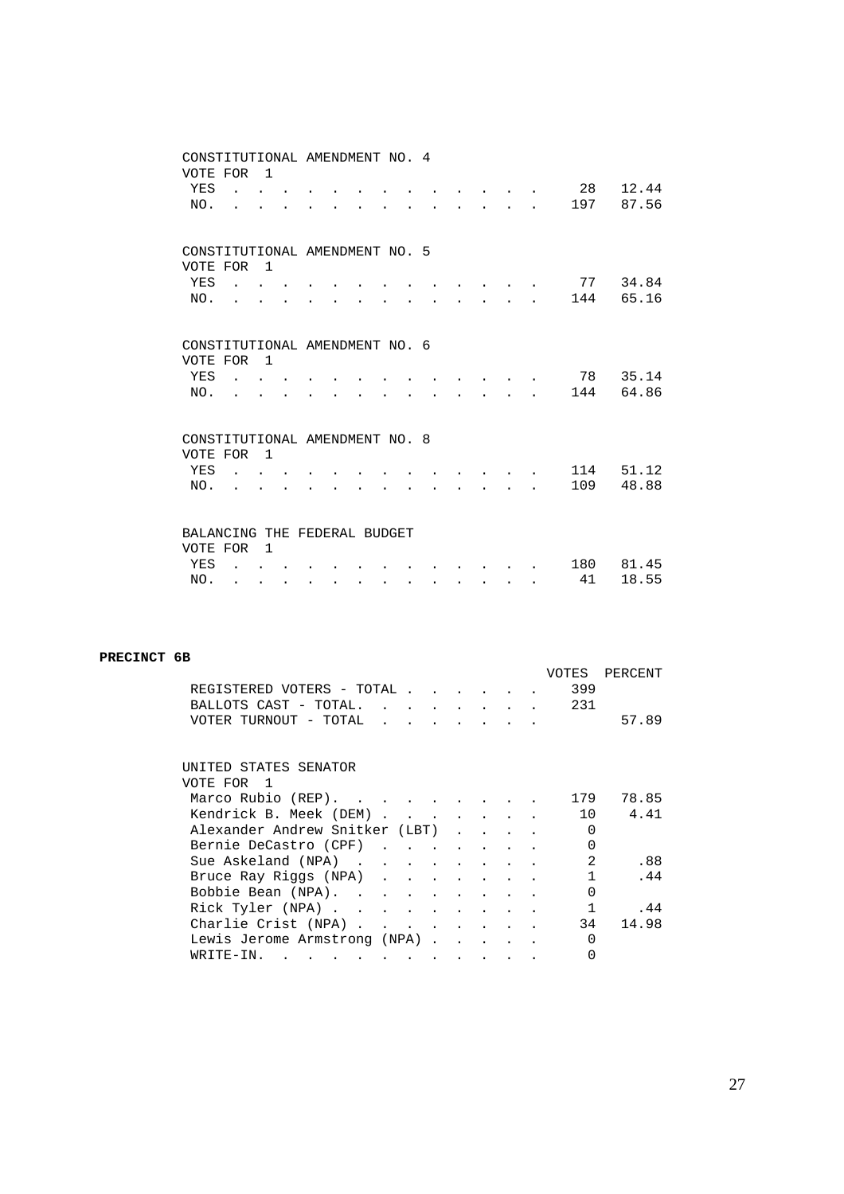| CONSTITUTIONAL AMENDMENT NO. 4<br>VOTE FOR |                                                   | $\overline{1}$              |           |  |           |           |   |                                                                                           |                               |  |            |                |
|--------------------------------------------|---------------------------------------------------|-----------------------------|-----------|--|-----------|-----------|---|-------------------------------------------------------------------------------------------|-------------------------------|--|------------|----------------|
| YES<br>NO.                                 |                                                   | $\mathbf{r}$ , $\mathbf{r}$ |           |  |           |           |   |                                                                                           | $\mathbf{r}$ and $\mathbf{r}$ |  | 28<br>197  | 12.44<br>87.56 |
|                                            |                                                   |                             |           |  |           |           |   |                                                                                           |                               |  |            |                |
| CONSTITUTIONAL AMENDMENT NO. 5<br>VOTE FOR |                                                   | $\overline{1}$              |           |  |           |           |   |                                                                                           |                               |  |            |                |
| YES                                        | $\mathbf{r}$ , $\mathbf{r}$ , $\mathbf{r}$        |                             |           |  |           |           |   | $\mathbf{r} = \mathbf{r} \cdot \mathbf{r}$ and $\mathbf{r} = \mathbf{r} \cdot \mathbf{r}$ |                               |  | 77<br>144  | 34.84<br>65.16 |
| NO.                                        |                                                   |                             |           |  |           |           |   |                                                                                           |                               |  |            |                |
| CONSTITUTIONAL AMENDMENT NO. 6<br>VOTE FOR |                                                   | $\overline{1}$              |           |  |           |           |   |                                                                                           |                               |  |            |                |
| YES                                        | $\mathcal{L}$ and $\mathcal{L}$ and $\mathcal{L}$ |                             |           |  |           |           |   |                                                                                           |                               |  | 78         | 35.14          |
| NO.                                        |                                                   |                             |           |  |           |           |   |                                                                                           | and the state of the          |  | 144        | 64.86          |
| CONSTITUTIONAL AMENDMENT NO. 8             |                                                   |                             |           |  |           |           |   |                                                                                           |                               |  |            |                |
| VOTE FOR                                   |                                                   | $\overline{1}$              |           |  |           |           |   |                                                                                           |                               |  |            |                |
| YES<br>NO.                                 | $\sim$ $\sim$ $\sim$ $\sim$                       |                             |           |  |           |           |   |                                                                                           | and the state of the          |  | 114<br>109 | 51.12<br>48.88 |
|                                            |                                                   |                             |           |  |           |           |   |                                                                                           |                               |  |            |                |
| BALANCING THE FEDERAL BUDGET<br>VOTE FOR   |                                                   | $\overline{1}$              |           |  |           |           |   |                                                                                           |                               |  |            |                |
| YES                                        |                                                   |                             |           |  |           |           |   |                                                                                           |                               |  | 180        | 81.45          |
| NO.                                        | $\ddot{\phantom{0}}$                              | $\ddot{\phantom{a}}$        | $\bullet$ |  | $\bullet$ | $\bullet$ | ٠ | $\bullet$                                                                                 | $\bullet$                     |  | 41         | 18.55          |

### **PRECINCT 6B**

|                                |  |                                                           |                      |                                                                               |  | VOTES          | PERCENT |
|--------------------------------|--|-----------------------------------------------------------|----------------------|-------------------------------------------------------------------------------|--|----------------|---------|
| REGISTERED VOTERS - TOTAL .    |  |                                                           |                      | $\mathbf{r} = \mathbf{r} + \mathbf{r} + \mathbf{r} + \mathbf{r} + \mathbf{r}$ |  | 399            |         |
| BALLOTS CAST - TOTAL.          |  | $\mathbf{r}$ , $\mathbf{r}$ , $\mathbf{r}$ , $\mathbf{r}$ |                      | $\ddot{\phantom{0}}$                                                          |  | 231            |         |
| VOTER TURNOUT - TOTAL          |  |                                                           |                      |                                                                               |  |                | 57.89   |
|                                |  |                                                           |                      |                                                                               |  |                |         |
|                                |  |                                                           |                      |                                                                               |  |                |         |
| UNITED STATES SENATOR          |  |                                                           |                      |                                                                               |  |                |         |
| VOTE FOR<br>$\overline{1}$     |  |                                                           |                      |                                                                               |  |                |         |
| Marco Rubio (REP).             |  |                                                           |                      |                                                                               |  | 179            | 78.85   |
| Kendrick B. Meek (DEM)         |  |                                                           |                      |                                                                               |  | 10             | 4.41    |
| Alexander Andrew Snitker (LBT) |  |                                                           | $\ddot{\phantom{a}}$ |                                                                               |  | 0              |         |
| Bernie DeCastro (CPF)          |  |                                                           |                      |                                                                               |  | 0              |         |
| Sue Askeland (NPA)             |  |                                                           |                      |                                                                               |  | $\mathfrak{D}$ | .88     |
| Bruce Ray Riggs (NPA)          |  |                                                           |                      |                                                                               |  | $\mathbf{1}$   | .44     |
| Bobbie Bean (NPA)              |  |                                                           |                      |                                                                               |  | 0              |         |
| Rick Tyler (NPA)               |  |                                                           |                      |                                                                               |  | $\mathbf{1}$   | . 44    |
| Charlie Crist (NPA)            |  |                                                           |                      |                                                                               |  | 34             | 14.98   |
| Lewis Jerome Armstrong (NPA).  |  |                                                           |                      |                                                                               |  | $\Omega$       |         |
| WRITE-IN.                      |  |                                                           |                      |                                                                               |  |                |         |
|                                |  |                                                           |                      |                                                                               |  |                |         |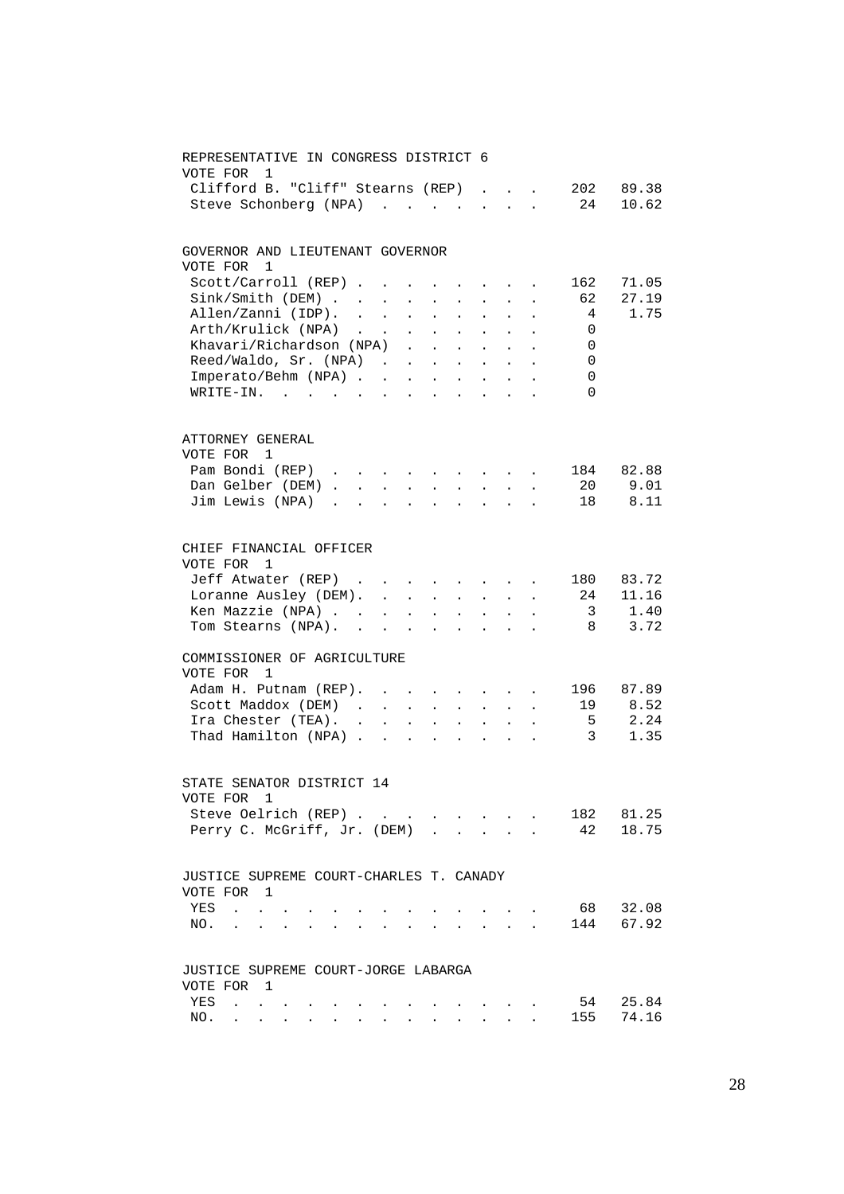| REPRESENTATIVE IN CONGRESS DISTRICT 6<br>VOTE FOR<br>1       |            |        |                      |                 |              |                             |                                          |                                                                                                                         |                          |         |
|--------------------------------------------------------------|------------|--------|----------------------|-----------------|--------------|-----------------------------|------------------------------------------|-------------------------------------------------------------------------------------------------------------------------|--------------------------|---------|
| Clifford B. "Cliff" Stearns (REP)                            |            |        |                      |                 |              |                             |                                          |                                                                                                                         | . 202                    | 89.38   |
| Steve Schonberg (NPA)                                        |            |        |                      |                 |              |                             |                                          |                                                                                                                         | 24                       | 10.62   |
| GOVERNOR AND LIEUTENANT GOVERNOR                             |            |        |                      |                 |              |                             |                                          |                                                                                                                         |                          |         |
| VOTE FOR<br>$\overline{1}$                                   |            |        |                      |                 |              |                             |                                          |                                                                                                                         |                          |         |
| $Scott/Carroll (REF)$                                        |            |        |                      |                 |              |                             |                                          |                                                                                                                         | 162                      | 71.05   |
| Sink / Smith (DEM)                                           |            |        |                      |                 |              |                             |                                          | $\ddot{\phantom{1}}$                                                                                                    | 62                       | 27.19   |
| Allen/Zanni (IDP).                                           |            |        |                      |                 |              |                             | $\mathbf{z} = \mathbf{z} + \mathbf{z}$ . |                                                                                                                         | $\overline{4}$           | 1.75    |
| Arth/Krulick (NPA)<br>Khavari/Richardson (NPA)               |            |        |                      |                 | $\sim$ $-$   | $\sim$                      |                                          |                                                                                                                         | 0                        |         |
|                                                              |            |        |                      |                 | $\sim$       | $\mathcal{L}^{\mathcal{L}}$ | $\sim$                                   |                                                                                                                         | $\overline{0}$           |         |
| Reed/Waldo, Sr. $(NPA)$                                      |            |        |                      |                 |              |                             | $\sim$                                   | $\sim$                                                                                                                  | $\overline{\phantom{0}}$ |         |
| Imperato/Behm (NPA)                                          |            |        |                      |                 |              |                             |                                          |                                                                                                                         | $\overline{0}$           |         |
| WRITE-IN.<br>the contract of the contract of the contract of |            |        |                      |                 |              |                             |                                          |                                                                                                                         | $\overline{0}$           |         |
| ATTORNEY GENERAL                                             |            |        |                      |                 |              |                             |                                          |                                                                                                                         |                          |         |
| VOTE FOR 1                                                   |            |        |                      |                 |              |                             |                                          |                                                                                                                         |                          |         |
| Pam Bondi (REP)                                              |            |        |                      |                 |              |                             |                                          |                                                                                                                         | 184                      | 82.88   |
| Dan Gelber (DEM)                                             |            |        |                      |                 |              |                             |                                          |                                                                                                                         |                          | 20 9.01 |
| Jim Lewis (NPA)                                              |            |        |                      |                 |              |                             |                                          |                                                                                                                         |                          | 18 8.11 |
| CHIEF FINANCIAL OFFICER                                      |            |        |                      |                 |              |                             |                                          |                                                                                                                         |                          |         |
| VOTE FOR<br>1                                                |            |        |                      |                 |              |                             |                                          |                                                                                                                         |                          |         |
| Jeff Atwater (REP)                                           |            |        |                      |                 |              |                             |                                          |                                                                                                                         | 180                      | 83.72   |
| Loranne Ausley (DEM).                                        |            |        |                      |                 |              |                             |                                          |                                                                                                                         | 24                       | 11.16   |
| Ken Mazzie (NPA)                                             |            |        |                      |                 |              |                             |                                          |                                                                                                                         | $\overline{3}$           | 1.40    |
| Tom Stearns (NPA).                                           | $\sim$ $-$ | $\sim$ | $\ddot{\phantom{0}}$ | $\sim 10^{-11}$ | $\mathbf{r}$ | $\ddot{\phantom{a}}$        | $\ddot{\phantom{a}}$                     |                                                                                                                         | 8 <sup>8</sup>           | 3.72    |
| COMMISSIONER OF AGRICULTURE<br>VOTE FOR<br>$\mathbf{1}$      |            |        |                      |                 |              |                             |                                          |                                                                                                                         |                          |         |
| Adam H. Putnam (REP).                                        |            |        |                      |                 |              |                             |                                          | $\mathbf{u}^{\prime}$ , $\mathbf{u}^{\prime}$ , $\mathbf{u}^{\prime}$ , $\mathbf{u}^{\prime}$ , $\mathbf{u}^{\prime}$ , | 196                      | 87.89   |
| Scott Maddox (DEM)                                           |            |        |                      |                 |              |                             |                                          |                                                                                                                         | 19                       | 8.52    |
|                                                              |            |        |                      |                 |              | $\mathcal{L}^{\text{max}}$  | $\sim$                                   |                                                                                                                         | $5^{\circ}$              | 2.24    |
| Ira Chester (TEA).<br>Thad Hamilton (NPA)                    |            |        |                      |                 |              | $\mathbf{r}$                | $\sim$                                   |                                                                                                                         | $\overline{3}$           | 1.35    |
| STATE SENATOR DISTRICT 14<br>VOTE FOR 1                      |            |        |                      |                 |              |                             |                                          |                                                                                                                         |                          |         |
| Steve Oelrich (REP)                                          |            |        |                      | $\sim$ $\sim$   |              |                             |                                          |                                                                                                                         | 182                      | 81.25   |
| Perry C. McGriff, Jr. (DEM)                                  |            |        |                      |                 |              |                             | $\sim$                                   |                                                                                                                         | 42                       | 18.75   |
| JUSTICE SUPREME COURT-CHARLES T. CANADY                      |            |        |                      |                 |              |                             |                                          |                                                                                                                         |                          |         |
| VOTE FOR 1                                                   |            |        |                      |                 |              |                             |                                          |                                                                                                                         |                          |         |
| YES<br>$\sim$ $\sim$                                         |            |        |                      |                 |              |                             |                                          |                                                                                                                         | 68                       | 32.08   |
| NO.<br>$\ddot{\phantom{a}}$                                  |            |        |                      |                 |              |                             |                                          |                                                                                                                         | 144                      | 67.92   |
| JUSTICE SUPREME COURT-JORGE LABARGA                          |            |        |                      |                 |              |                             |                                          |                                                                                                                         |                          |         |
| VOTE FOR 1                                                   |            |        |                      |                 |              |                             |                                          |                                                                                                                         |                          |         |
| YES<br>$\mathbf{r}$                                          |            |        |                      |                 |              |                             |                                          |                                                                                                                         | 54<br>155                | 25.84   |
| NO.                                                          |            |        |                      |                 |              |                             |                                          |                                                                                                                         |                          | 74.16   |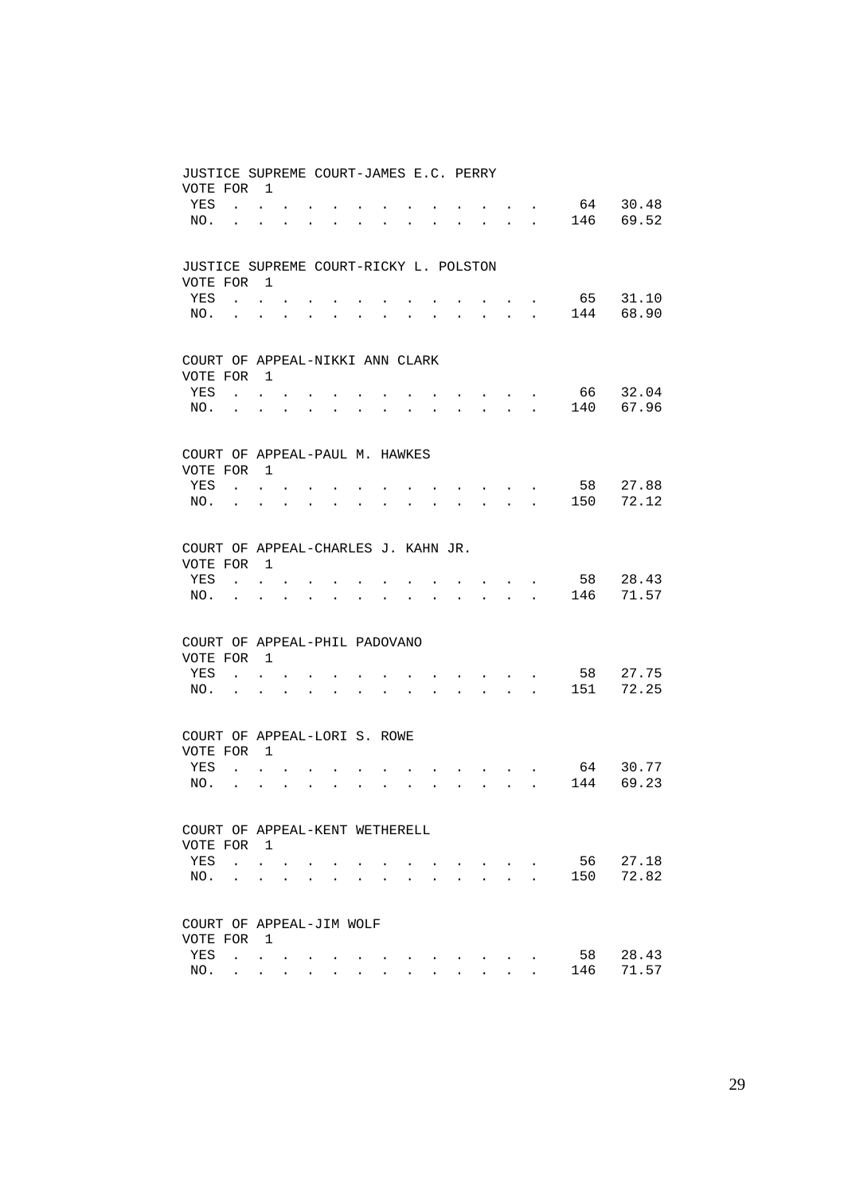| JUSTICE SUPREME COURT-JAMES E.C. PERRY     |                                                             |                           |                                                                          |                          |                      |           |                                                             |                      |        |                                                                            |                                                           |                      |      |       |
|--------------------------------------------|-------------------------------------------------------------|---------------------------|--------------------------------------------------------------------------|--------------------------|----------------------|-----------|-------------------------------------------------------------|----------------------|--------|----------------------------------------------------------------------------|-----------------------------------------------------------|----------------------|------|-------|
| VOTE FOR                                   | $\overline{1}$                                              |                           |                                                                          |                          |                      |           |                                                             |                      |        |                                                                            |                                                           |                      |      |       |
| YES<br>$\mathbf{L}$                        | $\bullet$ .<br><br><br><br><br><br><br><br><br><br><br><br> |                           |                                                                          |                          |                      |           |                                                             |                      |        |                                                                            |                                                           | $\bullet$            | 64   | 30.48 |
| NO.<br>$\ddot{\phantom{a}}$                | $\ddot{\phantom{0}}$                                        | $\bullet$                 |                                                                          |                          |                      |           |                                                             |                      |        |                                                                            | <b>Contract Contract</b>                                  |                      | 146  | 69.52 |
|                                            |                                                             |                           |                                                                          |                          |                      |           |                                                             |                      |        |                                                                            |                                                           |                      |      |       |
|                                            |                                                             |                           |                                                                          |                          |                      |           |                                                             |                      |        |                                                                            |                                                           |                      |      |       |
| JUSTICE SUPREME COURT-RICKY L. POLSTON     |                                                             |                           |                                                                          |                          |                      |           |                                                             |                      |        |                                                                            |                                                           |                      |      |       |
| VOTE FOR 1                                 |                                                             |                           |                                                                          |                          |                      |           |                                                             |                      |        |                                                                            |                                                           |                      |      |       |
| YES                                        | $\mathbf{r}$ , $\mathbf{r}$ , $\mathbf{r}$                  |                           |                                                                          |                          |                      |           |                                                             |                      |        |                                                                            | $\mathbf{r} = \mathbf{r} + \mathbf{r}$ .                  |                      | 65   | 31.10 |
| NO.                                        | the contract of the contract of                             |                           | $\bullet$                                                                |                          |                      |           |                                                             |                      |        | $\mathbf{L} = \mathbf{L} \mathbf{L}$                                       |                                                           | $\ddot{\phantom{a}}$ | 144  | 68.90 |
|                                            |                                                             |                           |                                                                          |                          |                      |           |                                                             |                      |        |                                                                            |                                                           |                      |      |       |
|                                            |                                                             |                           |                                                                          |                          |                      |           |                                                             |                      |        |                                                                            |                                                           |                      |      |       |
| COURT OF APPEAL-NIKKI ANN CLARK            |                                                             |                           |                                                                          |                          |                      |           |                                                             |                      |        |                                                                            |                                                           |                      |      |       |
| VOTE FOR                                   | $\overline{1}$                                              |                           |                                                                          |                          |                      |           |                                                             |                      |        |                                                                            |                                                           |                      |      |       |
| YES                                        | $\mathbf{L} = \mathbf{L}$                                   |                           |                                                                          |                          |                      |           |                                                             |                      |        |                                                                            | $\sim$ $\sim$                                             |                      | 66   | 32.04 |
| NO.<br>$\ddot{\phantom{a}}$                | $\ddot{\phantom{0}}$                                        | $\bullet$                 | $\bullet$                                                                | $\ddot{\phantom{0}}$     |                      |           |                                                             |                      | $\sim$ |                                                                            | $\mathbf{z} = \mathbf{z} + \mathbf{z}$ . The $\mathbf{z}$ |                      | 140  | 67.96 |
|                                            |                                                             |                           |                                                                          |                          |                      |           |                                                             |                      |        |                                                                            |                                                           |                      |      |       |
|                                            |                                                             |                           |                                                                          |                          |                      |           |                                                             |                      |        |                                                                            |                                                           |                      |      |       |
| COURT OF APPEAL-PAUL M. HAWKES             |                                                             |                           |                                                                          |                          |                      |           |                                                             |                      |        |                                                                            |                                                           |                      |      |       |
| VOTE FOR                                   | $\overline{1}$                                              |                           |                                                                          |                          |                      |           |                                                             |                      |        |                                                                            |                                                           |                      |      |       |
| YES                                        |                                                             |                           |                                                                          |                          |                      |           |                                                             |                      |        |                                                                            |                                                           |                      | 58   | 27.88 |
| $\mathbf{r}$ , $\mathbf{r}$ , $\mathbf{r}$ |                                                             |                           |                                                                          |                          |                      |           |                                                             |                      |        | and the state of the state of the                                          |                                                           |                      | 150  | 72.12 |
| NO.<br><b>Contract Contract</b>            | $\ddot{\phantom{0}}$                                        | $\bullet$                 | $\bullet$                                                                | $\bullet$                | $\bullet$            |           |                                                             |                      |        | $\mathbf{r} = \mathbf{r} + \mathbf{r} + \mathbf{r} + \mathbf{r}$           |                                                           |                      |      |       |
|                                            |                                                             |                           |                                                                          |                          |                      |           |                                                             |                      |        |                                                                            |                                                           |                      |      |       |
|                                            |                                                             |                           |                                                                          |                          |                      |           |                                                             |                      |        |                                                                            |                                                           |                      |      |       |
| COURT OF APPEAL-CHARLES J. KAHN JR.        |                                                             |                           |                                                                          |                          |                      |           |                                                             |                      |        |                                                                            |                                                           |                      |      |       |
| VOTE FOR                                   | $\overline{1}$                                              |                           |                                                                          |                          |                      |           |                                                             |                      |        |                                                                            |                                                           |                      |      |       |
| YES                                        | $\cdot$ $\cdot$ $\cdot$                                     |                           |                                                                          |                          |                      |           |                                                             |                      |        |                                                                            |                                                           |                      | 58   | 28.43 |
| NO.<br>$\bullet$                           | $\bullet$                                                   | $\mathbf{L} = \mathbf{0}$ | $\mathbf{z} = \mathbf{z} + \mathbf{z}$ , where $\mathbf{z} = \mathbf{z}$ |                          |                      | $\bullet$ | $\bullet$ .<br><br><br><br><br><br><br><br><br><br><br><br> |                      |        | and a strong control of the strong structure.                              |                                                           |                      | 146  | 71.57 |
|                                            |                                                             |                           |                                                                          |                          |                      |           |                                                             |                      |        |                                                                            |                                                           |                      |      |       |
|                                            |                                                             |                           |                                                                          |                          |                      |           |                                                             |                      |        |                                                                            |                                                           |                      |      |       |
| COURT OF APPEAL-PHIL PADOVANO              |                                                             |                           |                                                                          |                          |                      |           |                                                             |                      |        |                                                                            |                                                           |                      |      |       |
| VOTE FOR                                   | $\overline{1}$                                              |                           |                                                                          |                          |                      |           |                                                             |                      |        |                                                                            |                                                           |                      |      |       |
| YES                                        | $\mathbf{L} = \mathbf{L} \mathbf{L}$                        |                           |                                                                          |                          |                      |           |                                                             |                      |        | $\sim$ $\sim$ $\sim$ $\sim$ $\sim$                                         |                                                           |                      | 58   | 27.75 |
| NO.<br><b>Contractor</b>                   | $\ddot{\phantom{0}}$                                        | $\ddot{\phantom{0}}$      | $\bullet$                                                                | <b>Contract Contract</b> | $\bullet$            |           | $\ddot{\phantom{0}}$                                        | $\ddot{\phantom{a}}$ |        | and a strategic and                                                        |                                                           | $\sim$               | 151  | 72.25 |
|                                            |                                                             |                           |                                                                          |                          |                      |           |                                                             |                      |        |                                                                            |                                                           |                      |      |       |
|                                            |                                                             |                           |                                                                          |                          |                      |           |                                                             |                      |        |                                                                            |                                                           |                      |      |       |
| COURT OF APPEAL-LORI S. ROWE               |                                                             |                           |                                                                          |                          |                      |           |                                                             |                      |        |                                                                            |                                                           |                      |      |       |
| VOTE FOR                                   | $\mathbf{1}$                                                |                           |                                                                          |                          |                      |           |                                                             |                      |        |                                                                            |                                                           |                      |      |       |
| YES                                        | $\mathbf{L} = \mathbf{L}$                                   |                           |                                                                          |                          |                      |           |                                                             |                      |        | <b>Contract Contract Contract</b>                                          |                                                           |                      | 64   | 30.77 |
| NO.<br>$\sim 100$ km s $^{-1}$             | $\ddot{\phantom{a}}$                                        | $\mathbf{L} = \mathbf{0}$ | $\mathbf{r} = \mathbf{r} + \mathbf{r}$ .                                 |                          | $\ddot{\phantom{a}}$ | $\bullet$ | $\ddot{\phantom{0}}$                                        | $\bullet$            |        | $\mathbf{r} = \mathbf{r} \cdot \mathbf{r} = \mathbf{r} \cdot \mathbf{r}$ . |                                                           |                      | 144  | 69.23 |
|                                            |                                                             |                           |                                                                          |                          |                      |           |                                                             |                      |        |                                                                            |                                                           |                      |      |       |
|                                            |                                                             |                           |                                                                          |                          |                      |           |                                                             |                      |        |                                                                            |                                                           |                      |      |       |
| COURT OF APPEAL-KENT WETHERELL             |                                                             |                           |                                                                          |                          |                      |           |                                                             |                      |        |                                                                            |                                                           |                      |      |       |
| VOTE FOR 1                                 |                                                             |                           |                                                                          |                          |                      |           |                                                             |                      |        |                                                                            |                                                           |                      |      |       |
| YES                                        | $\mathbf{L}$ $\mathbf{L}$                                   |                           |                                                                          |                          |                      |           |                                                             |                      |        |                                                                            | $\sim$ $\sim$                                             |                      | 56 - | 27.18 |
| NO.<br>$\ddot{\phantom{a}}$                | $\ddotsc$                                                   | $\bullet$                 | $\bullet$                                                                | $\ddot{\phantom{0}}$     |                      |           |                                                             |                      |        | $\ddot{\phantom{a}}$                                                       | <b>Contract Contract Contract</b>                         | $\ddot{\phantom{a}}$ | 150  | 72.82 |
|                                            |                                                             |                           |                                                                          |                          |                      |           |                                                             |                      |        |                                                                            |                                                           |                      |      |       |
|                                            |                                                             |                           |                                                                          |                          |                      |           |                                                             |                      |        |                                                                            |                                                           |                      |      |       |
| COURT OF APPEAL-JIM WOLF                   |                                                             |                           |                                                                          |                          |                      |           |                                                             |                      |        |                                                                            |                                                           |                      |      |       |
| VOTE FOR                                   | $\mathbf{1}$                                                |                           |                                                                          |                          |                      |           |                                                             |                      |        |                                                                            |                                                           |                      |      |       |
| YES                                        | $\mathbf{L} = \mathbf{L}$                                   |                           |                                                                          |                          |                      |           |                                                             |                      |        |                                                                            |                                                           |                      | 58   | 28.43 |
| NO.                                        | $\mathbf{z} = \mathbf{z} + \mathbf{z} + \mathbf{z}$         |                           |                                                                          |                          |                      |           |                                                             |                      |        |                                                                            |                                                           |                      | 146  | 71.57 |
|                                            |                                                             |                           |                                                                          |                          |                      |           |                                                             |                      |        |                                                                            |                                                           |                      |      |       |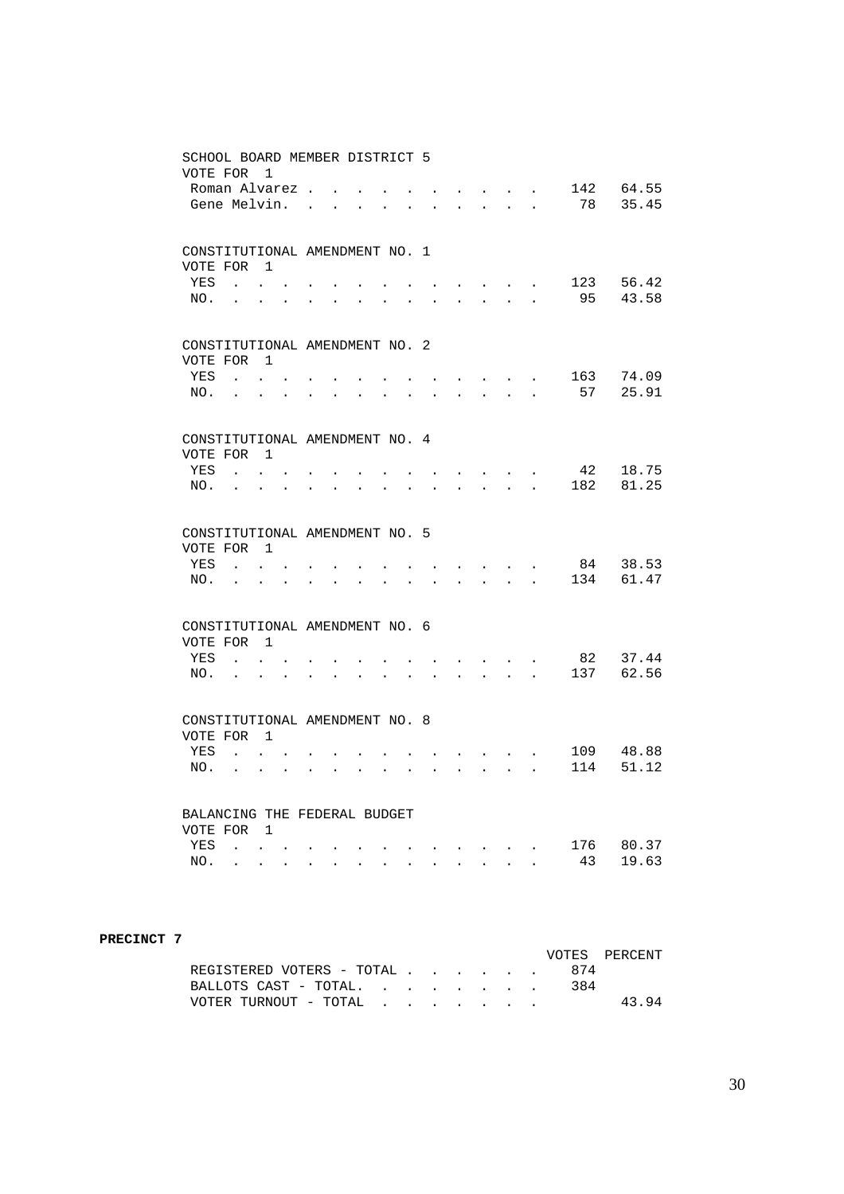| SCHOOL BOARD MEMBER DISTRICT 5<br>VOTE FOR   |                                                                                                                        | $\mathbf{1}$                                 |                           |                      |                                                             |                      |                      |                      |                      |                      |                                           |                                              |                                              |           |                |
|----------------------------------------------|------------------------------------------------------------------------------------------------------------------------|----------------------------------------------|---------------------------|----------------------|-------------------------------------------------------------|----------------------|----------------------|----------------------|----------------------|----------------------|-------------------------------------------|----------------------------------------------|----------------------------------------------|-----------|----------------|
|                                              | Roman Alvarez.                                                                                                         |                                              |                           |                      |                                                             |                      |                      |                      |                      |                      |                                           |                                              | $\sim$                                       | 142       | 64.55          |
| Gene Melvin.                                 |                                                                                                                        |                                              |                           | $\mathbf{r}$         |                                                             |                      |                      |                      |                      |                      | $\ddot{\phantom{a}}$                      | $\ddot{\phantom{a}}$                         | $\ddot{\phantom{a}}$                         | 78        | 35.45          |
| CONSTITUTIONAL AMENDMENT NO. 1<br>VOTE FOR   |                                                                                                                        | $\overline{1}$                               |                           |                      |                                                             |                      |                      |                      |                      |                      |                                           |                                              |                                              |           |                |
| <b>YES</b><br>NO.                            | $\mathbf{r}$ , $\mathbf{r}$ , $\mathbf{r}$ , $\mathbf{r}$<br>$\mathbf{r}$ , $\mathbf{r}$ , $\mathbf{r}$ , $\mathbf{r}$ |                                              | $\mathbf{L}^{\text{max}}$ | $\ddot{\phantom{a}}$ | $\ddot{\phantom{a}}$                                        | $\bullet$            | $\bullet$            | $\ddot{\phantom{a}}$ | $\ddot{\phantom{a}}$ | $\ddot{\phantom{0}}$ | $\sim 10^{-10}$ .<br>$\ddot{\phantom{0}}$ | $\sim$<br>$\ddot{\phantom{a}}$               | $\ddot{\phantom{0}}$<br>$\ddot{\phantom{a}}$ | 123<br>95 | 56.42<br>43.58 |
| CONSTITUTIONAL AMENDMENT NO. 2<br>VOTE FOR 1 |                                                                                                                        |                                              |                           |                      |                                                             |                      |                      |                      |                      |                      |                                           |                                              |                                              |           |                |
| YES                                          | $\sim$ $\sim$ $\sim$                                                                                                   | $\mathcal{L}^{\mathcal{L}}$                  |                           |                      |                                                             |                      |                      |                      |                      |                      |                                           |                                              | $\sim$                                       | 163       | 74.09          |
| NO.                                          | $\sim$ $\sim$                                                                                                          | $\bullet$                                    | $\ddot{\phantom{a}}$      |                      |                                                             |                      |                      |                      |                      |                      |                                           |                                              |                                              | 57        | 25.91          |
| CONSTITUTIONAL AMENDMENT NO. 4               |                                                                                                                        |                                              |                           |                      |                                                             |                      |                      |                      |                      |                      |                                           |                                              |                                              |           |                |
| VOTE FOR<br>YES                              |                                                                                                                        | $\overline{1}$                               |                           |                      |                                                             |                      |                      |                      |                      |                      |                                           |                                              |                                              | 42        | 18.75          |
| NO.                                          | $\mathbf{r}$                                                                                                           | $\ddot{\phantom{0}}$                         | $\ddot{\phantom{a}}$      |                      |                                                             |                      |                      |                      |                      |                      |                                           | $\mathbf{r}$                                 | $\ddot{\phantom{a}}$                         | 182       | 81.25          |
| CONSTITUTIONAL AMENDMENT NO. 5               |                                                                                                                        |                                              |                           |                      |                                                             |                      |                      |                      |                      |                      |                                           |                                              |                                              |           |                |
| VOTE FOR                                     |                                                                                                                        | $\overline{1}$                               |                           |                      |                                                             |                      |                      |                      |                      |                      |                                           |                                              |                                              |           |                |
| YES<br>NO.                                   | $\sim$<br>$\ddot{\phantom{a}}$                                                                                         | $\ddot{\phantom{0}}$                         |                           |                      |                                                             |                      |                      |                      |                      | $\ddot{\phantom{a}}$ | $\sim$                                    | $\ddot{\phantom{0}}$                         | $\sim$                                       | 84<br>134 | 38.53<br>61.47 |
|                                              |                                                                                                                        |                                              |                           |                      |                                                             |                      |                      |                      |                      |                      |                                           |                                              |                                              |           |                |
| CONSTITUTIONAL AMENDMENT NO. 6<br>VOTE FOR 1 |                                                                                                                        |                                              |                           |                      |                                                             |                      |                      |                      |                      |                      |                                           |                                              |                                              |           |                |
| YES<br>NO.                                   | $\sim$ $\sim$                                                                                                          |                                              |                           |                      |                                                             |                      |                      |                      |                      |                      |                                           |                                              |                                              | 82<br>137 | 37.44<br>62.56 |
|                                              | <b>Contract Contract</b>                                                                                               |                                              | $\bullet$                 | $\ddot{\phantom{a}}$ | $\bullet$ .<br><br><br><br><br><br><br><br><br><br><br><br> | $\bullet$            | $\ddot{\phantom{0}}$ | $\ddot{\phantom{a}}$ | $\ddot{\phantom{a}}$ | $\ddot{\phantom{0}}$ | $\ddot{\phantom{0}}$                      | $\ddot{\phantom{a}}$                         | $\ddot{\phantom{a}}$                         |           |                |
| CONSTITUTIONAL AMENDMENT NO. 8<br>VOTE FOR 1 |                                                                                                                        |                                              |                           |                      |                                                             |                      |                      |                      |                      |                      |                                           |                                              |                                              |           |                |
| YES                                          |                                                                                                                        | $\mathbf{L}$ $\mathbf{L}$                    |                           |                      |                                                             |                      |                      |                      |                      |                      |                                           |                                              |                                              | 109       | 48.88          |
| NO.                                          | $\ddot{\phantom{0}}$                                                                                                   | $\ddot{\phantom{0}}$                         |                           |                      |                                                             |                      |                      |                      |                      |                      |                                           |                                              | $\overline{a}$                               | 114       | 51.12          |
| BALANCING THE FEDERAL BUDGET                 |                                                                                                                        |                                              |                           |                      |                                                             |                      |                      |                      |                      |                      |                                           |                                              |                                              |           |                |
| VOTE FOR<br><b>YES</b>                       |                                                                                                                        | $\overline{\phantom{0}}$                     |                           |                      |                                                             |                      |                      |                      |                      |                      |                                           |                                              |                                              | 176       | 80.37          |
| NO.                                          | $\mathbf{L}$<br>$\sim 100$ km s $^{-1}$                                                                                | $\ddot{\phantom{0}}$<br>$\ddot{\phantom{a}}$ | $\ddot{\phantom{a}}$      | $\ddot{\phantom{a}}$ | $\ddot{\phantom{a}}$                                        | $\ddot{\phantom{a}}$ | $\sim$               | $\ddot{\phantom{0}}$ | $\ddot{\phantom{a}}$ | $\sim$               | $\ddot{\phantom{a}}$                      | $\ddot{\phantom{0}}$<br>$\ddot{\phantom{a}}$ | $\sim$                                       | 43        | 19.63          |
|                                              |                                                                                                                        |                                              |                           |                      |                                                             |                      |                      |                      |                      |                      |                                           |                                              |                                              |           |                |

#### **PRECINCT 7**

|                           |  |  |  |     | VOTES PERCENT |
|---------------------------|--|--|--|-----|---------------|
| REGISTERED VOTERS - TOTAL |  |  |  |     |               |
| BALLOTS CAST - TOTAL.     |  |  |  | 384 |               |
| VOTER TURNOUT - TOTAL     |  |  |  |     | 43.94         |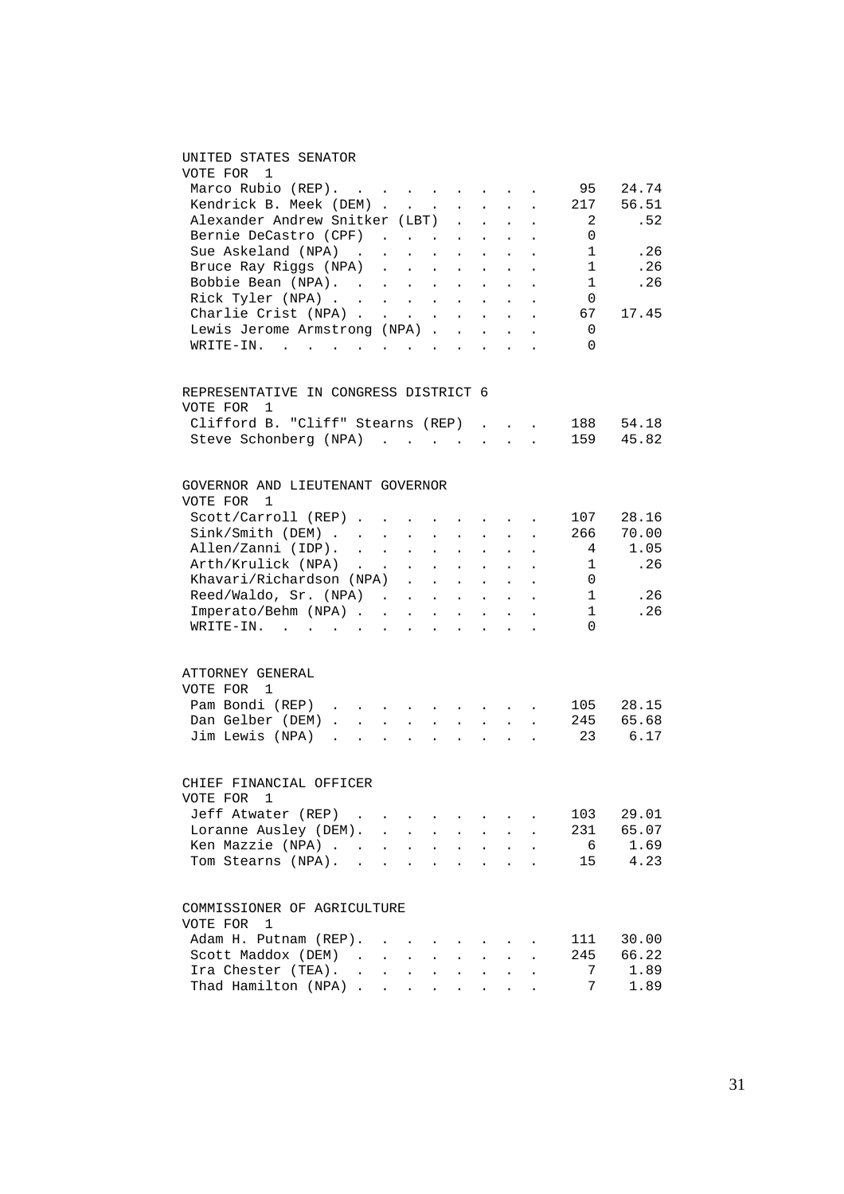### UNITED STATES SENATOR

| VOTE FOR 1                                                                                                                         |                                                                                            |                                                                                 |                                               |                           |                                                                                       |                                                                                                                                                     |                      |              |       |
|------------------------------------------------------------------------------------------------------------------------------------|--------------------------------------------------------------------------------------------|---------------------------------------------------------------------------------|-----------------------------------------------|---------------------------|---------------------------------------------------------------------------------------|-----------------------------------------------------------------------------------------------------------------------------------------------------|----------------------|--------------|-------|
| Marco Rubio (REP).                                                                                                                 |                                                                                            |                                                                                 |                                               |                           |                                                                                       |                                                                                                                                                     |                      | 95           | 24.74 |
| Kendrick B. Meek (DEM)                                                                                                             |                                                                                            |                                                                                 |                                               |                           |                                                                                       | $\sim$                                                                                                                                              |                      | 217          | 56.51 |
| Alexander Andrew Snitker (LBT)                                                                                                     |                                                                                            |                                                                                 | $\begin{array}{c} \cdot \\ \cdot \end{array}$ |                           | $\begin{array}{ccc} \star & \rightarrow & \star \\ \star & \star & \star \end{array}$ | $\sim$                                                                                                                                              |                      | 2            | .52   |
| Bernie DeCastro (CPF)                                                                                                              |                                                                                            |                                                                                 |                                               |                           |                                                                                       |                                                                                                                                                     |                      | 0            |       |
| Sue Askeland (NPA)                                                                                                                 | and the contract of the contract of                                                        |                                                                                 |                                               |                           |                                                                                       |                                                                                                                                                     |                      | $\mathbf{1}$ | .26   |
|                                                                                                                                    |                                                                                            |                                                                                 |                                               |                           |                                                                                       |                                                                                                                                                     |                      |              |       |
| Bruce Ray Riggs (NPA)                                                                                                              |                                                                                            |                                                                                 |                                               |                           |                                                                                       |                                                                                                                                                     |                      | 1            | .26   |
| Bobbie Bean (NPA).                                                                                                                 |                                                                                            |                                                                                 |                                               |                           |                                                                                       |                                                                                                                                                     |                      | $\mathbf{1}$ | .26   |
| Rick Tyler (NPA)<br>Charlie Crist (NPA)                                                                                            |                                                                                            |                                                                                 |                                               |                           |                                                                                       | $\sim$                                                                                                                                              |                      | 0            |       |
|                                                                                                                                    |                                                                                            |                                                                                 |                                               |                           |                                                                                       | $\sim$                                                                                                                                              | $\ddot{\phantom{a}}$ | 67           | 17.45 |
| Lewis Jerome Armstrong (NPA)                                                                                                       |                                                                                            |                                                                                 |                                               |                           |                                                                                       |                                                                                                                                                     |                      | 0            |       |
| WRITE-IN.<br><u>no provincialmente de la característica de la característica de la característica de la característica de la c</u> |                                                                                            |                                                                                 |                                               |                           |                                                                                       |                                                                                                                                                     |                      | 0            |       |
| REPRESENTATIVE IN CONGRESS DISTRICT 6                                                                                              |                                                                                            |                                                                                 |                                               |                           |                                                                                       |                                                                                                                                                     |                      |              |       |
| VOTE FOR<br>$\overline{\phantom{0}}$                                                                                               |                                                                                            |                                                                                 |                                               |                           |                                                                                       |                                                                                                                                                     |                      |              |       |
| Clifford B. "Cliff" Stearns (REP)                                                                                                  |                                                                                            |                                                                                 |                                               |                           |                                                                                       |                                                                                                                                                     |                      | 188          | 54.18 |
| Steve Schonberg (NPA)                                                                                                              |                                                                                            |                                                                                 |                                               |                           |                                                                                       |                                                                                                                                                     |                      | 159          | 45.82 |
|                                                                                                                                    |                                                                                            |                                                                                 |                                               |                           |                                                                                       |                                                                                                                                                     |                      |              |       |
| GOVERNOR AND LIEUTENANT GOVERNOR                                                                                                   |                                                                                            |                                                                                 |                                               |                           |                                                                                       |                                                                                                                                                     |                      |              |       |
| VOTE FOR 1                                                                                                                         |                                                                                            |                                                                                 |                                               |                           |                                                                                       |                                                                                                                                                     |                      |              |       |
| $Scott/Carroll (REF)$                                                                                                              |                                                                                            |                                                                                 |                                               |                           |                                                                                       |                                                                                                                                                     |                      | 107          | 28.16 |
| Sink/Smith (DEM)                                                                                                                   |                                                                                            |                                                                                 |                                               |                           |                                                                                       |                                                                                                                                                     |                      | 266          | 70.00 |
| Allen/Zanni (IDP).                                                                                                                 |                                                                                            |                                                                                 |                                               |                           |                                                                                       |                                                                                                                                                     |                      | 4            | 1.05  |
| Arth/Krulick (NPA)                                                                                                                 | $\mathcal{A}(\mathcal{A})$ . As a set of the set of the set of $\mathcal{A}(\mathcal{A})$  |                                                                                 |                                               |                           |                                                                                       |                                                                                                                                                     |                      | $\mathbf{1}$ | .26   |
| Khavari/Richardson (NPA).                                                                                                          |                                                                                            |                                                                                 |                                               |                           |                                                                                       | $\mathcal{L}^{\mathcal{A}}$ , $\mathcal{L}^{\mathcal{A}}$ , $\mathcal{L}^{\mathcal{A}}$ , $\mathcal{L}^{\mathcal{A}}$ , $\mathcal{L}^{\mathcal{A}}$ |                      | 0            |       |
| Reed/Waldo, Sr. (NPA) .                                                                                                            |                                                                                            | $\sim$ $-$                                                                      | $\mathcal{L}^{\text{max}}$                    | $\sim$                    | $\sim$                                                                                | $\mathcal{L}^{\mathcal{L}}$                                                                                                                         |                      | $\mathbf{1}$ | .26   |
| Imperato/Behm (NPA)                                                                                                                |                                                                                            |                                                                                 |                                               |                           |                                                                                       | $\sim$                                                                                                                                              | $\sim$               | 1            | .26   |
| WRITE-IN.                                                                                                                          |                                                                                            |                                                                                 |                                               |                           |                                                                                       |                                                                                                                                                     |                      | $\Omega$     |       |
|                                                                                                                                    |                                                                                            |                                                                                 |                                               |                           |                                                                                       |                                                                                                                                                     |                      |              |       |
| ATTORNEY GENERAL                                                                                                                   |                                                                                            |                                                                                 |                                               |                           |                                                                                       |                                                                                                                                                     |                      |              |       |
| VOTE FOR 1                                                                                                                         |                                                                                            |                                                                                 |                                               |                           |                                                                                       |                                                                                                                                                     |                      |              |       |
| Pam Bondi (REP)                                                                                                                    |                                                                                            |                                                                                 |                                               |                           |                                                                                       |                                                                                                                                                     |                      | 105          | 28.15 |
| Dan Gelber (DEM)                                                                                                                   |                                                                                            |                                                                                 |                                               |                           |                                                                                       |                                                                                                                                                     |                      | 245          | 65.68 |
| Jim Lewis (NPA)<br>$\mathbf{r}$ , and $\mathbf{r}$ , and $\mathbf{r}$ , and $\mathbf{r}$ , and $\mathbf{r}$                        |                                                                                            |                                                                                 |                                               |                           |                                                                                       |                                                                                                                                                     |                      | 23           | 6.17  |
| CHIEF FINANCIAL OFFICER                                                                                                            |                                                                                            |                                                                                 |                                               |                           |                                                                                       |                                                                                                                                                     |                      |              |       |
| VOTE FOR 1                                                                                                                         |                                                                                            |                                                                                 |                                               |                           |                                                                                       |                                                                                                                                                     |                      |              |       |
| Jeff Atwater (REP)                                                                                                                 |                                                                                            |                                                                                 |                                               |                           |                                                                                       |                                                                                                                                                     |                      | 103          | 29.01 |
| Loranne Ausley (DEM).                                                                                                              |                                                                                            |                                                                                 |                                               |                           |                                                                                       |                                                                                                                                                     |                      | 231          | 65.07 |
|                                                                                                                                    |                                                                                            | $\mathbf{L}^{\text{max}}$ , and $\mathbf{L}^{\text{max}}$                       | $\ddot{\phantom{0}}$                          | $\mathbf{L}^{\text{max}}$ | $\mathbf{L}^{\text{max}}$                                                             | $\mathcal{L}^{\text{max}}$                                                                                                                          | $\ddot{\phantom{0}}$ |              |       |
| Ken Mazzie (NPA) .                                                                                                                 | and the contract of the contract of                                                        |                                                                                 |                                               |                           |                                                                                       |                                                                                                                                                     |                      | 6            | 1.69  |
| Tom Stearns (NPA). .                                                                                                               |                                                                                            | the contract of the contract of the contract of the contract of the contract of |                                               |                           |                                                                                       |                                                                                                                                                     |                      | 15           | 4.23  |
| COMMISSIONER OF AGRICULTURE                                                                                                        |                                                                                            |                                                                                 |                                               |                           |                                                                                       |                                                                                                                                                     |                      |              |       |
| VOTE FOR<br>1                                                                                                                      |                                                                                            |                                                                                 |                                               |                           |                                                                                       |                                                                                                                                                     |                      |              |       |
| Adam H. Putnam (REP).                                                                                                              |                                                                                            |                                                                                 |                                               |                           |                                                                                       |                                                                                                                                                     |                      | 111          | 30.00 |
| Scott Maddox (DEM)                                                                                                                 | $\mathcal{L}(\mathcal{A})$ and $\mathcal{A}(\mathcal{A})$ . The $\mathcal{A}(\mathcal{A})$ |                                                                                 | $\sim 100$                                    | $\mathbf{L}^{\text{max}}$ |                                                                                       | $\mathbf{z} = \mathbf{z} + \mathbf{z}$ .                                                                                                            |                      | 245          | 66.22 |
| Ira Chester (TEA). .                                                                                                               |                                                                                            |                                                                                 |                                               |                           |                                                                                       |                                                                                                                                                     |                      | 7            | 1.89  |
| Ira Chester (TEA).<br>Thad Hamilton (NPA)                                                                                          |                                                                                            |                                                                                 |                                               |                           |                                                                                       |                                                                                                                                                     |                      | 7            | 1.89  |
|                                                                                                                                    |                                                                                            |                                                                                 |                                               |                           |                                                                                       |                                                                                                                                                     |                      |              |       |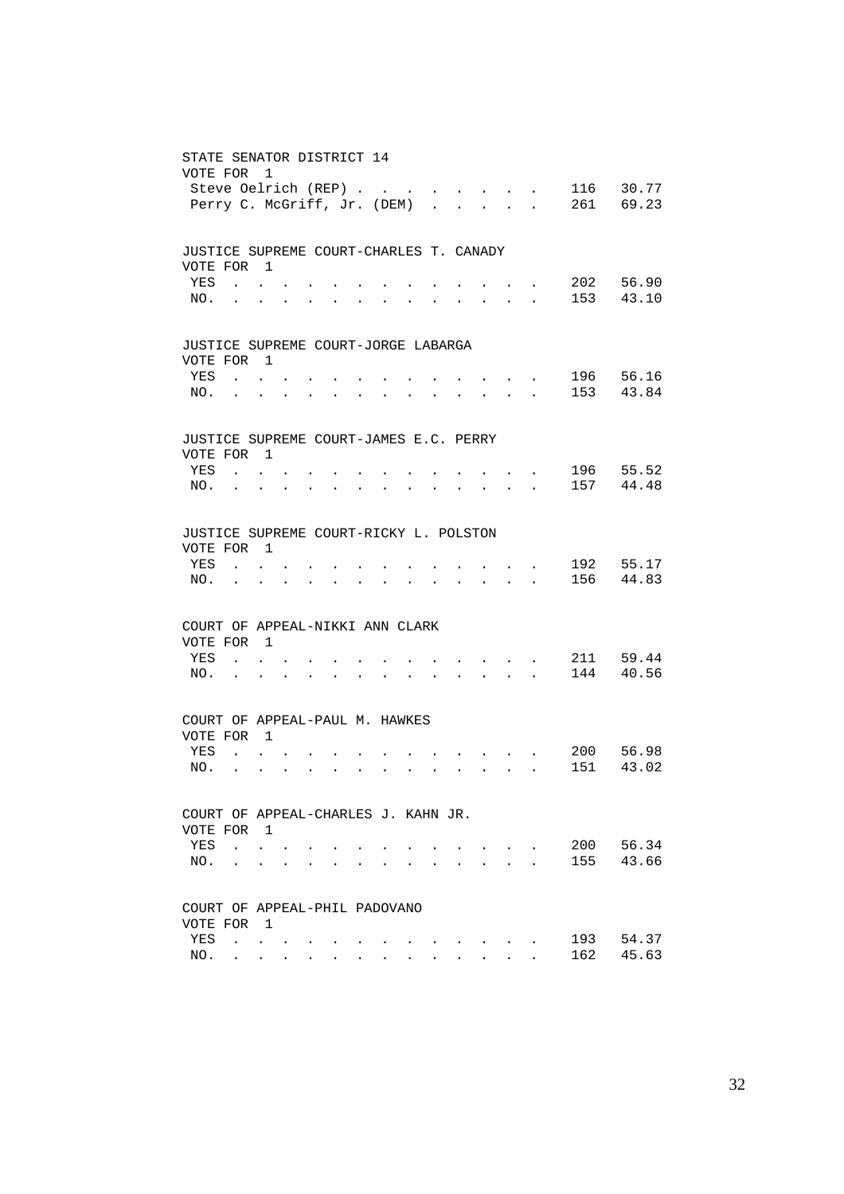| STATE SENATOR DISTRICT 14<br>VOTE FOR                | Steve Oelrich (REP)<br>Perry C. McGriff, Jr. (DEM)        | 1                                                             |                                                                 |                                                             |                                                             |           |                                                             |                      |                                                                                                                                                                                                                                                                                                                                                                                                                                                                              |                      |                                                                                                                                   |                               |                                                                          | 116 | 30.77<br>261 69.23 |
|------------------------------------------------------|-----------------------------------------------------------|---------------------------------------------------------------|-----------------------------------------------------------------|-------------------------------------------------------------|-------------------------------------------------------------|-----------|-------------------------------------------------------------|----------------------|------------------------------------------------------------------------------------------------------------------------------------------------------------------------------------------------------------------------------------------------------------------------------------------------------------------------------------------------------------------------------------------------------------------------------------------------------------------------------|----------------------|-----------------------------------------------------------------------------------------------------------------------------------|-------------------------------|--------------------------------------------------------------------------|-----|--------------------|
| JUSTICE SUPREME COURT-CHARLES T. CANADY              |                                                           |                                                               |                                                                 |                                                             |                                                             |           |                                                             |                      |                                                                                                                                                                                                                                                                                                                                                                                                                                                                              |                      |                                                                                                                                   |                               |                                                                          |     |                    |
| VOTE FOR 1<br>YES                                    | and the contract of the con-                              |                                                               |                                                                 |                                                             |                                                             |           |                                                             |                      |                                                                                                                                                                                                                                                                                                                                                                                                                                                                              |                      |                                                                                                                                   |                               | $\mathbf{r} = \mathbf{r} + \mathbf{r}$ and $\mathbf{r} = \mathbf{r}$     |     | 202 56.90          |
|                                                      | NO.                                                       |                                                               |                                                                 | $\bullet$ .<br><br><br><br><br><br><br><br><br><br><br><br> | $\bullet$ .<br><br><br><br><br><br><br><br><br><br><br><br> | $\bullet$ | $\bullet$ .<br><br><br><br><br><br><br><br><br><br><br><br> | $\bullet$ .          |                                                                                                                                                                                                                                                                                                                                                                                                                                                                              |                      |                                                                                                                                   |                               | $\mathbf{z} = \mathbf{z} + \mathbf{z}$ , where $\mathbf{z} = \mathbf{z}$ |     | 153 43.10          |
|                                                      |                                                           |                                                               |                                                                 |                                                             |                                                             |           |                                                             |                      |                                                                                                                                                                                                                                                                                                                                                                                                                                                                              |                      |                                                                                                                                   |                               |                                                                          |     |                    |
| JUSTICE SUPREME COURT-JORGE LABARGA<br>VOTE FOR 1    |                                                           |                                                               |                                                                 |                                                             |                                                             |           |                                                             |                      |                                                                                                                                                                                                                                                                                                                                                                                                                                                                              |                      |                                                                                                                                   |                               |                                                                          |     |                    |
| YES                                                  | $\mathbf{r}$ , $\mathbf{r}$ , $\mathbf{r}$ , $\mathbf{r}$ |                                                               |                                                                 |                                                             |                                                             |           |                                                             |                      |                                                                                                                                                                                                                                                                                                                                                                                                                                                                              |                      |                                                                                                                                   |                               |                                                                          | 196 | 56.16              |
| NO.                                                  | <b>Contractor</b>                                         | $\bullet$                                                     | $\ddot{\phantom{0}}$                                            | $\bullet$                                                   | <b>Contract Contract</b>                                    | $\bullet$ | $\bullet$ .<br><br><br><br><br><br><br><br><br><br><br><br> |                      | the contract of the contract of the                                                                                                                                                                                                                                                                                                                                                                                                                                          |                      |                                                                                                                                   |                               |                                                                          |     | 153 43.84          |
|                                                      |                                                           |                                                               |                                                                 |                                                             |                                                             |           |                                                             |                      |                                                                                                                                                                                                                                                                                                                                                                                                                                                                              |                      |                                                                                                                                   |                               |                                                                          |     |                    |
| JUSTICE SUPREME COURT-JAMES E.C. PERRY<br>VOTE FOR 1 |                                                           |                                                               |                                                                 |                                                             |                                                             |           |                                                             |                      |                                                                                                                                                                                                                                                                                                                                                                                                                                                                              |                      |                                                                                                                                   |                               |                                                                          |     |                    |
| YES                                                  | $\mathbf{r}$ , $\mathbf{r}$ , $\mathbf{r}$                |                                                               |                                                                 |                                                             |                                                             |           |                                                             |                      |                                                                                                                                                                                                                                                                                                                                                                                                                                                                              |                      |                                                                                                                                   |                               | $\mathbf{r} = \mathbf{r} \mathbf{r}$ , where $\mathbf{r} = \mathbf{r}$   |     | 196 55.52          |
|                                                      | NO.                                                       |                                                               |                                                                 | $\bullet$                                                   | $\bullet$ .                                                 | $\bullet$ | $\sim$                                                      |                      |                                                                                                                                                                                                                                                                                                                                                                                                                                                                              |                      |                                                                                                                                   |                               | $\mathbf{z} = \mathbf{z} + \mathbf{z}$ , where $\mathbf{z} = \mathbf{z}$ |     | 157 44.48          |
|                                                      |                                                           |                                                               |                                                                 |                                                             |                                                             |           |                                                             |                      |                                                                                                                                                                                                                                                                                                                                                                                                                                                                              |                      |                                                                                                                                   |                               |                                                                          |     |                    |
| JUSTICE SUPREME COURT-RICKY L. POLSTON               |                                                           |                                                               |                                                                 |                                                             |                                                             |           |                                                             |                      |                                                                                                                                                                                                                                                                                                                                                                                                                                                                              |                      |                                                                                                                                   |                               |                                                                          |     |                    |
| VOTE FOR 1                                           |                                                           |                                                               |                                                                 |                                                             |                                                             |           |                                                             |                      |                                                                                                                                                                                                                                                                                                                                                                                                                                                                              |                      |                                                                                                                                   |                               |                                                                          |     |                    |
| YES                                                  | $\sim$ $\sim$ $\sim$ $\sim$ $\sim$                        |                                                               |                                                                 |                                                             |                                                             |           |                                                             |                      |                                                                                                                                                                                                                                                                                                                                                                                                                                                                              |                      | and a strong product of the                                                                                                       |                               |                                                                          |     | 192 55.17          |
| NO.                                                  | <b>Contract Contract</b>                                  | $\bullet$ .<br><br><br><br><br><br><br><br><br><br><br><br>   | $\mathbf{L} = \mathbf{L} \times \mathbf{R}$                     |                                                             | <b>All Card Control</b>                                     | $\bullet$ | $\bullet$                                                   | $\bullet$            |                                                                                                                                                                                                                                                                                                                                                                                                                                                                              |                      | and a strong control of the strong strong                                                                                         |                               |                                                                          |     | 156 44.83          |
| COURT OF APPEAL-NIKKI ANN CLARK                      |                                                           |                                                               |                                                                 |                                                             |                                                             |           |                                                             |                      |                                                                                                                                                                                                                                                                                                                                                                                                                                                                              |                      |                                                                                                                                   |                               |                                                                          |     |                    |
| VOTE FOR 1                                           |                                                           |                                                               |                                                                 |                                                             |                                                             |           |                                                             |                      |                                                                                                                                                                                                                                                                                                                                                                                                                                                                              |                      |                                                                                                                                   |                               |                                                                          |     |                    |
| YES                                                  | $\mathbf{r}$ , $\mathbf{r}$ , $\mathbf{r}$                |                                                               |                                                                 |                                                             |                                                             |           |                                                             |                      |                                                                                                                                                                                                                                                                                                                                                                                                                                                                              |                      | the contract of the con-                                                                                                          |                               |                                                                          |     | 211 59.44          |
| NO.                                                  | $\mathbf{r}$ . The set of $\mathbf{r}$                    |                                                               | $\bullet$ .<br><br><br><br><br><br><br><br><br><br><br><br>     |                                                             | <b>All Contracts</b>                                        | $\bullet$ | $\bullet$                                                   | $\ddot{\phantom{0}}$ | $\sim$ $-$                                                                                                                                                                                                                                                                                                                                                                                                                                                                   |                      | $\mathcal{A}^{\mathcal{A}}$ , and $\mathcal{A}^{\mathcal{A}}$ , and $\mathcal{A}^{\mathcal{A}}$ , and $\mathcal{A}^{\mathcal{A}}$ |                               |                                                                          |     | 144 40.56          |
|                                                      |                                                           |                                                               |                                                                 |                                                             |                                                             |           |                                                             |                      |                                                                                                                                                                                                                                                                                                                                                                                                                                                                              |                      |                                                                                                                                   |                               |                                                                          |     |                    |
| COURT OF APPEAL-PAUL M. HAWKES                       |                                                           |                                                               |                                                                 |                                                             |                                                             |           |                                                             |                      |                                                                                                                                                                                                                                                                                                                                                                                                                                                                              |                      |                                                                                                                                   |                               |                                                                          |     |                    |
| VOTE FOR 1<br>YES                                    | $\mathbf{r}$ , $\mathbf{r}$ , $\mathbf{r}$ , $\mathbf{r}$ |                                                               |                                                                 |                                                             |                                                             |           |                                                             |                      |                                                                                                                                                                                                                                                                                                                                                                                                                                                                              |                      |                                                                                                                                   |                               |                                                                          | 200 | 56.98              |
| NO.                                                  | $\mathbf{r}$ , $\mathbf{r}$ , $\mathbf{r}$                |                                                               | $\bullet$ .<br><br><br><br><br><br><br><br><br><br><br><br><br> |                                                             | $\mathbf{z} = \mathbf{z} + \mathbf{z}$ .                    | $\bullet$ | $\ddot{\phantom{0}}$                                        |                      | $\mathbf{1} \qquad \qquad \mathbf{1} \qquad \qquad \mathbf{1} \qquad \qquad \mathbf{1} \qquad \qquad \mathbf{1} \qquad \qquad \mathbf{1} \qquad \qquad \mathbf{1} \qquad \qquad \mathbf{1} \qquad \qquad \mathbf{1} \qquad \qquad \mathbf{1} \qquad \qquad \mathbf{1} \qquad \qquad \mathbf{1} \qquad \qquad \mathbf{1} \qquad \qquad \mathbf{1} \qquad \qquad \mathbf{1} \qquad \qquad \mathbf{1} \qquad \qquad \mathbf{1} \qquad \qquad \mathbf{1} \qquad \qquad \mathbf{$ |                      | the contract of the contract of the contract of                                                                                   |                               |                                                                          | 151 | 43.02              |
|                                                      |                                                           |                                                               |                                                                 |                                                             |                                                             |           |                                                             |                      |                                                                                                                                                                                                                                                                                                                                                                                                                                                                              |                      |                                                                                                                                   |                               |                                                                          |     |                    |
| COURT OF APPEAL-CHARLES J. KAHN JR.                  |                                                           |                                                               |                                                                 |                                                             |                                                             |           |                                                             |                      |                                                                                                                                                                                                                                                                                                                                                                                                                                                                              |                      |                                                                                                                                   |                               |                                                                          |     |                    |
| VOTE FOR                                             |                                                           | $\blacksquare$                                                |                                                                 |                                                             |                                                             |           |                                                             |                      |                                                                                                                                                                                                                                                                                                                                                                                                                                                                              |                      |                                                                                                                                   |                               |                                                                          |     |                    |
| YES                                                  |                                                           | $\mathbf{L} = \mathbf{L}$                                     |                                                                 |                                                             |                                                             |           |                                                             |                      |                                                                                                                                                                                                                                                                                                                                                                                                                                                                              |                      | $\mathbf{L}$                                                                                                                      |                               |                                                                          | 200 | 56.34              |
| NO.                                                  |                                                           | $\ddot{\phantom{0}}$                                          |                                                                 | $\ddot{\phantom{0}}$                                        |                                                             |           |                                                             |                      | $\ddot{\phantom{a}}$                                                                                                                                                                                                                                                                                                                                                                                                                                                         | $\ddot{\phantom{0}}$ |                                                                                                                                   | $\mathbf{L}$ and $\mathbf{L}$ | $\ddot{\phantom{a}}$                                                     | 155 | 43.66              |
| COURT OF APPEAL-PHIL PADOVANO                        |                                                           |                                                               |                                                                 |                                                             |                                                             |           |                                                             |                      |                                                                                                                                                                                                                                                                                                                                                                                                                                                                              |                      |                                                                                                                                   |                               |                                                                          |     |                    |
| VOTE FOR                                             |                                                           | $\overline{1}$                                                |                                                                 |                                                             |                                                             |           |                                                             |                      |                                                                                                                                                                                                                                                                                                                                                                                                                                                                              |                      |                                                                                                                                   |                               |                                                                          |     |                    |
| YES                                                  |                                                           | $\mathcal{L}^{\text{max}}$ , where $\mathcal{L}^{\text{max}}$ |                                                                 |                                                             |                                                             |           |                                                             |                      |                                                                                                                                                                                                                                                                                                                                                                                                                                                                              |                      |                                                                                                                                   |                               |                                                                          | 193 | 54.37              |
| NO.                                                  |                                                           | $\mathbf{L} = \mathbf{L} \mathbf{L} + \mathbf{L} \mathbf{L}$  |                                                                 |                                                             |                                                             |           |                                                             |                      |                                                                                                                                                                                                                                                                                                                                                                                                                                                                              |                      |                                                                                                                                   |                               |                                                                          | 162 | 45.63              |
|                                                      |                                                           |                                                               |                                                                 |                                                             |                                                             |           |                                                             |                      |                                                                                                                                                                                                                                                                                                                                                                                                                                                                              |                      |                                                                                                                                   |                               |                                                                          |     |                    |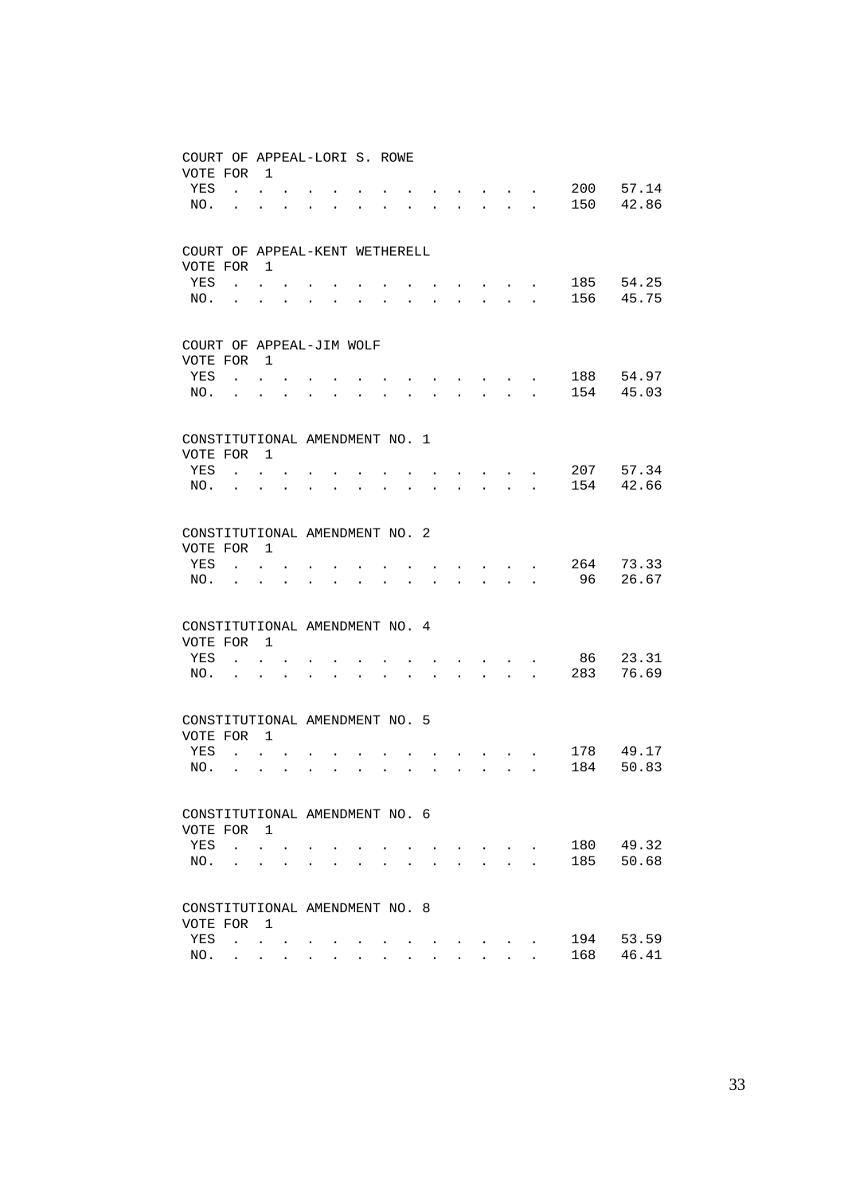| COURT OF APPEAL-LORI S. ROWE         |                             |                           |                      |                      |                      |                      |                      |                      |                      |                                                                                                                                                                                                                         |                           |                      |     |       |
|--------------------------------------|-----------------------------|---------------------------|----------------------|----------------------|----------------------|----------------------|----------------------|----------------------|----------------------|-------------------------------------------------------------------------------------------------------------------------------------------------------------------------------------------------------------------------|---------------------------|----------------------|-----|-------|
| VOTE FOR                             |                             | $\overline{1}$            |                      |                      |                      |                      |                      |                      |                      |                                                                                                                                                                                                                         |                           |                      |     |       |
| YES                                  |                             | $\mathbf{r} = \mathbf{r}$ |                      |                      |                      |                      |                      |                      |                      | $\cdot$ $\cdot$ $\cdot$ $\cdot$ $\cdot$                                                                                                                                                                                 |                           |                      | 200 | 57.14 |
| NO.                                  | $\ddot{\phantom{a}}$        |                           |                      | $\bullet$            | $\bullet$ .          | $\bullet$            |                      | $\sim$ 100 $\pm$     |                      | $\begin{array}{cccccccccccccc} \bullet & \bullet & \bullet & \bullet & \bullet & \bullet & \bullet & \bullet \end{array}$                                                                                               |                           |                      | 150 | 42.86 |
|                                      |                             |                           |                      |                      |                      |                      |                      |                      |                      |                                                                                                                                                                                                                         |                           |                      |     |       |
| COURT OF APPEAL-KENT WETHERELL       |                             |                           |                      |                      |                      |                      |                      |                      |                      |                                                                                                                                                                                                                         |                           |                      |     |       |
| VOTE FOR                             |                             | $\overline{\phantom{0}}$  |                      |                      |                      |                      |                      |                      |                      |                                                                                                                                                                                                                         |                           |                      |     |       |
| YES                                  | $\mathbf{L}$                | $\ddot{\phantom{0}}$      |                      |                      |                      |                      |                      |                      |                      | $\cdot$ $\cdot$ $\cdot$ $\cdot$ $\cdot$                                                                                                                                                                                 |                           |                      | 185 | 54.25 |
| NO.                                  | $\mathbf{L}^{\text{max}}$   | $\ddot{\phantom{0}}$      | $\ddot{\phantom{a}}$ |                      |                      |                      | $\ddot{\phantom{0}}$ | $\ddot{\phantom{0}}$ |                      | $\mathbf{z} = \mathbf{z} + \mathbf{z}$ , where $\mathbf{z} = \mathbf{z}$                                                                                                                                                |                           | $\ddot{\phantom{0}}$ | 156 | 45.75 |
|                                      |                             |                           |                      |                      |                      |                      |                      |                      |                      |                                                                                                                                                                                                                         |                           |                      |     |       |
|                                      |                             |                           |                      |                      |                      |                      |                      |                      |                      |                                                                                                                                                                                                                         |                           |                      |     |       |
| COURT OF APPEAL-JIM WOLF<br>VOTE FOR |                             | $\overline{1}$            |                      |                      |                      |                      |                      |                      |                      |                                                                                                                                                                                                                         |                           |                      |     |       |
| YES                                  |                             | $\mathbf{L} = \mathbf{L}$ |                      |                      |                      |                      |                      |                      |                      |                                                                                                                                                                                                                         |                           |                      | 188 | 54.97 |
| NO.                                  |                             |                           |                      |                      |                      |                      |                      | <b>Contractor</b>    |                      | $\mathbf{r} = \mathbf{r} + \mathbf{r} + \mathbf{r} + \mathbf{r} + \mathbf{r} + \mathbf{r}$<br>$\begin{array}{cccccccccccccc} \bullet & \bullet & \bullet & \bullet & \bullet & \bullet & \bullet & \bullet \end{array}$ |                           |                      | 154 | 45.03 |
|                                      |                             |                           |                      |                      | $\bullet$            |                      |                      |                      |                      |                                                                                                                                                                                                                         |                           |                      |     |       |
|                                      |                             |                           |                      |                      |                      |                      |                      |                      |                      |                                                                                                                                                                                                                         |                           |                      |     |       |
| CONSTITUTIONAL AMENDMENT NO. 1       |                             |                           |                      |                      |                      |                      |                      |                      |                      |                                                                                                                                                                                                                         |                           |                      |     |       |
| VOTE FOR                             |                             | $\overline{1}$            |                      |                      |                      |                      |                      |                      |                      |                                                                                                                                                                                                                         |                           |                      |     |       |
| YES                                  |                             | $\mathbf{L} = \mathbf{L}$ |                      |                      |                      |                      |                      |                      |                      | $\cdot$                                                                                                                                                                                                                 |                           |                      | 207 | 57.34 |
| NO.                                  | $\sim$                      | $\ddot{\phantom{0}}$      | $\ddot{\phantom{a}}$ | $\ddot{\phantom{a}}$ | $\ddot{\phantom{0}}$ | $\ddot{\phantom{a}}$ |                      |                      |                      | <b>All All Andrew</b>                                                                                                                                                                                                   |                           | $\ddot{\phantom{a}}$ | 154 | 42.66 |
|                                      |                             |                           |                      |                      |                      |                      |                      |                      |                      |                                                                                                                                                                                                                         |                           |                      |     |       |
| CONSTITUTIONAL AMENDMENT NO. 2       |                             |                           |                      |                      |                      |                      |                      |                      |                      |                                                                                                                                                                                                                         |                           |                      |     |       |
| VOTE FOR                             |                             | $\overline{\phantom{0}}$  |                      |                      |                      |                      |                      |                      |                      |                                                                                                                                                                                                                         |                           |                      |     |       |
| YES                                  |                             | $\mathbf{L}$ $\mathbf{L}$ |                      |                      |                      |                      |                      |                      |                      | $\sim$ $\sim$ $\sim$ $\sim$                                                                                                                                                                                             |                           |                      | 264 | 73.33 |
| NO.                                  |                             |                           |                      | $\ddot{\phantom{a}}$ | $\sim$ $\sim$ $\sim$ | $\ddot{\phantom{a}}$ |                      | $\ddot{\phantom{0}}$ |                      | $\cdot$ $\cdot$ $\cdot$ $\cdot$ $\cdot$                                                                                                                                                                                 |                           |                      | 96  | 26.67 |
|                                      |                             |                           |                      |                      |                      |                      |                      |                      |                      |                                                                                                                                                                                                                         |                           |                      |     |       |
| CONSTITUTIONAL AMENDMENT NO. 4       |                             |                           |                      |                      |                      |                      |                      |                      |                      |                                                                                                                                                                                                                         |                           |                      |     |       |
| VOTE FOR                             |                             | $\overline{\phantom{0}}$  |                      |                      |                      |                      |                      |                      |                      |                                                                                                                                                                                                                         |                           |                      |     |       |
| YES                                  | $\mathbf{r}$                | $\mathbf{r}$              |                      |                      |                      |                      |                      |                      |                      | $\mathbf{r} = \mathbf{r} + \mathbf{r}$ , where $\mathbf{r} = \mathbf{r}$                                                                                                                                                |                           |                      | 86  | 23.31 |
| NO.                                  |                             |                           |                      | $\ddot{\phantom{a}}$ |                      |                      |                      |                      |                      | $\mathbf{r}$ , $\mathbf{r}$ , $\mathbf{r}$ , $\mathbf{r}$                                                                                                                                                               |                           |                      | 283 | 76.69 |
|                                      |                             |                           |                      |                      |                      |                      |                      |                      |                      |                                                                                                                                                                                                                         |                           |                      |     |       |
| CONSTITUTIONAL AMENDMENT NO. 5       |                             |                           |                      |                      |                      |                      |                      |                      |                      |                                                                                                                                                                                                                         |                           |                      |     |       |
| VOTE FOR                             |                             | $\overline{1}$            |                      |                      |                      |                      |                      |                      |                      |                                                                                                                                                                                                                         |                           |                      |     |       |
| YES                                  |                             |                           |                      |                      |                      |                      |                      |                      |                      |                                                                                                                                                                                                                         |                           |                      | 178 | 49.17 |
| NO.                                  | $\mathbf{L}^{\text{max}}$   | $\ddot{\phantom{0}}$      |                      |                      |                      |                      |                      |                      |                      |                                                                                                                                                                                                                         | $\mathbf{L} = \mathbf{L}$ |                      | 184 | 50.83 |
|                                      |                             | $\ddot{\phantom{0}}$      | $\ddot{\phantom{0}}$ | $\ddot{\phantom{0}}$ |                      | $\ddot{\phantom{a}}$ |                      | $\ddot{\phantom{0}}$ | $\ddot{\phantom{a}}$ |                                                                                                                                                                                                                         |                           |                      |     |       |
|                                      |                             |                           |                      |                      |                      |                      |                      |                      |                      |                                                                                                                                                                                                                         |                           |                      |     |       |
| CONSTITUTIONAL AMENDMENT NO. 6       |                             |                           |                      |                      |                      |                      |                      |                      |                      |                                                                                                                                                                                                                         |                           |                      |     |       |
| VOTE FOR 1                           |                             |                           |                      |                      |                      |                      |                      |                      |                      |                                                                                                                                                                                                                         |                           |                      |     |       |
| YES                                  | $\sim$ $\sim$ $\sim$ $\sim$ |                           |                      |                      |                      |                      |                      |                      |                      | and the contract of the contract of                                                                                                                                                                                     |                           |                      | 180 | 49.32 |
| NO.                                  |                             | $\ddot{\phantom{a}}$      |                      |                      |                      |                      |                      |                      |                      | $\mathbf{r}$                                                                                                                                                                                                            | <b>Contract Contract</b>  |                      | 185 | 50.68 |
|                                      |                             |                           |                      |                      |                      |                      |                      |                      |                      |                                                                                                                                                                                                                         |                           |                      |     |       |
| CONSTITUTIONAL AMENDMENT NO. 8       |                             |                           |                      |                      |                      |                      |                      |                      |                      |                                                                                                                                                                                                                         |                           |                      |     |       |
| VOTE FOR                             |                             | $\overline{1}$            |                      |                      |                      |                      |                      |                      |                      |                                                                                                                                                                                                                         |                           |                      |     |       |
| YES                                  | $\mathbf{r}$ $\mathbf{r}$   |                           |                      |                      |                      |                      |                      |                      |                      |                                                                                                                                                                                                                         |                           |                      | 194 | 53.59 |
| NO.                                  | $\ddot{\phantom{0}}$        | $\sim$ $\sim$             | $\sim 10^{-11}$      |                      |                      |                      |                      |                      |                      |                                                                                                                                                                                                                         |                           |                      | 168 | 46.41 |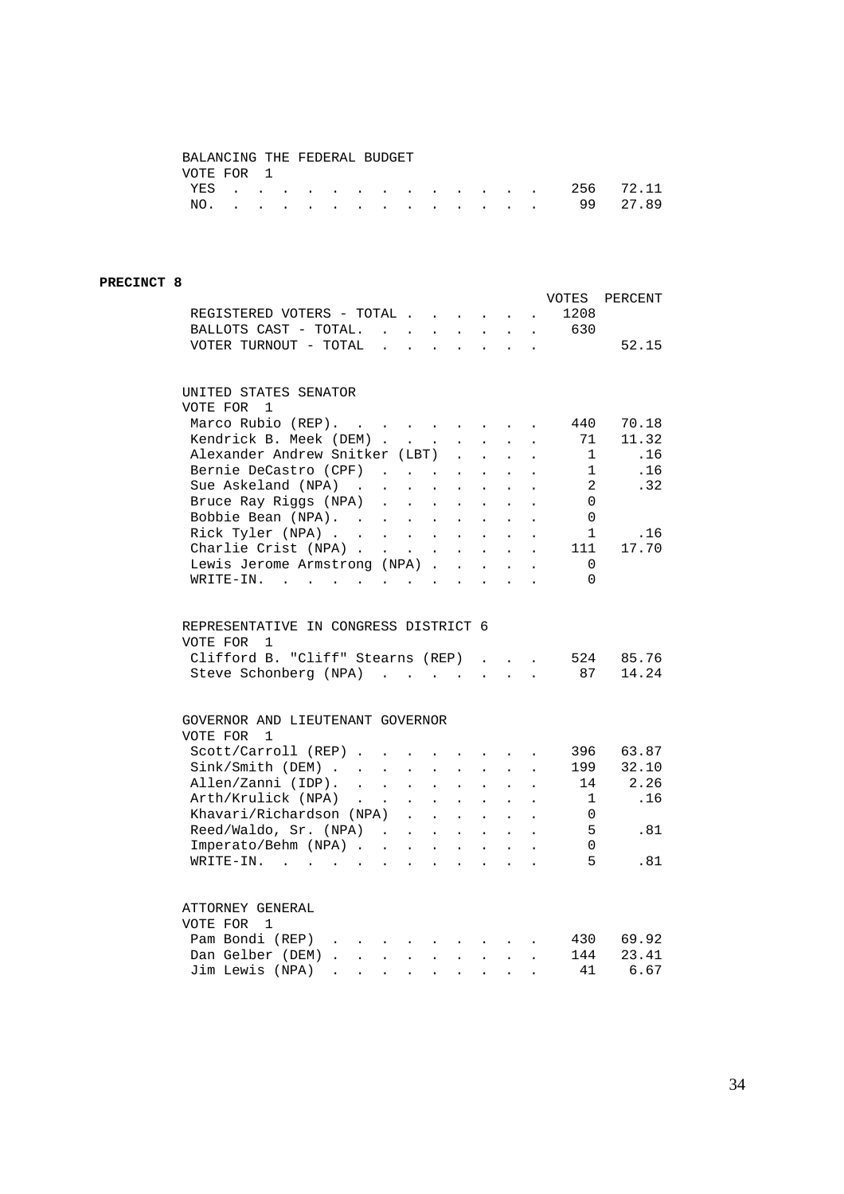## BALANCING THE FEDERAL BUDGET VOTE FOR 1

|  |  |  |  |  |  |  | YES 256 72.11 |  |
|--|--|--|--|--|--|--|---------------|--|
|  |  |  |  |  |  |  | NO. 99 27.89  |  |

### **PRECINCT 8**

|                                                                                                                                                              |                           |                      |                                                      |                            |                            |                                                              |                      | VOTES                               | PERCENT |
|--------------------------------------------------------------------------------------------------------------------------------------------------------------|---------------------------|----------------------|------------------------------------------------------|----------------------------|----------------------------|--------------------------------------------------------------|----------------------|-------------------------------------|---------|
| REGISTERED VOTERS - TOTAL                                                                                                                                    |                           |                      |                                                      |                            |                            | $\mathbf{L}^{\text{max}}$ , and $\mathbf{L}^{\text{max}}$    |                      | 1208                                |         |
| BALLOTS CAST - TOTAL.                                                                                                                                        |                           |                      |                                                      |                            |                            |                                                              |                      | $\cdot$ $\cdot$ $\cdot$ $\cdot$ 630 |         |
| VOTER TURNOUT - TOTAL .                                                                                                                                      |                           | $\mathbf{L}$         | $\mathbf{L}$                                         | $\mathbf{r}$               |                            | $\mathbf{r} = \mathbf{r} \mathbf{r} + \mathbf{r} \mathbf{r}$ |                      |                                     | 52.15   |
| UNITED STATES SENATOR                                                                                                                                        |                           |                      |                                                      |                            |                            |                                                              |                      |                                     |         |
| VOTE FOR 1                                                                                                                                                   |                           |                      |                                                      |                            |                            |                                                              |                      |                                     |         |
| Marco Rubio (REP).                                                                                                                                           |                           |                      |                                                      |                            |                            |                                                              |                      | 440                                 | 70.18   |
| Kendrick B. Meek (DEM).                                                                                                                                      |                           |                      | $\mathcal{L}(\mathcal{L}^{\text{max}})$ .            | $\ddot{\phantom{0}}$       | $\ddot{\phantom{0}}$       | $\ddot{\phantom{0}}$                                         |                      | 71                                  | 11.32   |
| Alexander Andrew Snitker (LBT)                                                                                                                               |                           |                      |                                                      | $\mathbf{r}$               | $\mathbf{r}$               | $\ddot{\phantom{a}}$                                         |                      | $\mathbf{1}$                        | .16     |
| Bernie DeCastro (CPF)                                                                                                                                        |                           |                      |                                                      | $\ddot{\phantom{0}}$       | $\ddot{\phantom{a}}$       |                                                              |                      | 1                                   | .16     |
| Sue Askeland (NPA)<br>$\mathcal{A}^{\mathcal{A}}$ , and $\mathcal{A}^{\mathcal{A}}$ , and $\mathcal{A}^{\mathcal{A}}$                                        |                           |                      |                                                      | $\ddot{\phantom{0}}$       | $\ddot{\phantom{0}}$       | $\ddot{\phantom{0}}$                                         |                      | 2                                   | .32     |
|                                                                                                                                                              |                           |                      | $\mathcal{L}^{\text{max}}(\mathcal{L}^{\text{max}})$ | $\mathcal{L}^{\text{max}}$ | $\ddot{\phantom{0}}$       |                                                              |                      | $\Omega$                            |         |
| Bruce Ray Riggs (NPA)<br>Bobbie Bean (NPA).                                                                                                                  |                           |                      | $\sim$                                               | $\sim$                     | $\ddot{\phantom{a}}$       | $\sim$                                                       |                      | $\overline{0}$                      |         |
| Rick Tyler (NPA)                                                                                                                                             |                           |                      |                                                      |                            | $\mathcal{L}^{\pm}$        | $\sim$                                                       | $\ddot{\phantom{a}}$ | $\mathbf{1}$                        | .16     |
| Charlie Crist (NPA)                                                                                                                                          |                           |                      |                                                      | $\sim$ $-$                 | $\mathcal{L}^{\text{max}}$ | $\sim$ $-$                                                   |                      | 111                                 | 17.70   |
| Lewis Jerome Armstrong (NPA)                                                                                                                                 |                           |                      |                                                      |                            | $\mathbf{r}$               | $\sim$                                                       |                      | $\Omega$                            |         |
| WRITE-IN.<br>the contract of the contract of the contract of the contract of the contract of the contract of the contract of                                 |                           |                      |                                                      |                            |                            | $\sim$ $\sim$                                                | $\ddot{\phantom{a}}$ | $\Omega$                            |         |
|                                                                                                                                                              |                           |                      |                                                      |                            |                            |                                                              |                      |                                     |         |
| REPRESENTATIVE IN CONGRESS DISTRICT 6                                                                                                                        |                           |                      |                                                      |                            |                            |                                                              |                      |                                     |         |
| VOTE FOR<br>1                                                                                                                                                |                           |                      |                                                      |                            |                            |                                                              |                      |                                     |         |
| Clifford B. "Cliff" Stearns (REP)                                                                                                                            |                           |                      |                                                      |                            | $\mathbf{r}$               | $\sim$                                                       | $\ddot{\phantom{a}}$ | 524                                 | 85.76   |
| Steve Schonberg (NPA)                                                                                                                                        |                           |                      |                                                      |                            | $\mathbf{r}$               | $\sim$                                                       | $\overline{a}$       | 87                                  | 14.24   |
|                                                                                                                                                              |                           |                      |                                                      |                            |                            |                                                              |                      |                                     |         |
| GOVERNOR AND LIEUTENANT GOVERNOR                                                                                                                             |                           |                      |                                                      |                            |                            |                                                              |                      |                                     |         |
| VOTE FOR<br>$\mathbf{1}$                                                                                                                                     |                           |                      |                                                      |                            |                            |                                                              |                      |                                     |         |
| Scott/Carroll (REP)                                                                                                                                          |                           |                      |                                                      |                            |                            | $\mathbf{A}^{(1)}$ and $\mathbf{A}^{(2)}$ and                |                      | 396                                 | 63.87   |
| Sink/Smith (DEM)                                                                                                                                             | $\mathbf{L}^{\text{max}}$ | $\ddot{\phantom{0}}$ | $\ddot{\phantom{0}}$                                 | $\ddot{\phantom{0}}$       | $\ddot{\phantom{0}}$       | $\ddot{\phantom{0}}$                                         |                      | 199                                 | 32.10   |
| Allen/Zanni (IDP).                                                                                                                                           |                           |                      | $\mathbf{L} = \mathbf{L}$                            | $\ddot{\phantom{a}}$       | $\ddot{\phantom{a}}$       | $\mathbf{r}$                                                 |                      | 14                                  | 2.26    |
| Arth/Krulick (NPA)<br>$\mathcal{L}(\mathbf{X})$ , $\mathcal{L}(\mathbf{X})$                                                                                  |                           |                      | $\mathbf{z} = \mathbf{z} + \mathbf{z}$               | $\mathbf{L}^{\text{max}}$  | $\mathcal{L}^{\text{max}}$ | $\sim$ 100 $\pm$                                             | $\ddot{\phantom{a}}$ | 1                                   | .16     |
| Khavari/Richardson (NPA)                                                                                                                                     |                           | $\mathbf{L}$         | $\sim$                                               | $\ddot{\phantom{0}}$       | $\ddot{\phantom{0}}$       | $\ddot{\phantom{0}}$                                         |                      | $\Omega$                            |         |
| Reed/Waldo, Sr. (NPA).                                                                                                                                       |                           |                      | $\mathbf{L} = \mathbf{L}$                            | $\sim$                     | $\ddot{\phantom{a}}$       | $\sim$                                                       |                      | - 5                                 | .81     |
| Imperato/Behm (NPA)                                                                                                                                          |                           |                      |                                                      |                            |                            | $\sim$ $-$                                                   | $\ddot{\phantom{a}}$ | $\Omega$                            |         |
| WRITE-IN. .<br>$\mathbf{z} = \mathbf{z} + \mathbf{z}$ .<br>$\ddot{\phantom{a}}$                                                                              | $\sim$                    | $\ddot{\phantom{0}}$ | $\sim$                                               | $\ddot{\phantom{a}}$       | $\ddot{\phantom{a}}$       | $\ddot{\phantom{a}}$                                         |                      | -5                                  | .81     |
| ATTORNEY GENERAL                                                                                                                                             |                           |                      |                                                      |                            |                            |                                                              |                      |                                     |         |
| VOTE FOR 1                                                                                                                                                   |                           |                      |                                                      |                            |                            |                                                              |                      |                                     |         |
| Pam Bondi (REP)                                                                                                                                              |                           |                      |                                                      |                            |                            |                                                              |                      | 430                                 | 69.92   |
| $\mathbf{r} = \mathbf{r} \cdot \mathbf{r}$                                                                                                                   |                           |                      |                                                      |                            |                            |                                                              |                      | 144                                 | 23.41   |
| Dan Gelber (DEM).<br>$\mathcal{A}^{\mathcal{A}}$ , and $\mathcal{A}^{\mathcal{A}}$ , and $\mathcal{A}^{\mathcal{A}}$ , and $\mathcal{A}^{\mathcal{A}}$ , and |                           |                      |                                                      |                            |                            |                                                              | $\sim$               |                                     |         |
| Jim Lewis (NPA)<br>$\ddot{\phantom{0}}$                                                                                                                      | $\ddot{\phantom{0}}$      | $\bullet$            | $\ddot{\phantom{a}}$                                 | $\bullet$                  | $\bullet$                  |                                                              |                      | 41                                  | 6.67    |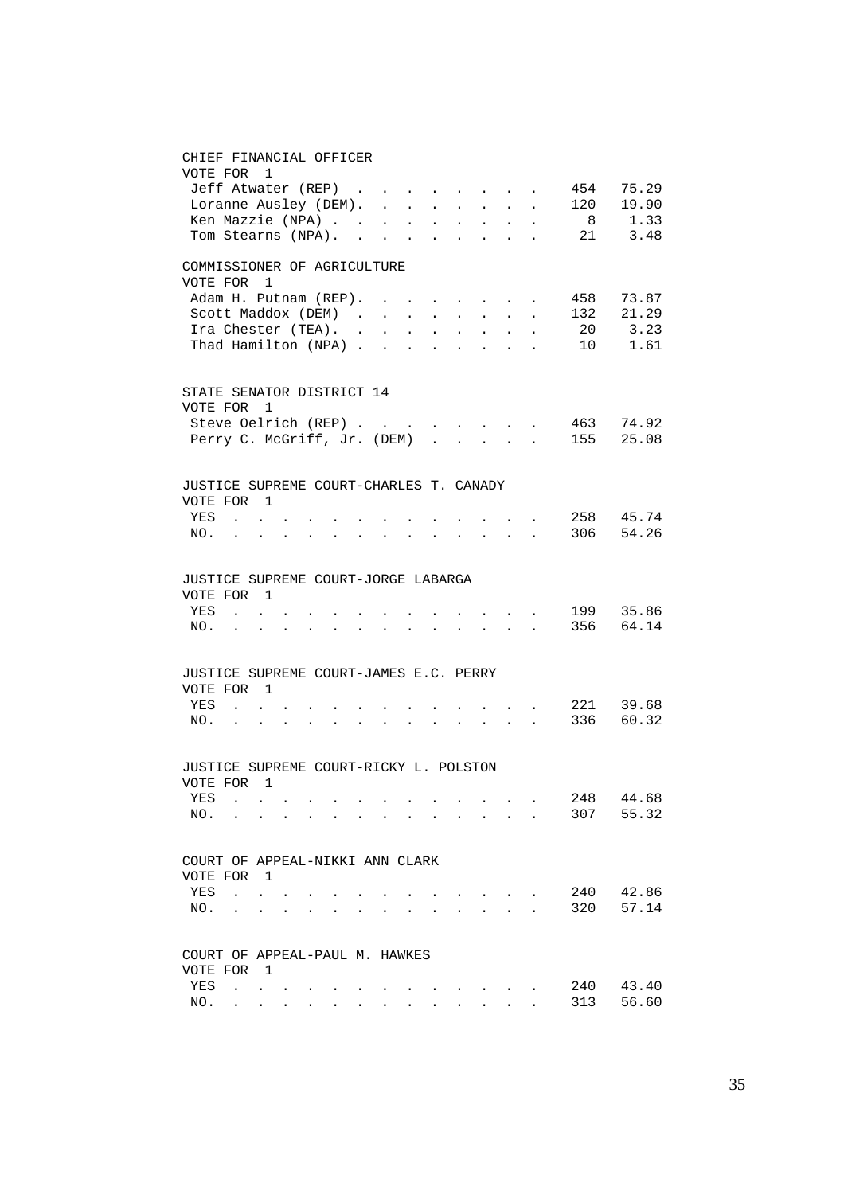#### CHIEF FINANCIAL OFFICER

| VOTE FOR 1                                           |                                   |                                                                    |                 |                      |  |                              |        |                                                                                                                                                                                                                                                                                                                                                                                                                                                           |        |                                                                                                                 |           |           |
|------------------------------------------------------|-----------------------------------|--------------------------------------------------------------------|-----------------|----------------------|--|------------------------------|--------|-----------------------------------------------------------------------------------------------------------------------------------------------------------------------------------------------------------------------------------------------------------------------------------------------------------------------------------------------------------------------------------------------------------------------------------------------------------|--------|-----------------------------------------------------------------------------------------------------------------|-----------|-----------|
| Jeff Atwater (REP)                                   |                                   |                                                                    |                 |                      |  |                              |        |                                                                                                                                                                                                                                                                                                                                                                                                                                                           |        | and the state of the state of                                                                                   | 454       | 75.29     |
| Loranne Ausley (DEM).                                |                                   |                                                                    |                 |                      |  |                              |        |                                                                                                                                                                                                                                                                                                                                                                                                                                                           |        |                                                                                                                 | 120       | 19.90     |
| Ken Mazzie (NPA)                                     |                                   |                                                                    |                 |                      |  |                              |        |                                                                                                                                                                                                                                                                                                                                                                                                                                                           |        |                                                                                                                 |           | 8 1.33    |
| Tom Stearns (NPA).                                   |                                   |                                                                    |                 |                      |  |                              |        |                                                                                                                                                                                                                                                                                                                                                                                                                                                           |        |                                                                                                                 |           | 21 3.48   |
| COMMISSIONER OF AGRICULTURE                          |                                   |                                                                    |                 |                      |  |                              |        |                                                                                                                                                                                                                                                                                                                                                                                                                                                           |        |                                                                                                                 |           |           |
| VOTE FOR                                             |                                   | $\mathbf{1}$                                                       |                 |                      |  |                              |        |                                                                                                                                                                                                                                                                                                                                                                                                                                                           |        |                                                                                                                 |           |           |
| Adam H. Putnam (REP).                                |                                   |                                                                    |                 |                      |  |                              |        |                                                                                                                                                                                                                                                                                                                                                                                                                                                           |        |                                                                                                                 |           | 458 73.87 |
|                                                      | Scott Maddox (DEM)                |                                                                    |                 |                      |  |                              |        |                                                                                                                                                                                                                                                                                                                                                                                                                                                           |        | $\mathbf{r} = \mathbf{r} \cdot \mathbf{r}$ , where $\mathbf{r} = \mathbf{r} \cdot \mathbf{r}$                   | 132       | 21.29     |
| Ira Chester (TEA).                                   |                                   |                                                                    |                 |                      |  |                              |        |                                                                                                                                                                                                                                                                                                                                                                                                                                                           |        |                                                                                                                 | 20        | 3.23      |
| Thad Hamilton (NPA)                                  |                                   |                                                                    |                 |                      |  |                              |        |                                                                                                                                                                                                                                                                                                                                                                                                                                                           |        | $\mathbf{r} = \mathbf{r} \times \mathbf{r} = \mathbf{r} \times \mathbf{r}$                                      |           | 10 1.61   |
| STATE SENATOR DISTRICT 14                            |                                   |                                                                    |                 |                      |  |                              |        |                                                                                                                                                                                                                                                                                                                                                                                                                                                           |        |                                                                                                                 |           |           |
| VOTE FOR 1                                           |                                   |                                                                    |                 |                      |  |                              |        |                                                                                                                                                                                                                                                                                                                                                                                                                                                           |        |                                                                                                                 |           |           |
| Steve Oelrich (REP)                                  |                                   |                                                                    |                 |                      |  | the contract of the contract |        |                                                                                                                                                                                                                                                                                                                                                                                                                                                           |        |                                                                                                                 |           | 463 74.92 |
| Perry C. McGriff, Jr. (DEM)                          |                                   |                                                                    |                 |                      |  | $\sim$                       | $\sim$ |                                                                                                                                                                                                                                                                                                                                                                                                                                                           | $\sim$ | $\sim$                                                                                                          | 155       | 25.08     |
| JUSTICE SUPREME COURT-CHARLES T. CANADY              |                                   |                                                                    |                 |                      |  |                              |        |                                                                                                                                                                                                                                                                                                                                                                                                                                                           |        |                                                                                                                 |           |           |
| VOTE FOR 1                                           |                                   |                                                                    |                 |                      |  |                              |        |                                                                                                                                                                                                                                                                                                                                                                                                                                                           |        |                                                                                                                 |           |           |
| YES                                                  | <b>Contract Contract</b>          |                                                                    |                 |                      |  |                              |        |                                                                                                                                                                                                                                                                                                                                                                                                                                                           |        |                                                                                                                 |           | 258 45.74 |
| NO.                                                  |                                   |                                                                    |                 | $\ddot{\phantom{0}}$ |  |                              |        | $\mathcal{L}^{\mathcal{L}}(\mathcal{L}^{\mathcal{L}}(\mathcal{L}^{\mathcal{L}}(\mathcal{L}^{\mathcal{L}}(\mathcal{L}^{\mathcal{L}}(\mathcal{L}^{\mathcal{L}}(\mathcal{L}^{\mathcal{L}}(\mathcal{L}^{\mathcal{L}}(\mathcal{L}^{\mathcal{L}}(\mathcal{L}^{\mathcal{L}}(\mathcal{L}^{\mathcal{L}}(\mathcal{L}^{\mathcal{L}}(\mathcal{L}^{\mathcal{L}}(\mathcal{L}^{\mathcal{L}}(\mathcal{L}^{\mathcal{L}}(\mathcal{L}^{\mathcal{L}}(\mathcal{L}^{\mathcal{L$ |        |                                                                                                                 |           | 306 54.26 |
|                                                      |                                   |                                                                    |                 |                      |  |                              |        |                                                                                                                                                                                                                                                                                                                                                                                                                                                           |        |                                                                                                                 |           |           |
| JUSTICE SUPREME COURT-JORGE LABARGA                  |                                   |                                                                    |                 |                      |  |                              |        |                                                                                                                                                                                                                                                                                                                                                                                                                                                           |        |                                                                                                                 |           |           |
| VOTE FOR 1                                           |                                   |                                                                    |                 |                      |  |                              |        |                                                                                                                                                                                                                                                                                                                                                                                                                                                           |        |                                                                                                                 |           |           |
| YES                                                  |                                   | $\mathbf{z} = \left\{ \mathbf{z}_1, \ldots, \mathbf{z}_n \right\}$ |                 |                      |  |                              |        |                                                                                                                                                                                                                                                                                                                                                                                                                                                           |        | $\mathbf{z} = \mathbf{z} + \mathbf{z}$ , where $\mathbf{z} = \mathbf{z}$                                        |           | 199 35.86 |
| NO. .                                                |                                   | $\bullet$ .<br><br><br><br><br><br><br><br><br><br><br><br>        | $\sim 10^{-11}$ |                      |  |                              |        |                                                                                                                                                                                                                                                                                                                                                                                                                                                           |        | $\cdot$ $\cdot$ $\cdot$ $\cdot$                                                                                 |           | 356 64.14 |
| JUSTICE SUPREME COURT-JAMES E.C. PERRY               |                                   |                                                                    |                 |                      |  |                              |        |                                                                                                                                                                                                                                                                                                                                                                                                                                                           |        |                                                                                                                 |           |           |
| VOTE FOR 1                                           |                                   |                                                                    |                 |                      |  |                              |        |                                                                                                                                                                                                                                                                                                                                                                                                                                                           |        |                                                                                                                 |           |           |
| YES                                                  | <b>Contract Contract Contract</b> |                                                                    |                 |                      |  |                              |        |                                                                                                                                                                                                                                                                                                                                                                                                                                                           |        | $\mathbf{r} = \left\{ \mathbf{r}_1, \ldots, \mathbf{r}_n \right\}$ ,                                            | 221 39.68 |           |
| NO.                                                  |                                   |                                                                    |                 |                      |  |                              |        |                                                                                                                                                                                                                                                                                                                                                                                                                                                           |        | <b>Contract Contract</b>                                                                                        | 336 60.32 |           |
|                                                      |                                   |                                                                    |                 |                      |  |                              |        |                                                                                                                                                                                                                                                                                                                                                                                                                                                           |        |                                                                                                                 |           |           |
| JUSTICE SUPREME COURT-RICKY L. POLSTON<br>VOTE FOR 1 |                                   |                                                                    |                 |                      |  |                              |        |                                                                                                                                                                                                                                                                                                                                                                                                                                                           |        |                                                                                                                 |           |           |
|                                                      |                                   |                                                                    |                 |                      |  |                              |        |                                                                                                                                                                                                                                                                                                                                                                                                                                                           |        |                                                                                                                 | 248       | 44.68     |
| YES                                                  |                                   |                                                                    |                 |                      |  |                              |        |                                                                                                                                                                                                                                                                                                                                                                                                                                                           |        | the contract of the contract of the contract of the contract of the contract of the contract of the contract of |           | 55.32     |
| NO.                                                  |                                   |                                                                    |                 |                      |  |                              |        |                                                                                                                                                                                                                                                                                                                                                                                                                                                           |        |                                                                                                                 | 307       |           |
| COURT OF APPEAL-NIKKI ANN CLARK                      |                                   |                                                                    |                 |                      |  |                              |        |                                                                                                                                                                                                                                                                                                                                                                                                                                                           |        |                                                                                                                 |           |           |
| VOTE FOR                                             |                                   | $\overline{1}$                                                     |                 |                      |  |                              |        |                                                                                                                                                                                                                                                                                                                                                                                                                                                           |        |                                                                                                                 |           |           |
| YES                                                  | $\ddot{\phantom{a}}$              |                                                                    |                 |                      |  |                              |        |                                                                                                                                                                                                                                                                                                                                                                                                                                                           |        |                                                                                                                 | 240       | 42.86     |
| NO.                                                  |                                   |                                                                    |                 |                      |  |                              |        |                                                                                                                                                                                                                                                                                                                                                                                                                                                           |        |                                                                                                                 | 320       | 57.14     |
|                                                      |                                   |                                                                    |                 |                      |  |                              |        |                                                                                                                                                                                                                                                                                                                                                                                                                                                           |        |                                                                                                                 |           |           |
| COURT OF APPEAL-PAUL M. HAWKES<br>VOTE FOR           |                                   | - 1                                                                |                 |                      |  |                              |        |                                                                                                                                                                                                                                                                                                                                                                                                                                                           |        |                                                                                                                 |           |           |
| YES                                                  | $\ddot{\phantom{0}}$              |                                                                    |                 |                      |  |                              |        |                                                                                                                                                                                                                                                                                                                                                                                                                                                           |        |                                                                                                                 | 240       | 43.40     |
| NO.                                                  |                                   |                                                                    |                 |                      |  |                              |        |                                                                                                                                                                                                                                                                                                                                                                                                                                                           |        |                                                                                                                 | 313       | 56.60     |
|                                                      |                                   |                                                                    |                 |                      |  |                              |        |                                                                                                                                                                                                                                                                                                                                                                                                                                                           |        |                                                                                                                 |           |           |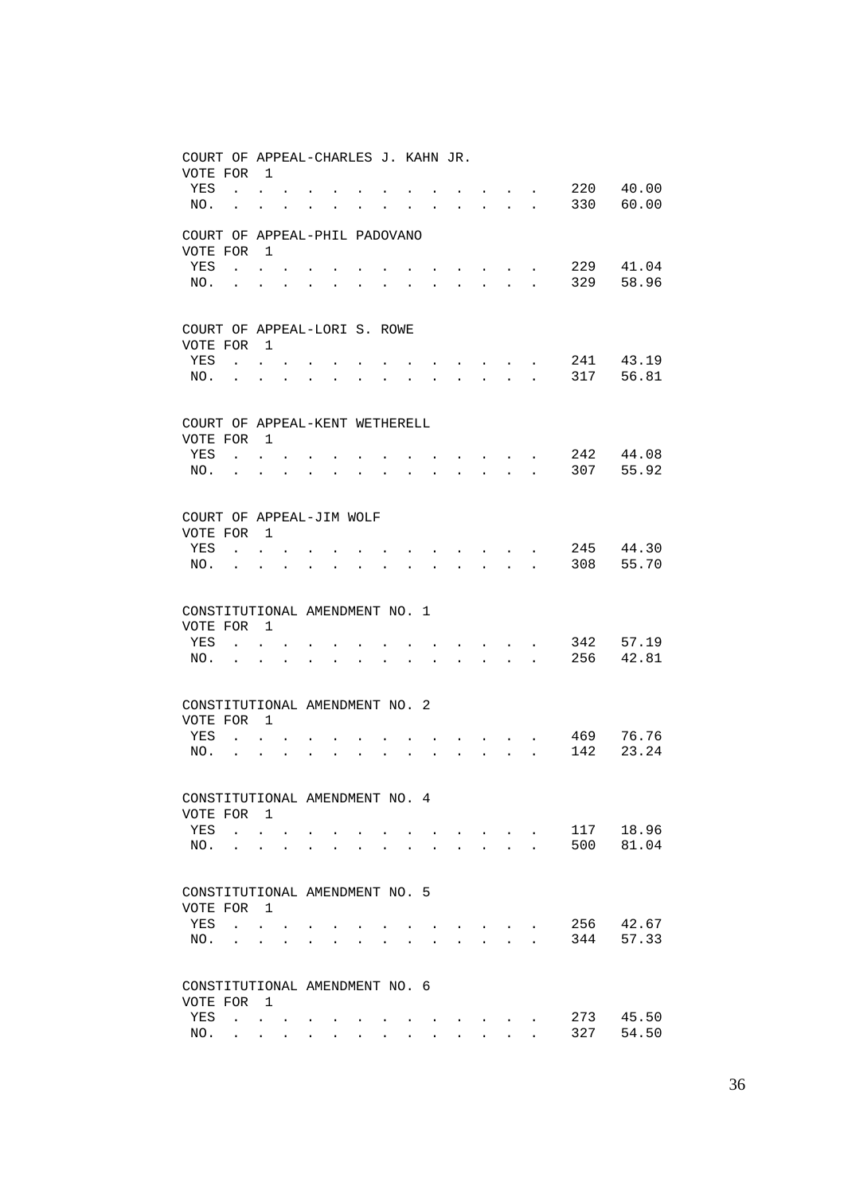| COURT OF APPEAL-CHARLES J. KAHN JR.          |                                      |                                                                                             |           |                                                             |                |                      |  |                   |                           |                               |                                                                 |                      |            |                |
|----------------------------------------------|--------------------------------------|---------------------------------------------------------------------------------------------|-----------|-------------------------------------------------------------|----------------|----------------------|--|-------------------|---------------------------|-------------------------------|-----------------------------------------------------------------|----------------------|------------|----------------|
| VOTE FOR<br>YES                              |                                      | $\overline{1}$<br>$\mathbf{r} = \mathbf{r}$                                                 |           |                                                             |                |                      |  |                   |                           |                               |                                                                 |                      | 220        | 40.00          |
| NO.                                          | $\mathbf{L} = \mathbf{0}$            | $\ddot{\phantom{0}}$                                                                        | $\bullet$ | $\bullet$ .<br><br><br><br><br><br><br><br><br><br><br><br> | $\bullet$      | $\ddot{\phantom{a}}$ |  | <b>Contractor</b> | $\mathbf{L} = \mathbf{0}$ |                               | $\mathbf{z} = \mathbf{z} + \mathbf{z}$ . The $\mathbf{z}$       |                      | 330        | 60.00          |
| COURT OF APPEAL-PHIL PADOVANO<br>VOTE FOR    |                                      | $\overline{1}$                                                                              |           |                                                             |                |                      |  |                   |                           |                               |                                                                 |                      |            |                |
| YES                                          | $\mathbf{r}$ $\mathbf{r}$            |                                                                                             |           |                                                             |                |                      |  |                   |                           |                               | $\bullet$ .<br><br><br><br><br><br><br><br><br><br><br><br><br> |                      | 229        | 41.04          |
| NO.                                          |                                      |                                                                                             |           |                                                             |                |                      |  |                   | $\ddot{\phantom{0}}$      |                               | $\mathbf{L} = \mathbf{L}$                                       |                      | 329        | 58.96          |
| COURT OF APPEAL-LORI S. ROWE                 |                                      |                                                                                             |           |                                                             |                |                      |  |                   |                           |                               |                                                                 |                      |            |                |
| VOTE FOR                                     |                                      | $\overline{1}$                                                                              |           |                                                             |                |                      |  |                   |                           |                               |                                                                 |                      |            |                |
| YES                                          | $\sim 10^{-10}$                      | $\ddot{\phantom{0}}$                                                                        |           |                                                             |                |                      |  |                   |                           | and the state of the state of |                                                                 |                      | 241        | 43.19          |
| NO.                                          | $\ddot{\phantom{a}}$                 |                                                                                             |           |                                                             | $\overline{a}$ |                      |  |                   | $\ddot{\phantom{a}}$      |                               | $\ddot{\phantom{a}}$                                            |                      | 317        | 56.81          |
| COURT OF APPEAL-KENT WETHERELL<br>VOTE FOR 1 |                                      |                                                                                             |           |                                                             |                |                      |  |                   |                           |                               |                                                                 |                      |            |                |
| YES                                          | $\mathbf{r}$                         |                                                                                             |           |                                                             |                |                      |  |                   |                           |                               | $\ddot{\phantom{0}}$                                            |                      | 242        | 44.08          |
| NO.                                          | $\ddot{\phantom{a}}$                 | $\ddot{\phantom{a}}$                                                                        |           |                                                             |                |                      |  |                   | $\ddot{\phantom{a}}$      | $\mathbf{L}$                  | $\sim$ $\sim$                                                   |                      | 307        | 55.92          |
| COURT OF APPEAL-JIM WOLF                     |                                      |                                                                                             |           |                                                             |                |                      |  |                   |                           |                               |                                                                 |                      |            |                |
| VOTE FOR                                     |                                      | $\overline{1}$                                                                              |           |                                                             |                |                      |  |                   |                           |                               |                                                                 |                      |            |                |
| YES                                          | $\ddot{\phantom{a}}$                 |                                                                                             |           |                                                             |                |                      |  |                   |                           |                               | $\sim$                                                          |                      | 245        | 44.30          |
| NO.                                          |                                      |                                                                                             |           |                                                             |                |                      |  |                   | $\ddot{\phantom{a}}$      |                               | $\mathbf{r} = \mathbf{r} + \mathbf{r}$                          |                      | 308        | 55.70          |
| CONSTITUTIONAL AMENDMENT NO. 1               |                                      |                                                                                             |           |                                                             |                |                      |  |                   |                           |                               |                                                                 |                      |            |                |
| VOTE FOR                                     |                                      | $\overline{1}$                                                                              |           |                                                             |                |                      |  |                   |                           |                               |                                                                 |                      |            |                |
| YES<br>NO.                                   | $\mathbf{r}$<br>$\ddot{\phantom{a}}$ | ÷.                                                                                          |           |                                                             |                |                      |  |                   | $\overline{a}$            | $\sim$                        | $\sim$                                                          |                      | 342<br>256 | 57.19<br>42.81 |
| CONSTITUTIONAL AMENDMENT NO. 2               |                                      |                                                                                             |           |                                                             |                |                      |  |                   |                           |                               |                                                                 |                      |            |                |
| VOTE FOR                                     |                                      | $\overline{1}$                                                                              |           |                                                             |                |                      |  |                   |                           |                               |                                                                 |                      |            |                |
| YES                                          | $\ddot{\phantom{a}}$                 |                                                                                             |           |                                                             |                |                      |  |                   |                           |                               | $\sim$ $-$                                                      |                      | 469        | 76.76          |
| NO.                                          | $\ddot{\phantom{a}}$                 | $\ddot{\phantom{a}}$                                                                        |           |                                                             |                |                      |  |                   |                           | $\mathbf{r}$                  | $\sim$ $\sim$                                                   | $\ddot{\phantom{a}}$ | 142        | 23.24          |
| CONSTITUTIONAL AMENDMENT NO. 4               |                                      |                                                                                             |           |                                                             |                |                      |  |                   |                           |                               |                                                                 |                      |            |                |
| VOTE FOR                                     |                                      | $\overline{1}$                                                                              |           |                                                             |                |                      |  |                   |                           |                               |                                                                 |                      |            |                |
| YES                                          | $\sim 10^{-11}$                      |                                                                                             |           |                                                             |                |                      |  |                   |                           |                               | $\ddot{\phantom{0}}$                                            |                      | 117<br>500 | 18.96          |
| NO.                                          | $\ddot{\phantom{a}}$                 | $\ddot{\phantom{a}}$                                                                        |           |                                                             |                |                      |  |                   |                           |                               | $\sim 10$                                                       | $\overline{a}$       |            | 81.04          |
| CONSTITUTIONAL AMENDMENT NO. 5<br>VOTE FOR   |                                      | $\overline{1}$                                                                              |           |                                                             |                |                      |  |                   |                           |                               |                                                                 |                      |            |                |
| YES                                          | $\ddot{\phantom{a}}$                 |                                                                                             |           |                                                             |                |                      |  |                   |                           |                               |                                                                 |                      | 256        | 42.67          |
| NO.                                          | $\ddot{\phantom{a}}$                 | $\ddot{\phantom{a}}$                                                                        |           |                                                             |                |                      |  |                   |                           |                               | L.                                                              |                      | 344        | 57.33          |
| CONSTITUTIONAL AMENDMENT NO. 6               |                                      |                                                                                             |           |                                                             |                |                      |  |                   |                           |                               |                                                                 |                      |            |                |
| VOTE FOR                                     |                                      | $\overline{1}$                                                                              |           |                                                             |                |                      |  |                   |                           |                               |                                                                 |                      |            |                |
| YES                                          | $\sim$ $\sim$                        | $\ddot{\phantom{0}}$                                                                        |           |                                                             |                |                      |  |                   |                           |                               |                                                                 |                      | 273        | 45.50          |
| NO.                                          |                                      | $\mathcal{A}^{\mathcal{A}}$ and $\mathcal{A}^{\mathcal{A}}$ and $\mathcal{A}^{\mathcal{A}}$ |           |                                                             |                |                      |  |                   |                           |                               |                                                                 |                      | 327        | 54.50          |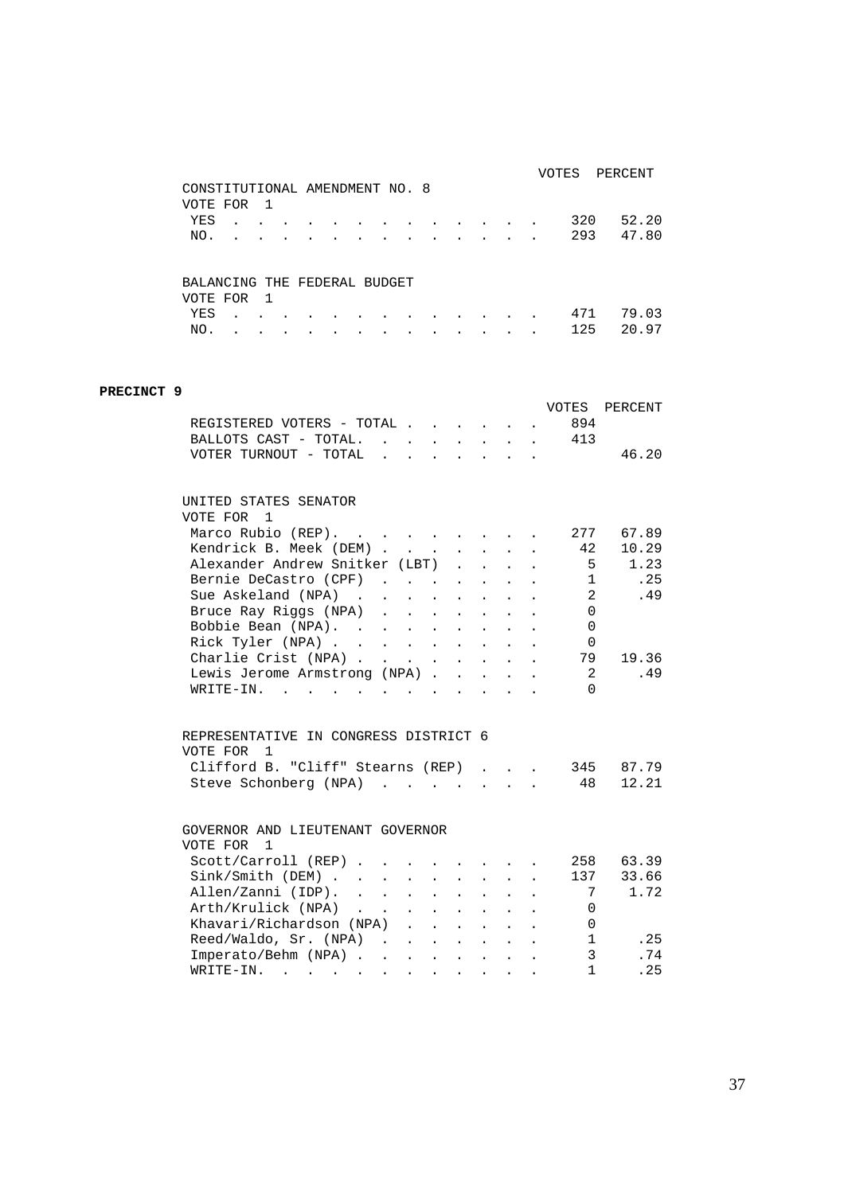|                                |   |     |  |  |  |   |  |  | VOTES | PERCENT |
|--------------------------------|---|-----|--|--|--|---|--|--|-------|---------|
| CONSTITUTIONAL AMENDMENT NO. 8 |   |     |  |  |  |   |  |  |       |         |
| VOTE FOR                       |   | -1  |  |  |  |   |  |  |       |         |
| YES                            | ۰ |     |  |  |  |   |  |  | 320   | 52.20   |
| NO.                            |   |     |  |  |  | ٠ |  |  | 293   | 47.80   |
|                                |   |     |  |  |  |   |  |  |       |         |
|                                |   |     |  |  |  |   |  |  |       |         |
| BALANCING THE FEDERAL BUDGET   |   |     |  |  |  |   |  |  |       |         |
| VOTE FOR                       |   | - 1 |  |  |  |   |  |  |       |         |
| YES                            |   |     |  |  |  |   |  |  | 471   | 79.03   |
| NO.                            |   |     |  |  |  |   |  |  | 125   | 20.97   |

### **PRECINCT 9** VOTES PERCENT REGISTERED VOTERS - TOTAL . . . . . . 894<br>BALLOTS CAST - TOTAL. . . . . . . . 413 BALLOTS CAST - TOTAL.  $\cdot \cdot \cdot \cdot \cdot \cdot$ VOTER TURNOUT - TOTAL . . . . . . . 46.20 UNITED STATES SENATOR VOTE FOR 1 Marco Rubio (REP). . . . . . . . . 277 67.89 Rendrick B. Meek (DEM) . . . . . . . 42 10.29 Alexander Andrew Snitker (LBT) . . . . . 5 1.23<br>Rernie DeCastro (CPF) . . . . . . . 1 .25 Bernie DeCastro (CPF) . . . . . . . 1 . . 25<br>Sue Askeland (NPA) . . . . . . . . . 2 . . 49 Sue Askeland (NPA) . . . . . . . . . 2 .49 Bruce Ray Riggs (NPA) . . . . . . . 0 Bobbie Bean (NPA). . . . . . . . . 0<br>Rick Tyler (NPA) . . . . . . . . . 0 Rick Tyler (NPA) . . . . . . . . . 0 Charlie Crist (NPA) . . . . . . . . 79 19.36 Lewis Jerome Armstrong (NPA) . . . . . 2 . 49<br>WRITE-IN. . . . . . . . . . . . . 0 WRITE-IN. . . . . . . . . REPRESENTATIVE IN CONGRESS DISTRICT 6 VOTE FOR 1 Clifford B. "Cliff" Stearns (REP) . . . 345 87.79 Steve Schonberg (NPA) . . . . . . . 48 12.21 GOVERNOR AND LIEUTENANT GOVERNOR VOTE FOR 1 Scott/Carroll (REP) . . . . . . . . 258 63.39 Sink/Smith (DEM) . . . . . . . . . 137 33.66 Allen/Zanni (IDP). . . . . . . . . 7 1.72<br>Arth/Krulick (NPA) . . . . . . . . 0 Arth/Krulick (NPA) . . . . . . . . Khavari/Richardson (NPA) . . . . . . 0 Reed/Waldo, Sr. (NPA) . . . . . . . . 1 . 25<br>Imperato/Behm (NPA) . . . . . . . . 3 . 74 Imperato/Behm (NPA) . . . . . . . . WRITE-IN. . . . . . . . . . . . 1 .25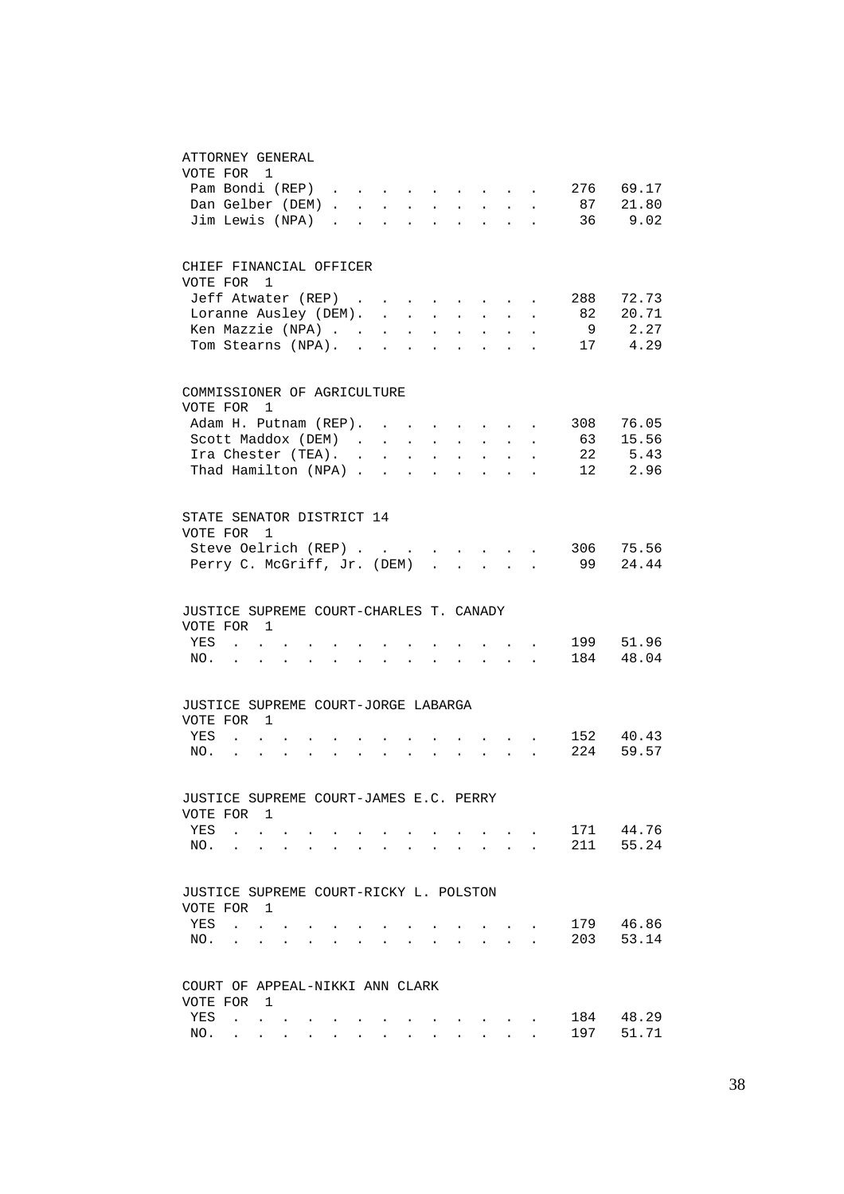#### ATTORNEY GENERAL

| VOTE FOR 1<br>Pam Bondi (REP)                      |                                                             |                |                 |                      |                      |        |                             |                                               |                                                                             |                             |                                                                                               |              |                                                               | 276<br>Dan Gelber (DEM) 87 21.80<br>Jim Lewis (NPA) 36 9.02 | 69.17              |
|----------------------------------------------------|-------------------------------------------------------------|----------------|-----------------|----------------------|----------------------|--------|-----------------------------|-----------------------------------------------|-----------------------------------------------------------------------------|-----------------------------|-----------------------------------------------------------------------------------------------|--------------|---------------------------------------------------------------|-------------------------------------------------------------|--------------------|
| CHIEF FINANCIAL OFFICER                            |                                                             |                |                 |                      |                      |        |                             |                                               |                                                                             |                             |                                                                                               |              |                                                               |                                                             |                    |
| VOTE FOR                                           |                                                             | $\mathbf{1}$   |                 |                      |                      |        |                             |                                               |                                                                             |                             |                                                                                               |              |                                                               | Jeff Atwater (REP) 288                                      | 72.73              |
|                                                    | Loranne Ausley (DEM).                                       |                |                 |                      |                      |        |                             |                                               |                                                                             |                             | $\mathbf{r} = \mathbf{r} \cdot \mathbf{r}$ , where $\mathbf{r} = \mathbf{r} \cdot \mathbf{r}$ |              |                                                               | 82                                                          | 20.71              |
| Ken Mazzie (NPA)                                   |                                                             |                |                 |                      |                      |        |                             |                                               |                                                                             |                             |                                                                                               |              |                                                               | - 9                                                         | 2.27               |
| Tom Stearns (NPA). .                               |                                                             |                |                 |                      |                      |        |                             |                                               | and a strong control of the state of                                        |                             |                                                                                               |              |                                                               |                                                             | 17 4.29            |
| COMMISSIONER OF AGRICULTURE                        |                                                             |                |                 |                      |                      |        |                             |                                               |                                                                             |                             |                                                                                               |              |                                                               |                                                             |                    |
| VOTE FOR 1<br>Adam H. Putnam (REP).                |                                                             |                |                 |                      |                      |        | $\sim$                      |                                               |                                                                             |                             | $\mathbf{r} = \mathbf{r} + \mathbf{r} + \mathbf{r} + \mathbf{r}$                              |              | $\sim$                                                        |                                                             | 76.05              |
| Scott Maddox (DEM).                                |                                                             |                |                 |                      |                      |        |                             | $\epsilon_{\rm{eff}}$ , $\epsilon_{\rm{eff}}$ | $\mathcal{L}^{\mathcal{L}}$                                                 | $\mathcal{L}^{\mathcal{L}}$ | $\sim$                                                                                        | $\sim$       | $\ddot{\phantom{0}}$                                          | 308<br>63                                                   | 15.56              |
| Ira Chester (TEA). .                               |                                                             |                |                 |                      |                      |        | $\mathcal{L}^{\mathcal{L}}$ | $\sim$                                        | $\Delta \sim 1$                                                             | $\ddot{\phantom{a}}$        | $\sim$                                                                                        | $\sim$       |                                                               | 22                                                          | 5.43               |
| Thad Hamilton (NPA)                                |                                                             |                |                 |                      |                      |        |                             |                                               | $\mathbf{r}$ , $\mathbf{r}$                                                 |                             | $\sim$                                                                                        | $\sim$ $-$   |                                                               |                                                             | 12 2.96            |
| STATE SENATOR DISTRICT 14<br>VOTE FOR 1            |                                                             |                |                 |                      |                      |        |                             |                                               |                                                                             |                             |                                                                                               |              |                                                               |                                                             |                    |
|                                                    |                                                             |                |                 |                      |                      |        |                             |                                               |                                                                             |                             |                                                                                               |              |                                                               | Steve Oelrich (REP) 306 75.56                               |                    |
| Perry C. McGriff, Jr. (DEM)                        |                                                             |                |                 |                      |                      |        |                             |                                               | $\mathcal{A}=\mathcal{A}=\mathcal{A}=\mathcal{A}=\mathcal{A}=\mathcal{A}$ . |                             |                                                                                               |              |                                                               | 99                                                          | 24.44              |
| JUSTICE SUPREME COURT-CHARLES T. CANADY            |                                                             |                |                 |                      |                      |        |                             |                                               |                                                                             |                             |                                                                                               |              |                                                               |                                                             |                    |
| VOTE FOR 1<br>YES                                  | $\sim$ 100 $\sim$                                           |                |                 |                      |                      |        |                             |                                               |                                                                             |                             |                                                                                               |              |                                                               |                                                             | 199 51.96          |
| NO.                                                | $\mathcal{L}^{\text{max}}$ , and $\mathcal{L}^{\text{max}}$ |                |                 | $\mathbf{r}$         | $\sim$               | $\sim$ | $\mathbf{r}$                |                                               | $\sim$                                                                      | $\sim$                      | $\sim$                                                                                        |              | <b>Contract Contract Contract</b>                             |                                                             | 184 48.04          |
| JUSTICE SUPREME COURT-JORGE LABARGA<br>VOTE FOR 1  |                                                             |                |                 |                      |                      |        |                             |                                               |                                                                             |                             |                                                                                               |              |                                                               |                                                             |                    |
| YES<br>NO.                                         | $\sim$                                                      | $\sim$ $\sim$  | $\sim 10^{-11}$ | $\ddot{\phantom{a}}$ | $\sim$ $\sim$ $\sim$ |        | $\mathbf{L}$                |                                               |                                                                             | $\sim$                      |                                                                                               |              | $\mathcal{L}^{\text{max}}$ , where $\mathcal{L}^{\text{max}}$ | 224                                                         | 152 40.43<br>59.57 |
|                                                    | $\sim$                                                      |                |                 |                      |                      |        |                             |                                               |                                                                             |                             |                                                                                               |              |                                                               |                                                             |                    |
| JUSTICE SUPREME COURT-JAMES E.C. PERRY<br>VOTE FOR |                                                             | -1             |                 |                      |                      |        |                             |                                               |                                                                             |                             |                                                                                               |              |                                                               |                                                             |                    |
| YES                                                | $\ddot{\phantom{a}}$                                        |                |                 |                      |                      |        |                             |                                               |                                                                             |                             |                                                                                               |              |                                                               | 171                                                         | 44.76              |
| NO.                                                | $\ddot{\phantom{a}}$                                        |                |                 |                      |                      |        |                             |                                               |                                                                             |                             |                                                                                               | $\sim$       |                                                               | 211                                                         | 55.24              |
| JUSTICE SUPREME COURT-RICKY L. POLSTON             |                                                             |                |                 |                      |                      |        |                             |                                               |                                                                             |                             |                                                                                               |              |                                                               |                                                             |                    |
| VOTE FOR<br>YES                                    | $\mathbf{r}$                                                | $\overline{1}$ |                 |                      |                      |        |                             |                                               |                                                                             |                             |                                                                                               |              |                                                               | 179                                                         | 46.86              |
| NO.                                                | $\ddot{\phantom{a}}$                                        | ÷.             |                 |                      |                      |        |                             |                                               |                                                                             |                             |                                                                                               |              |                                                               | 203                                                         | 53.14              |
|                                                    |                                                             |                |                 |                      |                      |        |                             |                                               |                                                                             |                             |                                                                                               |              |                                                               |                                                             |                    |
| COURT OF APPEAL-NIKKI ANN CLARK<br>VOTE FOR 1      |                                                             |                |                 |                      |                      |        |                             |                                               |                                                                             |                             |                                                                                               |              |                                                               |                                                             |                    |
| YES                                                | $\mathbf{r}$                                                |                |                 |                      |                      |        |                             |                                               |                                                                             |                             |                                                                                               |              |                                                               | 184                                                         | 48.29              |
| NO.                                                | $\mathbf{L}$                                                | $\mathbf{L}$   |                 |                      |                      |        |                             |                                               |                                                                             |                             |                                                                                               | $\mathbf{L}$ |                                                               | 197                                                         | 51.71              |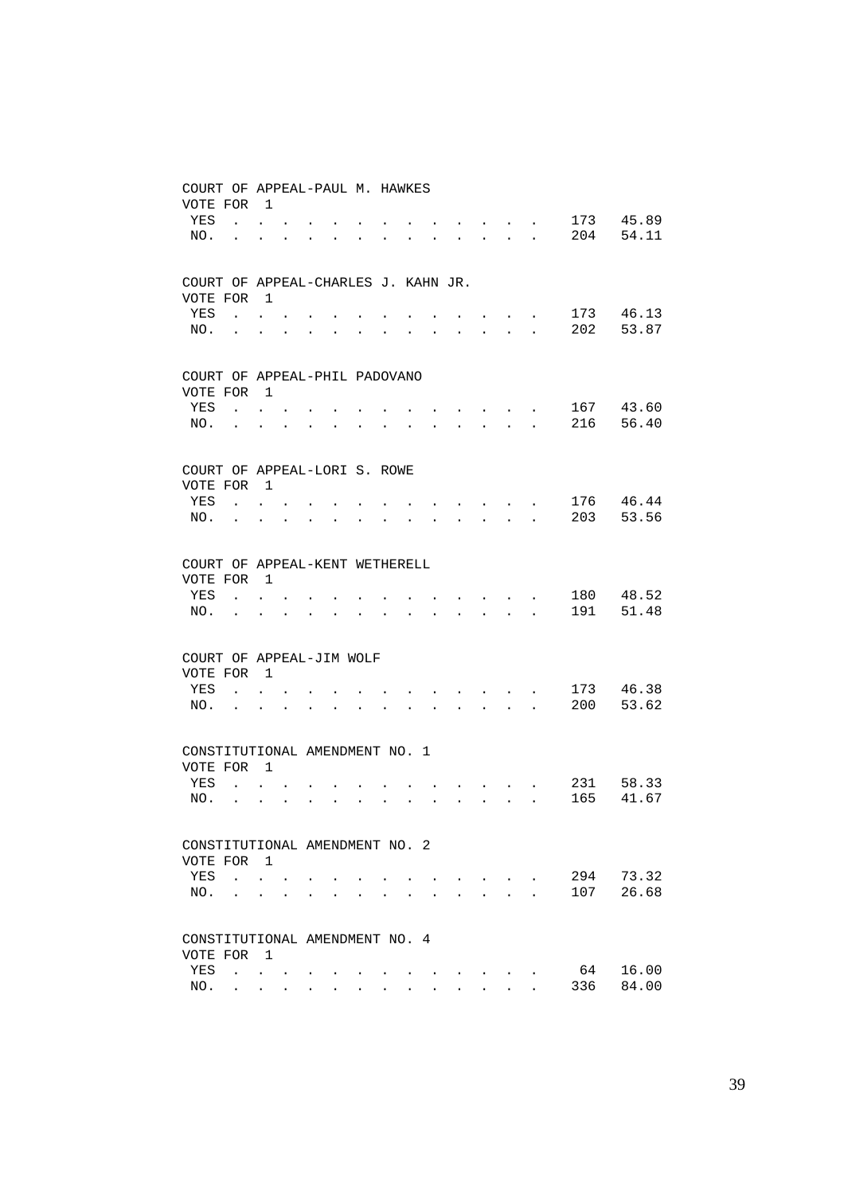| COURT OF APPEAL-PAUL M. HAWKES<br>VOTE FOR      |                            | $\overline{1}$                                                           |                      |                      |                      |                      |           |           |                                                             |                           |                                  |                                                                                                                                                                                                                                    |                      |     |       |
|-------------------------------------------------|----------------------------|--------------------------------------------------------------------------|----------------------|----------------------|----------------------|----------------------|-----------|-----------|-------------------------------------------------------------|---------------------------|----------------------------------|------------------------------------------------------------------------------------------------------------------------------------------------------------------------------------------------------------------------------------|----------------------|-----|-------|
| YES                                             | $\ddot{\phantom{0}}$       | $\bullet$                                                                |                      |                      |                      |                      |           |           |                                                             |                           |                                  | <b>Contract Contract Contract</b>                                                                                                                                                                                                  |                      | 173 | 45.89 |
| NO.                                             | $\ddot{\phantom{a}}$       | $\ddot{\phantom{0}}$                                                     | $\ddot{\phantom{0}}$ |                      |                      |                      |           |           |                                                             |                           | $\ddot{\phantom{a}}$             | $\sim$                                                                                                                                                                                                                             | $\ddot{\phantom{a}}$ | 204 | 54.11 |
| COURT OF APPEAL-CHARLES J. KAHN JR.<br>VOTE FOR |                            | $\mathbf{1}$                                                             |                      |                      |                      |                      |           |           |                                                             |                           |                                  |                                                                                                                                                                                                                                    |                      |     |       |
| YES                                             | $\mathcal{L}^{\text{max}}$ | $\bullet$ .<br><br><br><br><br><br><br><br><br><br><br><br>              |                      |                      |                      |                      |           |           |                                                             |                           |                                  |                                                                                                                                                                                                                                    |                      | 173 | 46.13 |
| NO.                                             | <b>Contractor</b>          | $\bullet$ .<br><br><br><br><br><br><br><br><br><br><br><br>              | $\bullet$            |                      |                      |                      |           |           |                                                             |                           |                                  | $\ddot{\phantom{a}}$                                                                                                                                                                                                               |                      | 202 | 53.87 |
| COURT OF APPEAL-PHIL PADOVANO<br>VOTE FOR       |                            | $\overline{1}$                                                           |                      |                      |                      |                      |           |           |                                                             |                           |                                  |                                                                                                                                                                                                                                    |                      |     |       |
| YES                                             | $\ddot{\phantom{0}}$       | $\mathbf{L} = \mathbf{0}$                                                |                      |                      |                      |                      |           |           |                                                             |                           |                                  | $\bullet$ . The contract of the contract of the contract of the contract of the contract of the contract of the contract of the contract of the contract of the contract of the contract of the contract of the contract of the co |                      | 167 | 43.60 |
| NO.                                             | $\ddot{\phantom{a}}$       |                                                                          | $\bullet$            |                      |                      |                      |           |           |                                                             | $\sim$                    |                                  | <b>All Cards</b>                                                                                                                                                                                                                   |                      | 216 | 56.40 |
| COURT OF APPEAL-LORI S. ROWE                    |                            |                                                                          |                      |                      |                      |                      |           |           |                                                             |                           |                                  |                                                                                                                                                                                                                                    |                      |     |       |
| VOTE FOR                                        |                            | $\overline{1}$                                                           |                      |                      |                      |                      |           |           |                                                             |                           |                                  |                                                                                                                                                                                                                                    |                      | 176 | 46.44 |
| YES<br>NO.                                      | <b>Contract Contract</b>   | $\mathbf{L}^{\text{max}}$ , where $\mathbf{L}^{\text{max}}$<br>$\ddotsc$ | $\bullet$            | $\ddot{\phantom{a}}$ | $\ddot{\phantom{0}}$ |                      |           |           |                                                             |                           | $\bullet$ . The set of $\bullet$ | $\bullet$                                                                                                                                                                                                                          |                      | 203 | 53.56 |
|                                                 |                            |                                                                          |                      |                      |                      |                      |           |           |                                                             |                           |                                  |                                                                                                                                                                                                                                    |                      |     |       |
| COURT OF APPEAL-KENT WETHERELL<br>VOTE FOR      |                            | $\mathbf{1}$                                                             |                      |                      |                      |                      |           |           |                                                             |                           |                                  |                                                                                                                                                                                                                                    |                      |     |       |
| YES                                             |                            | $\mathbf{L}$ and $\mathbf{L}$                                            |                      |                      |                      |                      |           |           |                                                             |                           |                                  |                                                                                                                                                                                                                                    |                      | 180 | 48.52 |
| NO.                                             | $\bullet$                  | $\ddot{\phantom{0}}$                                                     | $\bullet$            | $\bullet$            | $\sim$               | $\bullet$            | $\bullet$ | $\ddotsc$ | $\bullet$ .<br><br><br><br><br><br><br><br><br><br><br><br> |                           |                                  | $\mathbf{r} = \mathbf{r} \cdot \mathbf{r}$ , where $\mathbf{r} = \mathbf{r} \cdot \mathbf{r}$                                                                                                                                      |                      | 191 | 51.48 |
| COURT OF APPEAL-JIM WOLF                        |                            |                                                                          |                      |                      |                      |                      |           |           |                                                             |                           |                                  |                                                                                                                                                                                                                                    |                      |     |       |
| VOTE FOR<br>YES                                 |                            | $\overline{1}$                                                           |                      |                      |                      |                      |           |           |                                                             |                           |                                  |                                                                                                                                                                                                                                    |                      | 173 | 46.38 |
| NO.                                             | $\mathbf{L}^{\text{max}}$  | $\bullet$                                                                | $\bullet$            | $\bullet$            | $\bullet$            | $\ddot{\phantom{0}}$ |           |           |                                                             |                           |                                  | <b>Contract Contract Contract</b><br>$\mathbf{r} = \mathbf{r} \cdot \mathbf{r}$ , where $\mathbf{r} = \mathbf{r} \cdot \mathbf{r}$                                                                                                 |                      | 200 | 53.62 |
| CONSTITUTIONAL AMENDMENT NO. 1                  |                            |                                                                          |                      |                      |                      |                      |           |           |                                                             |                           |                                  |                                                                                                                                                                                                                                    |                      |     |       |
| VOTE FOR                                        |                            | $\overline{1}$                                                           |                      |                      |                      |                      |           |           |                                                             |                           |                                  |                                                                                                                                                                                                                                    |                      |     |       |
| YES                                             |                            | $\cdot$ $\cdot$ $\cdot$                                                  |                      |                      |                      |                      |           |           |                                                             |                           |                                  |                                                                                                                                                                                                                                    |                      | 231 | 58.33 |
| NO.                                             | $\mathbf{L}^{\text{max}}$  | $\bullet$                                                                | $\bullet$            | $\ddot{\phantom{0}}$ | $\ddot{\phantom{a}}$ | $\ddot{\phantom{0}}$ |           |           | $\ddot{\phantom{0}}$                                        | $\mathbf{L} = \mathbf{0}$ |                                  | $\mathbf{r} = \mathbf{r} + \mathbf{r}$ .                                                                                                                                                                                           | $\ddot{\phantom{a}}$ | 165 | 41.67 |
| CONSTITUTIONAL AMENDMENT NO. 2                  |                            |                                                                          |                      |                      |                      |                      |           |           |                                                             |                           |                                  |                                                                                                                                                                                                                                    |                      |     |       |
| VOTE FOR<br>YES                                 | $\mathbf{r}$               | $\overline{1}$<br>$\ddot{\phantom{0}}$                                   |                      |                      |                      |                      |           |           |                                                             |                           |                                  |                                                                                                                                                                                                                                    |                      | 294 | 73.32 |
| NO.                                             | $\ddot{\phantom{a}}$       | $\bullet$ .<br><br><br><br><br><br><br><br><br><br><br><br>              | $\bullet$            |                      |                      | $\ddot{\phantom{a}}$ |           |           |                                                             |                           | $\mathbf{L}$                     | $\ddot{\phantom{a}}$                                                                                                                                                                                                               |                      | 107 | 26.68 |
| CONSTITUTIONAL AMENDMENT NO. 4                  |                            |                                                                          |                      |                      |                      |                      |           |           |                                                             |                           |                                  |                                                                                                                                                                                                                                    |                      |     |       |
| VOTE FOR                                        |                            | $\overline{1}$                                                           |                      |                      |                      |                      |           |           |                                                             |                           |                                  |                                                                                                                                                                                                                                    |                      |     |       |
| YES                                             |                            | $\ddot{\phantom{a}}$                                                     | $\bullet$            |                      |                      |                      |           |           |                                                             |                           | $\bullet$ . The set of $\bullet$ | $\bullet$ . The set of $\bullet$                                                                                                                                                                                                   |                      | 64  | 16.00 |
| NO.                                             |                            | $\mathbf{r}$ , and $\mathbf{r}$ , and $\mathbf{r}$                       |                      |                      | $\cdot$              |                      |           |           |                                                             |                           |                                  | $\sim$                                                                                                                                                                                                                             |                      | 336 | 84.00 |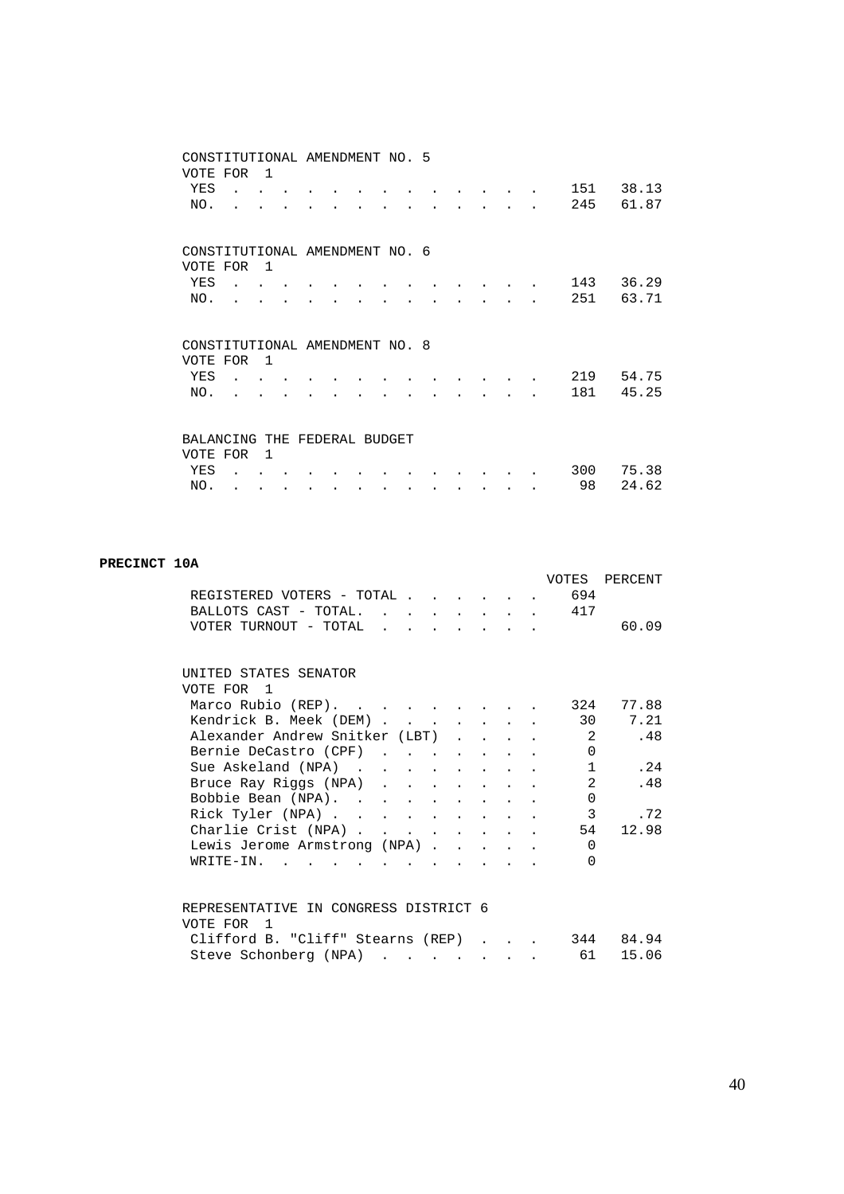|                                | CONSTITUTIONAL AMENDMENT NO. 5 |                |  |  |  |  |  |           |                |
|--------------------------------|--------------------------------|----------------|--|--|--|--|--|-----------|----------------|
| VOTE FOR                       |                                | $\overline{1}$ |  |  |  |  |  |           |                |
| YES                            |                                |                |  |  |  |  |  | 151       | 38.13          |
| NO.                            |                                |                |  |  |  |  |  | 245       | 61.87          |
|                                |                                |                |  |  |  |  |  |           |                |
|                                |                                |                |  |  |  |  |  |           |                |
| CONSTITUTIONAL AMENDMENT NO. 6 |                                |                |  |  |  |  |  |           |                |
| VOTE FOR                       |                                | $\overline{1}$ |  |  |  |  |  |           |                |
| YES                            |                                |                |  |  |  |  |  | 143       | 36.29          |
| NO.                            |                                |                |  |  |  |  |  | 251       | 63.71          |
|                                |                                |                |  |  |  |  |  |           |                |
|                                |                                |                |  |  |  |  |  |           |                |
|                                |                                |                |  |  |  |  |  |           |                |
| CONSTITUTIONAL AMENDMENT NO. 8 |                                |                |  |  |  |  |  |           |                |
| VOTE FOR                       |                                | $\overline{1}$ |  |  |  |  |  |           |                |
| YES                            |                                |                |  |  |  |  |  | 219       | 54.75          |
| NO.                            |                                |                |  |  |  |  |  | 181       | 45.25          |
|                                |                                |                |  |  |  |  |  |           |                |
|                                |                                |                |  |  |  |  |  |           |                |
| BALANCING THE FEDERAL BUDGET   |                                |                |  |  |  |  |  |           |                |
| VOTE FOR                       |                                | $\mathbf{1}$   |  |  |  |  |  |           |                |
| YES<br>NO.                     |                                |                |  |  |  |  |  | 300<br>98 | 75.38<br>24.62 |

#### **PRECINCT 10A**

|                                                    |  |  |  |                | VOTES PERCENT |
|----------------------------------------------------|--|--|--|----------------|---------------|
| REGISTERED VOTERS - TOTAL                          |  |  |  | 694            |               |
| BALLOTS CAST - TOTAL 17                            |  |  |  |                |               |
| VOTER TURNOUT - TOTAL                              |  |  |  |                | 60.09         |
|                                                    |  |  |  |                |               |
|                                                    |  |  |  |                |               |
| UNITED STATES SENATOR                              |  |  |  |                |               |
| VOTE FOR 1                                         |  |  |  |                |               |
| Marco Rubio (REP).                                 |  |  |  | 324            | 77.88         |
| Kendrick B. Meek (DEM)                             |  |  |  |                | 7.21<br>30    |
| Alexander Andrew Snitker (LBT)                     |  |  |  | $\overline{2}$ | .48           |
| Bernie DeCastro (CPF)                              |  |  |  | $\Omega$       |               |
| Sue Askeland (NPA)                                 |  |  |  | $\mathbf{1}$   | .24           |
| Bruce Ray Riggs (NPA)                              |  |  |  | 2              | .48           |
| Bobbie Bean (NPA).                                 |  |  |  | $\Omega$       |               |
| Rick Tyler (NPA)                                   |  |  |  | $\mathbf{3}$   | .72           |
| Charlie Crist (NPA)                                |  |  |  | 54             | 12.98         |
| Lewis Jerome Armstrong (NPA)                       |  |  |  | $\Omega$       |               |
| $W\text{RITE}-\text{IN}$ , , , , , , , , , , , , , |  |  |  | $\Omega$       |               |
|                                                    |  |  |  |                |               |
|                                                    |  |  |  |                |               |
| REPRESENTATIVE IN CONGRESS DISTRICT 6              |  |  |  |                |               |
| VOTE FOR 1                                         |  |  |  |                |               |
| Clifford B. "Cliff" Stearns (REP)                  |  |  |  |                | 344 84.94     |
|                                                    |  |  |  | 61             | 15.06         |
| Steve Schonberg (NPA)                              |  |  |  |                |               |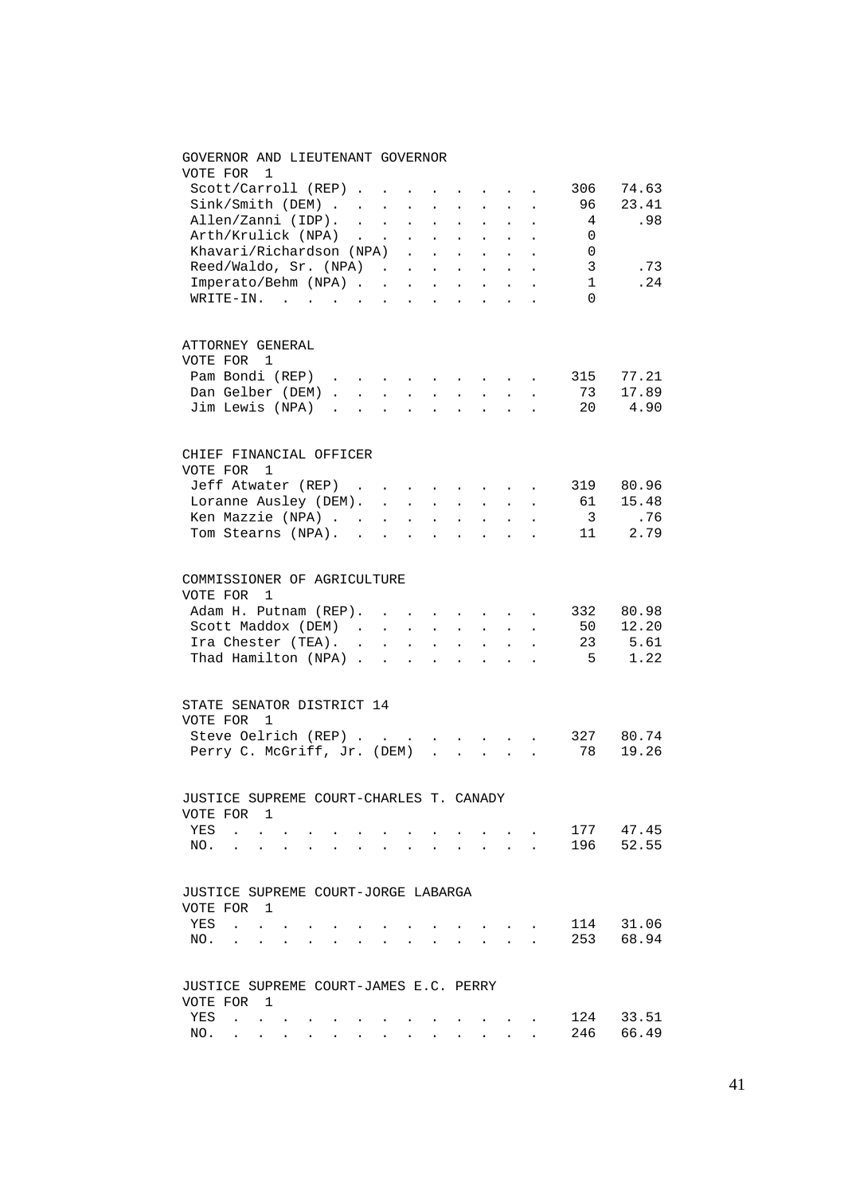## GOVERNOR AND LIEUTENANT GOVERNOR VOTE FOR 1 Scott/Carroll (REP) . . . . . . . . 306 74.63<br>Sink/Smith (DEM) . . . . . . . . . 96 23.41<br>Allen/Zanni (IDP) . . . . . . . . . 4 .98 Sink/Smith (DEM) . . . . . . . . . 96 23.41<br>Allen/Zanni (IDP) . . . . . . . . . 4 .98 Allen/Zanni (IDP). . . . . . . . . 4 Arth/Krulick (NPA) . . . . . . . . 0 Khavari/Richardson (NPA) . . . . . . 0 Reed/Waldo, Sr. (NPA) . . . . . . . 3 .73 Imperato/Behm (NPA) . . . . . . . . 1 .24 WRITE-IN. . . . . . . . . . . . 0 ATTORNEY GENERAL VOTE FOR 1 Pam Bondi (REP) . . . . . . . . . 315 77.21<br>Dan Gelber (DEM) . . . . . . . . . 73 17.89 Dan Gelber (DEM) . . . . . . . . . . 73 17.89<br>Jim Lewis (NPA) . . . . . . . . . 20 4.90 Jim Lewis (NPA) . . . . . . . . . CHIEF FINANCIAL OFFICER VOTE FOR 1 Jeff Atwater (REP) . . . . . . . . 319 80.96<br>Loranne Ausley (DEM). . . . . . . . 61 15.48 Loranne Ausley (DEM). . . . . . . . 61 15.48 Ken Mazzie (NPA) . . . . . . . . . 3 .76 Tom Stearns (NPA). . . . . . . . . 11 2.79 COMMISSIONER OF AGRICULTURE VOTE FOR 1 Adam H. Putnam (REP). . . . . . . . 332 80.98<br>Scott Maddox (DEM) . . . . . . . . 50 12.20<br>Ira Chester (TEA). . . . . . . . 23 5.61 Scott Maddox (DEM) . . . . . . . . 50 12.20 Ira Chester (TEA). . . . . . . . . 23 5.61 Thad Hamilton (NPA) . . . . . . . . 5 1.22 STATE SENATOR DISTRICT 14 VOTE FOR 1 Steve Oelrich (REP) . . . . . . . . 327 80.74 Perry C. McGriff, Jr. (DEM) . . . . . 78 19.26 JUSTICE SUPREME COURT-CHARLES T. CANADY VOTE FOR 1 YES . . . . . . . . . . . . . . 177 47.45<br>NO. . . . . . . . . . . . . . 196 52.55 NO. . . . . . . . . . . . . . . JUSTICE SUPREME COURT-JORGE LABARGA VOTE FOR 1 YES . . . . . . . . . . . . . 114 31.06 NO. . . . . . . . . . . . . . 253 68.94 JUSTICE SUPREME COURT-JAMES E.C. PERRY VOTE FOR 1 YES . . . . . . . . . . . . . 124 33.51 NO. . . . . . . . . . . . . . 246 66.49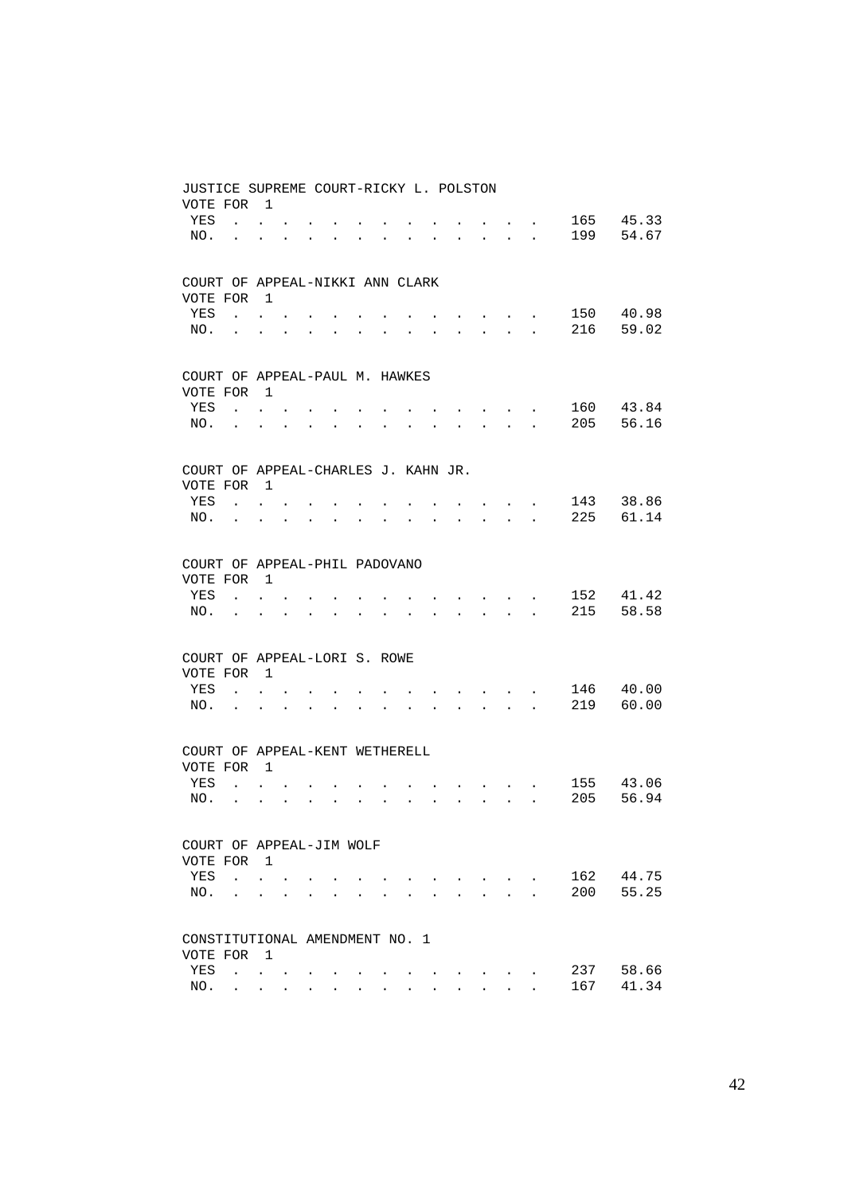| JUSTICE SUPREME COURT-RICKY L. POLSTON          |                           |                                 |                      |                      |                      |                      |                      |                      |                      |                                                                                     |                                                                             |                                                           |                      |     |       |
|-------------------------------------------------|---------------------------|---------------------------------|----------------------|----------------------|----------------------|----------------------|----------------------|----------------------|----------------------|-------------------------------------------------------------------------------------|-----------------------------------------------------------------------------|-----------------------------------------------------------|----------------------|-----|-------|
| VOTE FOR                                        |                           | $\overline{1}$                  |                      |                      |                      |                      |                      |                      |                      |                                                                                     |                                                                             |                                                           |                      |     |       |
| YES                                             | $\ddot{\phantom{a}}$      | $\ddot{\phantom{0}}$            |                      |                      |                      |                      |                      |                      |                      |                                                                                     |                                                                             |                                                           |                      | 165 | 45.33 |
| NO.                                             | $\ddot{\phantom{a}}$      |                                 |                      |                      |                      |                      |                      |                      |                      |                                                                                     | $\bullet$                                                                   | $\ddot{\phantom{0}}$                                      | $\ddot{\phantom{a}}$ | 199 | 54.67 |
|                                                 |                           |                                 |                      |                      |                      |                      |                      |                      |                      |                                                                                     |                                                                             |                                                           |                      |     |       |
| COURT OF APPEAL-NIKKI ANN CLARK                 |                           |                                 |                      |                      |                      |                      |                      |                      |                      |                                                                                     |                                                                             |                                                           |                      |     |       |
| VOTE FOR                                        |                           | $\overline{1}$                  |                      |                      |                      |                      |                      |                      |                      |                                                                                     |                                                                             |                                                           |                      |     |       |
| YES                                             | $\mathbf{L}$              |                                 |                      |                      |                      |                      |                      |                      |                      |                                                                                     |                                                                             |                                                           |                      | 150 | 40.98 |
| NO.                                             | $\sim$                    | $\ddot{\phantom{0}}$            |                      |                      |                      |                      |                      |                      |                      |                                                                                     | $\mathbf{L} = \mathbf{0}$                                                   | $\ddot{\phantom{a}}$                                      |                      | 216 | 59.02 |
|                                                 |                           |                                 |                      |                      |                      |                      |                      |                      |                      |                                                                                     |                                                                             |                                                           |                      |     |       |
| COURT OF APPEAL-PAUL M. HAWKES                  |                           |                                 |                      |                      |                      |                      |                      |                      |                      |                                                                                     |                                                                             |                                                           |                      |     |       |
| VOTE FOR                                        |                           | $\overline{1}$                  |                      |                      |                      |                      |                      |                      |                      |                                                                                     |                                                                             |                                                           |                      |     |       |
| YES                                             | $\mathbf{L}$              | $\ddot{\phantom{0}}$            |                      |                      |                      |                      |                      |                      |                      |                                                                                     |                                                                             | $\cdot$ $\cdot$ $\cdot$                                   |                      | 160 | 43.84 |
| NO.                                             | $\ddot{\phantom{0}}$      |                                 |                      | $\bullet$            | $\ddot{\phantom{0}}$ | $\bullet$            |                      |                      |                      | $\mathbf{L} = \mathbf{0}$                                                           |                                                                             | $\mathbf{z} = \mathbf{z} + \mathbf{z}$ . The $\mathbf{z}$ |                      | 205 | 56.16 |
|                                                 |                           |                                 |                      |                      |                      |                      |                      |                      |                      |                                                                                     |                                                                             |                                                           |                      |     |       |
| COURT OF APPEAL-CHARLES J. KAHN JR.<br>VOTE FOR |                           | $\overline{1}$                  |                      |                      |                      |                      |                      |                      |                      |                                                                                     |                                                                             |                                                           |                      |     |       |
| YES                                             | $\mathbf{r}$              |                                 |                      |                      |                      |                      |                      |                      |                      |                                                                                     |                                                                             | <b>Contract Contract Contract</b>                         |                      | 143 | 38.86 |
| NO.                                             | $\mathbf{L}^{\text{max}}$ | $\ddot{\phantom{0}}$            |                      |                      |                      |                      |                      |                      |                      | $\ddot{\phantom{0}}$                                                                |                                                                             | $\mathbf{z} = \mathbf{z} + \mathbf{z}$ .                  | $\ddot{\phantom{a}}$ | 225 | 61.14 |
|                                                 |                           |                                 |                      |                      |                      |                      |                      |                      |                      |                                                                                     |                                                                             |                                                           |                      |     |       |
| COURT OF APPEAL-PHIL PADOVANO                   |                           |                                 |                      |                      |                      |                      |                      |                      |                      |                                                                                     |                                                                             |                                                           |                      |     |       |
| VOTE FOR                                        |                           | $\overline{1}$                  |                      |                      |                      |                      |                      |                      |                      |                                                                                     |                                                                             |                                                           |                      |     |       |
| YES                                             | $\ddot{\phantom{0}}$      | $\ddot{\phantom{0}}$            |                      |                      |                      |                      |                      |                      |                      |                                                                                     |                                                                             |                                                           |                      | 152 | 41.42 |
| NO.                                             | $\ddot{\phantom{0}}$      |                                 |                      | $\ddot{\phantom{0}}$ | $\ddot{\phantom{0}}$ |                      |                      |                      | $\bullet$            | $\bullet$ .<br><br><br><br><br><br><br><br><br><br><br><br><br>                     |                                                                             | $\mathbf{r} = \mathbf{r} + \mathbf{r}$ .                  | $\ddot{\phantom{a}}$ | 215 | 58.58 |
|                                                 |                           |                                 |                      |                      |                      |                      |                      |                      |                      |                                                                                     |                                                                             |                                                           |                      |     |       |
| COURT OF APPEAL-LORI S. ROWE                    |                           |                                 |                      |                      |                      |                      |                      |                      |                      |                                                                                     |                                                                             |                                                           |                      |     |       |
| VOTE FOR                                        |                           | $\overline{1}$                  |                      |                      |                      |                      |                      |                      |                      |                                                                                     |                                                                             |                                                           |                      |     |       |
| YES                                             |                           | $\ddot{\phantom{0}}$            |                      |                      |                      |                      |                      |                      |                      |                                                                                     | and the state of the state of the                                           |                                                           |                      | 146 | 40.00 |
| NO.                                             | $\ddot{\phantom{0}}$      | $\ddot{\phantom{0}}$            |                      | $\ddot{\phantom{0}}$ | $\bullet$            |                      |                      |                      |                      | $\ddot{\phantom{0}}$                                                                | <b>Carl Carl Corp.</b>                                                      |                                                           | $\ddot{\phantom{a}}$ | 219 | 60.00 |
|                                                 |                           |                                 |                      |                      |                      |                      |                      |                      |                      |                                                                                     |                                                                             |                                                           |                      |     |       |
| COURT OF APPEAL-KENT WETHERELL<br>VOTE FOR      |                           | $\overline{1}$                  |                      |                      |                      |                      |                      |                      |                      |                                                                                     |                                                                             |                                                           |                      |     |       |
| YES                                             | $\mathbf{L}$              | $\ddot{\phantom{0}}$            |                      |                      |                      |                      |                      |                      |                      |                                                                                     |                                                                             |                                                           |                      | 155 | 43.06 |
| NO.                                             | $\ddot{\phantom{0}}$      | $\ddot{\phantom{0}}$            | $\ddot{\phantom{0}}$ | $\ddot{\phantom{0}}$ | $\ddot{\phantom{0}}$ | $\ddot{\phantom{0}}$ | $\ddot{\phantom{0}}$ | $\ddot{\phantom{a}}$ | $\ddot{\phantom{0}}$ |                                                                                     | <b>Contract Contract Contract</b><br>$\mathbf{r} = \mathbf{r} + \mathbf{r}$ |                                                           | $\ddot{\phantom{a}}$ | 205 | 56.94 |
|                                                 |                           |                                 |                      |                      |                      |                      |                      |                      |                      |                                                                                     |                                                                             |                                                           |                      |     |       |
| COURT OF APPEAL-JIM WOLF                        |                           |                                 |                      |                      |                      |                      |                      |                      |                      |                                                                                     |                                                                             |                                                           |                      |     |       |
| VOTE FOR                                        |                           | $\overline{1}$                  |                      |                      |                      |                      |                      |                      |                      |                                                                                     |                                                                             |                                                           |                      |     |       |
| YES                                             |                           | $\cdot$ $\cdot$ $\cdot$         |                      |                      |                      |                      |                      |                      |                      | and the contract of the contract of the contract of the contract of the contract of |                                                                             |                                                           |                      | 162 | 44.75 |
| NO.                                             |                           | $\ddot{\phantom{a}}$            |                      |                      |                      |                      |                      |                      |                      |                                                                                     |                                                                             | $\mathbf{r} = \mathbf{r}$                                 |                      | 200 | 55.25 |
|                                                 |                           |                                 |                      |                      |                      |                      |                      |                      |                      |                                                                                     |                                                                             |                                                           |                      |     |       |
| CONSTITUTIONAL AMENDMENT NO. 1                  |                           |                                 |                      |                      |                      |                      |                      |                      |                      |                                                                                     |                                                                             |                                                           |                      |     |       |
| VOTE FOR                                        |                           | $\overline{1}$                  |                      |                      |                      |                      |                      |                      |                      |                                                                                     |                                                                             |                                                           |                      |     |       |
| YES                                             |                           | <b>Contract Contract</b>        |                      |                      |                      |                      |                      |                      |                      |                                                                                     |                                                                             |                                                           |                      | 237 | 58.66 |
| NO.                                             |                           | $\cdot$ $\cdot$ $\cdot$ $\cdot$ |                      |                      |                      |                      |                      |                      |                      |                                                                                     |                                                                             |                                                           |                      | 167 | 41.34 |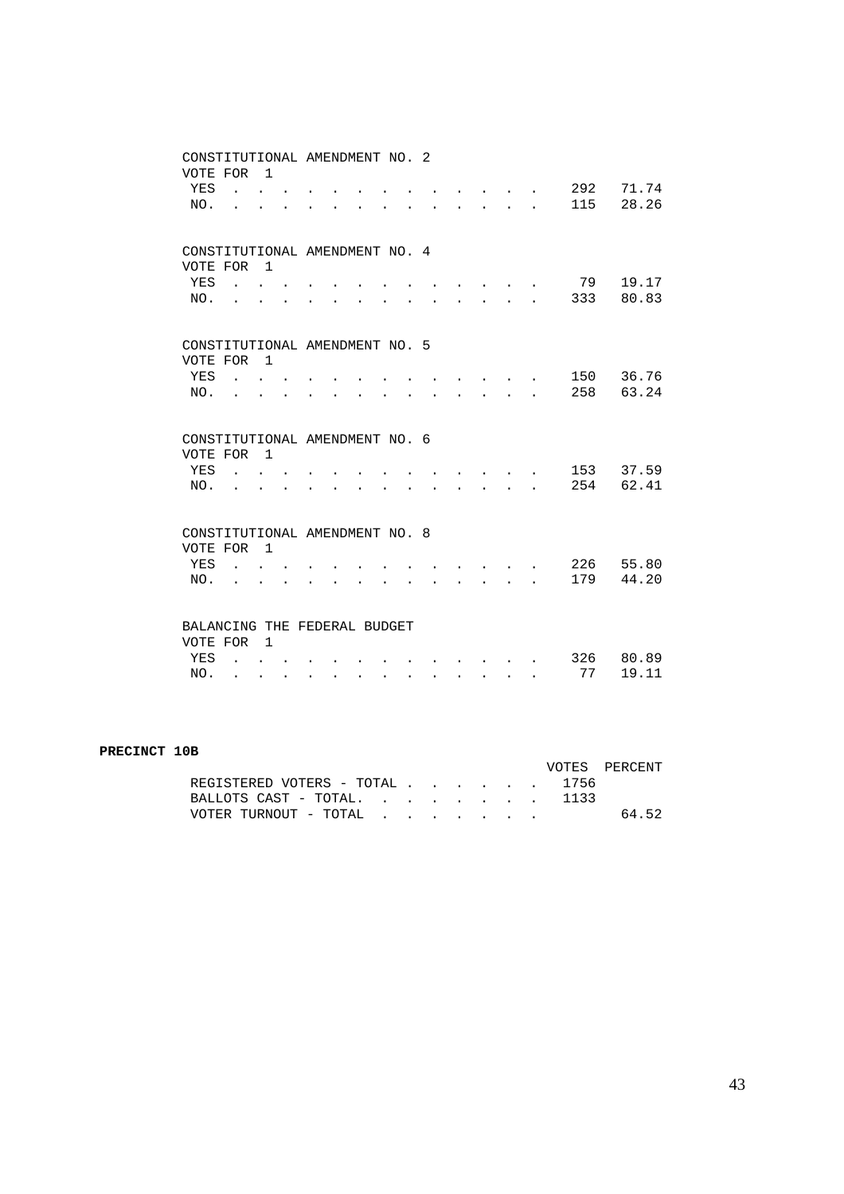|                                | CONSTITUTIONAL AMENDMENT NO. 2                                                            |                      |                      |                      |                      |                      |                      |                           |        |                                                                                                                           |              |           |                |
|--------------------------------|-------------------------------------------------------------------------------------------|----------------------|----------------------|----------------------|----------------------|----------------------|----------------------|---------------------------|--------|---------------------------------------------------------------------------------------------------------------------------|--------------|-----------|----------------|
| VOTE FOR                       |                                                                                           | $\overline{1}$       |                      |                      |                      |                      |                      |                           |        |                                                                                                                           |              |           |                |
| YES                            | <b>Contract Contract Contract</b>                                                         |                      |                      |                      |                      |                      |                      |                           |        | $\cdot$ $\cdot$ $\cdot$                                                                                                   |              | 292       | 71.74          |
| NO.                            |                                                                                           |                      |                      |                      |                      |                      |                      |                           |        | $\mathbf{L}$                                                                                                              | $\mathbf{r}$ | 115       | 28.26          |
|                                |                                                                                           |                      |                      |                      |                      |                      |                      |                           |        |                                                                                                                           |              |           |                |
| CONSTITUTIONAL AMENDMENT NO. 4 |                                                                                           |                      |                      |                      |                      |                      |                      |                           |        |                                                                                                                           |              |           |                |
| VOTE FOR                       |                                                                                           | $\overline{1}$       |                      |                      |                      |                      |                      |                           |        |                                                                                                                           |              |           |                |
| YES                            | $\mathcal{L}(\mathbf{z})$ , and $\mathcal{L}(\mathbf{z})$ , and $\mathcal{L}(\mathbf{z})$ |                      |                      |                      |                      |                      |                      |                           |        | $\mathbf{r}$ and $\mathbf{r}$ and $\mathbf{r}$                                                                            |              | 79        | 19.17          |
| NO.                            |                                                                                           |                      |                      |                      |                      |                      |                      |                           |        | $\mathbf{L}$                                                                                                              | $\mathbf{r}$ | 333       | 80.83          |
|                                |                                                                                           |                      |                      |                      |                      |                      |                      |                           |        |                                                                                                                           |              |           |                |
|                                |                                                                                           |                      |                      |                      |                      |                      |                      |                           |        |                                                                                                                           |              |           |                |
| CONSTITUTIONAL AMENDMENT NO. 5 |                                                                                           |                      |                      |                      |                      |                      |                      |                           |        |                                                                                                                           |              |           |                |
| VOTE FOR                       |                                                                                           | $\overline{1}$       |                      |                      |                      |                      |                      |                           |        |                                                                                                                           |              |           |                |
| YES                            |                                                                                           |                      |                      |                      |                      |                      |                      |                           |        |                                                                                                                           |              | 150       | 36.76          |
| NO.                            |                                                                                           |                      |                      |                      |                      |                      |                      |                           |        | $\mathbf{r} = \mathbf{r}$                                                                                                 |              | 258       | 63.24          |
|                                |                                                                                           |                      |                      |                      |                      |                      |                      |                           |        |                                                                                                                           |              |           |                |
|                                |                                                                                           |                      |                      |                      |                      |                      |                      |                           |        |                                                                                                                           |              |           |                |
|                                |                                                                                           |                      |                      |                      |                      |                      |                      |                           |        |                                                                                                                           |              |           |                |
| CONSTITUTIONAL AMENDMENT NO. 6 |                                                                                           |                      |                      |                      |                      |                      |                      |                           |        |                                                                                                                           |              |           |                |
| VOTE FOR                       |                                                                                           | $\overline{1}$       |                      |                      |                      |                      |                      |                           |        |                                                                                                                           |              |           |                |
| YES                            |                                                                                           | $\mathbf{r}$         |                      |                      |                      |                      |                      |                           |        |                                                                                                                           |              | 153       | 37.59          |
| NO.                            |                                                                                           |                      |                      |                      |                      |                      |                      |                           |        | $\mathbf{r}$                                                                                                              |              | 254       | 62.41          |
|                                |                                                                                           |                      |                      |                      |                      |                      |                      |                           |        |                                                                                                                           |              |           |                |
| CONSTITUTIONAL AMENDMENT NO. 8 |                                                                                           |                      |                      |                      |                      |                      |                      |                           |        |                                                                                                                           |              |           |                |
| VOTE FOR                       |                                                                                           | $\overline{1}$       |                      |                      |                      |                      |                      |                           |        |                                                                                                                           |              |           |                |
| YES                            |                                                                                           |                      |                      |                      |                      |                      |                      |                           |        |                                                                                                                           |              | 226       | 55.80          |
| NO.                            |                                                                                           |                      |                      |                      |                      |                      |                      |                           |        | $\ddot{\phantom{a}}$                                                                                                      |              | 179       | 44.20          |
|                                |                                                                                           |                      |                      |                      |                      |                      |                      |                           |        |                                                                                                                           |              |           |                |
|                                |                                                                                           |                      |                      |                      |                      |                      |                      |                           |        |                                                                                                                           |              |           |                |
| BALANCING THE FEDERAL BUDGET   |                                                                                           |                      |                      |                      |                      |                      |                      |                           |        |                                                                                                                           |              |           |                |
| VOTE FOR                       |                                                                                           | $\overline{1}$       |                      |                      |                      |                      |                      |                           |        |                                                                                                                           |              |           |                |
| YES<br>NO.                     | $\mathbb{R}^2$<br>$\ddot{\phantom{a}}$                                                    | $\ddot{\phantom{0}}$ | $\ddot{\phantom{a}}$ | $\ddot{\phantom{a}}$ | $\ddot{\phantom{a}}$ | $\ddot{\phantom{a}}$ | $\ddot{\phantom{0}}$ | $\mathbf{L} = \mathbf{0}$ | $\sim$ | $\begin{array}{cccccccccccccc} \bullet & \bullet & \bullet & \bullet & \bullet & \bullet & \bullet & \bullet \end{array}$ |              | 326<br>77 | 80.89<br>19.11 |

#### **PRECINCT 10B**

|                                |  |  |  | VOTES PERCENT |
|--------------------------------|--|--|--|---------------|
| REGISTERED VOTERS - TOTAL 1756 |  |  |  |               |
| BALLOTS CAST - TOTAL 1133      |  |  |  |               |
| VOTER TURNOUT - TOTAL          |  |  |  | 64.52         |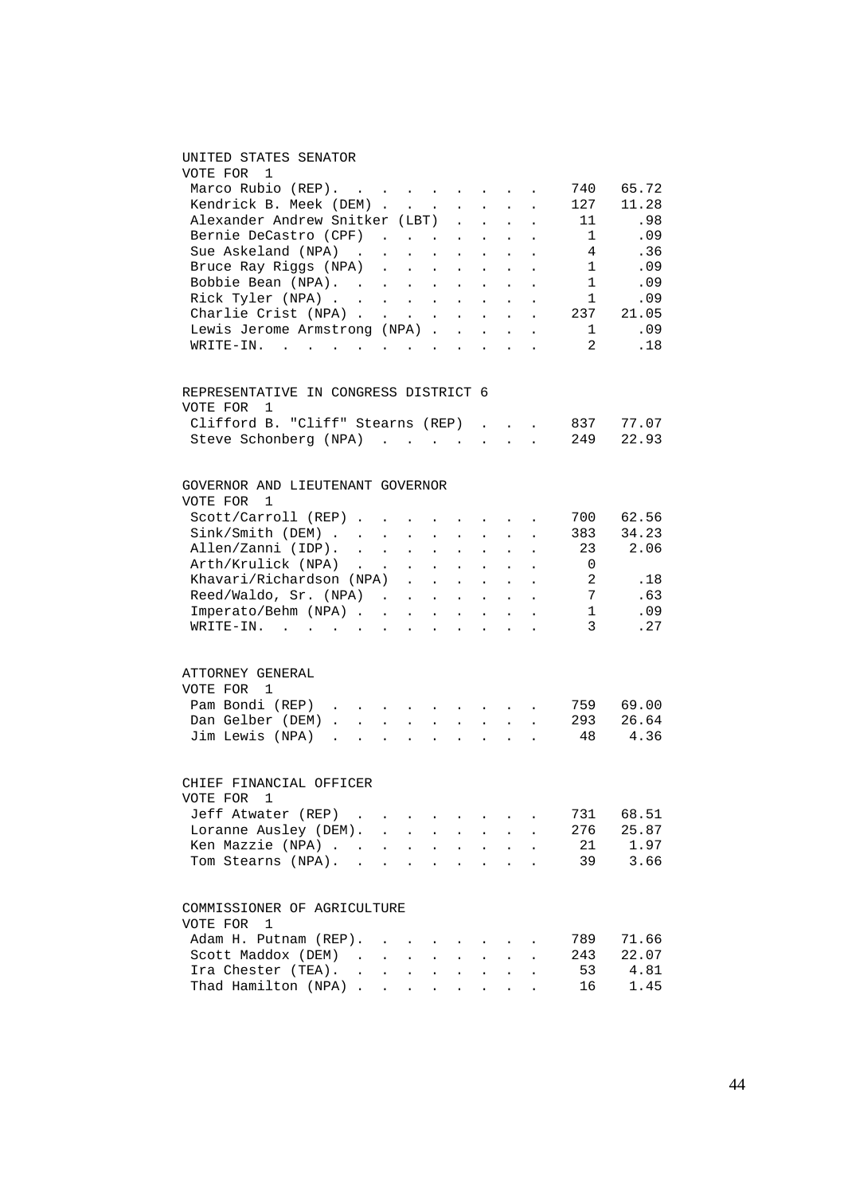### UNITED STATES SENATOR

| VOTE FOR 1                                                  |        |                      |                                                                                 |                      |                      |                                                                            |                                                       |                      |                              |          |
|-------------------------------------------------------------|--------|----------------------|---------------------------------------------------------------------------------|----------------------|----------------------|----------------------------------------------------------------------------|-------------------------------------------------------|----------------------|------------------------------|----------|
| Marco Rubio $(REP)$ .                                       |        |                      |                                                                                 |                      |                      |                                                                            |                                                       |                      | 740                          | 65.72    |
|                                                             |        |                      |                                                                                 |                      |                      |                                                                            |                                                       |                      | 127                          | 11.28    |
| Kendrick B. Meek (DEM)<br>Alexander Andrew Snitker (LBT) .  |        |                      |                                                                                 |                      |                      |                                                                            |                                                       | $\sim$               | 11                           | .98      |
|                                                             |        |                      |                                                                                 |                      |                      |                                                                            | $\mathbf{L}^{\text{max}}$ , $\mathbf{L}^{\text{max}}$ |                      | $\mathbf{1}$                 | .09      |
| Bernie DeCastro (CPF)<br>Sue Askeland (NPA)                 |        |                      |                                                                                 |                      |                      |                                                                            |                                                       | $\bullet$            |                              |          |
|                                                             |        |                      |                                                                                 |                      |                      |                                                                            |                                                       | $\sim$               | $\overline{4}$               | .36      |
| Bruce Ray Riggs (NPA)                                       |        |                      |                                                                                 |                      |                      |                                                                            |                                                       |                      | $\overline{1}$               | $\ldots$ |
| Bobbie Bean (NPA).                                          |        |                      |                                                                                 |                      |                      |                                                                            |                                                       |                      | $\overline{\phantom{a}}$     | .09      |
| Rick Tyler (NPA)                                            |        |                      |                                                                                 |                      |                      |                                                                            |                                                       |                      | $\overline{\phantom{a}}$     | .09      |
| Charlie Crist (NPA)<br>Lewis Jerome Armstrong (NPA)         |        |                      |                                                                                 |                      |                      |                                                                            |                                                       |                      | 237                          | 21.05    |
|                                                             |        |                      |                                                                                 |                      |                      |                                                                            |                                                       |                      | $\mathbf{1}$                 | .09      |
| $\texttt{WRITE-IN.}$                                        |        |                      |                                                                                 |                      |                      | <b>Carl Controller Controller</b>                                          |                                                       | $\sim$               | 2                            | .18      |
| REPRESENTATIVE IN CONGRESS DISTRICT 6                       |        |                      |                                                                                 |                      |                      |                                                                            |                                                       |                      |                              |          |
| VOTE FOR 1                                                  |        |                      |                                                                                 |                      |                      |                                                                            |                                                       |                      |                              |          |
| Clifford B. "Cliff" Stearns (REP)                           |        |                      |                                                                                 |                      |                      |                                                                            |                                                       | $\ddot{\phantom{a}}$ | 837                          | 77.07    |
| Steve Schonberg (NPA)                                       |        |                      |                                                                                 |                      |                      |                                                                            |                                                       | $\sim$               | 249                          | 22.93    |
| GOVERNOR AND LIEUTENANT GOVERNOR                            |        |                      |                                                                                 |                      |                      |                                                                            |                                                       |                      |                              |          |
| VOTE FOR<br>1                                               |        |                      |                                                                                 |                      |                      |                                                                            |                                                       |                      |                              |          |
| Scott/Carroll (REP)                                         |        |                      | $\ddot{\phantom{0}}$                                                            |                      |                      | $\mathbf{r} = \mathbf{r} \cdot \mathbf{r} = \mathbf{r} \cdot \mathbf{r}$ . |                                                       | $\ddot{\phantom{a}}$ | 700                          | 62.56    |
| Sink/Smith (DEM)                                            |        | $\sim$               | $\mathbf{L}$                                                                    | $\mathcal{L}^{\pm}$  | $\sim$               | $\sim$                                                                     | $\ddot{\phantom{0}}$                                  |                      | 383                          | 34.23    |
| Allen/Zanni (IDP).                                          |        |                      |                                                                                 |                      |                      |                                                                            |                                                       |                      | 23                           | 2.06     |
| Arth/Krulick (NPA)                                          |        |                      |                                                                                 |                      |                      |                                                                            |                                                       |                      | $\overline{0}$               |          |
| Khavari/Richardson (NPA)                                    |        |                      |                                                                                 |                      |                      |                                                                            |                                                       |                      | $\overline{\phantom{a}}$     | .18      |
| Reed/Waldo, Sr. (NPA) $\cdot \cdot \cdot \cdot \cdot \cdot$ |        |                      |                                                                                 |                      |                      |                                                                            |                                                       |                      | $7\phantom{.0}\phantom{.0}7$ | .63      |
| $Imperato/Behm (NPA)$                                       |        |                      |                                                                                 |                      |                      |                                                                            |                                                       | $\sim$               | $\mathbf{1}$                 | .09      |
| $\texttt{WRTTE-IN.}$                                        |        |                      | <b>All Carl Carl</b>                                                            |                      |                      | $\mathcal{L}(\mathbf{z})$ and $\mathcal{L}(\mathbf{z})$                    | $\sim$                                                |                      | $\overline{3}$               | .27      |
|                                                             |        |                      |                                                                                 |                      |                      |                                                                            |                                                       |                      |                              |          |
| ATTORNEY GENERAL                                            |        |                      |                                                                                 |                      |                      |                                                                            |                                                       |                      |                              |          |
| VOTE FOR 1                                                  |        |                      |                                                                                 |                      |                      |                                                                            |                                                       |                      |                              |          |
| Pam Bondi (REP)                                             |        |                      |                                                                                 |                      |                      |                                                                            |                                                       |                      | 759                          | 69.00    |
| Dan Gelber (DEM)                                            |        |                      | $\mathcal{L}^{\text{max}}$ , and $\mathcal{L}^{\text{max}}$                     |                      |                      | $\mathcal{L}^{\text{max}}$ , and $\mathcal{L}^{\text{max}}$                | $\sim$                                                |                      | 293                          | 26.64    |
| Jim Lewis (NPA) $\cdots$ $\cdots$ $\cdots$                  |        |                      |                                                                                 |                      |                      |                                                                            |                                                       | $\sim$               | 48                           | 4.36     |
| CHIEF FINANCIAL OFFICER                                     |        |                      |                                                                                 |                      |                      |                                                                            |                                                       |                      |                              |          |
| VOTE FOR 1                                                  |        |                      |                                                                                 |                      |                      |                                                                            |                                                       |                      |                              |          |
| Jeff Atwater (REP)                                          |        |                      |                                                                                 |                      |                      |                                                                            |                                                       |                      | 731                          | 68.51    |
| Loranne Ausley (DEM).                                       |        | $\mathbf{L}$         | $\sim$                                                                          | $\ddot{\phantom{0}}$ | $\ddot{\phantom{0}}$ | $\sim$                                                                     | $\sim$                                                | $\ddot{\phantom{a}}$ | 276                          | 25.87    |
| Ken Mazzie (NPA)                                            |        |                      |                                                                                 |                      |                      |                                                                            |                                                       |                      | 21                           | 1.97     |
| Tom Stearns (NPA). .                                        |        |                      |                                                                                 |                      |                      |                                                                            |                                                       |                      | 39                           | 3.66     |
|                                                             |        |                      | the contract of the contract of the contract of the contract of the contract of |                      |                      |                                                                            |                                                       |                      |                              |          |
| COMMISSIONER OF AGRICULTURE                                 |        |                      |                                                                                 |                      |                      |                                                                            |                                                       |                      |                              |          |
| VOTE FOR<br>1                                               |        |                      |                                                                                 |                      |                      |                                                                            |                                                       |                      |                              |          |
| Adam H. Putnam (REP).                                       |        |                      |                                                                                 |                      |                      |                                                                            |                                                       |                      | 789                          | 71.66    |
| Scott Maddox (DEM)                                          | $\sim$ | $\ddot{\phantom{a}}$ | $\ddot{\phantom{0}}$                                                            | $\ddot{\phantom{0}}$ | $\ddot{\phantom{0}}$ | $\ddot{\phantom{a}}$                                                       | $\ddot{\phantom{0}}$                                  |                      | 243                          | 22.07    |
| Ira Chester (TEA). .                                        |        | $\sim$ $-$           | $\mathbf{L}^{\text{max}}$                                                       | $\ddot{\phantom{0}}$ | $\ddot{\phantom{0}}$ | $\ddot{\phantom{0}}$                                                       | $\ddot{\phantom{0}}$                                  |                      | 53                           | 4.81     |
| Thad Hamilton (NPA).                                        |        |                      |                                                                                 |                      |                      |                                                                            |                                                       |                      | 16                           | 1.45     |
|                                                             |        |                      |                                                                                 |                      |                      |                                                                            |                                                       |                      |                              |          |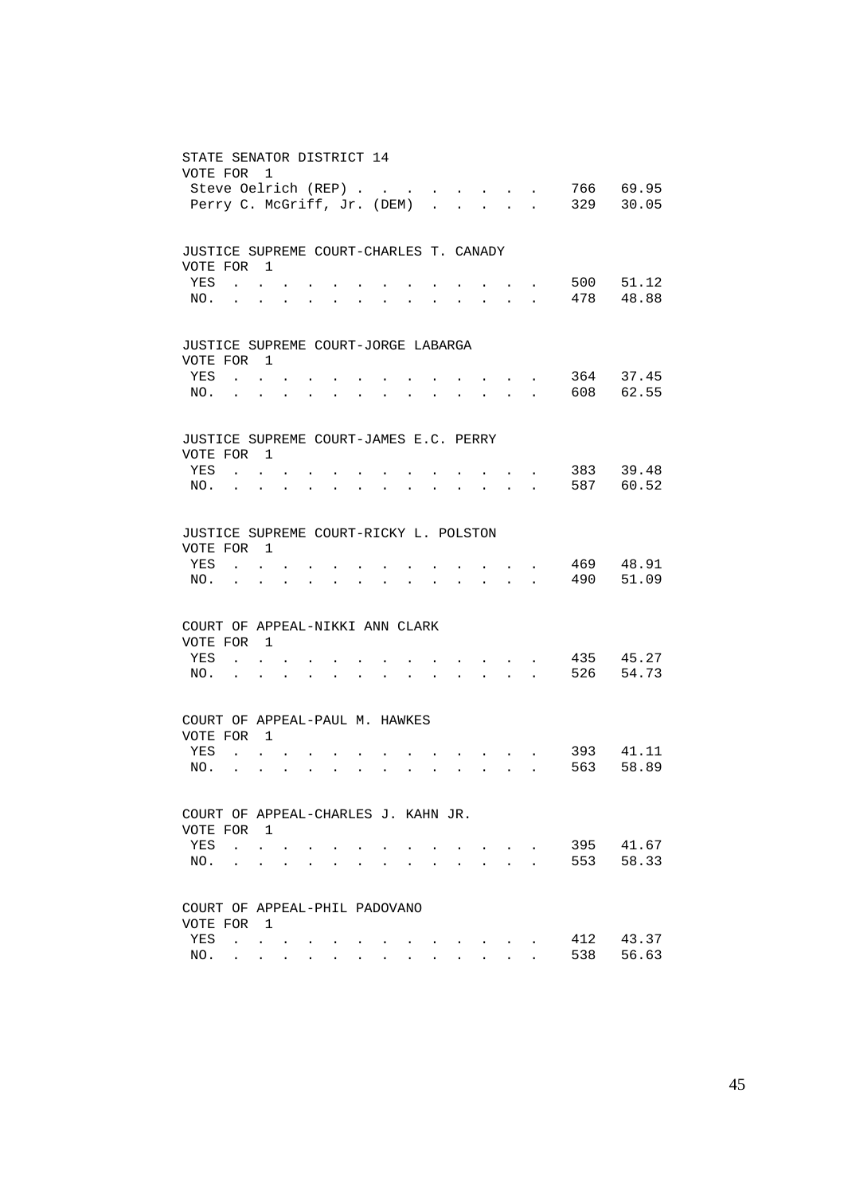| STATE SENATOR DISTRICT 14               |                                   |                                                               |                           |                      |                                                             |                      |                      |                      |                      |                                                                                                                                                                                                                                |                           |                                                                                          |                             |                    |
|-----------------------------------------|-----------------------------------|---------------------------------------------------------------|---------------------------|----------------------|-------------------------------------------------------------|----------------------|----------------------|----------------------|----------------------|--------------------------------------------------------------------------------------------------------------------------------------------------------------------------------------------------------------------------------|---------------------------|------------------------------------------------------------------------------------------|-----------------------------|--------------------|
| VOTE FOR                                |                                   | - 1                                                           |                           |                      |                                                             |                      |                      |                      |                      |                                                                                                                                                                                                                                |                           |                                                                                          |                             |                    |
|                                         | Steve Oelrich (REP)               |                                                               |                           |                      |                                                             |                      |                      |                      |                      |                                                                                                                                                                                                                                |                           | <b><i>Contract Contract States</i></b>                                                   | 329                         | 766 69.95<br>30.05 |
|                                         | Perry C. McGriff, Jr. (DEM)       |                                                               |                           |                      |                                                             |                      |                      |                      |                      |                                                                                                                                                                                                                                |                           |                                                                                          |                             |                    |
|                                         |                                   |                                                               |                           |                      |                                                             |                      |                      |                      |                      |                                                                                                                                                                                                                                |                           |                                                                                          |                             |                    |
| JUSTICE SUPREME COURT-CHARLES T. CANADY |                                   |                                                               |                           |                      |                                                             |                      |                      |                      |                      |                                                                                                                                                                                                                                |                           |                                                                                          |                             |                    |
| VOTE FOR 1                              |                                   |                                                               |                           |                      |                                                             |                      |                      |                      |                      |                                                                                                                                                                                                                                |                           |                                                                                          |                             |                    |
| YES                                     |                                   | $\sim$ $\sim$ $\sim$ $\sim$                                   |                           |                      |                                                             |                      |                      |                      |                      |                                                                                                                                                                                                                                |                           |                                                                                          |                             | 500 51.12          |
|                                         | NO.                               |                                                               | $\mathbf{A}^{\text{max}}$ |                      |                                                             | $\bullet$            | $\ddot{\phantom{0}}$ |                      |                      |                                                                                                                                                                                                                                |                           | $\mathbf{r} = \mathbf{r} + \mathbf{r}$                                                   |                             | 478 48.88          |
|                                         |                                   |                                                               |                           |                      |                                                             |                      |                      |                      |                      |                                                                                                                                                                                                                                |                           |                                                                                          |                             |                    |
|                                         |                                   |                                                               |                           |                      |                                                             |                      |                      |                      |                      |                                                                                                                                                                                                                                |                           |                                                                                          |                             |                    |
| JUSTICE SUPREME COURT-JORGE LABARGA     |                                   |                                                               |                           |                      |                                                             |                      |                      |                      |                      |                                                                                                                                                                                                                                |                           |                                                                                          |                             |                    |
| VOTE FOR 1                              |                                   |                                                               |                           |                      |                                                             |                      |                      |                      |                      |                                                                                                                                                                                                                                |                           |                                                                                          |                             |                    |
| YES                                     |                                   | $\sim$ $\sim$ $\sim$ $\sim$                                   |                           |                      |                                                             |                      |                      |                      |                      |                                                                                                                                                                                                                                |                           |                                                                                          |                             | 364 37.45          |
| NO.                                     | $\ddot{\phantom{a}}$              | $\ddot{\phantom{0}}$                                          |                           |                      | $\bullet$ .<br><br><br><br><br><br><br><br><br><br><br><br> | $\bullet$            | $\bullet$            | $\bullet$            |                      | and a strong control of the strong strong                                                                                                                                                                                      |                           |                                                                                          |                             | 608 62.55          |
|                                         |                                   |                                                               |                           |                      |                                                             |                      |                      |                      |                      |                                                                                                                                                                                                                                |                           |                                                                                          |                             |                    |
| JUSTICE SUPREME COURT-JAMES E.C. PERRY  |                                   |                                                               |                           |                      |                                                             |                      |                      |                      |                      |                                                                                                                                                                                                                                |                           |                                                                                          |                             |                    |
| VOTE FOR 1                              |                                   |                                                               |                           |                      |                                                             |                      |                      |                      |                      |                                                                                                                                                                                                                                |                           |                                                                                          |                             |                    |
| YES                                     |                                   | $\mathbf{r}$ , $\mathbf{r}$ , $\mathbf{r}$                    |                           |                      |                                                             |                      |                      |                      |                      |                                                                                                                                                                                                                                |                           | $\mathcal{L}(\mathcal{A})$ and $\mathcal{L}(\mathcal{A})$ and $\mathcal{L}(\mathcal{A})$ |                             | 383 39.48          |
|                                         | $NO.$                             |                                                               | $\mathbf{a} = \mathbf{a}$ | $\ddot{\phantom{a}}$ |                                                             | $\bullet$            | $\bullet$            |                      |                      |                                                                                                                                                                                                                                |                           | $\mathbf{r} = \mathbf{r} + \mathbf{r}$                                                   |                             | 587 60.52          |
|                                         |                                   |                                                               |                           |                      |                                                             |                      |                      |                      |                      |                                                                                                                                                                                                                                |                           |                                                                                          |                             |                    |
|                                         |                                   |                                                               |                           |                      |                                                             |                      |                      |                      |                      |                                                                                                                                                                                                                                |                           |                                                                                          |                             |                    |
| JUSTICE SUPREME COURT-RICKY L. POLSTON  |                                   |                                                               |                           |                      |                                                             |                      |                      |                      |                      |                                                                                                                                                                                                                                |                           |                                                                                          |                             |                    |
| VOTE FOR 1                              |                                   |                                                               |                           |                      |                                                             |                      |                      |                      |                      |                                                                                                                                                                                                                                |                           |                                                                                          |                             |                    |
| YES                                     |                                   | $\mathbf{r}$ , $\mathbf{r}$ , $\mathbf{r}$                    |                           |                      |                                                             |                      |                      |                      |                      | $\sim$ $\sim$ $\sim$ $\sim$                                                                                                                                                                                                    |                           |                                                                                          | 469                         | 48.91              |
| NO.                                     |                                   |                                                               |                           | $\ddot{\phantom{a}}$ | $\sim$ $\sim$                                               | $\ddot{\phantom{a}}$ |                      | $\ddot{\phantom{0}}$ |                      | $\mathbf{r} = \mathbf{r} + \mathbf{r} + \mathbf{r} + \mathbf{r}$                                                                                                                                                               |                           |                                                                                          | 490                         | 51.09              |
|                                         |                                   |                                                               |                           |                      |                                                             |                      |                      |                      |                      |                                                                                                                                                                                                                                |                           |                                                                                          |                             |                    |
| COURT OF APPEAL-NIKKI ANN CLARK         |                                   |                                                               |                           |                      |                                                             |                      |                      |                      |                      |                                                                                                                                                                                                                                |                           |                                                                                          |                             |                    |
| VOTE FOR 1                              |                                   |                                                               |                           |                      |                                                             |                      |                      |                      |                      |                                                                                                                                                                                                                                |                           |                                                                                          |                             |                    |
| YES                                     |                                   | <b>Contract Contract</b>                                      |                           |                      |                                                             |                      |                      |                      |                      |                                                                                                                                                                                                                                |                           |                                                                                          | $\cdot$ $\cdot$ $\cdot$ 435 | 45.27              |
| NO.                                     | $\sim 100$ km s $^{-1}$           | $\ddot{\phantom{a}}$                                          |                           | $\ddot{\phantom{a}}$ | $\ddot{\phantom{a}}$                                        | $\ddot{\phantom{a}}$ |                      | $\sim$               | $\sim$               | $\mathbf{r}$ , $\mathbf{r}$ , $\mathbf{r}$ , $\mathbf{r}$                                                                                                                                                                      |                           |                                                                                          | 526                         | 54.73              |
|                                         |                                   |                                                               |                           |                      |                                                             |                      |                      |                      |                      |                                                                                                                                                                                                                                |                           |                                                                                          |                             |                    |
|                                         |                                   |                                                               |                           |                      |                                                             |                      |                      |                      |                      |                                                                                                                                                                                                                                |                           |                                                                                          |                             |                    |
| COURT OF APPEAL-PAUL M. HAWKES          |                                   |                                                               |                           |                      |                                                             |                      |                      |                      |                      |                                                                                                                                                                                                                                |                           |                                                                                          |                             |                    |
| VOTE FOR 1                              |                                   |                                                               |                           |                      |                                                             |                      |                      |                      |                      |                                                                                                                                                                                                                                |                           |                                                                                          |                             |                    |
| YES                                     |                                   | $\mathbf{L}$ and $\mathbf{L}$ and $\mathbf{L}$                |                           |                      |                                                             |                      |                      |                      |                      |                                                                                                                                                                                                                                |                           | <b>All All Andrew</b>                                                                    | 393                         | 41.11              |
| NO.                                     | <b>Contract Contract Contract</b> | $\ddot{\phantom{0}}$                                          | $\sim$                    |                      | $\mathbf{L}^{\text{max}}$ , and $\mathbf{L}^{\text{max}}$   | $\ddot{\phantom{a}}$ | $\ddot{\phantom{a}}$ |                      |                      | $\mathbf{r} = \left( \mathbf{r} \right) \left( \mathbf{r} \right) \left( \mathbf{r} \right) \left( \mathbf{r} \right) \left( \mathbf{r} \right) \left( \mathbf{r} \right) \left( \mathbf{r} \right) \left( \mathbf{r} \right)$ |                           |                                                                                          | 563                         | 58.89              |
|                                         |                                   |                                                               |                           |                      |                                                             |                      |                      |                      |                      |                                                                                                                                                                                                                                |                           |                                                                                          |                             |                    |
| COURT OF APPEAL-CHARLES J. KAHN JR.     |                                   |                                                               |                           |                      |                                                             |                      |                      |                      |                      |                                                                                                                                                                                                                                |                           |                                                                                          |                             |                    |
| VOTE FOR 1                              |                                   |                                                               |                           |                      |                                                             |                      |                      |                      |                      |                                                                                                                                                                                                                                |                           |                                                                                          |                             |                    |
| YES                                     |                                   | $\mathbf{L}$ and $\mathbf{L}$                                 |                           |                      |                                                             |                      |                      |                      |                      |                                                                                                                                                                                                                                | $\mathbf{r} = \mathbf{r}$ |                                                                                          | 395                         | 41.67              |
| NO.                                     |                                   | $\ddot{\phantom{a}}$                                          | $\ddot{\phantom{a}}$      |                      |                                                             |                      |                      |                      | $\ddot{\phantom{a}}$ | $\ddot{\phantom{a}}$                                                                                                                                                                                                           | <b>Contract Contract</b>  |                                                                                          | 553                         | 58.33              |
|                                         |                                   |                                                               |                           |                      |                                                             |                      |                      |                      |                      |                                                                                                                                                                                                                                |                           |                                                                                          |                             |                    |
|                                         |                                   |                                                               |                           |                      |                                                             |                      |                      |                      |                      |                                                                                                                                                                                                                                |                           |                                                                                          |                             |                    |
| COURT OF APPEAL-PHIL PADOVANO           |                                   |                                                               |                           |                      |                                                             |                      |                      |                      |                      |                                                                                                                                                                                                                                |                           |                                                                                          |                             |                    |
| VOTE FOR                                |                                   | $\overline{1}$                                                |                           |                      |                                                             |                      |                      |                      |                      |                                                                                                                                                                                                                                |                           |                                                                                          |                             |                    |
| YES                                     |                                   | $\mathcal{L}^{\text{max}}$ , where $\mathcal{L}^{\text{max}}$ |                           |                      |                                                             |                      |                      |                      |                      |                                                                                                                                                                                                                                |                           |                                                                                          | 412                         | 43.37              |
| NO.                                     | $\mathcal{L}^{\text{max}}$        | <b>Contract Contract</b>                                      |                           |                      |                                                             |                      |                      |                      |                      |                                                                                                                                                                                                                                |                           |                                                                                          | 538                         | 56.63              |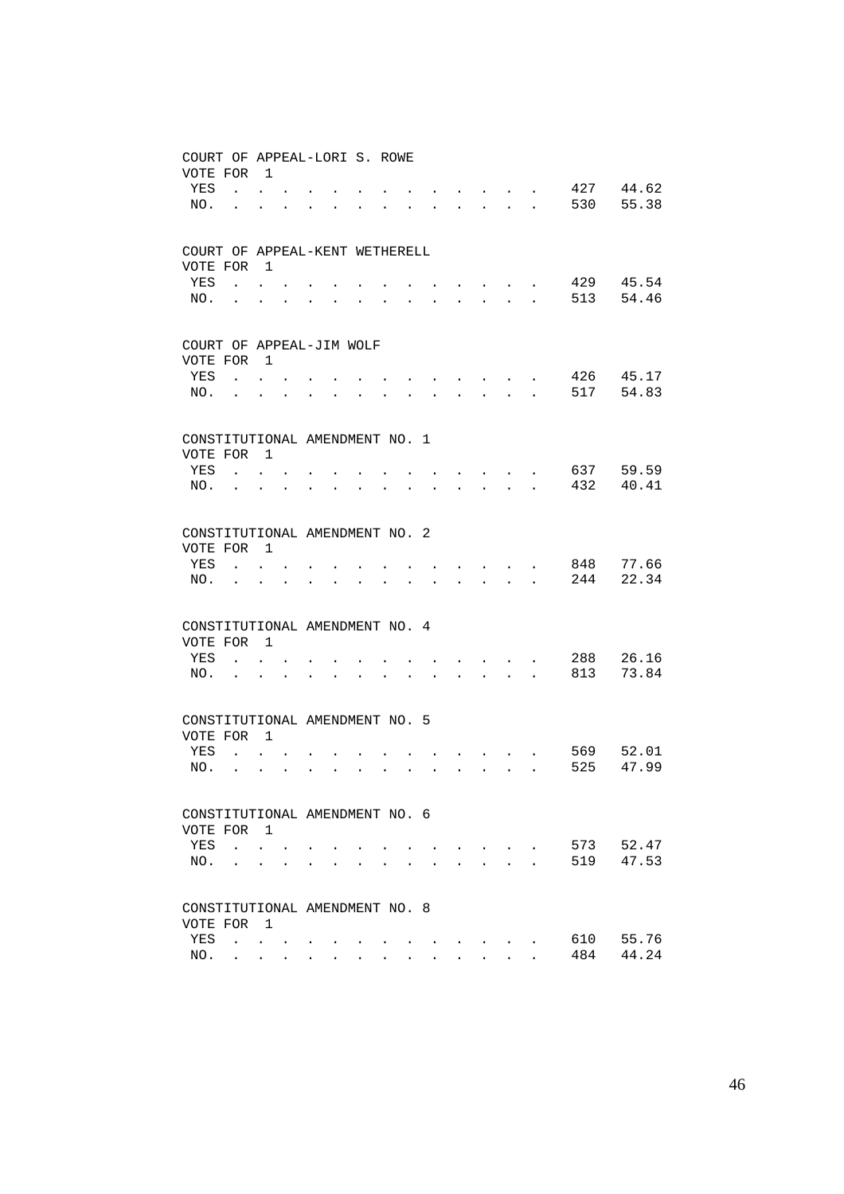| COURT OF APPEAL-LORI S. ROWE<br>VOTE FOR     |                                                         | $\overline{1}$                       |                      |                      |                      |                      |  |                      |                           |                                                         |                                          |            |                |
|----------------------------------------------|---------------------------------------------------------|--------------------------------------|----------------------|----------------------|----------------------|----------------------|--|----------------------|---------------------------|---------------------------------------------------------|------------------------------------------|------------|----------------|
| YES<br>NO.                                   | $\ddot{\phantom{a}}$                                    | $\mathbf{L}$ and $\mathbf{L}$        |                      |                      | $\ddot{\phantom{a}}$ |                      |  | $\sim$               |                           | $\ddot{\phantom{0}}$                                    |                                          | 427<br>530 | 44.62<br>55.38 |
| COURT OF APPEAL-KENT WETHERELL<br>VOTE FOR   |                                                         | $\overline{1}$                       |                      |                      |                      |                      |  |                      |                           |                                                         |                                          |            |                |
| YES                                          | $\mathbf{L}$                                            |                                      |                      |                      |                      |                      |  |                      |                           | and the state of the state of                           |                                          | 429        | 45.54          |
| NO.                                          | $\ddot{\phantom{0}}$                                    | $\ddot{\phantom{0}}$                 | $\bullet$            |                      |                      |                      |  | $\ddot{\phantom{0}}$ | $\mathbf{L} = \mathbf{0}$ |                                                         | $\mathbf{z} = \mathbf{z} + \mathbf{z}$ . | 513        | 54.46          |
| COURT OF APPEAL-JIM WOLF<br>VOTE FOR         |                                                         | $\overline{1}$                       |                      |                      |                      |                      |  |                      |                           |                                                         |                                          |            |                |
| YES                                          |                                                         | $\cdot$ $\cdot$ $\cdot$              |                      |                      |                      |                      |  |                      |                           |                                                         |                                          | 426        | 45.17          |
| NO.                                          |                                                         |                                      |                      |                      |                      |                      |  | $\sim$ $-$           | $\ddot{\phantom{0}}$      |                                                         | $\mathbf{r} = \mathbf{r} + \mathbf{r}$ . | 517        | 54.83          |
| CONSTITUTIONAL AMENDMENT NO. 1<br>VOTE FOR   |                                                         | $\overline{1}$                       |                      |                      |                      |                      |  |                      |                           |                                                         |                                          |            |                |
| YES                                          |                                                         | $\mathbf{r}$                         |                      |                      |                      |                      |  |                      |                           | <b>Contract Contract Contract</b>                       |                                          | 637        | 59.59          |
| NO.                                          | $\ddot{\phantom{0}}$                                    | $\bullet$                            | $\bullet$            | $\ddot{\phantom{0}}$ |                      |                      |  |                      |                           | <b>Contract Contract</b>                                |                                          | 432        | 40.41          |
| CONSTITUTIONAL AMENDMENT NO. 2<br>VOTE FOR   |                                                         | $\overline{1}$                       |                      |                      |                      |                      |  |                      |                           |                                                         |                                          |            |                |
| YES                                          | $\mathbf{r}$                                            | $\ddot{\phantom{0}}$                 |                      |                      |                      |                      |  |                      |                           | $\sim$ $\sim$ $\sim$ $\sim$                             |                                          | 848        | 77.66          |
| NO.                                          |                                                         |                                      |                      |                      | $\ddot{\phantom{a}}$ | $\ddot{\phantom{0}}$ |  | $\ddot{\phantom{0}}$ |                           | $\mathbf{r} = \mathbf{r}$ and $\mathbf{r} = \mathbf{r}$ |                                          | 244        | 22.34          |
| CONSTITUTIONAL AMENDMENT NO. 4<br>VOTE FOR   |                                                         | $\overline{1}$                       |                      |                      |                      |                      |  |                      |                           |                                                         |                                          |            |                |
| YES                                          |                                                         | $\mathbf{r}$                         |                      |                      |                      |                      |  |                      |                           | <b>Contract Contract Contract</b>                       |                                          | 288        | 26.16          |
| NO.                                          | $\ddot{\phantom{a}}$                                    | $\ddot{\phantom{0}}$                 |                      |                      |                      |                      |  |                      |                           | $\mathbf{r}$ , $\mathbf{r}$ , $\mathbf{r}$              |                                          | 813        | 73.84          |
| CONSTITUTIONAL AMENDMENT NO. 5<br>VOTE FOR   |                                                         | $\overline{1}$                       |                      |                      |                      |                      |  |                      |                           |                                                         |                                          |            |                |
| YES                                          |                                                         | $\mathbf{L} = \mathbf{L} \mathbf{L}$ |                      |                      |                      |                      |  |                      |                           | $\cdot$ $\cdot$ $\cdot$                                 |                                          | 569        | 52.01          |
| NO.                                          |                                                         | $\ddot{\phantom{a}}$                 | $\ddot{\phantom{0}}$ | $\ddot{\phantom{a}}$ | $\ddot{\phantom{a}}$ | $\ddot{\phantom{a}}$ |  | $\ddot{\phantom{a}}$ |                           |                                                         | $\mathbf{L}$ and $\mathbf{L}$            | 525        | 47.99          |
| CONSTITUTIONAL AMENDMENT NO. 6<br>VOTE FOR 1 |                                                         |                                      |                      |                      |                      |                      |  |                      |                           |                                                         |                                          |            |                |
| YES                                          | <b>Contract Contract</b>                                | $\ddot{\phantom{0}}$                 |                      |                      |                      |                      |  |                      |                           | and the state of the state of                           |                                          | 573        | 52.47          |
| NO.                                          |                                                         | $\ddot{\phantom{a}}$                 |                      |                      |                      |                      |  |                      |                           |                                                         | $\mathbf{r}$                             | 519        | 47.53          |
| CONSTITUTIONAL AMENDMENT NO. 8               |                                                         |                                      |                      |                      |                      |                      |  |                      |                           |                                                         |                                          |            |                |
| VOTE FOR<br>YES                              | $\mathcal{A}^{\text{max}}$ , $\mathcal{A}^{\text{max}}$ | $\overline{1}$                       |                      |                      |                      |                      |  |                      |                           |                                                         |                                          | 610        | 55.76          |
| NO.                                          | $\ddot{\phantom{0}}$                                    | $\sim 100$                           | $\sim$               |                      |                      |                      |  |                      |                           |                                                         |                                          | 484        | 44.24          |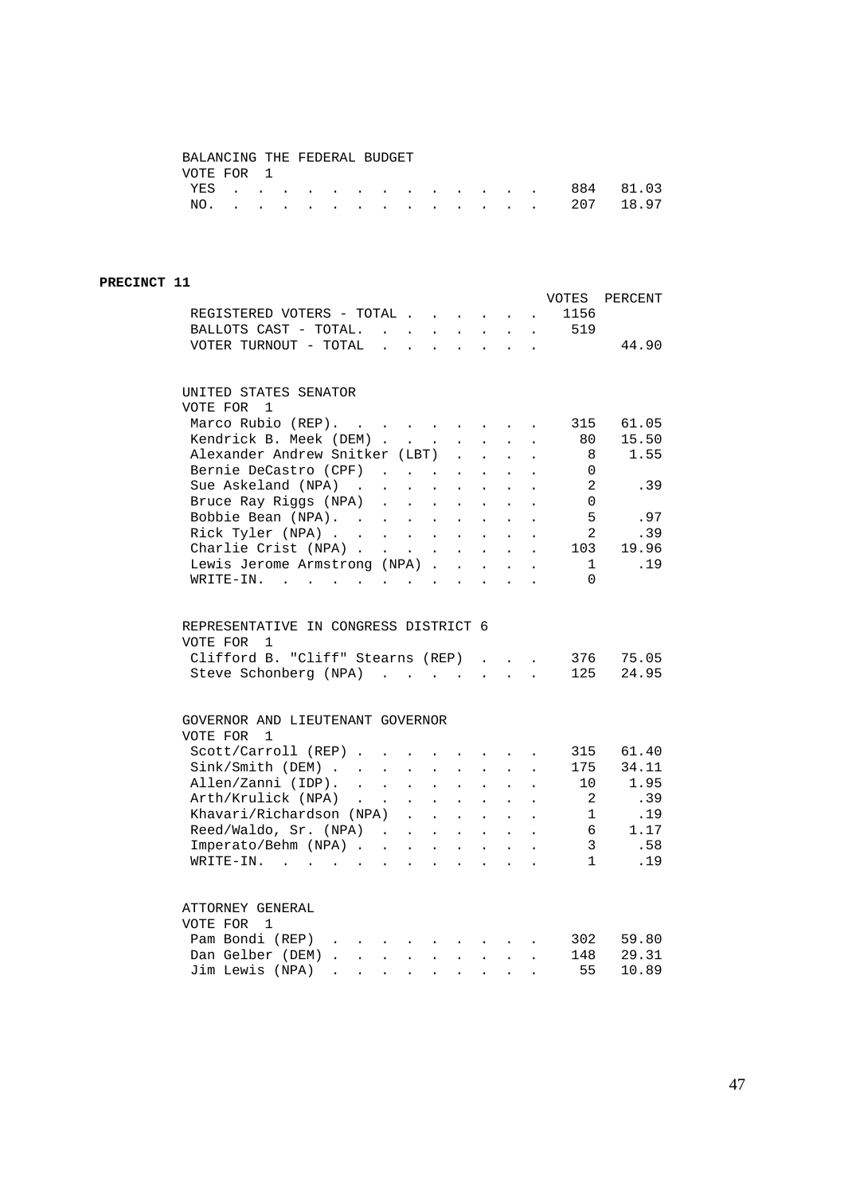#### BALANCING THE FEDERAL BUDGET VOTE FOR 1

|  |  |  |  |  |  |  | YES 884 81.03 |  |
|--|--|--|--|--|--|--|---------------|--|
|  |  |  |  |  |  |  | NO. 207 18.97 |  |

#### **PRECINCT 11**

| REGISTERED VOTERS - TOTAL                                                                                                                                                                                                                                  |                             |                                                                 |                                                                                                 | $\mathbf{L}^{\text{max}}$  | $\ddot{\phantom{a}}$                                                          | $\sim 100$ km s $^{-1}$                                   |                                              | VOTES<br>1156                       | PERCENT        |
|------------------------------------------------------------------------------------------------------------------------------------------------------------------------------------------------------------------------------------------------------------|-----------------------------|-----------------------------------------------------------------|-------------------------------------------------------------------------------------------------|----------------------------|-------------------------------------------------------------------------------|-----------------------------------------------------------|----------------------------------------------|-------------------------------------|----------------|
| BALLOTS CAST - TOTAL.                                                                                                                                                                                                                                      |                             |                                                                 | $\sim 10^{-11}$                                                                                 |                            |                                                                               |                                                           |                                              | $\cdot$ $\cdot$ $\cdot$ $\cdot$ 519 |                |
|                                                                                                                                                                                                                                                            |                             | $\mathcal{L}(\mathbf{z})$ , and $\mathcal{L}(\mathbf{z})$ , and |                                                                                                 |                            |                                                                               |                                                           |                                              |                                     |                |
| VOTER TURNOUT - TOTAL .                                                                                                                                                                                                                                    |                             | $\ddot{\phantom{a}}$                                            | $\sim$                                                                                          | $\ddot{\phantom{0}}$       |                                                                               | $\mathbf{r} = \mathbf{r} + \mathbf{r}$ .                  |                                              |                                     | 44.90          |
| UNITED STATES SENATOR                                                                                                                                                                                                                                      |                             |                                                                 |                                                                                                 |                            |                                                                               |                                                           |                                              |                                     |                |
| VOTE FOR<br>1                                                                                                                                                                                                                                              |                             |                                                                 |                                                                                                 |                            |                                                                               |                                                           |                                              |                                     |                |
| Marco Rubio (REP).<br>$\mathcal{L}(\mathcal{A})$ . The contribution of the contribution of $\mathcal{A}$                                                                                                                                                   |                             |                                                                 |                                                                                                 |                            |                                                                               |                                                           |                                              | 315                                 | 61.05          |
| Kendrick B. Meek (DEM).                                                                                                                                                                                                                                    |                             | $\sim 10^{-11}$                                                 | $\mathbf{L}^{\text{max}}$                                                                       | $\mathbf{L}^{\text{max}}$  | $\mathbf{L}^{\text{max}}$                                                     | $\ddot{\phantom{a}}$                                      | $\ddot{\phantom{0}}$                         | 80                                  | 15.50          |
| Alexander Andrew Snitker (LBT)                                                                                                                                                                                                                             |                             |                                                                 |                                                                                                 | $\mathbf{r}$               | $\mathbf{r}$                                                                  | $\ddot{\phantom{0}}$                                      |                                              | - 8                                 | 1.55           |
| Bernie DeCastro (CPF)                                                                                                                                                                                                                                      |                             |                                                                 |                                                                                                 | $\ddot{\phantom{a}}$       | $\mathbf{r}$                                                                  | $\ddot{\phantom{a}}$                                      |                                              | $\Omega$                            |                |
| Sue Askeland (NPA)<br>$\mathcal{A}^{\mathcal{A}}$ , and $\mathcal{A}^{\mathcal{A}}$ , and $\mathcal{A}^{\mathcal{A}}$                                                                                                                                      |                             |                                                                 |                                                                                                 | $\mathcal{L}^{\text{max}}$ | $\ddot{\phantom{0}}$                                                          | $\mathcal{L}^{\pm}$                                       | $\ddot{\phantom{0}}$                         | -2                                  | .39            |
| Bruce Ray Riggs (NPA).                                                                                                                                                                                                                                     |                             | $\mathcal{L}^{(1)}$                                             |                                                                                                 |                            | $\mathbf{L}$                                                                  |                                                           |                                              | $\mathbf 0$                         |                |
| Bobbie Bean (NPA).                                                                                                                                                                                                                                         |                             |                                                                 | $\mathbb{Z}^{\mathbb{Z}^{\times}}$                                                              | $\mathcal{L}^{\text{max}}$ |                                                                               | $\ddot{\phantom{0}}$                                      |                                              | - 5                                 | .97            |
|                                                                                                                                                                                                                                                            |                             |                                                                 | $\ddot{\phantom{0}}$                                                                            | $\ddot{\phantom{a}}$       | $\mathbf{r}$                                                                  | $\ddot{\phantom{a}}$                                      |                                              |                                     |                |
| Rick Tyler (NPA)                                                                                                                                                                                                                                           |                             |                                                                 |                                                                                                 |                            | $\sim$                                                                        | $\sim$                                                    | $\ddot{\phantom{0}}$                         | 2                                   | .39            |
| Charlie Crist (NPA)                                                                                                                                                                                                                                        |                             |                                                                 |                                                                                                 | $\mathbf{L}^{\text{max}}$  | $\sim$                                                                        | $\sim$                                                    |                                              | 103                                 | 19.96          |
| Lewis Jerome Armstrong (NPA).                                                                                                                                                                                                                              |                             |                                                                 |                                                                                                 | $\sim$                     | $\sim$                                                                        | $\sim$                                                    |                                              | $\mathbf{1}$                        | .19            |
| WRITE-IN.<br>$\mathcal{L}(\mathbf{r},\mathbf{r})$ . The contribution of the contribution of the contribution of the contribution of the contribution of the contribution of the contribution of the contribution of the contribution of the contribution o |                             |                                                                 |                                                                                                 |                            |                                                                               |                                                           | $\ddot{\phantom{0}}$                         | $\Omega$                            |                |
| REPRESENTATIVE IN CONGRESS DISTRICT 6<br>VOTE FOR<br>1<br>Clifford B. "Cliff" Stearns (REP)<br>Steve Schonberg (NPA)                                                                                                                                       |                             |                                                                 |                                                                                                 |                            | $\mathbf{L}$                                                                  | $\ddot{\phantom{0}}$<br>$\mathbf{L}$ and $\mathbf{L}$     | $\ddot{\phantom{a}}$<br>$\ddot{\phantom{a}}$ | 376<br>125                          | 75.05<br>24.95 |
| GOVERNOR AND LIEUTENANT GOVERNOR                                                                                                                                                                                                                           |                             |                                                                 |                                                                                                 |                            |                                                                               |                                                           |                                              |                                     |                |
| VOTE FOR<br>$\mathbf{1}$                                                                                                                                                                                                                                   |                             |                                                                 |                                                                                                 |                            |                                                                               |                                                           |                                              |                                     |                |
| Scott/Carroll (REP)                                                                                                                                                                                                                                        |                             |                                                                 |                                                                                                 |                            |                                                                               | $\sim$                                                    |                                              | 315                                 | 61.40          |
| Sink / Smith (DEM)                                                                                                                                                                                                                                         | $\sim$                      | $\mathcal{L}^{\text{max}}$                                      | $\mathbf{r}$                                                                                    | $\sim$                     | $\mathbf{r}$                                                                  | $\mathbf{r}$                                              |                                              | 175                                 | 34.11          |
| Allen/Zanni (IDP).                                                                                                                                                                                                                                         |                             | $\mathcal{L}^{\text{max}}$                                      | $\mathcal{L}^{\text{max}}$                                                                      | $\mathcal{L}^{\text{max}}$ | $\mathbf{L}^{\text{max}}$                                                     | $\ddot{\phantom{a}}$                                      | $\ddot{\phantom{a}}$                         | 10                                  | 1.95           |
| Arth/Krulick (NPA)<br>$\sim$ $\sim$                                                                                                                                                                                                                        | $\mathcal{L}_{\mathcal{A}}$ | $\sim$ 100 $\pm$                                                | $\mathbf{L}^{\text{max}}$                                                                       | $\mathbf{L}^{\text{max}}$  | $\mathcal{L}^{\mathcal{L}}$                                                   | $\ddot{\phantom{0}}$                                      |                                              | 2                                   | .39            |
| Khavari/Richardson (NPA).                                                                                                                                                                                                                                  |                             |                                                                 | $\mathbf{L}$                                                                                    | $\mathbf{r}$               | $\mathbf{r}$                                                                  | $\mathbf{r}$                                              |                                              | 1                                   | .19            |
| Reed/Waldo, Sr. (NPA)                                                                                                                                                                                                                                      |                             |                                                                 | $\mathcal{A}^{\mathcal{A}}$ , and $\mathcal{A}^{\mathcal{A}}$ , and $\mathcal{A}^{\mathcal{A}}$ |                            | $\ddot{\phantom{0}}$                                                          | $\mathbf{L}$                                              | $\ddot{\phantom{a}}$                         | - 6                                 | 1.17           |
| Imperato/Behm (NPA)                                                                                                                                                                                                                                        |                             |                                                                 |                                                                                                 |                            | $\mathbf{z} = \left\{ \mathbf{z}_1, \ldots, \mathbf{z}_n \right\}$            | $\sim$                                                    | $\ddot{\phantom{a}}$                         | $\overline{3}$                      | .58            |
| $W$ RITE-IN.<br>$\mathbf{L}$ $\mathbf{L}$<br>$\ddot{\phantom{a}}$                                                                                                                                                                                          | $\ddot{\phantom{a}}$        | $\ddot{\phantom{a}}$                                            | $\mathbf{r}$                                                                                    | $\mathbf{r}$               |                                                                               |                                                           |                                              | $\overline{1}$                      | .19            |
|                                                                                                                                                                                                                                                            |                             |                                                                 |                                                                                                 |                            |                                                                               |                                                           |                                              |                                     |                |
| ATTORNEY GENERAL                                                                                                                                                                                                                                           |                             |                                                                 |                                                                                                 |                            |                                                                               |                                                           |                                              |                                     |                |
| VOTE FOR 1                                                                                                                                                                                                                                                 |                             |                                                                 |                                                                                                 |                            |                                                                               |                                                           |                                              |                                     |                |
| Pam Bondi (REP)                                                                                                                                                                                                                                            |                             |                                                                 |                                                                                                 |                            |                                                                               | $\mathcal{L}(\mathbf{x})$ and $\mathcal{L}(\mathbf{x})$ . |                                              | 302                                 | 59.80          |
| Dan Gelber (DEM)<br>$\mathbb{Z}^{\mathbb{Z}^{\times}}$                                                                                                                                                                                                     | $\Delta \sim 10$            |                                                                 |                                                                                                 |                            | $\mathbf{r} = \mathbf{r} - \mathbf{r} = \mathbf{r} - \mathbf{r} = \mathbf{r}$ |                                                           |                                              | 148                                 | 29.31          |
| Jim Lewis (NPA)<br>$\ddot{\phantom{a}}$                                                                                                                                                                                                                    | $\ddot{\phantom{a}}$        | $\ddot{\phantom{a}}$                                            | $\ddot{\phantom{a}}$                                                                            | $\ddot{\phantom{0}}$       | $\ddot{\phantom{0}}$                                                          |                                                           |                                              | 55                                  | 10.89          |
|                                                                                                                                                                                                                                                            |                             |                                                                 |                                                                                                 |                            |                                                                               |                                                           |                                              |                                     |                |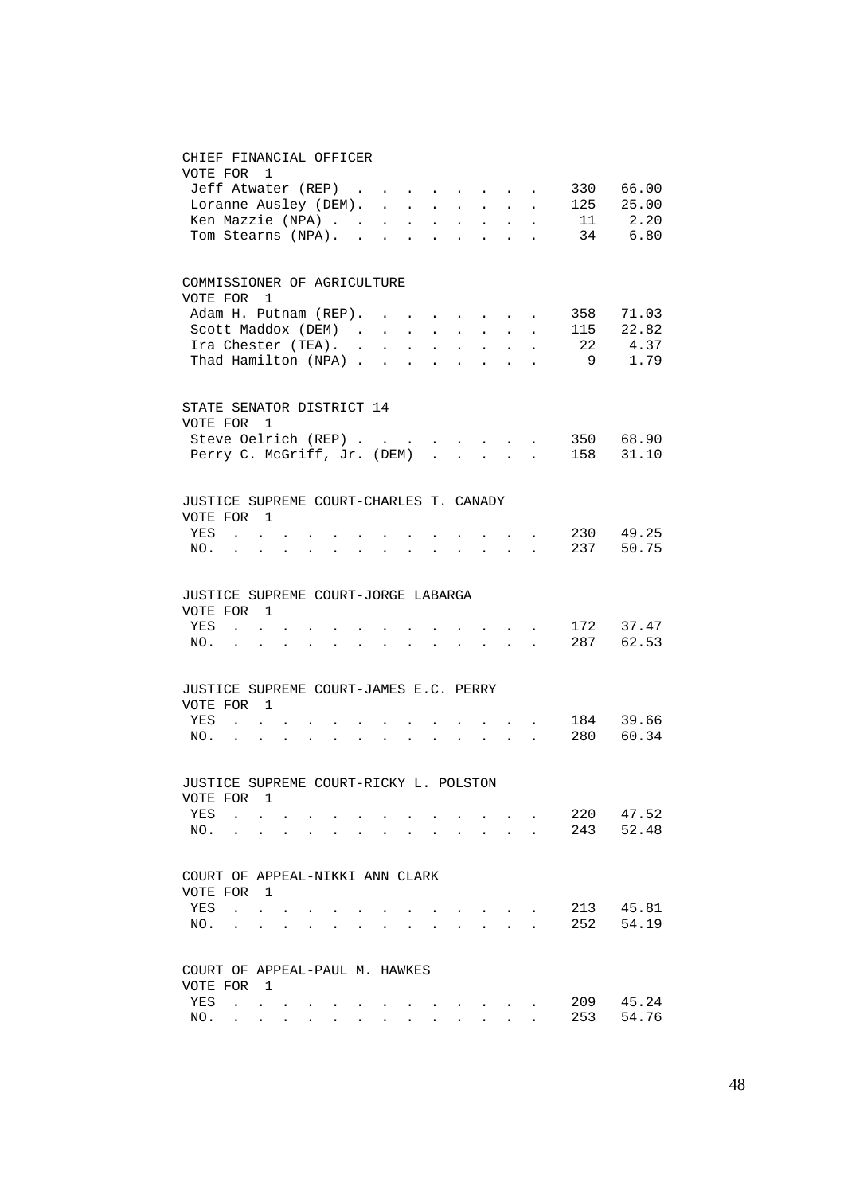#### CHIEF FINANCIAL OFFICER

| VOTE FOR 1                                           |                       |   |  |  |                                 |                     |                                                                                                           |            |                            |                                                                                                                             |         |                          |
|------------------------------------------------------|-----------------------|---|--|--|---------------------------------|---------------------|-----------------------------------------------------------------------------------------------------------|------------|----------------------------|-----------------------------------------------------------------------------------------------------------------------------|---------|--------------------------|
|                                                      | Jeff Atwater (REP)    |   |  |  |                                 |                     |                                                                                                           |            |                            | $\mathcal{A}^{\mathcal{A}}$ and $\mathcal{A}^{\mathcal{A}}$ and $\mathcal{A}^{\mathcal{A}}$ and $\mathcal{A}^{\mathcal{A}}$ | 330     | 66.00                    |
|                                                      | Loranne Ausley (DEM). |   |  |  |                                 |                     |                                                                                                           |            |                            |                                                                                                                             |         | 125 25.00                |
|                                                      |                       |   |  |  |                                 |                     |                                                                                                           |            |                            |                                                                                                                             |         | Ken Mazzie (NPA) 11 2.20 |
|                                                      | Tom Stearns (NPA).    |   |  |  |                                 |                     |                                                                                                           |            |                            |                                                                                                                             |         | 34 6.80                  |
| COMMISSIONER OF AGRICULTURE                          |                       |   |  |  |                                 |                     |                                                                                                           |            |                            |                                                                                                                             |         |                          |
| VOTE FOR                                             |                       | 1 |  |  |                                 |                     |                                                                                                           |            |                            |                                                                                                                             |         |                          |
|                                                      | Adam H. Putnam (REP). |   |  |  |                                 |                     |                                                                                                           |            |                            |                                                                                                                             |         | 358 71.03                |
|                                                      | Scott Maddox (DEM)    |   |  |  |                                 |                     | $\mathbf{a}^{\prime}$ , and $\mathbf{a}^{\prime}$ , and $\mathbf{a}^{\prime}$ , and $\mathbf{a}^{\prime}$ |            |                            |                                                                                                                             | 115     | 22.82                    |
| Ira Chester (TEA).<br>Thad Hamilton (NPA)            |                       |   |  |  | $\epsilon \rightarrow \epsilon$ | $\mathcal{L}^{\pm}$ | $\overline{A}$                                                                                            | $\sim 10$  | $\mathcal{L}^{\text{max}}$ | $\ddot{\phantom{0}}$                                                                                                        | 22<br>9 | 4.37<br>1.79             |
|                                                      |                       |   |  |  | $\sim$                          | $\sim$ $\sim$       | $\sim$                                                                                                    | $\sim$ $-$ | $\sim$ $\sim$              | $\sim$                                                                                                                      |         |                          |
| STATE SENATOR DISTRICT 14                            |                       |   |  |  |                                 |                     |                                                                                                           |            |                            |                                                                                                                             |         |                          |
| VOTE FOR 1                                           |                       |   |  |  |                                 |                     |                                                                                                           |            |                            |                                                                                                                             |         |                          |
| Steve Oelrich (REP)                                  |                       |   |  |  |                                 |                     |                                                                                                           |            |                            |                                                                                                                             |         | 350 68.90                |
| Perry C. McGriff, Jr. (DEM) .                        |                       |   |  |  |                                 |                     | $\mathbf{r}$                                                                                              |            | $\mathbf{L} = \mathbf{L}$  | $\sim$                                                                                                                      |         | 158 31.10                |
| JUSTICE SUPREME COURT-CHARLES T. CANADY              |                       |   |  |  |                                 |                     |                                                                                                           |            |                            |                                                                                                                             |         |                          |
| VOTE FOR 1                                           |                       |   |  |  |                                 |                     |                                                                                                           |            |                            |                                                                                                                             |         |                          |
| YES                                                  | $\sim$ $\sim$         |   |  |  |                                 |                     |                                                                                                           |            |                            | $\mathbf{r} = \mathbf{r} + \mathbf{r} + \mathbf{r}$ .                                                                       |         | 230 49.25                |
| NO.                                                  | $\ddot{\phantom{0}}$  |   |  |  |                                 |                     |                                                                                                           |            |                            | $\mathcal{L}^{\text{max}}$ , where $\mathcal{L}^{\text{max}}$                                                               |         | 237 50.75                |
| JUSTICE SUPREME COURT-JORGE LABARGA                  |                       |   |  |  |                                 |                     |                                                                                                           |            |                            |                                                                                                                             |         |                          |
| VOTE FOR 1                                           |                       |   |  |  |                                 |                     |                                                                                                           |            |                            |                                                                                                                             |         |                          |
| YES                                                  | $\sim$ 100 $\sim$     |   |  |  |                                 |                     |                                                                                                           |            |                            | $\mathcal{A}^{\mathcal{A}}$ , and $\mathcal{A}^{\mathcal{A}}$ , and $\mathcal{A}^{\mathcal{A}}$                             |         | 172 37.47                |
| NO.                                                  | $\ddot{\phantom{0}}$  |   |  |  |                                 |                     |                                                                                                           |            | $\sim$                     | $\sim$                                                                                                                      |         | 287 62.53                |
|                                                      |                       |   |  |  |                                 |                     |                                                                                                           |            |                            |                                                                                                                             |         |                          |
| JUSTICE SUPREME COURT-JAMES E.C. PERRY<br>VOTE FOR 1 |                       |   |  |  |                                 |                     |                                                                                                           |            |                            |                                                                                                                             |         |                          |
| YES                                                  | $\sim$                |   |  |  |                                 |                     |                                                                                                           |            |                            |                                                                                                                             |         | 184 39.66                |
| NO. .                                                |                       |   |  |  |                                 |                     |                                                                                                           |            |                            | $\mathcal{L}(\mathcal{A})$ and $\mathcal{L}(\mathcal{A})$ .                                                                 |         | 280 60.34                |
|                                                      |                       |   |  |  |                                 |                     |                                                                                                           |            |                            |                                                                                                                             |         |                          |
| JUSTICE SUPREME COURT-RICKY L. POLSTON               |                       |   |  |  |                                 |                     |                                                                                                           |            |                            |                                                                                                                             |         |                          |
| VOTE FOR                                             |                       | 1 |  |  |                                 |                     |                                                                                                           |            |                            |                                                                                                                             |         |                          |
| YES                                                  |                       |   |  |  |                                 |                     |                                                                                                           |            |                            |                                                                                                                             | 220     | 47.52                    |
| NO.                                                  |                       |   |  |  |                                 |                     |                                                                                                           |            |                            |                                                                                                                             | 243     | 52.48                    |
| COURT OF APPEAL-NIKKI ANN CLARK                      |                       |   |  |  |                                 |                     |                                                                                                           |            |                            |                                                                                                                             |         |                          |
| VOTE FOR 1                                           |                       |   |  |  |                                 |                     |                                                                                                           |            |                            |                                                                                                                             |         |                          |
| YES                                                  | $\ddot{\phantom{a}}$  |   |  |  |                                 |                     |                                                                                                           |            |                            |                                                                                                                             | 213     | 45.81                    |
| NO.                                                  | $\ddot{\phantom{a}}$  |   |  |  |                                 |                     |                                                                                                           |            |                            |                                                                                                                             | 252     | 54.19                    |
| COURT OF APPEAL-PAUL M. HAWKES                       |                       |   |  |  |                                 |                     |                                                                                                           |            |                            |                                                                                                                             |         |                          |
| VOTE FOR 1                                           |                       |   |  |  |                                 |                     |                                                                                                           |            |                            |                                                                                                                             |         |                          |
| YES                                                  | $\ddot{\phantom{a}}$  |   |  |  |                                 |                     |                                                                                                           |            |                            |                                                                                                                             | 209     | 45.24                    |
| NO.                                                  |                       |   |  |  |                                 |                     |                                                                                                           |            |                            |                                                                                                                             | 253     | 54.76                    |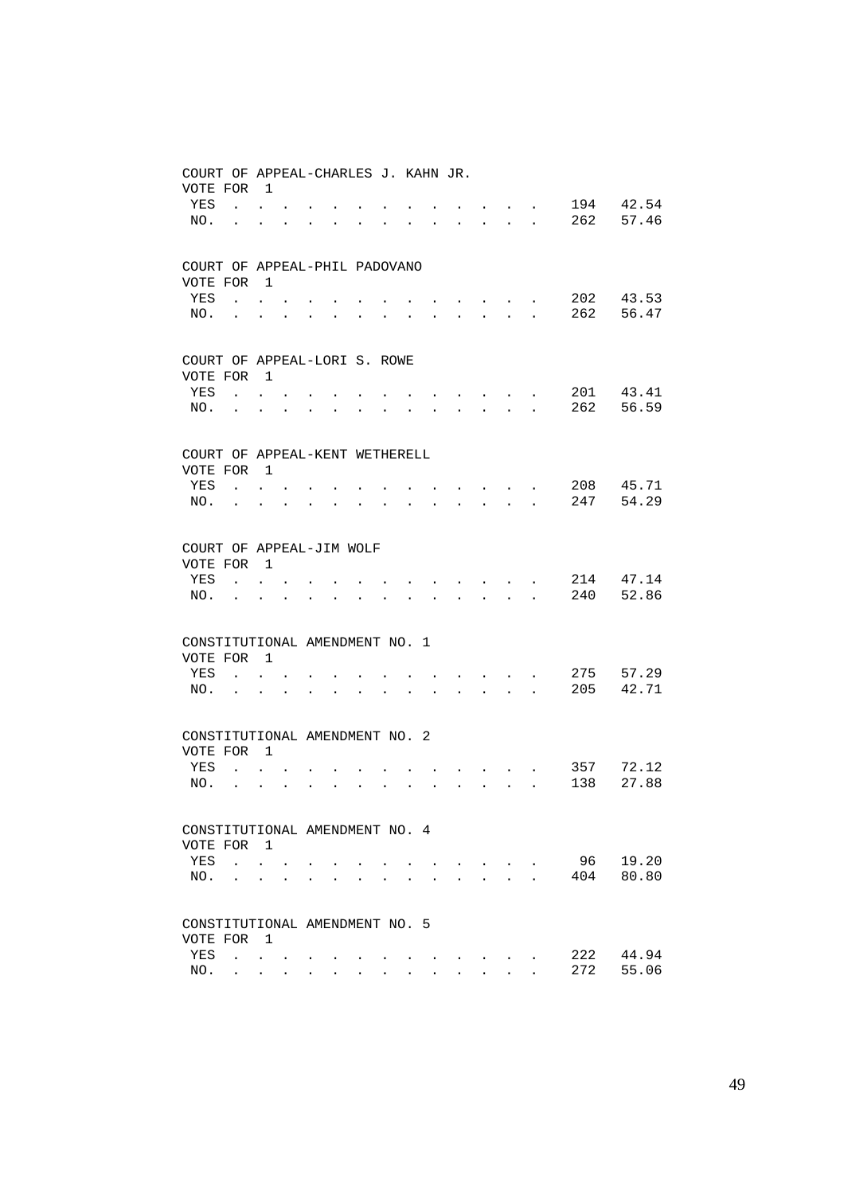| COURT OF APPEAL-CHARLES J. KAHN JR.<br>VOTE FOR |                      | $\overline{1}$                                                |                      |                      |                               |                      |                      |                                  |                                                                               |                |                                                     |                      |     |       |
|-------------------------------------------------|----------------------|---------------------------------------------------------------|----------------------|----------------------|-------------------------------|----------------------|----------------------|----------------------------------|-------------------------------------------------------------------------------|----------------|-----------------------------------------------------|----------------------|-----|-------|
| YES                                             |                      | $\mathbf{r} = \mathbf{r}$                                     |                      |                      |                               |                      |                      |                                  |                                                                               |                |                                                     |                      | 194 | 42.54 |
| NO.                                             | $\ddot{\phantom{a}}$ | $\ddot{\phantom{0}}$                                          |                      |                      |                               |                      |                      |                                  | $\mathbf{L} = \mathbf{0}$                                                     |                | $\mathbf{r} = \mathbf{r} + \mathbf{r} + \mathbf{r}$ |                      | 262 | 57.46 |
|                                                 |                      |                                                               |                      |                      |                               |                      |                      |                                  |                                                                               |                |                                                     |                      |     |       |
| COURT OF APPEAL-PHIL PADOVANO                   |                      |                                                               |                      |                      |                               |                      |                      |                                  |                                                                               |                |                                                     |                      |     |       |
| VOTE FOR                                        |                      | $\overline{1}$                                                |                      |                      |                               |                      |                      |                                  |                                                                               |                |                                                     |                      |     |       |
| YES                                             |                      | $\mathbf{L}$ and $\mathbf{L}$                                 |                      |                      |                               |                      |                      |                                  |                                                                               |                | $\cdot$                                             |                      | 202 | 43.53 |
| NO.                                             | $\sim$               | $\ddot{\phantom{a}}$                                          |                      |                      |                               |                      |                      |                                  | $\mathbf{r}$ , $\mathbf{r}$ , $\mathbf{r}$ , $\mathbf{r}$                     |                |                                                     | $\ddot{\phantom{0}}$ | 262 | 56.47 |
| COURT OF APPEAL-LORI S. ROWE                    |                      |                                                               |                      |                      |                               |                      |                      |                                  |                                                                               |                |                                                     |                      |     |       |
| VOTE FOR                                        |                      | $\overline{1}$                                                |                      |                      |                               |                      |                      |                                  |                                                                               |                |                                                     |                      |     |       |
| YES                                             |                      | $\cdot$ $\cdot$ $\cdot$                                       |                      |                      |                               |                      |                      |                                  |                                                                               |                | $\cdot$ $\cdot$ $\cdot$ $\cdot$                     |                      | 201 | 43.41 |
| NO.                                             | $\ddot{\phantom{a}}$ |                                                               |                      |                      | $\sim$                        | $\ddot{\phantom{a}}$ |                      | $\ddot{\phantom{0}}$             | $\mathbf{r} = \mathbf{r} + \mathbf{r} + \mathbf{r} + \mathbf{r} + \mathbf{r}$ |                |                                                     |                      | 262 | 56.59 |
|                                                 |                      |                                                               |                      |                      |                               |                      |                      |                                  |                                                                               |                |                                                     |                      |     |       |
| COURT OF APPEAL-KENT WETHERELL                  |                      |                                                               |                      |                      |                               |                      |                      |                                  |                                                                               |                |                                                     |                      |     |       |
| VOTE FOR 1                                      |                      |                                                               |                      |                      |                               |                      |                      |                                  |                                                                               |                |                                                     |                      |     |       |
| YES                                             |                      | $\mathbf{L} = \mathbf{L}$                                     |                      |                      |                               |                      |                      | $\bullet$ . The set of $\bullet$ | $\cdot$ $\cdot$ $\cdot$ $\cdot$ $\cdot$ $\cdot$ $\cdot$                       |                |                                                     |                      | 208 | 45.71 |
| NO.                                             | $\mathbf{L}$         | $\ddot{\phantom{0}}$                                          |                      |                      |                               |                      |                      | $\ddot{\phantom{0}}$             | $\mathbf{r}$ , $\mathbf{r}$ , $\mathbf{r}$ , $\mathbf{r}$                     |                |                                                     | $\ddot{\phantom{0}}$ | 247 | 54.29 |
| COURT OF APPEAL-JIM WOLF                        |                      |                                                               |                      |                      |                               |                      |                      |                                  |                                                                               |                |                                                     |                      |     |       |
| VOTE FOR                                        |                      | $\overline{1}$                                                |                      |                      |                               |                      |                      |                                  |                                                                               |                |                                                     |                      |     |       |
| YES                                             |                      | $\mathbf{L}$                                                  | $\ddot{\phantom{0}}$ |                      |                               |                      |                      |                                  | $\sim$ $\sim$ $\sim$ $\sim$                                                   |                |                                                     |                      | 214 | 47.14 |
| NO.                                             |                      |                                                               |                      | $\ddot{\phantom{a}}$ | $\sim$                        |                      | $\ddot{\phantom{a}}$ |                                  | $\mathbf{r} = \mathbf{r} + \mathbf{r} + \mathbf{r} + \mathbf{r} + \mathbf{r}$ |                |                                                     |                      | 240 | 52.86 |
| CONSTITUTIONAL AMENDMENT NO. 1                  |                      |                                                               |                      |                      |                               |                      |                      |                                  |                                                                               |                |                                                     |                      |     |       |
| VOTE FOR 1                                      |                      |                                                               |                      |                      |                               |                      |                      |                                  |                                                                               |                |                                                     |                      |     |       |
| YES                                             |                      | $\mathcal{L}^{\text{max}}$ , where $\mathcal{L}^{\text{max}}$ |                      |                      |                               |                      |                      |                                  |                                                                               |                | <b>All Contracts</b>                                |                      | 275 | 57.29 |
| NO.                                             |                      |                                                               |                      |                      |                               |                      |                      |                                  |                                                                               |                | $\mathbf{r}$ , $\mathbf{r}$                         |                      | 205 | 42.71 |
| CONSTITUTIONAL AMENDMENT NO. 2                  |                      |                                                               |                      |                      |                               |                      |                      |                                  |                                                                               |                |                                                     |                      |     |       |
| VOTE FOR 1                                      |                      |                                                               |                      |                      |                               |                      |                      |                                  |                                                                               |                |                                                     |                      |     |       |
| YES                                             |                      | $\mathbf{L} = \mathbf{L}$                                     |                      |                      |                               |                      |                      |                                  |                                                                               |                | $\mathbf{L} = \mathbf{L} \mathbf{L}$                |                      | 357 | 72.12 |
| NO.                                             | $\ddot{\phantom{0}}$ | $\ddot{\phantom{0}}$                                          |                      | $\sim$               | $\mathbf{L}$ and $\mathbf{L}$ | $\ddot{\phantom{a}}$ | $\ddot{\phantom{a}}$ |                                  |                                                                               |                |                                                     |                      | 138 | 27.88 |
| CONSTITUTIONAL AMENDMENT NO. 4                  |                      |                                                               |                      |                      |                               |                      |                      |                                  |                                                                               |                |                                                     |                      |     |       |
| VOTE FOR 1                                      |                      |                                                               |                      |                      |                               |                      |                      |                                  |                                                                               |                |                                                     |                      |     |       |
| YES                                             |                      | $\mathbf{r}$ , $\mathbf{r}$                                   |                      |                      |                               |                      |                      |                                  |                                                                               |                | <b>Contract Contract</b>                            |                      | 96  | 19.20 |
| NO.                                             |                      | $\ddot{\phantom{a}}$                                          |                      |                      |                               |                      |                      |                                  |                                                                               | $\overline{a}$ | $\ddot{\phantom{a}}$                                |                      | 404 | 80.80 |
|                                                 |                      |                                                               |                      |                      |                               |                      |                      |                                  |                                                                               |                |                                                     |                      |     |       |
| CONSTITUTIONAL AMENDMENT NO. 5                  |                      |                                                               |                      |                      |                               |                      |                      |                                  |                                                                               |                |                                                     |                      |     |       |
| VOTE FOR                                        |                      | $\overline{1}$                                                |                      |                      |                               |                      |                      |                                  |                                                                               |                |                                                     |                      |     |       |
| YES                                             | $\mathbf{L}$         | $\bullet$ .                                                   |                      |                      |                               |                      |                      |                                  |                                                                               |                |                                                     |                      | 222 | 44.94 |
| NO.                                             |                      | $\sim$                                                        |                      |                      |                               |                      |                      |                                  |                                                                               |                |                                                     |                      | 272 | 55.06 |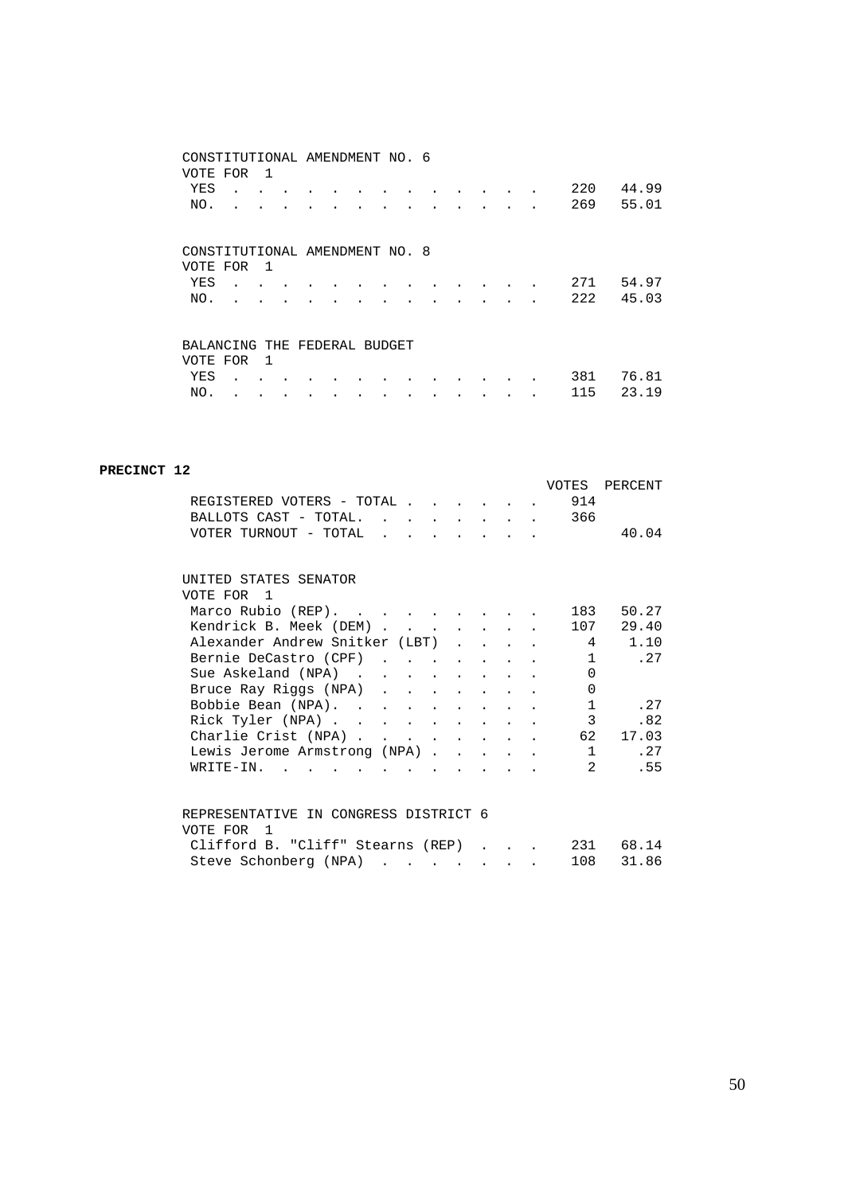| CONSTITUTIONAL AMENDMENT NO. 6 |              |  |  |  |  |  |     |       |
|--------------------------------|--------------|--|--|--|--|--|-----|-------|
| VOTE FOR                       | $\mathbf{1}$ |  |  |  |  |  |     |       |
| YES                            |              |  |  |  |  |  | 220 | 44.99 |
| NO.                            |              |  |  |  |  |  | 269 | 55.01 |
|                                |              |  |  |  |  |  |     |       |
|                                |              |  |  |  |  |  |     |       |
| CONSTITUTIONAL AMENDMENT NO. 8 |              |  |  |  |  |  |     |       |
| VOTE FOR                       | - 1          |  |  |  |  |  |     |       |
| YES                            |              |  |  |  |  |  | 271 | 54.97 |
| NO.                            |              |  |  |  |  |  | 222 | 45.03 |
|                                |              |  |  |  |  |  |     |       |
|                                |              |  |  |  |  |  |     |       |
| BALANCING THE FEDERAL BUDGET   |              |  |  |  |  |  |     |       |
| VOTE FOR                       | 1            |  |  |  |  |  |     |       |
| YES                            |              |  |  |  |  |  | 381 | 76.81 |
| NO.                            |              |  |  |  |  |  | 115 | 23.19 |

#### **PRECINCT 12**

|                                                    |  |  |  |              | VOTES PERCENT         |
|----------------------------------------------------|--|--|--|--------------|-----------------------|
| REGISTERED VOTERS - TOTAL 914                      |  |  |  |              |                       |
| BALLOTS CAST - TOTAL. 366                          |  |  |  |              |                       |
| VOTER TURNOUT - TOTAL                              |  |  |  |              | 40.04                 |
|                                                    |  |  |  |              |                       |
| UNITED STATES SENATOR                              |  |  |  |              |                       |
| VOTE FOR 1                                         |  |  |  |              |                       |
| Marco Rubio (REP).                                 |  |  |  | 183          | 50.27                 |
| Kendrick B. Meek (DEM)                             |  |  |  | 107          | 29.40                 |
| Alexander Andrew Snitker (LBT)                     |  |  |  |              | 4 1.10                |
| Bernie DeCastro (CPF)                              |  |  |  | $\mathbf{1}$ | .27                   |
| Sue Askeland (NPA)                                 |  |  |  | $\Omega$     |                       |
| Bruce Ray Riggs (NPA)                              |  |  |  | $\Omega$     |                       |
| Bobbie Bean (NPA).                                 |  |  |  | $\mathbf{1}$ | .27                   |
| Rick Tyler (NPA)                                   |  |  |  | 3            | .82                   |
| Charlie Crist (NPA)                                |  |  |  | 62           | 17.03                 |
| Lewis Jerome Armstrong (NPA)                       |  |  |  |              | 1 .27                 |
| $W\text{RITE}-\text{IN}$ , , , , , , , , , , , , , |  |  |  |              | .55<br>$\overline{2}$ |
|                                                    |  |  |  |              |                       |
| REPRESENTATIVE IN CONGRESS DISTRICT 6              |  |  |  |              |                       |
| VOTE FOR 1                                         |  |  |  |              |                       |
| Clifford B. "Cliff" Stearns (REP) 231              |  |  |  |              | 68.14                 |
| Steve Schonberg (NPA)                              |  |  |  | 108          | 31.86                 |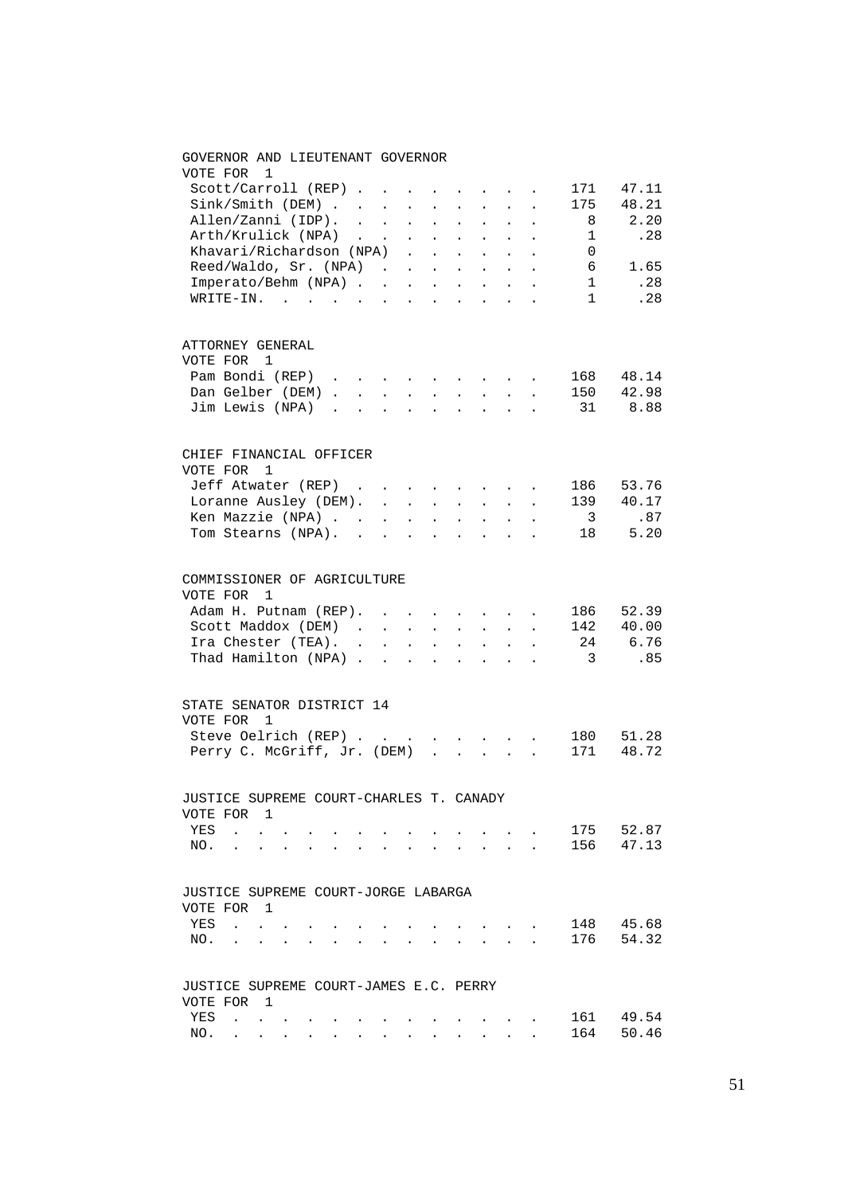## GOVERNOR AND LIEUTENANT GOVERNOR VOTE FOR 1 Scott/Carroll (REP) . . . . . . . . 171 47.11 Sink/Smith (DEM) . . . . . . . . . 175 48.21<br>Allen/Zanni (IDP) . . . . . . . . . 8 2.20 Allen/Zanni (IDP). . . . . . . . . 8 2.20 Arth/Krulick (NPA) . . . . . . . . 1 .28 Khavari/Richardson (NPA) . . . . . . 0 Reed/Waldo, Sr. (NPA) . . . . . . . 6 1.65<br>Imperato/Behm (NPA) . . . . . . . . 1 .28 Imperato/Behm (NPA) . . . . . . . . 1 WRITE-IN. . . . . . . . . . . . . 1 . 28 ATTORNEY GENERAL VOTE FOR 1 Pam Bondi (REP) . . . . . . . . . 168 48.14 Dan Gelber (DEM) . . . . . . . . . 150 42.98 Jim Lewis (NPA) . . . . . . . . . 31 8.88 CHIEF FINANCIAL OFFICER VOTE FOR 1 Jeff Atwater (REP) . . . . . . . . 186 53.76 Loranne Ausley (DEM). . . . . . . . 139 40.17 E Mazzie (NPA) . . . . . . . . . 3 .87<br>
Tom Stearns (NPA) . . . . . . . . . 18 5.20 Tom Stearns (NPA). . . . . . . . . COMMISSIONER OF AGRICULTURE VOTE FOR 1 Adam H. Putnam (REP). . . . . . . . 186 52.39<br>Scott Maddox (DEM) . . . . . . . . 142 40.00<br>Ira Chester (TEA). . . . . . . . 24 6.76 Scott Maddox (DEM) . . . . . . . . 142 40.00 Ira Chester (TEA). . . . . . . . . 24 6.76 Ira Chester (TEA). . . . . . . . . . . 24 6.76<br>Thad Hamilton (NPA) . . . . . . . . . 3 .85 STATE SENATOR DISTRICT 14 VOTE FOR 1 Steve Oelrich (REP) . . . . . . . . 180 51.28 Perry C. McGriff, Jr. (DEM) . . . . . 171 48.72 JUSTICE SUPREME COURT-CHARLES T. CANADY VOTE FOR 1 YES . . . . . . . . . . . . . . 175 52.87<br>NO. . . . . . . . . . . . . . 156 47.13 NO. . . . . . . . . . . . . . . JUSTICE SUPREME COURT-JORGE LABARGA VOTE FOR 1 YES . . . . . . . . . . . . . 148 45.68 NO. . . . . . . . . . . . . . 176 54.32 JUSTICE SUPREME COURT-JAMES E.C. PERRY VOTE FOR 1 YES . . . . . . . . . . . . . 161 49.54 NO. . . . . . . . . . . . . . 164 50.46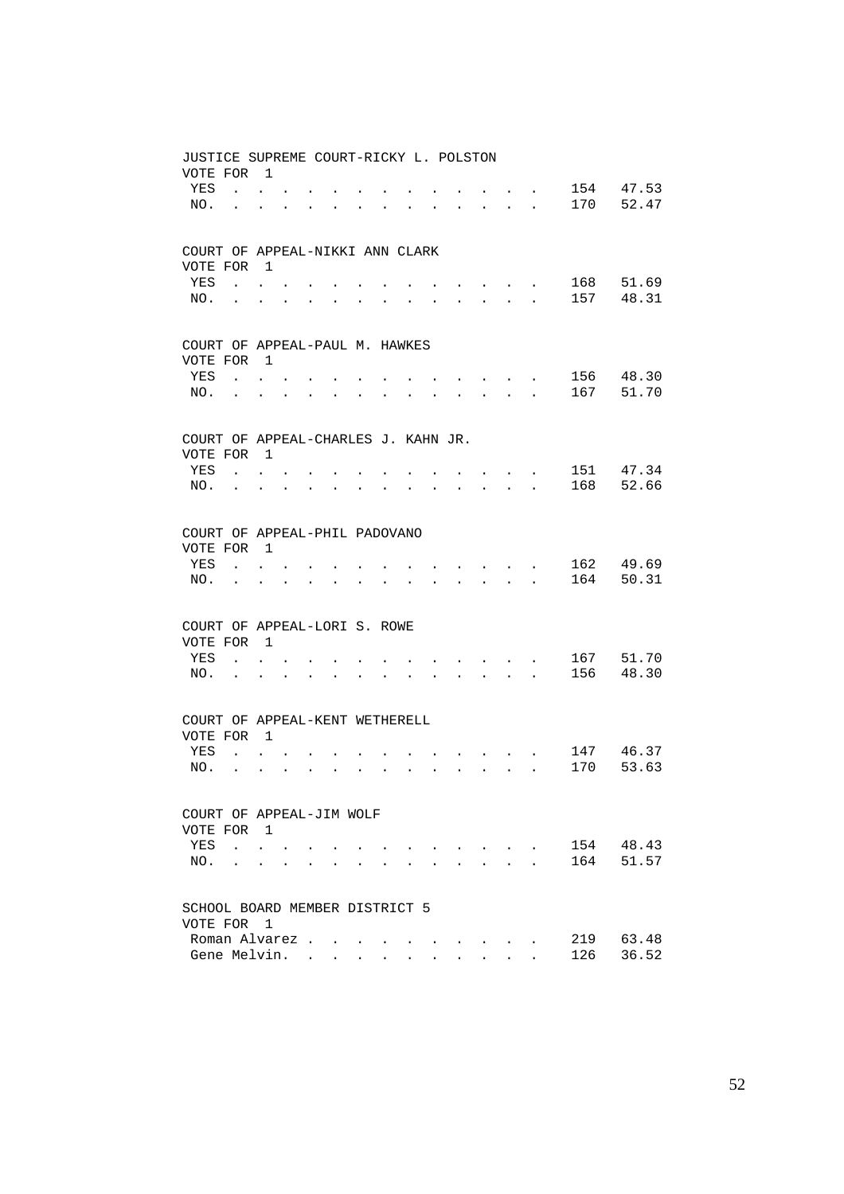| JUSTICE SUPREME COURT-RICKY L. POLSTON<br>VOTE FOR 1 |                                        |                      |                      |                      |        |                      |                      |                      |                      |                                                                                               |                                                                  |                                      |                                            |     |           |
|------------------------------------------------------|----------------------------------------|----------------------|----------------------|----------------------|--------|----------------------|----------------------|----------------------|----------------------|-----------------------------------------------------------------------------------------------|------------------------------------------------------------------|--------------------------------------|--------------------------------------------|-----|-----------|
| YES                                                  | $\mathbf{r}$ , $\mathbf{r}$            |                      |                      |                      |        |                      |                      |                      |                      |                                                                                               | $\sim$                                                           |                                      |                                            | 154 | 47.53     |
| NO.                                                  |                                        |                      |                      |                      |        |                      |                      |                      |                      | $\sim$                                                                                        |                                                                  |                                      | $\mathbf{r}$ , $\mathbf{r}$ , $\mathbf{r}$ | 170 | 52.47     |
| COURT OF APPEAL-NIKKI ANN CLARK<br>VOTE FOR 1        |                                        |                      |                      |                      |        |                      |                      |                      |                      |                                                                                               |                                                                  |                                      |                                            |     |           |
| YES                                                  | $\mathbf{r}$ . The set of $\mathbf{r}$ |                      |                      |                      |        |                      |                      |                      |                      |                                                                                               | $\mathbf{r} = \mathbf{r} + \mathbf{r} + \mathbf{r} + \mathbf{r}$ |                                      |                                            | 168 | 51.69     |
| NO.                                                  |                                        | $\ddot{\phantom{0}}$ |                      |                      |        |                      |                      |                      |                      |                                                                                               | $\mathbf{r}$ and $\mathbf{r}$ and $\mathbf{r}$                   |                                      |                                            | 157 | 48.31     |
|                                                      |                                        |                      |                      |                      |        |                      |                      |                      |                      |                                                                                               |                                                                  |                                      |                                            |     |           |
| COURT OF APPEAL-PAUL M. HAWKES<br>VOTE FOR           |                                        | $\overline{1}$       |                      |                      |        |                      |                      |                      |                      |                                                                                               |                                                                  |                                      |                                            |     |           |
| YES                                                  | $\ddot{\phantom{0}}$                   |                      |                      |                      |        |                      |                      |                      |                      |                                                                                               |                                                                  | $\sim$                               |                                            | 156 | 48.30     |
| NO.                                                  |                                        |                      |                      |                      | $\sim$ |                      |                      |                      |                      | $\ddot{\phantom{a}}$                                                                          |                                                                  |                                      | $\mathbf{r}$ , $\mathbf{r}$ , $\mathbf{r}$ | 167 | 51.70     |
|                                                      |                                        |                      |                      |                      |        |                      |                      |                      |                      |                                                                                               |                                                                  |                                      |                                            |     |           |
| COURT OF APPEAL-CHARLES J. KAHN JR.<br>VOTE FOR 1    |                                        |                      |                      |                      |        |                      |                      |                      |                      |                                                                                               |                                                                  |                                      |                                            |     |           |
| YES                                                  | $\sim$                                 |                      |                      |                      |        |                      |                      |                      |                      |                                                                                               |                                                                  |                                      |                                            |     | 151 47.34 |
| NO.                                                  | $\sim$                                 | $\ddot{\phantom{a}}$ |                      |                      |        |                      |                      |                      |                      |                                                                                               | $\mathbf{L}$                                                     | $\sim$                               |                                            | 168 | 52.66     |
|                                                      |                                        |                      |                      |                      |        |                      |                      |                      |                      |                                                                                               |                                                                  |                                      |                                            |     |           |
| COURT OF APPEAL-PHIL PADOVANO                        |                                        |                      |                      |                      |        |                      |                      |                      |                      |                                                                                               |                                                                  |                                      |                                            |     |           |
| VOTE FOR                                             |                                        | $\overline{1}$       |                      |                      |        |                      |                      |                      |                      |                                                                                               |                                                                  |                                      |                                            |     |           |
| YES                                                  | $\mathbf{r}$                           |                      |                      |                      |        |                      |                      |                      |                      |                                                                                               |                                                                  |                                      |                                            |     | 162 49.69 |
| NO.                                                  | $\ddot{\phantom{a}}$                   | $\ddot{\phantom{a}}$ |                      |                      |        | $\ddot{\phantom{a}}$ |                      |                      |                      | $\mathbf{r}$                                                                                  |                                                                  | $\mathbf{r} = \mathbf{r}$            | $\mathbf{L}$                               | 164 | 50.31     |
| COURT OF APPEAL-LORI S. ROWE                         |                                        |                      |                      |                      |        |                      |                      |                      |                      |                                                                                               |                                                                  |                                      |                                            |     |           |
| VOTE FOR 1                                           |                                        |                      |                      |                      |        |                      |                      |                      |                      |                                                                                               |                                                                  |                                      |                                            |     |           |
| YES                                                  |                                        |                      |                      |                      |        |                      |                      |                      |                      |                                                                                               |                                                                  |                                      |                                            | 167 | 51.70     |
| NO.                                                  | $\ddot{\phantom{a}}$                   | $\ddot{\phantom{a}}$ | $\mathbf{r}$         |                      |        |                      |                      |                      |                      | $\mathbf{r}$                                                                                  | $\sim$                                                           | $\sim$                               | $\ddot{\phantom{0}}$                       | 156 | 48.30     |
| COURT OF APPEAL-KENT WETHERELL                       |                                        |                      |                      |                      |        |                      |                      |                      |                      |                                                                                               |                                                                  |                                      |                                            |     |           |
| VOTE FOR                                             |                                        | $\overline{1}$       |                      |                      |        |                      |                      |                      |                      |                                                                                               |                                                                  |                                      |                                            |     |           |
| YES                                                  | $\sim$                                 |                      |                      |                      |        |                      |                      |                      |                      |                                                                                               |                                                                  | $\sim$ $-$                           | $\sim$ $-$                                 | 147 | 46.37     |
| NO.                                                  | $\sim$                                 | $\sim$               | $\ddot{\phantom{a}}$ | $\ddot{\phantom{0}}$ | $\sim$ | $\ddot{\phantom{a}}$ | $\ddot{\phantom{a}}$ | $\ddot{\phantom{0}}$ | $\ddot{\phantom{a}}$ | $\sim 10^{-11}$                                                                               |                                                                  | $\mathbf{L}$ and $\mathbf{L}$        | $\ddot{\phantom{a}}$                       | 170 | 53.63     |
| COURT OF APPEAL-JIM WOLF                             |                                        |                      |                      |                      |        |                      |                      |                      |                      |                                                                                               |                                                                  |                                      |                                            |     |           |
| VOTE FOR 1                                           |                                        |                      |                      |                      |        |                      |                      |                      |                      |                                                                                               |                                                                  |                                      |                                            |     |           |
| YES                                                  | $\mathbf{r}$                           | $\ddot{\phantom{0}}$ |                      |                      |        |                      |                      |                      |                      | $\mathbf{r} = \mathbf{r} \cdot \mathbf{r}$ , where $\mathbf{r} = \mathbf{r} \cdot \mathbf{r}$ |                                                                  | $\sim$ $\sim$                        |                                            | 154 | 48.43     |
| NO.                                                  | $\ddot{\phantom{a}}$                   | $\sim$               | $\mathbf{r}$         |                      |        |                      |                      |                      |                      |                                                                                               |                                                                  | $\mathbf{L} = \mathbf{L} \mathbf{L}$ |                                            | 164 | 51.57     |
| SCHOOL BOARD MEMBER DISTRICT 5                       |                                        |                      |                      |                      |        |                      |                      |                      |                      |                                                                                               |                                                                  |                                      |                                            |     |           |
| VOTE FOR                                             |                                        | $\overline{1}$       |                      |                      |        |                      |                      |                      |                      |                                                                                               |                                                                  |                                      |                                            |     |           |
|                                                      | Roman Alvarez                          |                      |                      |                      |        |                      |                      |                      |                      |                                                                                               |                                                                  |                                      |                                            | 219 | 63.48     |
|                                                      | Gene Melvin.                           |                      |                      |                      |        |                      |                      |                      |                      |                                                                                               |                                                                  |                                      |                                            | 126 | 36.52     |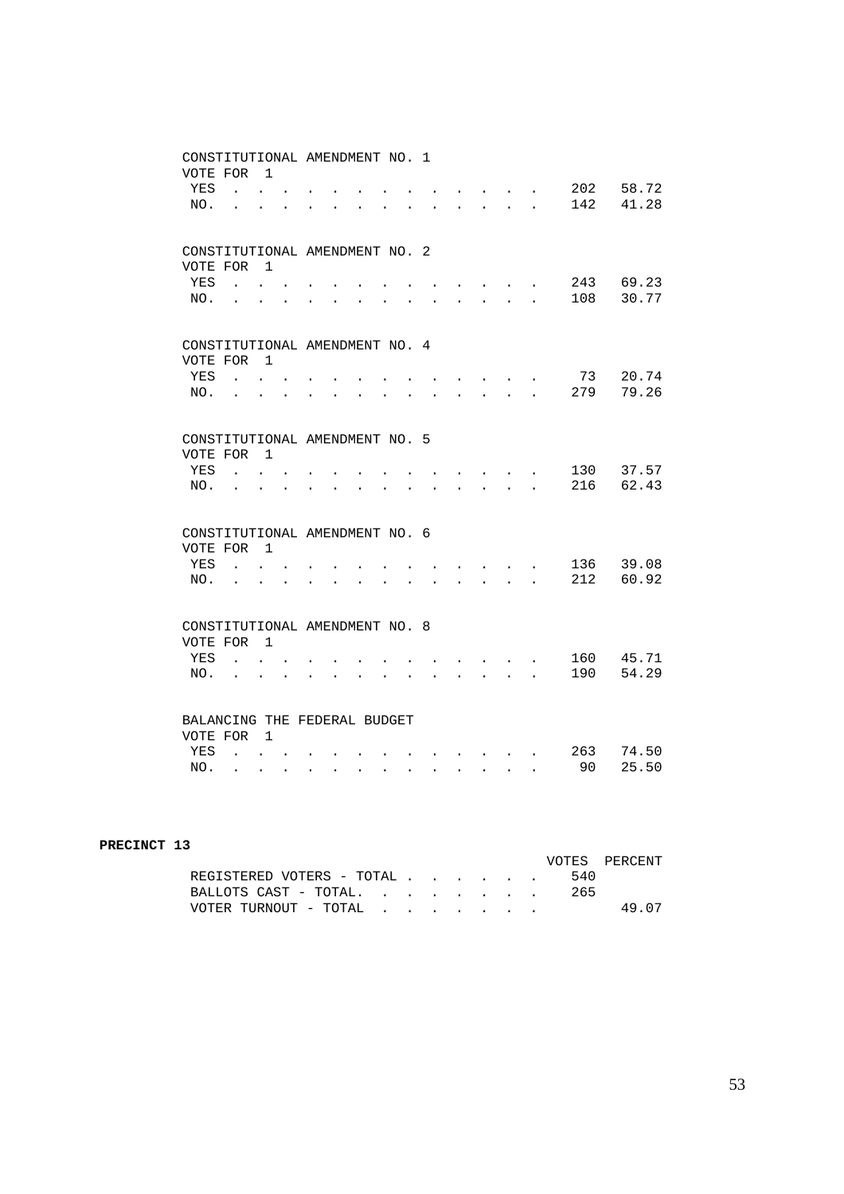| CONSTITUTIONAL AMENDMENT NO. 1<br>VOTE FOR |                                              | $\overline{1}$                              |                      |                      |                         |                      |                      |                                      |                           |                                                                |                                                                     |                      |            |                    |
|--------------------------------------------|----------------------------------------------|---------------------------------------------|----------------------|----------------------|-------------------------|----------------------|----------------------|--------------------------------------|---------------------------|----------------------------------------------------------------|---------------------------------------------------------------------|----------------------|------------|--------------------|
| YES<br>NO.                                 |                                              | $\mathbf{L} = \mathbf{L}$                   |                      |                      |                         |                      |                      |                                      | $\mathbf{r} = \mathbf{r}$ | and the contract of the contract of                            | $\mathbf{L} = \mathbf{L} \mathbf{L} = \mathbf{L}$                   |                      | 202<br>142 | 58.72<br>41.28     |
|                                            |                                              |                                             |                      |                      |                         |                      |                      |                                      |                           |                                                                |                                                                     |                      |            |                    |
| CONSTITUTIONAL AMENDMENT NO. 2<br>VOTE FOR |                                              | $\overline{1}$                              |                      |                      |                         |                      |                      |                                      |                           |                                                                |                                                                     |                      |            |                    |
| YES<br>NO.                                 | $\mathbf{r}$<br>$\ddot{\phantom{a}}$         | $\overline{a}$                              |                      |                      |                         |                      |                      |                                      |                           | $\mathbf{L}$                                                   | ÷.                                                                  |                      | 108        | 243 69.23<br>30.77 |
|                                            |                                              |                                             |                      |                      |                         |                      |                      |                                      |                           |                                                                |                                                                     |                      |            |                    |
| CONSTITUTIONAL AMENDMENT NO. 4<br>VOTE FOR |                                              | $\overline{1}$                              |                      |                      |                         |                      |                      |                                      |                           |                                                                |                                                                     |                      |            |                    |
| YES                                        | $\mathbf{r}$                                 |                                             |                      |                      |                         |                      |                      |                                      |                           |                                                                |                                                                     |                      | 73<br>279  | 20.74<br>79.26     |
| NO.                                        |                                              |                                             |                      |                      |                         |                      |                      |                                      |                           | $\mathbf{r}$                                                   | $\mathbf{r}$                                                        | $\mathbf{r}$         |            |                    |
| CONSTITUTIONAL AMENDMENT NO. 5             |                                              |                                             |                      |                      |                         |                      |                      |                                      |                           |                                                                |                                                                     |                      |            |                    |
| VOTE FOR<br>YES                            |                                              | $\overline{1}$                              |                      |                      |                         |                      |                      |                                      |                           |                                                                |                                                                     |                      | 130        | 37.57              |
| NO.                                        |                                              |                                             |                      |                      |                         |                      |                      |                                      |                           | $\mathbb{R}^2$                                                 | $\overline{a}$                                                      |                      | 216        | 62.43              |
| CONSTITUTIONAL AMENDMENT NO. 6             |                                              |                                             |                      |                      |                         |                      |                      |                                      |                           |                                                                |                                                                     |                      |            |                    |
| VOTE FOR<br>YES                            | $\mathbf{r}$                                 | $\overline{1}$                              |                      |                      |                         |                      |                      |                                      |                           |                                                                |                                                                     |                      | 136        | 39.08              |
| NO.                                        | $\ddot{\phantom{a}}$                         | $\ddot{\phantom{0}}$                        | $\ddot{\phantom{a}}$ |                      |                         |                      |                      |                                      |                           | $\ddot{\phantom{0}}$                                           |                                                                     |                      | 212        | 60.92              |
| CONSTITUTIONAL AMENDMENT NO. 8             |                                              |                                             |                      |                      |                         |                      |                      |                                      |                           |                                                                |                                                                     |                      |            |                    |
| VOTE FOR                                   |                                              | $\overline{1}$                              |                      |                      |                         |                      |                      |                                      |                           |                                                                |                                                                     |                      | 160        | 45.71              |
| YES<br>NO.                                 | $\ddot{\phantom{a}}$<br>$\ddot{\phantom{0}}$ | $\ddot{\phantom{0}}$                        |                      | $\ddot{\phantom{a}}$ | $\ddot{\phantom{0}}$    |                      |                      | $\ddot{\phantom{a}}$                 | $\ddot{\phantom{0}}$      |                                                                | $\cdot$ $\cdot$ $\cdot$<br>$\mathbf{r} = \mathbf{r} + \mathbf{r}$ . | $\ddot{\phantom{a}}$ | 190        | 54.29              |
|                                            |                                              |                                             |                      |                      |                         |                      |                      |                                      |                           |                                                                |                                                                     |                      |            |                    |
| BALANCING THE FEDERAL BUDGET               |                                              |                                             |                      |                      |                         |                      |                      |                                      |                           |                                                                |                                                                     |                      |            |                    |
| VOTE FOR<br>YES                            |                                              | $\overline{1}$<br>$\mathbf{L} = \mathbf{L}$ |                      |                      |                         |                      |                      |                                      |                           |                                                                |                                                                     |                      | 263        | 74.50              |
| NO.                                        | $\mathbf{L}$                                 | $\ddot{\phantom{0}}$                        | $\mathbf{L}$         |                      | $\cdot$ $\cdot$ $\cdot$ | $\ddot{\phantom{0}}$ | $\ddot{\phantom{0}}$ | $\mathbf{L}$<br>$\ddot{\phantom{0}}$ |                           | $\mathbf{r} = \mathbf{r} \mathbf{r} + \mathbf{r} \mathbf{r}$ . |                                                                     | $\ddot{\phantom{0}}$ | 90         | 25.50              |

| PRECINCT 13 |                           |     |               |
|-------------|---------------------------|-----|---------------|
|             |                           |     | VOTES PERCENT |
|             | REGISTERED VOTERS - TOTAL | 540 |               |
|             | BALLOTS CAST - TOTAL      | 265 |               |
|             | VOTER TURNOUT - TOTAL     |     | 49 07         |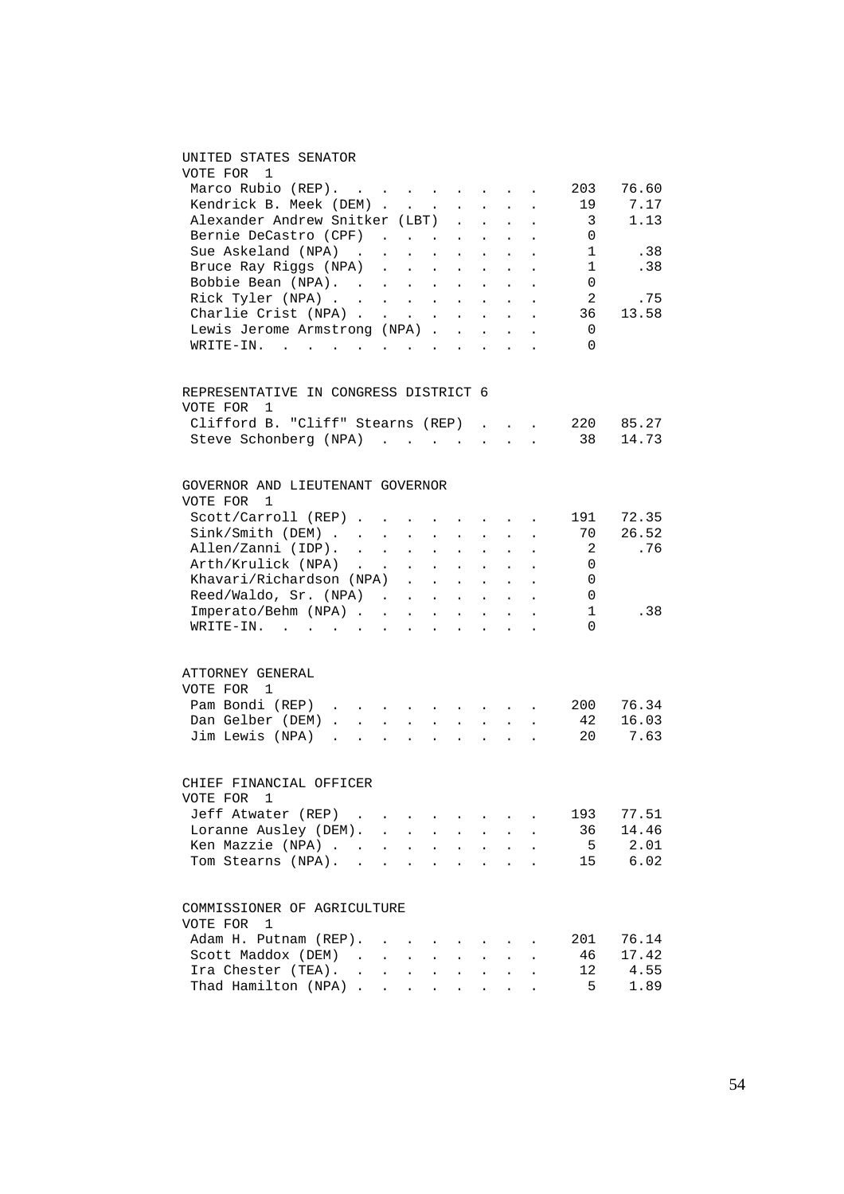### UNITED STATES SENATOR

| VOTE FOR<br>-1                                                                           |  |                                                                                                                                                                                                                                           |                      |                                                  |                             |                                                               |                      |                |       |
|------------------------------------------------------------------------------------------|--|-------------------------------------------------------------------------------------------------------------------------------------------------------------------------------------------------------------------------------------------|----------------------|--------------------------------------------------|-----------------------------|---------------------------------------------------------------|----------------------|----------------|-------|
| Marco Rubio $(REP)$ .                                                                    |  |                                                                                                                                                                                                                                           |                      |                                                  |                             |                                                               |                      | 203            | 76.60 |
| Kendrick B. Meek (DEM)                                                                   |  |                                                                                                                                                                                                                                           |                      |                                                  | $\mathcal{L}^{\pm}$         | $\ddot{\phantom{a}}$                                          |                      | 19             | 7.17  |
| Nendrick B. Meek (DEM)<br>Alexander Andrew Snitker (LBT)                                 |  |                                                                                                                                                                                                                                           |                      | $\mathcal{L}_{\text{max}}$<br>$\mathbb{Z}^{(n)}$ |                             |                                                               |                      | $\overline{3}$ | 1.13  |
|                                                                                          |  | $\mathcal{L}^{\mathcal{L}}$ . The set of the set of the set of the set of the set of the set of the set of the set of the set of the set of the set of the set of the set of the set of the set of the set of the set of the set of the s |                      |                                                  | $\ddot{\phantom{0}}$        | $\mathbf{r}$                                                  |                      |                |       |
| Bernie DeCastro (CPF)                                                                    |  |                                                                                                                                                                                                                                           |                      |                                                  |                             |                                                               |                      | 0              |       |
| Sue Askeland (NPA)                                                                       |  | the contract of the contract of the                                                                                                                                                                                                       |                      |                                                  |                             |                                                               |                      | 1              | .38   |
| Bruce Ray Riggs (NPA)                                                                    |  |                                                                                                                                                                                                                                           |                      |                                                  |                             |                                                               |                      | 1              | .38   |
| Bobbie Bean (NPA).                                                                       |  |                                                                                                                                                                                                                                           |                      |                                                  |                             |                                                               |                      | 0              |       |
| Rick Tyler (NPA)<br>Charlie Crist (NPA)                                                  |  |                                                                                                                                                                                                                                           |                      |                                                  |                             |                                                               |                      | 2              | .75   |
|                                                                                          |  |                                                                                                                                                                                                                                           |                      |                                                  |                             |                                                               | $\ddot{\phantom{a}}$ | 36             | 13.58 |
| Lewis Jerome Armstrong (NPA)                                                             |  |                                                                                                                                                                                                                                           |                      |                                                  |                             |                                                               |                      | 0              |       |
| WRITE-IN.                                                                                |  |                                                                                                                                                                                                                                           |                      |                                                  |                             |                                                               |                      | 0              |       |
| REPRESENTATIVE IN CONGRESS DISTRICT 6<br>VOTE FOR 1<br>Clifford B. "Cliff" Stearns (REP) |  |                                                                                                                                                                                                                                           |                      |                                                  |                             |                                                               |                      | 220            | 85.27 |
| Steve Schonberg (NPA)                                                                    |  |                                                                                                                                                                                                                                           |                      |                                                  |                             |                                                               |                      | 38             | 14.73 |
|                                                                                          |  |                                                                                                                                                                                                                                           |                      |                                                  |                             |                                                               |                      |                |       |
| GOVERNOR AND LIEUTENANT GOVERNOR<br>VOTE FOR 1                                           |  |                                                                                                                                                                                                                                           |                      |                                                  |                             |                                                               |                      |                |       |
| $Scott/Carroll (REF)$                                                                    |  |                                                                                                                                                                                                                                           |                      |                                                  |                             |                                                               |                      | 191            | 72.35 |
| Sink/Smith (DEM)                                                                         |  |                                                                                                                                                                                                                                           |                      |                                                  |                             |                                                               |                      | 70             | 26.52 |
| Allen/Zanni (IDP).                                                                       |  |                                                                                                                                                                                                                                           |                      |                                                  |                             |                                                               | $\ddot{\phantom{a}}$ | 2              | .76   |
| Arth/Krulick (NPA)                                                                       |  |                                                                                                                                                                                                                                           |                      |                                                  |                             |                                                               |                      | $\Omega$       |       |
|                                                                                          |  | $\mathcal{L}(\mathcal{A})$ . The contribution of the contribution of                                                                                                                                                                      |                      |                                                  |                             | $\mathbf{z} = \mathbf{z} + \mathbf{z}$ . The $\mathbf{z}$     |                      | 0              |       |
| Khavari/Richardson (NPA).                                                                |  |                                                                                                                                                                                                                                           | $\sim 10$            |                                                  |                             | $\mathbf{a} = \mathbf{a} + \mathbf{a} + \mathbf{a}$           |                      |                |       |
| Reed/Waldo, Sr. (NPA) .                                                                  |  | $\sim$                                                                                                                                                                                                                                    | $\sim$               | $\mathcal{L}^{\text{max}}$                       | $\mathcal{L}^{\mathcal{L}}$ | $\sim$                                                        |                      | 0              |       |
| Imperato/Behm (NPA)                                                                      |  |                                                                                                                                                                                                                                           |                      | $\Delta \sim 10^{11}$ km $^{-1}$                 |                             | $\sim$                                                        | $\sim$               | 1              | .38   |
| WRITE-IN.                                                                                |  |                                                                                                                                                                                                                                           |                      |                                                  |                             |                                                               |                      | $\Omega$       |       |
| ATTORNEY GENERAL<br>VOTE FOR 1                                                           |  |                                                                                                                                                                                                                                           |                      |                                                  |                             |                                                               |                      |                |       |
| Pam Bondi (REP)                                                                          |  |                                                                                                                                                                                                                                           |                      |                                                  |                             |                                                               |                      | 200            | 76.34 |
| Dan Gelber (DEM)                                                                         |  |                                                                                                                                                                                                                                           |                      |                                                  |                             | $\mathcal{L}^{\text{max}}$ , where $\mathcal{L}^{\text{max}}$ |                      | 42             | 16.03 |
| Jim Lewis (NPA)                                                                          |  |                                                                                                                                                                                                                                           |                      |                                                  |                             |                                                               |                      | 20             | 7.63  |
| CHIEF FINANCIAL OFFICER<br>VOTE FOR 1                                                    |  |                                                                                                                                                                                                                                           |                      |                                                  |                             |                                                               |                      |                |       |
| Jeff Atwater (REP)                                                                       |  |                                                                                                                                                                                                                                           |                      |                                                  |                             |                                                               |                      | 193            | 77.51 |
|                                                                                          |  |                                                                                                                                                                                                                                           |                      |                                                  |                             |                                                               |                      |                |       |
| Loranne Ausley (DEM).                                                                    |  | <b>Contract Contract Contract</b>                                                                                                                                                                                                         | $\ddot{\phantom{0}}$ | $\ddot{\phantom{0}}$                             | $\mathbf{L}^{\text{max}}$   | $\bullet$ .<br><br><br><br><br><br><br><br><br><br><br><br>   | $\ddot{\phantom{0}}$ | 36             | 14.46 |
| Ken Mazzie (NPA) .                                                                       |  | the contract of the contract of the contract of                                                                                                                                                                                           |                      |                                                  |                             |                                                               |                      | $5^{\circ}$    | 2.01  |
| Tom Stearns (NPA).                                                                       |  |                                                                                                                                                                                                                                           |                      |                                                  |                             |                                                               |                      | 15             | 6.02  |
| COMMISSIONER OF AGRICULTURE<br>VOTE FOR<br>1                                             |  |                                                                                                                                                                                                                                           |                      |                                                  |                             |                                                               |                      |                |       |
| Adam H. Putnam (REP).                                                                    |  |                                                                                                                                                                                                                                           |                      |                                                  |                             |                                                               |                      | 201            | 76.14 |
| Scott Maddox (DEM)                                                                       |  | and the contract of the state of                                                                                                                                                                                                          |                      | $\sim 100$                                       | $\mathbf{z} = \mathbf{z}$   |                                                               |                      | 46             | 17.42 |
|                                                                                          |  |                                                                                                                                                                                                                                           |                      |                                                  |                             |                                                               |                      | 12             | 4.55  |
| Ira Chester (TEA).<br>Thad Hamilton (NPA)                                                |  |                                                                                                                                                                                                                                           |                      |                                                  | $\mathbf{L}$                |                                                               |                      | 5              | 1.89  |
|                                                                                          |  |                                                                                                                                                                                                                                           |                      |                                                  |                             |                                                               |                      |                |       |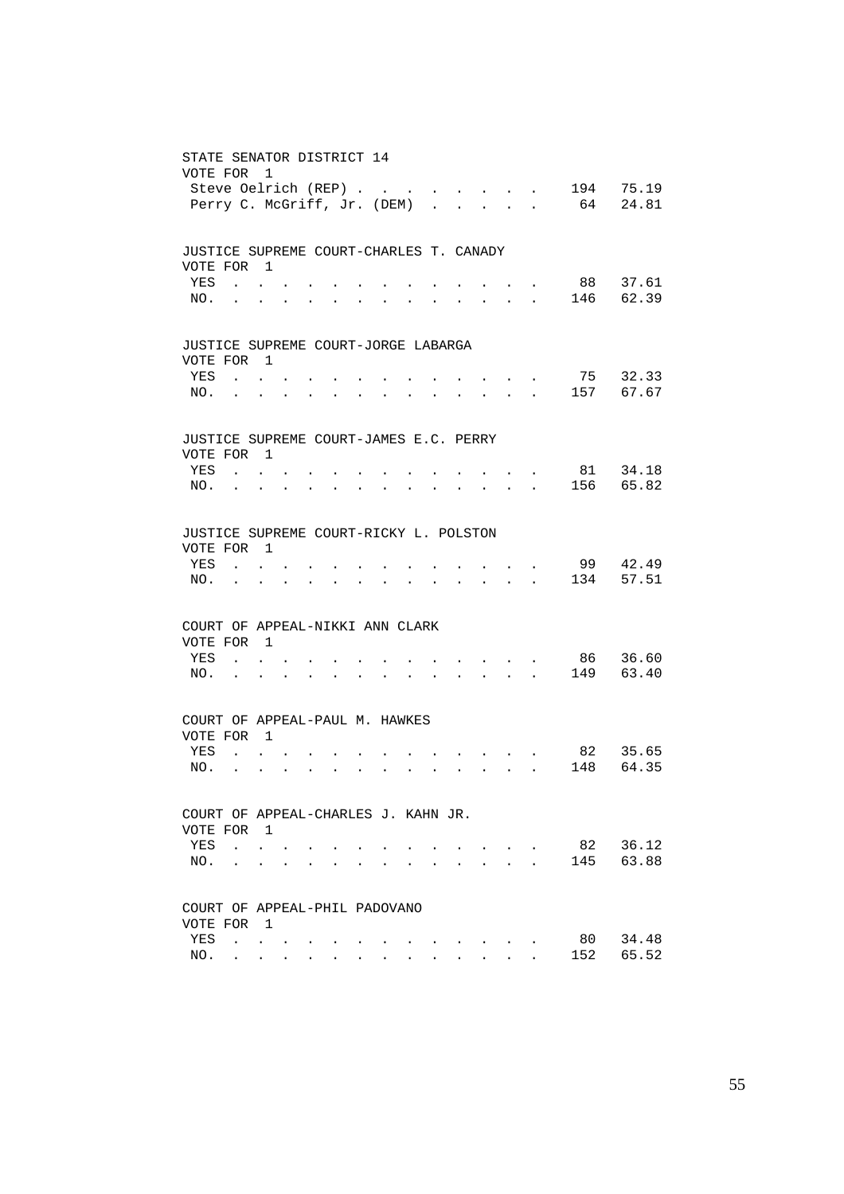| STATE SENATOR DISTRICT 14<br>VOTE FOR             | Steve Oelrich (REP)<br>Perry C. McGriff, Jr. (DEM)        | $\mathbf{1}$                           |                                                             |                      |                                                             |                      |                      |                                                             |                      |                                                                                            |                                          | <b><i>Contract Contract Contract</i></b>                  | 194<br>64                           | 75.19<br>24.81 |
|---------------------------------------------------|-----------------------------------------------------------|----------------------------------------|-------------------------------------------------------------|----------------------|-------------------------------------------------------------|----------------------|----------------------|-------------------------------------------------------------|----------------------|--------------------------------------------------------------------------------------------|------------------------------------------|-----------------------------------------------------------|-------------------------------------|----------------|
|                                                   |                                                           |                                        |                                                             |                      |                                                             |                      |                      |                                                             |                      |                                                                                            |                                          |                                                           |                                     |                |
| JUSTICE SUPREME COURT-CHARLES T. CANADY           |                                                           |                                        |                                                             |                      |                                                             |                      |                      |                                                             |                      |                                                                                            |                                          |                                                           |                                     |                |
| VOTE FOR 1<br>YES                                 | $\mathbf{r}$ , $\mathbf{r}$ , $\mathbf{r}$ , $\mathbf{r}$ |                                        |                                                             |                      |                                                             |                      |                      |                                                             |                      |                                                                                            |                                          |                                                           | $\cdot$ $\cdot$ 88                  | 37.61          |
|                                                   | NO.                                                       |                                        |                                                             |                      |                                                             | $\bullet$            | $\bullet$            | $\ddot{\phantom{0}}$                                        |                      |                                                                                            | $\mathbf{z} = \mathbf{z} + \mathbf{z}$ . |                                                           | . 146                               | 62.39          |
| JUSTICE SUPREME COURT-JORGE LABARGA               |                                                           |                                        |                                                             |                      |                                                             |                      |                      |                                                             |                      |                                                                                            |                                          |                                                           |                                     |                |
| VOTE FOR 1<br>YES                                 | $\cdots$ $\cdots$                                         |                                        |                                                             |                      |                                                             |                      |                      |                                                             |                      |                                                                                            |                                          |                                                           | 75                                  | 32.33          |
| NO.                                               | $\ddot{\phantom{a}}$                                      | $\ddot{\phantom{0}}$                   |                                                             |                      | $\bullet$ .<br><br><br><br><br><br><br><br><br><br><br><br> | $\bullet$            | $\ddot{\phantom{0}}$ | $\ddot{\phantom{0}}$                                        |                      | <b>Professor Control</b>                                                                   |                                          |                                                           | 157                                 | 67.67          |
|                                                   |                                                           |                                        |                                                             |                      |                                                             |                      |                      |                                                             |                      |                                                                                            |                                          |                                                           |                                     |                |
| JUSTICE SUPREME COURT-JAMES E.C. PERRY            |                                                           |                                        |                                                             |                      |                                                             |                      |                      |                                                             |                      |                                                                                            |                                          |                                                           |                                     |                |
| VOTE FOR 1<br>YES                                 | $\mathbf{r}$ , $\mathbf{r}$ , $\mathbf{r}$ , $\mathbf{r}$ |                                        |                                                             |                      |                                                             |                      |                      |                                                             |                      |                                                                                            |                                          | $\mathcal{L}^{\mathcal{L}}(\mathbf{X})$ . The contract of | 81                                  | 34.18          |
|                                                   | NO.                                                       |                                        | $\bullet$ .<br><br><br><br><br><br><br><br><br><br><br><br> | $\ddot{\phantom{a}}$ | $\ddot{\phantom{a}}$                                        | $\ddot{\phantom{a}}$ | $\bullet$            | $\bullet$                                                   |                      |                                                                                            |                                          | $\mathbf{r} = \mathbf{r} + \mathbf{r}$                    | 156                                 | 65.82          |
|                                                   |                                                           |                                        |                                                             |                      |                                                             |                      |                      |                                                             |                      |                                                                                            |                                          |                                                           |                                     |                |
| JUSTICE SUPREME COURT-RICKY L. POLSTON            |                                                           |                                        |                                                             |                      |                                                             |                      |                      |                                                             |                      |                                                                                            |                                          |                                                           |                                     |                |
| VOTE FOR 1                                        |                                                           |                                        |                                                             |                      |                                                             |                      |                      |                                                             |                      |                                                                                            |                                          |                                                           |                                     |                |
| YES                                               | $\mathbf{r}$ , $\mathbf{r}$ , $\mathbf{r}$ , $\mathbf{r}$ |                                        |                                                             |                      |                                                             |                      |                      |                                                             |                      |                                                                                            |                                          |                                                           | 99                                  | 42.49          |
| NO.                                               |                                                           |                                        |                                                             |                      | $\sim$ $\sim$                                               | $\ddot{\phantom{a}}$ | $\ddot{\phantom{a}}$ | $\ddot{\phantom{a}}$                                        |                      |                                                                                            |                                          |                                                           | $\cdot$ $\cdot$ $\cdot$ $\cdot$ 134 | 57.51          |
| COURT OF APPEAL-NIKKI ANN CLARK                   |                                                           |                                        |                                                             |                      |                                                             |                      |                      |                                                             |                      |                                                                                            |                                          |                                                           |                                     |                |
| VOTE FOR 1                                        |                                                           |                                        |                                                             |                      |                                                             |                      |                      |                                                             |                      |                                                                                            |                                          |                                                           |                                     |                |
| YES                                               | <b>Contract Contract Contract</b>                         |                                        |                                                             |                      |                                                             |                      |                      |                                                             |                      | $\sim$ $\sim$ $\sim$ $\sim$ $\sim$ $\sim$                                                  |                                          |                                                           | 86                                  | 36.60          |
| NO.                                               | $\sim$ $\sim$ $\sim$                                      | $\ddot{\phantom{a}}$                   | $\ddot{\phantom{a}}$                                        | $\ddot{\phantom{a}}$ | $\ddot{\phantom{a}}$                                        | $\bullet$            |                      |                                                             | $\sim$               |                                                                                            |                                          |                                                           | . 149                               | 63.40          |
|                                                   |                                                           |                                        |                                                             |                      |                                                             |                      |                      |                                                             |                      |                                                                                            |                                          |                                                           |                                     |                |
| COURT OF APPEAL-PAUL M. HAWKES<br>VOTE FOR 1      |                                                           |                                        |                                                             |                      |                                                             |                      |                      |                                                             |                      |                                                                                            |                                          |                                                           |                                     |                |
| YES                                               | <b>Contract Contract Contract</b>                         |                                        |                                                             |                      |                                                             |                      |                      |                                                             |                      | $\mathcal{L}(\mathbf{z})$ and $\mathcal{L}(\mathbf{z})$ .                                  |                                          |                                                           | 82                                  | 35.65          |
| NO.                                               | $\mathbf{r}$ . The set of $\mathbf{r}$                    |                                        | $\ddot{\phantom{a}}$                                        |                      | $\mathbf{r} = \mathbf{r}$                                   | $\ddot{\phantom{a}}$ | $\ddot{\phantom{a}}$ | $\bullet$ .<br><br><br><br><br><br><br><br><br><br><br><br> |                      | $\mathbf{r} = \mathbf{r} + \mathbf{r} + \mathbf{r} + \mathbf{r} + \mathbf{r} + \mathbf{r}$ |                                          |                                                           | 148                                 | 64.35          |
|                                                   |                                                           |                                        |                                                             |                      |                                                             |                      |                      |                                                             |                      |                                                                                            |                                          |                                                           |                                     |                |
| COURT OF APPEAL-CHARLES J. KAHN JR.<br>VOTE FOR 1 |                                                           |                                        |                                                             |                      |                                                             |                      |                      |                                                             |                      |                                                                                            |                                          |                                                           |                                     |                |
| YES                                               |                                                           | $\mathbf{L} = \mathbf{L}$              |                                                             |                      |                                                             |                      |                      |                                                             |                      |                                                                                            |                                          |                                                           | 82                                  | 36.12          |
| NO.                                               |                                                           | $\sim$ $\sim$ $\sim$                   |                                                             |                      |                                                             |                      |                      |                                                             | $\ddot{\phantom{a}}$ |                                                                                            | $\sim$ $\sim$ $\sim$                     | $\ddot{\phantom{a}}$                                      | 145                                 | 63.88          |
| COURT OF APPEAL-PHIL PADOVANO                     |                                                           |                                        |                                                             |                      |                                                             |                      |                      |                                                             |                      |                                                                                            |                                          |                                                           |                                     |                |
| VOTE FOR 1                                        |                                                           |                                        |                                                             |                      |                                                             |                      |                      |                                                             |                      |                                                                                            |                                          |                                                           |                                     |                |
| <b>YES</b>                                        | $\mathbf{r}$ , $\mathbf{r}$ , $\mathbf{r}$                |                                        |                                                             |                      |                                                             |                      |                      |                                                             |                      |                                                                                            |                                          |                                                           | 80                                  | 34.48          |
| NO.                                               |                                                           | $\mathbf{z} = \mathbf{z} + \mathbf{z}$ |                                                             |                      |                                                             |                      |                      |                                                             |                      |                                                                                            |                                          |                                                           | 152                                 | 65.52          |